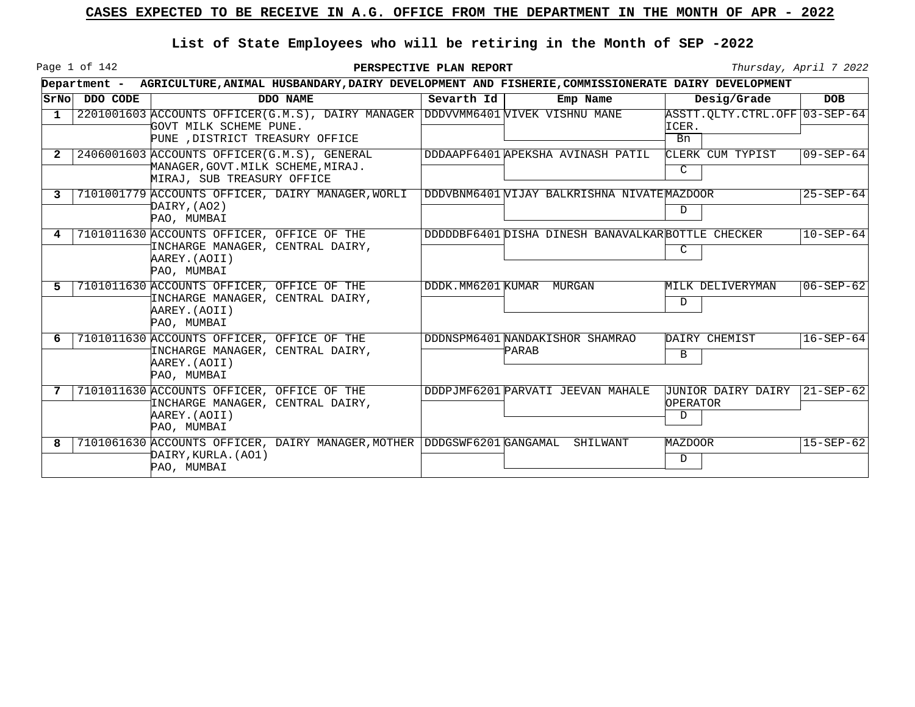Page 1 of 142

|       |          | Department - AGRICULTURE, ANIMAL HUSBANDARY, DAIRY DEVELOPMENT AND FISHERIE, COMMISSIONERATE DAIRY DEVELOPMENT                               |            |                                                   |                                              |                 |
|-------|----------|----------------------------------------------------------------------------------------------------------------------------------------------|------------|---------------------------------------------------|----------------------------------------------|-----------------|
| SrNol | DDO CODE | DDO NAME                                                                                                                                     | Sevarth Id | Emp Name                                          | Desig/Grade                                  | <b>DOB</b>      |
| 1     |          | 2201001603 ACCOUNTS OFFICER(G.M.S), DAIRY MANAGER DDDVVMM6401 VIVEK VISHNU MANE<br>GOVT MILK SCHEME PUNE.<br>PUNE , DISTRICT TREASURY OFFICE |            |                                                   | ASSTT.QLTY.CTRL.OFF 03-SEP-64<br>ICER.<br>Bn |                 |
| 2     |          | 2406001603 ACCOUNTS OFFICER (G.M.S), GENERAL<br>MANAGER, GOVT. MILK SCHEME, MIRAJ.<br>MIRAJ, SUB TREASURY OFFICE                             |            | DDDAAPF6401 APEKSHA AVINASH PATIL                 | CLERK CUM TYPIST<br>C                        | $09 - SEP - 64$ |
| 3     |          | 7101001779 ACCOUNTS OFFICER, DAIRY MANAGER, WORLI<br>DAIRY,(AO2)<br>PAO, MUMBAI                                                              |            | DDDVBNM6401 WIJAY BALKRISHNA NIVATEMAZDOOR        | D                                            | $25 - SEP - 64$ |
| 4     |          | 7101011630 ACCOUNTS OFFICER, OFFICE OF THE<br>INCHARGE MANAGER, CENTRAL DAIRY,<br>AAREY. (AOII)<br>PAO, MUMBAI                               |            | DDDDDBF6401 DISHA DINESH BANAVALKARBOTTLE CHECKER | C                                            | $10 - SEP - 64$ |
| 5     |          | 7101011630 ACCOUNTS OFFICER, OFFICE OF THE<br>INCHARGE MANAGER, CENTRAL DAIRY,<br>AAREY. (AOII)<br>PAO, MUMBAI                               |            | DDDK.MM6201 KUMAR MURGAN                          | MILK DELIVERYMAN<br>D                        | $06 - SEP - 62$ |
| 6     |          | 7101011630 ACCOUNTS OFFICER, OFFICE OF THE<br>INCHARGE MANAGER, CENTRAL DAIRY,<br>AAREY. (AOII)<br>PAO, MUMBAI                               |            | DDDNSPM6401 NANDAKISHOR SHAMRAO<br>PARAB          | DAIRY CHEMIST<br>B                           | $16 - SEP - 64$ |
|       |          | 7101011630 ACCOUNTS OFFICER, OFFICE OF THE<br>INCHARGE MANAGER, CENTRAL DAIRY,<br>AAREY. (AOII)<br>PAO, MUMBAI                               |            | DDDPJMF6201 PARVATI JEEVAN MAHALE                 | <b>JUNIOR DAIRY DAIRY</b><br>OPERATOR<br>D   | $21 - SEP - 62$ |
| 8     |          | 7101061630 ACCOUNTS OFFICER, DAIRY MANAGER, MOTHER DDDGSWF6201 GANGAMAL<br>DAIRY, KURLA. (AO1)<br>PAO, MUMBAI                                |            | SHILWANT                                          | <b>MAZDOOR</b><br>$\mathbf D$                | $15 - SEP - 62$ |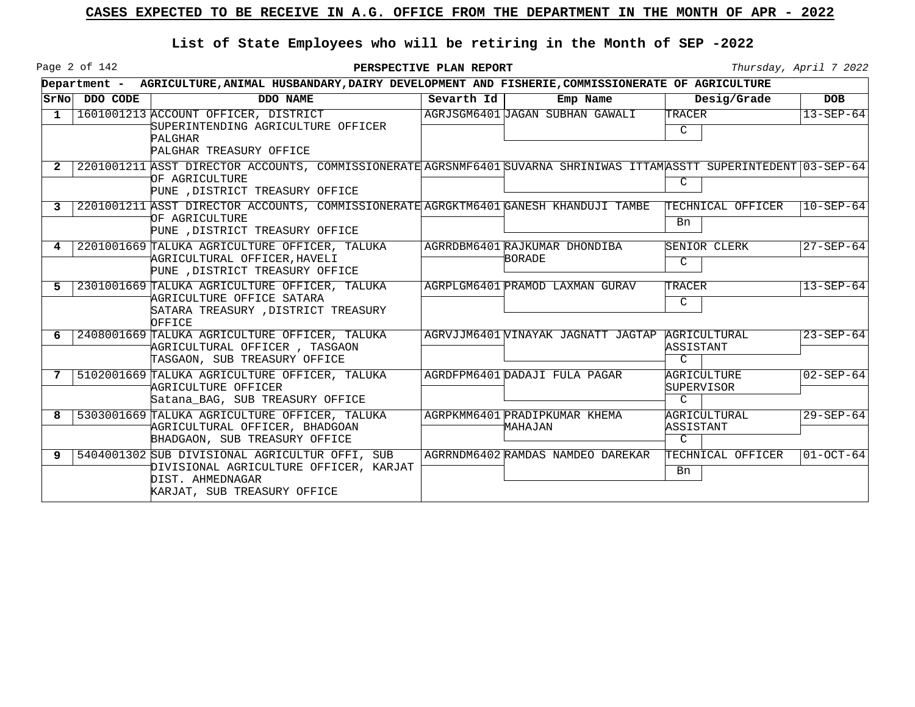Page 2 of 142

|   |               | Department - AGRICULTURE, ANIMAL HUSBANDARY, DAIRY DEVELOPMENT AND FISHERIE, COMMISSIONERATE OF AGRICULTURE                                                              |            |                                                 |                                            |                 |
|---|---------------|--------------------------------------------------------------------------------------------------------------------------------------------------------------------------|------------|-------------------------------------------------|--------------------------------------------|-----------------|
|   | SrNo DDO CODE | DDO NAME                                                                                                                                                                 | Sevarth Id | Emp Name                                        | Desig/Grade                                | <b>DOB</b>      |
| 1 |               | 1601001213 ACCOUNT OFFICER, DISTRICT<br>SUPERINTENDING AGRICULTURE OFFICER<br><b>PALGHAR</b><br>PALGHAR TREASURY OFFICE                                                  |            | AGRJSGM6401 JAGAN SUBHAN GAWALI                 | TRACER<br>C                                | $13 - SEP - 64$ |
|   |               | 2201001211 ASST DIRECTOR ACCOUNTS, COMMISSIONERATE AGRSNMF6401 SUVARNA SHRINIWAS ITTAMASSTT SUPERINTEDENT 03-SEP-64<br>OF AGRICULTURE<br>PUNE , DISTRICT TREASURY OFFICE |            |                                                 | C                                          |                 |
|   |               | 2201001211 ASST DIRECTOR ACCOUNTS, COMMISSIONERATE AGRGKTM6401 GANESH KHANDUJI TAMBE<br>OF AGRICULTURE<br>PUNE , DISTRICT TREASURY OFFICE                                |            |                                                 | TECHNICAL OFFICER<br>Bn                    | $10 - SEP - 64$ |
| 4 |               | 2201001669 TALUKA AGRICULTURE OFFICER, TALUKA<br>AGRICULTURAL OFFICER, HAVELI<br>PUNE , DISTRICT TREASURY OFFICE                                                         |            | AGRRDBM6401 RAJKUMAR DHONDIBA<br>BORADE         | SENIOR CLERK<br>C                          | $27 - SEP - 64$ |
| 5 |               | 2301001669 TALUKA AGRICULTURE OFFICER, TALUKA<br>AGRICULTURE OFFICE SATARA<br>SATARA TREASURY , DISTRICT TREASURY<br>OFFICE                                              |            | AGRPLGM6401 PRAMOD LAXMAN GURAV                 | TRACER<br>C                                | $13 - SEP - 64$ |
| 6 |               | 2408001669 TALUKA AGRICULTURE OFFICER, TALUKA<br>AGRICULTURAL OFFICER, TASGAON<br>TASGAON, SUB TREASURY OFFICE                                                           |            | AGRVJJM6401 VINAYAK JAGNATT JAGTAP AGRICULTURAL | ASSISTANT<br>$\mathcal{C}$                 | $23 - SEP - 64$ |
|   |               | 5102001669 TALUKA AGRICULTURE OFFICER, TALUKA<br>AGRICULTURE OFFICER<br>Satana BAG, SUB TREASURY OFFICE                                                                  |            | AGRDFPM6401 DADAJI FULA PAGAR                   | AGRICULTURE<br>SUPERVISOR<br>$\mathcal{C}$ | $02 - SEP - 64$ |
| 8 |               | 5303001669 TALUKA AGRICULTURE OFFICER, TALUKA<br>AGRICULTURAL OFFICER, BHADGOAN<br>BHADGAON, SUB TREASURY OFFICE                                                         |            | AGRPKMM6401 PRADIPKUMAR KHEMA<br>MAHAJAN        | AGRICULTURAL<br>ASSISTANT<br>$\mathcal{C}$ | $29 - SEP - 64$ |
| 9 |               | 5404001302 SUB DIVISIONAL AGRICULTUR OFFI, SUB<br>DIVISIONAL AGRICULTURE OFFICER, KARJAT<br>DIST. AHMEDNAGAR<br>KARJAT, SUB TREASURY OFFICE                              |            | AGRRNDM6402 RAMDAS NAMDEO DAREKAR               | TECHNICAL OFFICER<br>Bn                    | $ 01-OCT-64 $   |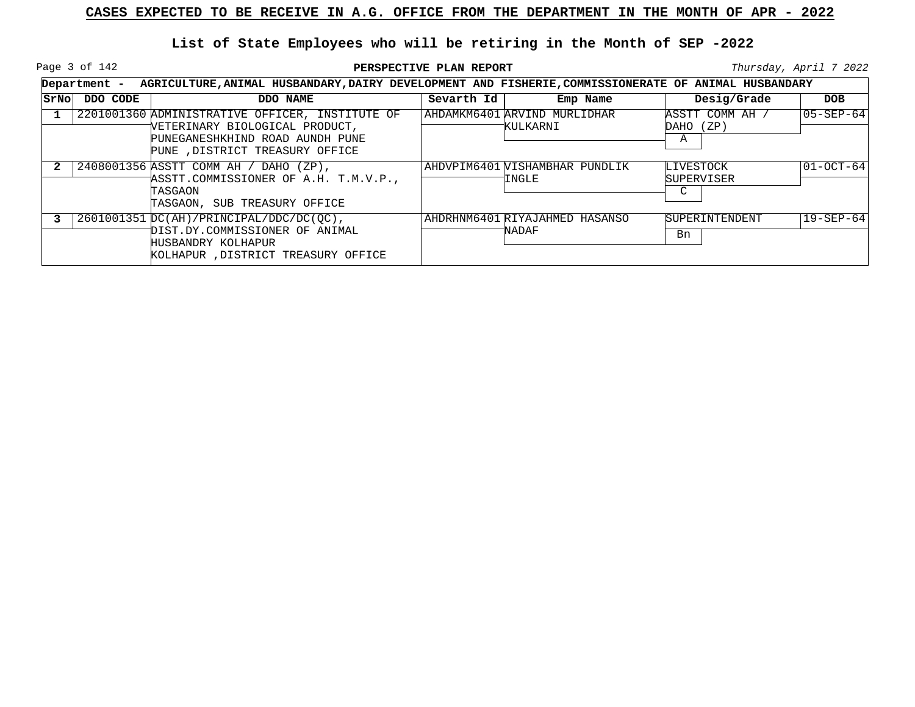Page 3 of 142

|      |          | Department - AGRICULTURE, ANIMAL HUSBANDARY, DAIRY DEVELOPMENT AND FISHERIE, COMMISSIONERATE OF ANIMAL HUSBANDARY                                       |            |                                                |                                     |                 |
|------|----------|---------------------------------------------------------------------------------------------------------------------------------------------------------|------------|------------------------------------------------|-------------------------------------|-----------------|
| SrNo | DDO CODE | DDO NAME                                                                                                                                                | Sevarth Id | Emp Name                                       | Desig/Grade                         | <b>DOB</b>      |
|      |          | 2201001360 ADMINISTRATIVE OFFICER, INSTITUTE OF<br>VETERINARY BIOLOGICAL PRODUCT,<br>PUNEGANESHKHIND ROAD AUNDH PUNE<br>PUNE , DISTRICT TREASURY OFFICE |            | AHDAMKM6401 ARVIND MURLIDHAR<br>KULKARNI       | ASSTT COMM AH /<br>DAHO (ZP)<br>Α   | 105-SEP-641     |
|      |          | 2408001356 ASSTT COMM AH / DAHO (ZP),<br>ASSTT.COMMISSIONER OF A.H. T.M.V.P.,<br>TASGAON<br>TASGAON, SUB TREASURY OFFICE                                |            | AHDVPIM6401 VISHAMBHAR PUNDLIK<br><b>INGLE</b> | LIVESTOCK<br><b>SUPERVISER</b><br>C | $01-0CT-64$     |
|      |          | $2601001351$ DC(AH)/PRINCIPAL/DDC/DC(OC),<br>DIST.DY.COMMISSIONER OF ANIMAL<br>HUSBANDRY KOLHAPUR<br>KOLHAPUR, DISTRICT TREASURY OFFICE                 |            | AHDRHNM6401 RIYAJAHMED HASANSO<br>NADAF        | <b>SUPERINTENDENT</b><br>Bn         | $19 - SEP - 64$ |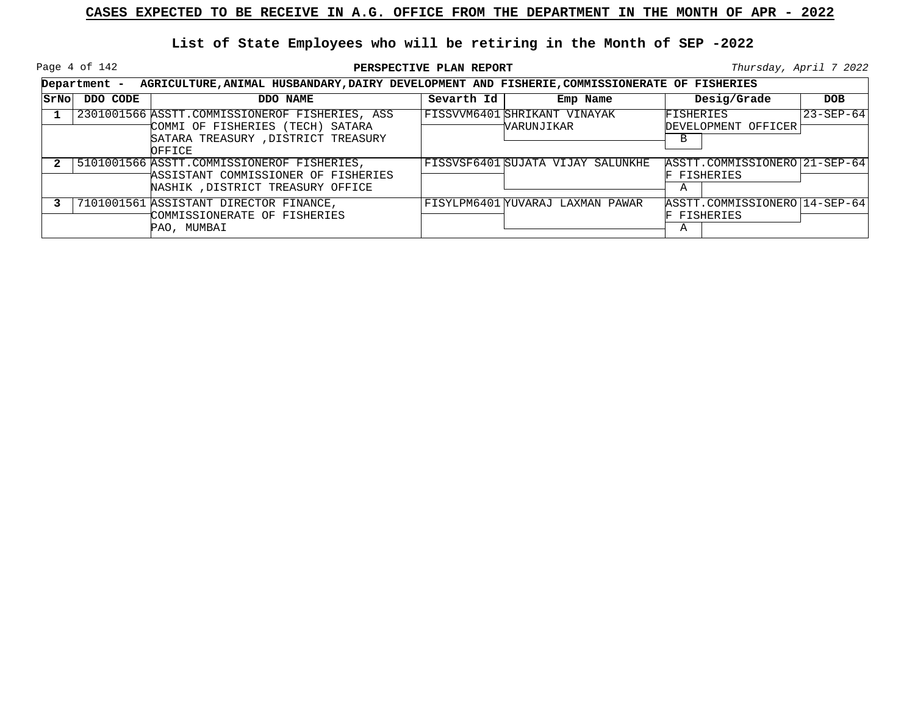Page 4 of 142

**PERSPECTIVE PLAN REPORT Thursday**, April 7 2022

|      | Department - | AGRICULTURE, ANIMAL HUSBANDARY, DAIRY DEVELOPMENT AND FISHERIE, COMMISSIONERATE OF FISHERIES                                       |            |                                            |                                                   |                 |
|------|--------------|------------------------------------------------------------------------------------------------------------------------------------|------------|--------------------------------------------|---------------------------------------------------|-----------------|
| SrNo | DDO CODE     | DDO NAME                                                                                                                           | Sevarth Id | Emp Name                                   | Desig/Grade                                       | <b>DOB</b>      |
|      |              | 2301001566 ASSTT.COMMISSIONEROF FISHERIES, ASS<br>COMMI OF FISHERIES (TECH) SATARA<br>SATARA TREASURY, DISTRICT TREASURY<br>OFFICE |            | FISSVVM6401 SHRIKANT VINAYAK<br>WARUNJIKAR | FISHERIES<br>DEVELOPMENT OFFICER<br>B             | $23 - SEP - 64$ |
|      |              | 5101001566 ASSTT.COMMISSIONEROF FISHERIES,<br>ASSISTANT COMMISSIONER OF FISHERIES<br>NASHIK , DISTRICT TREASURY OFFICE             |            | FISSVSF6401 SUJATA VIJAY SALUNKHE          | ASSTT.COMMISSIONERO 21-SEP-64<br>FISHERIES<br>Α   |                 |
|      |              | 7101001561 ASSISTANT DIRECTOR FINANCE,<br>COMMISSIONERATE OF FISHERIES<br>PAO, MUMBAI                                              |            | FISYLPM6401 YUVARAJ LAXMAN PAWAR           | ASSTT.COMMISSIONERO   14-SEP-64<br>FISHERIES<br>Α |                 |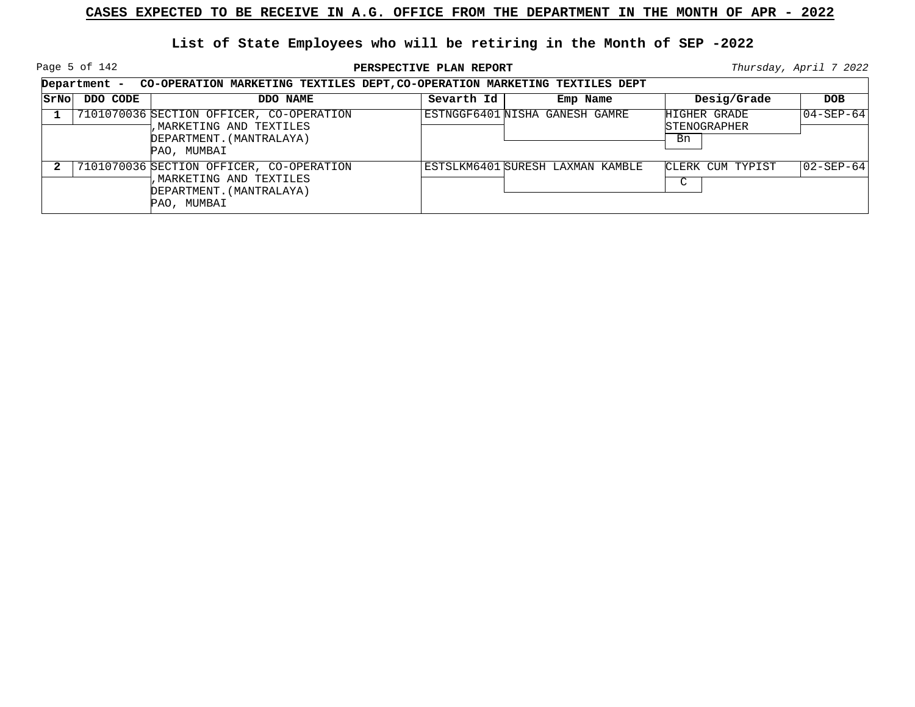Page 5 of 142

**PERSPECTIVE PLAN REPORT Thursday**, April 7 2022

|       | Department - CO-OPERATION MARKETING TEXTILES DEPT, CO-OPERATION MARKETING TEXTILES DEPT |                                                                                                                 |            |                                  |                                           |                   |  |  |  |
|-------|-----------------------------------------------------------------------------------------|-----------------------------------------------------------------------------------------------------------------|------------|----------------------------------|-------------------------------------------|-------------------|--|--|--|
| SrNol | DDO CODE                                                                                | DDO NAME                                                                                                        | Sevarth Id | Emp Name                         | Desig/Grade                               | <b>DOB</b>        |  |  |  |
|       |                                                                                         | 7101070036 SECTION OFFICER, CO-OPERATION<br>, MARKETING AND TEXTILES<br>DEPARTMENT. (MANTRALAYA)<br>PAO, MUMBAI |            | ESTNGGF6401 NISHA GANESH GAMRE   | HIGHER GRADE<br><b>STENOGRAPHER</b><br>Bn | $04 - SEP - 64$   |  |  |  |
|       |                                                                                         | 7101070036 SECTION OFFICER, CO-OPERATION<br>, MARKETING AND TEXTILES<br>DEPARTMENT. (MANTRALAYA)<br>PAO, MUMBAI |            | ESTSLKM6401 SURESH LAXMAN KAMBLE | CLERK CUM TYPIST<br>$\sim$<br>J           | $ 02 - SEP - 64 $ |  |  |  |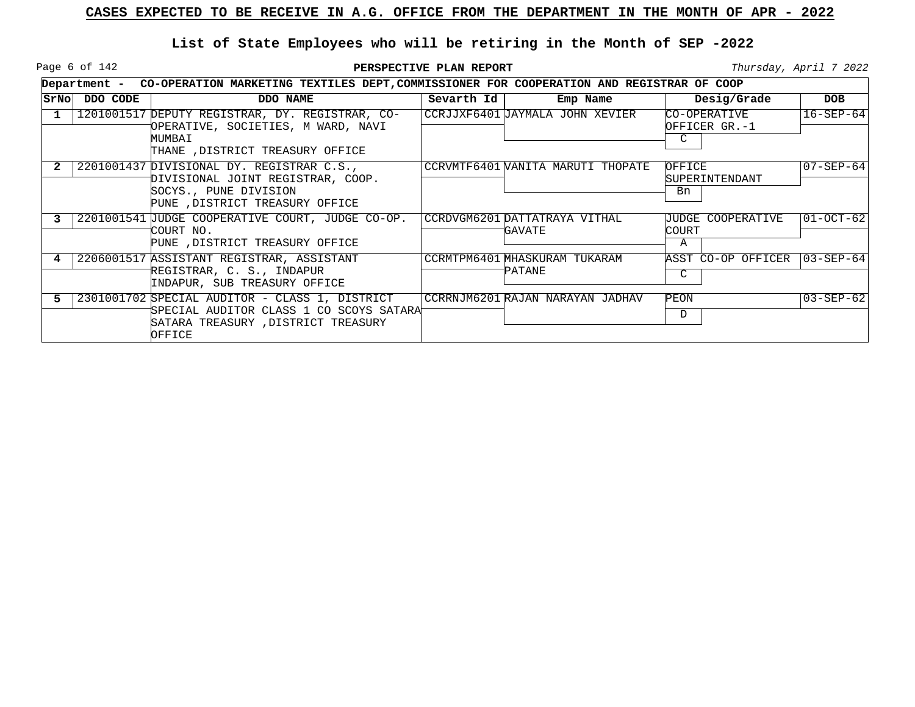Page 6 of 142

|      |          | Department - CO-OPERATION MARKETING TEXTILES DEPT, COMMISSIONER FOR COOPERATION AND REGISTRAR OF COOP                                       |            |                                          |                                       |                 |
|------|----------|---------------------------------------------------------------------------------------------------------------------------------------------|------------|------------------------------------------|---------------------------------------|-----------------|
| SrNo | DDO CODE | DDO NAME                                                                                                                                    | Sevarth Id | Emp Name                                 | Desig/Grade                           | <b>DOB</b>      |
|      |          | 1201001517 DEPUTY REGISTRAR, DY. REGISTRAR, CO-<br>OPERATIVE, SOCIETIES, M WARD, NAVI<br>MUMBAI<br>THANE , DISTRICT TREASURY OFFICE         |            | CCRJJXF6401 JAYMALA JOHN XEVIER          | CO-OPERATIVE<br>OFFICER GR.-1<br>C    | $16 - SEP - 64$ |
|      |          | 2201001437 DIVISIONAL DY. REGISTRAR C.S.,<br>DIVISIONAL JOINT REGISTRAR, COOP.<br>SOCYS., PUNE DIVISION<br>PUNE , DISTRICT TREASURY OFFICE  |            | CCRVMTF6401 WANITA MARUTI THOPATE        | OFFICE<br><b>SUPERINTENDANT</b><br>Bn | $07 - SEP - 64$ |
|      |          | 2201001541 JUDGE COOPERATIVE COURT, JUDGE CO-OP.<br>COURT NO.<br>PUNE , DISTRICT TREASURY OFFICE                                            |            | CCRDVGM6201 DATTATRAYA VITHAL<br>'GAVATE | JUDGE COOPERATIVE<br>COURT<br>Α       | 01-OCT-62       |
|      |          | 2206001517 ASSISTANT REGISTRAR, ASSISTANT<br>REGISTRAR, C. S., INDAPUR<br>INDAPUR, SUB TREASURY OFFICE                                      |            | CCRMTPM6401 MHASKURAM TUKARAM<br>PATANE  | ASST CO-OP OFFICER 103-SEP-641<br>C.  |                 |
|      |          | 2301001702 SPECIAL AUDITOR - CLASS 1, DISTRICT<br>'SPECIAL AUDITOR CLASS 1 CO SCOYS SATARA'<br>SATARA TREASURY, DISTRICT TREASURY<br>OFFICE |            | CCRRNJM6201 RAJAN NARAYAN JADHAV         | PEON<br>D                             | 03-SEP-62       |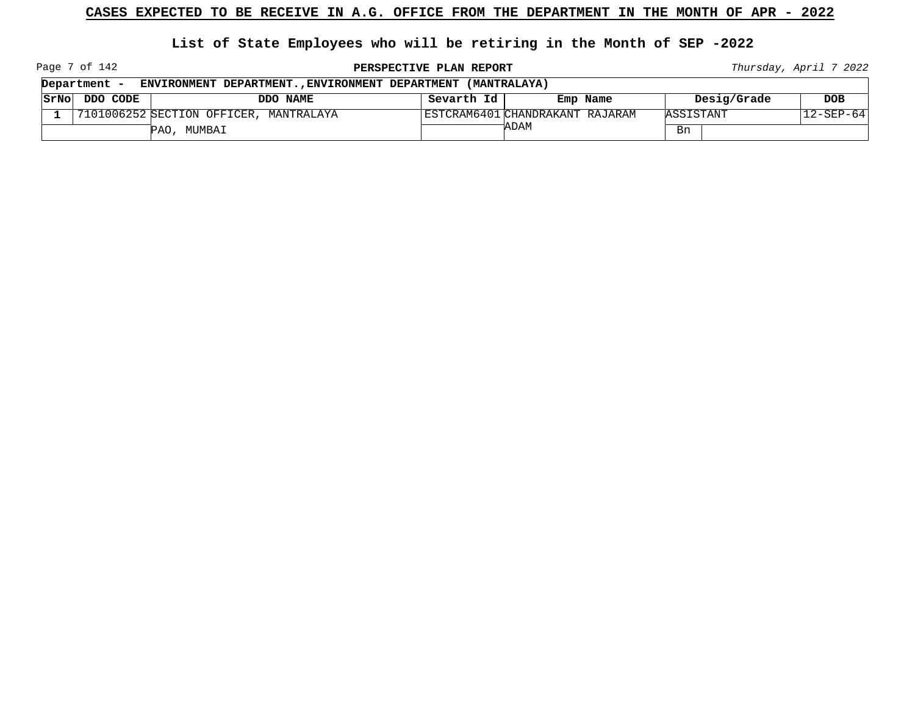#### **List of State Employees who will be retiring in the Month of SEP -2022**

Page 7 of 142

**PERSPECTIVE PLAN REPORT Thursday**, April 7 2022

 $\overline{\phantom{0}}$ 

|      | Department -<br>ENVIRONMENT DEPARTMENT., ENVIRONMENT DEPARTMENT (MANTRALAYA) |                                        |            |                                 |             |                 |  |  |  |
|------|------------------------------------------------------------------------------|----------------------------------------|------------|---------------------------------|-------------|-----------------|--|--|--|
| SrNo | DDO CODE                                                                     | DDO NAME                               | Sevarth Id | Emp Name                        | Desig/Grade | <b>DOB</b>      |  |  |  |
|      |                                                                              | 7101006252 SECTION OFFICER, MANTRALAYA |            | ESTCRAM6401 CHANDRAKANT RAJARAM | ASSISTANT   | $12 - SEP - 64$ |  |  |  |
|      |                                                                              | PAO,<br>MUMBAI                         |            | 'ADAM                           | Bn          |                 |  |  |  |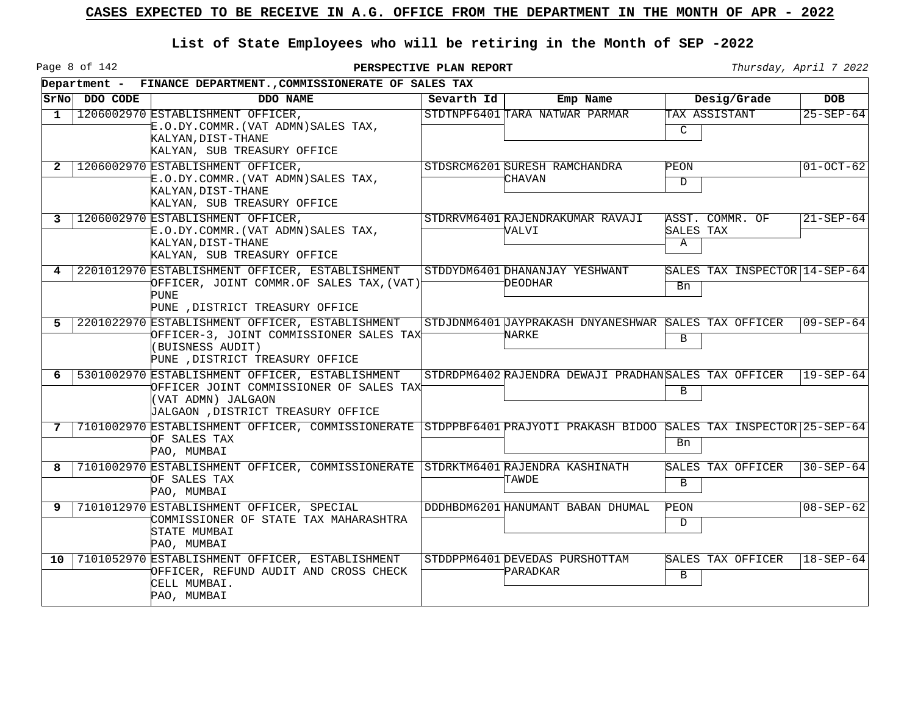Page 8 of 142

|              |               | Department - FINANCE DEPARTMENT., COMMISSIONERATE OF SALES TAX                                                                                         |            |                                                               |                |                               |                 |
|--------------|---------------|--------------------------------------------------------------------------------------------------------------------------------------------------------|------------|---------------------------------------------------------------|----------------|-------------------------------|-----------------|
|              | SrNo DDO CODE | DDO NAME                                                                                                                                               | Sevarth Id | Emp Name                                                      |                | Desig/Grade                   | <b>DOB</b>      |
| 1            |               | 1206002970 ESTABLISHMENT OFFICER,<br>怔.O.DY.COMMR.(VAT ADMN)SALES TAX,<br>KALYAN, DIST-THANE<br>KALYAN, SUB TREASURY OFFICE                            |            | STDTNPF6401 TARA NATWAR PARMAR                                | $\mathcal{C}$  | TAX ASSISTANT                 | $25 - SEP - 64$ |
| $\mathbf{2}$ |               | 1206002970 ESTABLISHMENT OFFICER,<br>怔.O.DY.COMMR.(VAT ADMN)SALES TAX,<br>KALYAN, DIST-THANE<br>KALYAN, SUB TREASURY OFFICE                            |            | STDSRCM6201 SURESH RAMCHANDRA<br>CHAVAN                       | PEON<br>D.     |                               | $01-0CT-62$     |
| 3            |               | 1206002970 ESTABLISHMENT OFFICER,<br>E.0.DY.COMMR. (VAT ADMN) SALES TAX,<br>KALYAN, DIST-THANE<br>KALYAN, SUB TREASURY OFFICE                          |            | STDRRVM6401 RAJENDRAKUMAR RAVAJI<br>VALVI                     | SALES TAX<br>A | ASST. COMMR. OF               | $21 - SEP - 64$ |
| 4            |               | 2201012970 ESTABLISHMENT OFFICER, ESTABLISHMENT<br>OFFICER, JOINT COMMR.OF SALES TAX, (VAT)<br><b>PUNE</b><br>PUNE , DISTRICT TREASURY OFFICE          |            | STDDYDM6401 DHANANJAY YESHWANT<br>DEODHAR                     | Bn             | SALES TAX INSPECTOR 14-SEP-64 |                 |
| 5.           |               | 2201022970 ESTABLISHMENT OFFICER, ESTABLISHMENT<br>OFFICER-3, JOINT COMMISSIONER SALES TAX<br>(BUISNESS AUDIT)<br>PUNE , DISTRICT TREASURY OFFICE      |            | STDJDNM6401 JAYPRAKASH DNYANESHWAR SALES TAX OFFICER<br>NARKE | B              |                               | $09 - SEP - 64$ |
| 6            |               | 5301002970 ESTABLISHMENT OFFICER, ESTABLISHMENT<br>OFFICER JOINT COMMISSIONER OF SALES TAX<br>(VAT ADMN) JALGAON<br>JALGAON , DISTRICT TREASURY OFFICE |            | STDRDPM6402 RAJENDRA DEWAJI PRADHANSALES TAX OFFICER          | B              |                               | $19 - SEP - 64$ |
| 7            |               | 7101002970 ESTABLISHMENT OFFICER, COMMISSIONERATE STDPPBF6401 PRAJYOTI PRAKASH BIDOO SALES TAX INSPECTOR 25-SEP-64<br>OF SALES TAX<br>PAO, MUMBAI      |            |                                                               | Bn             |                               |                 |
|              |               | 7101002970 ESTABLISHMENT OFFICER, COMMISSIONERATE STDRKTM6401 RAJENDRA KASHINATH<br>OF SALES TAX<br>PAO, MUMBAI                                        |            | TAWDE                                                         | B              | SALES TAX OFFICER             | $30 - SEP - 64$ |
| 9            |               | 7101012970 ESTABLISHMENT OFFICER, SPECIAL<br>COMMISSIONER OF STATE TAX MAHARASHTRA<br>STATE MUMBAI<br>PAO, MUMBAI                                      |            | DDDHBDM6201 HANUMANT BABAN DHUMAL                             | PEON<br>D      |                               | $08 - SEP - 62$ |
| $10^{-}$     |               | 7101052970 ESTABLISHMENT OFFICER, ESTABLISHMENT<br>OFFICER, REFUND AUDIT AND CROSS CHECK<br>CELL MUMBAI.<br>PAO, MUMBAI                                |            | STDDPPM6401 DEVEDAS PURSHOTTAM<br>PARADKAR                    | B              | SALES TAX OFFICER             | $18 - SEP - 64$ |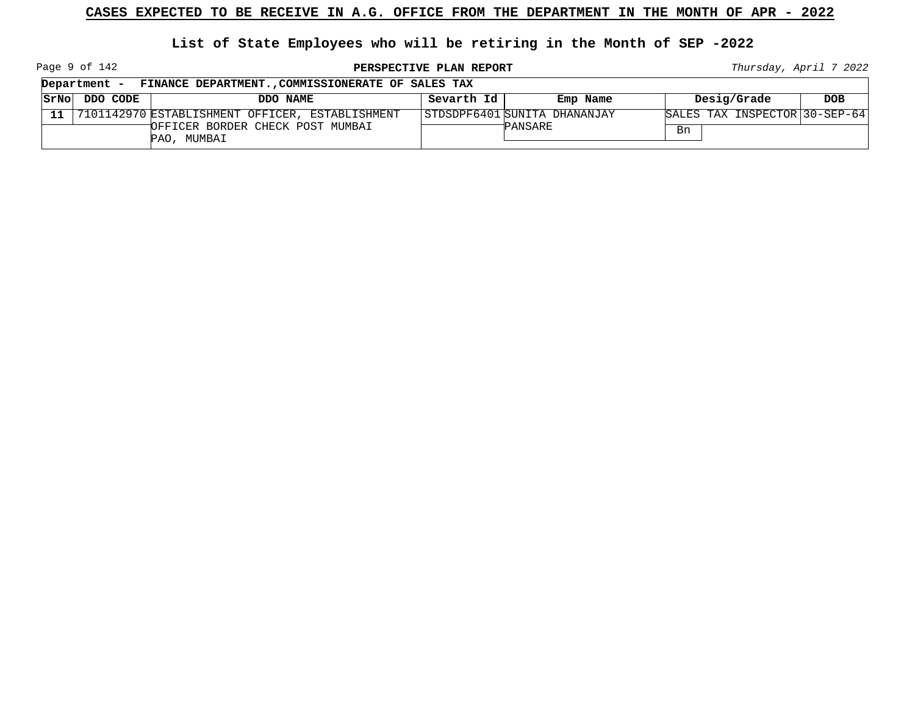# **List of State Employees who will be retiring in the Month of SEP -2022**

Page 9 of 142

**PERSPECTIVE PLAN REPORT Thursday**, April 7 2022

┑

|      | FINANCE DEPARTMENT., COMMISSIONERATE OF SALES TAX<br>Department - |                                                    |            |                              |    |                               |            |  |
|------|-------------------------------------------------------------------|----------------------------------------------------|------------|------------------------------|----|-------------------------------|------------|--|
| SrNo | DDO CODE                                                          | DDO NAME                                           | Sevarth Id | Emp Name                     |    | Desig/Grade                   | <b>DOB</b> |  |
|      |                                                                   | 11 7101142970 ESTABLISHMENT OFFICER, ESTABLISHMENT |            | STDSDPF6401 SUNITA DHANANJAY |    | SALES TAX INSPECTOR 30-SEP-64 |            |  |
|      |                                                                   | OFFICER BORDER CHECK POST MUMBAI<br>PAO, MUMBAI    |            | PANSARE                      | Bn |                               |            |  |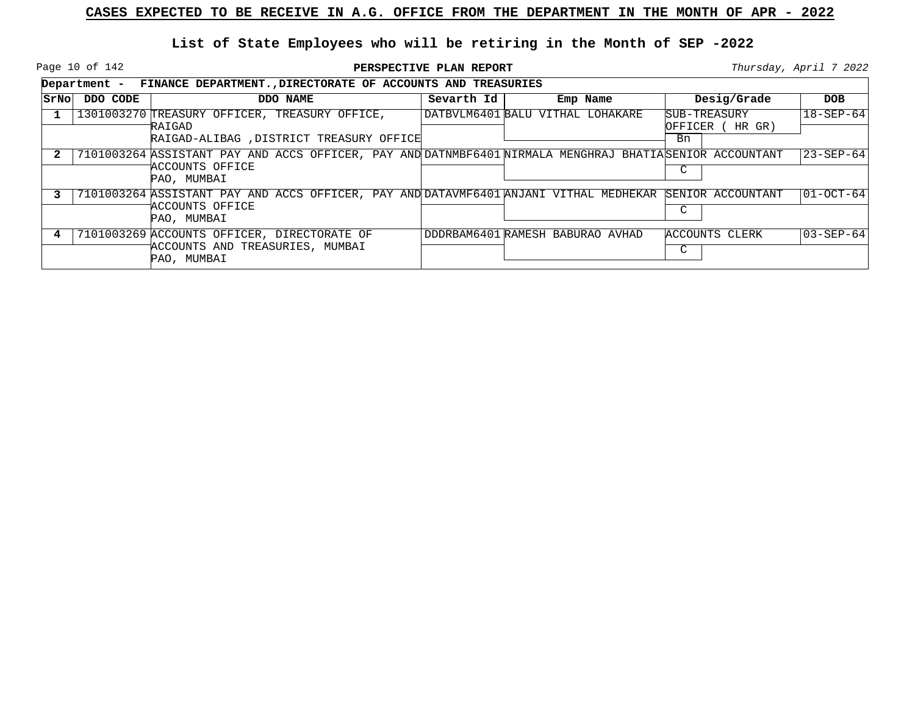Page 10 of 142

|      | Department - FINANCE DEPARTMENT., DIRECTORATE OF ACCOUNTS AND TREASURIES |                                                                                                                                            |            |                                  |                                        |                 |  |  |  |  |
|------|--------------------------------------------------------------------------|--------------------------------------------------------------------------------------------------------------------------------------------|------------|----------------------------------|----------------------------------------|-----------------|--|--|--|--|
| SrNo | DDO CODE                                                                 | DDO NAME                                                                                                                                   | Sevarth Id | Emp Name                         | Desig/Grade                            | <b>DOB</b>      |  |  |  |  |
|      |                                                                          | 1301003270 TREASURY OFFICER, TREASURY OFFICE,<br>RAIGAD<br>RAIGAD-ALIBAG , DISTRICT TREASURY OFFICE                                        |            | DATBVLM6401 BALU VITHAL LOHAKARE | SUB-TREASURY<br>OFFICER ( HR GR)<br>Bn | $18 - SEP - 64$ |  |  |  |  |
|      |                                                                          | 7101003264 ASSISTANT PAY AND ACCS OFFICER, PAY AND DATNMBF6401 NIRMALA MENGHRAJ BHATIA SENIOR ACCOUNTANT<br>ACCOUNTS OFFICE<br>PAO, MUMBAI |            |                                  | C                                      | 23-SEP-64       |  |  |  |  |
|      |                                                                          | 7101003264 ASSISTANT PAY AND ACCS OFFICER, PAY AND DATAVMF6401 ANJANI VITHAL MEDHEKAR SENIOR ACCOUNTANT<br>ACCOUNTS OFFICE<br>PAO, MUMBAI  |            |                                  | C                                      | $ 01-0CT-64 $   |  |  |  |  |
|      |                                                                          | 7101003269 ACCOUNTS OFFICER, DIRECTORATE OF<br>ACCOUNTS AND TREASURIES, MUMBAI<br>PAO, MUMBAI                                              |            | DDDRBAM6401 RAMESH BABURAO AVHAD | ACCOUNTS CLERK<br>C                    | 03-SEP-64       |  |  |  |  |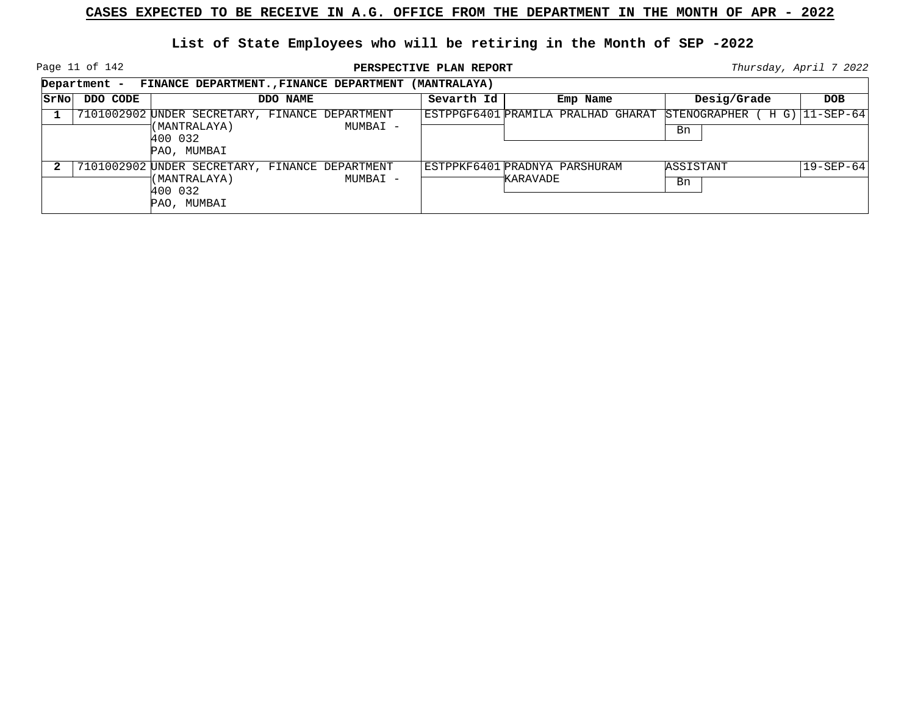Page 11 of 142

**PERSPECTIVE PLAN REPORT Thursday**, April 7 2022

┑

|      | Department - | FINANCE DEPARTMENT., FINANCE DEPARTMENT            | (MANTRALAYA) |                                    |                           |                 |
|------|--------------|----------------------------------------------------|--------------|------------------------------------|---------------------------|-----------------|
| SrNo | DDO CODE     | DDO NAME                                           | Sevarth Id   | Emp Name                           | Desig/Grade               | <b>DOB</b>      |
|      |              | 7101002902 UNDER SECRETARY, FINANCE DEPARTMENT     |              | ESTPPGF6401 PRAMILA PRALHAD GHARAT | STENOGRAPHER<br>$H$ $G$ ) | 11-SEP-64       |
|      |              | (MANTRALAYA)<br>MUMBAI -<br>400 032<br>PAO, MUMBAI |              |                                    | Bn                        |                 |
|      |              | 7101002902 UNDER SECRETARY, FINANCE DEPARTMENT     |              | ESTPPKF6401 PRADNYA PARSHURAM      | ASSISTANT                 | $19 - SEP - 64$ |
|      |              | (MANTRALAYA)<br>MUMBAI -<br>400 032<br>PAO, MUMBAI |              | KARAVADE                           | Bn                        |                 |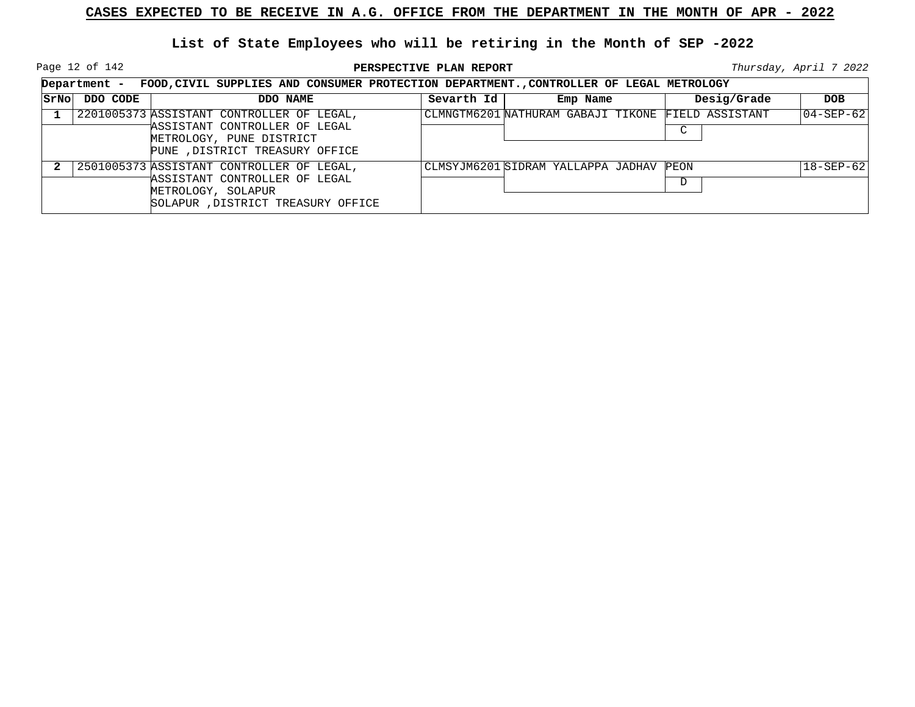Page 12 of 142

|      |          | Department - FOOD, CIVIL SUPPLIES AND CONSUMER PROTECTION DEPARTMENT., CONTROLLER OF LEGAL METROLOGY                                      |            |                                                    |             |                          |
|------|----------|-------------------------------------------------------------------------------------------------------------------------------------------|------------|----------------------------------------------------|-------------|--------------------------|
| SrNo | DDO CODE | DDO NAME                                                                                                                                  | Sevarth Id | Emp Name                                           | Desig/Grade | <b>DOB</b>               |
|      |          | 2201005373 ASSISTANT CONTROLLER OF LEGAL,<br>ASSISTANT CONTROLLER OF LEGAL<br>METROLOGY, PUNE DISTRICT<br>PUNE , DISTRICT TREASURY OFFICE |            | CLMNGTM6201 NATHURAM GABAJI TIKONE FIELD ASSISTANT | C           | 04-SEP-62                |
|      |          | 2501005373 ASSISTANT CONTROLLER OF LEGAL,<br>ASSISTANT CONTROLLER OF LEGAL<br>METROLOGY, SOLAPUR<br>SOLAPUR, DISTRICT TREASURY OFFICE     |            | CLMSYJM6201 SIDRAM YALLAPPA JADHAV PEON            | D           | $ 18 - \text{SEP} - 62 $ |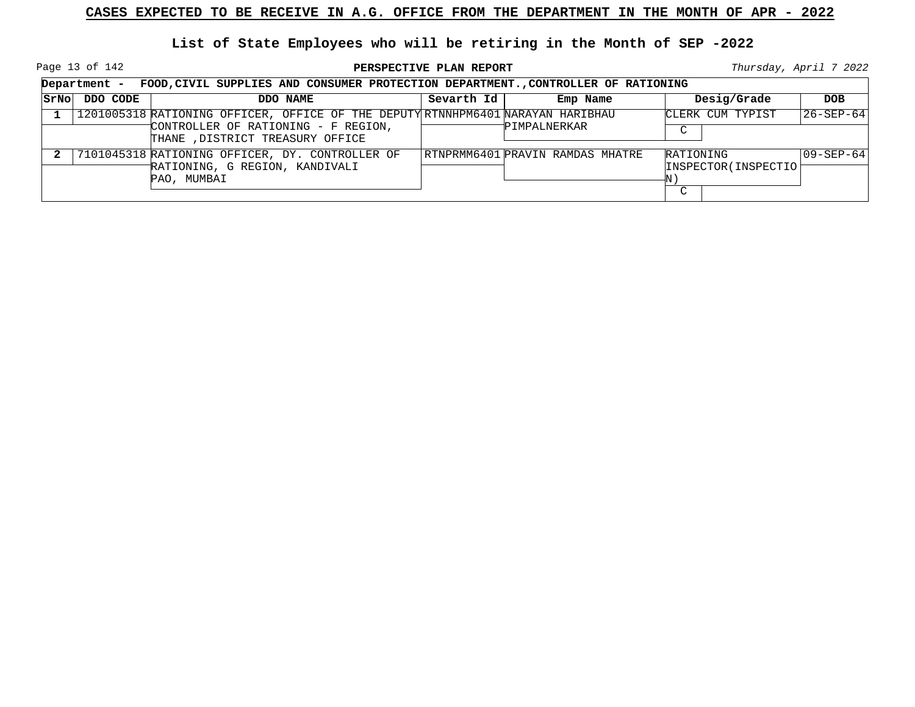Page 13 of 142

|             | Department -<br>FOOD, CIVIL SUPPLIES AND CONSUMER PROTECTION DEPARTMENT., CONTROLLER OF RATIONING |                                                                                                                                                            |            |                                  |                                                   |                   |  |  |  |  |
|-------------|---------------------------------------------------------------------------------------------------|------------------------------------------------------------------------------------------------------------------------------------------------------------|------------|----------------------------------|---------------------------------------------------|-------------------|--|--|--|--|
| <b>SrNo</b> | DDO CODE                                                                                          | DDO NAME                                                                                                                                                   | Sevarth Id | Emp Name                         | Desig/Grade                                       | <b>DOB</b>        |  |  |  |  |
|             |                                                                                                   | 1201005318 RATIONING OFFICER, OFFICE OF THE DEPUTY RTNNHPM6401 NARAYAN HARIBHAU<br>CONTROLLER OF RATIONING - F REGION,<br>THANE , DISTRICT TREASURY OFFICE |            | PIMPALNERKAR                     | CLERK CUM TYPIST<br>$\sim$                        | $ 26 - SEP - 64 $ |  |  |  |  |
|             |                                                                                                   | 7101045318 RATIONING OFFICER, DY. CONTROLLER OF<br>RATIONING, G REGION, KANDIVALI<br>PAO, MUMBAI                                                           |            | RTNPRMM6401 PRAVIN RAMDAS MHATRE | RATIONING<br>INSPECTOR (INSPECTIO)<br>$\sim$<br>◡ | $ 09 - SEP - 64 $ |  |  |  |  |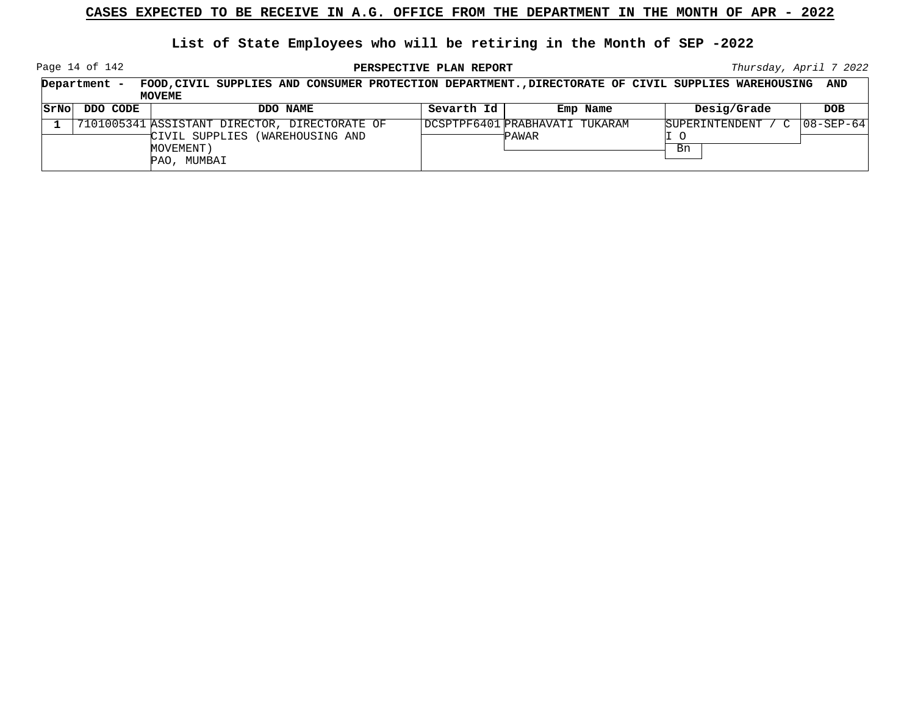**List of State Employees who will be retiring in the Month of SEP -2022**

Page 14 of 142

| FOOD, CIVIL SUPPLIES AND CONSUMER PROTECTION DEPARTMENT., DIRECTORATE OF CIVIL SUPPLIES WAREHOUSING<br>Department<br>MOVEME |          |                                                                                                                    |            |                                         |                                | AND               |
|-----------------------------------------------------------------------------------------------------------------------------|----------|--------------------------------------------------------------------------------------------------------------------|------------|-----------------------------------------|--------------------------------|-------------------|
| SrNol                                                                                                                       | DDO CODE | DDO NAME                                                                                                           | Sevarth Id | Emp Name                                | Desig/Grade                    | DOB.              |
|                                                                                                                             |          | 7101005341 ASSISTANT DIRECTOR, DIRECTORATE OF<br>CIVIL SUPPLIES (WAREHOUSING AND<br>MOVEMENT)<br>MUMBAI<br>$PAO$ . |            | DCSPTPF6401 PRABHAVATI TUKARAM<br>PAWAR | SUPERINTENDENT<br>$\sim$<br>Bn | $ 08 - SEP - 64 $ |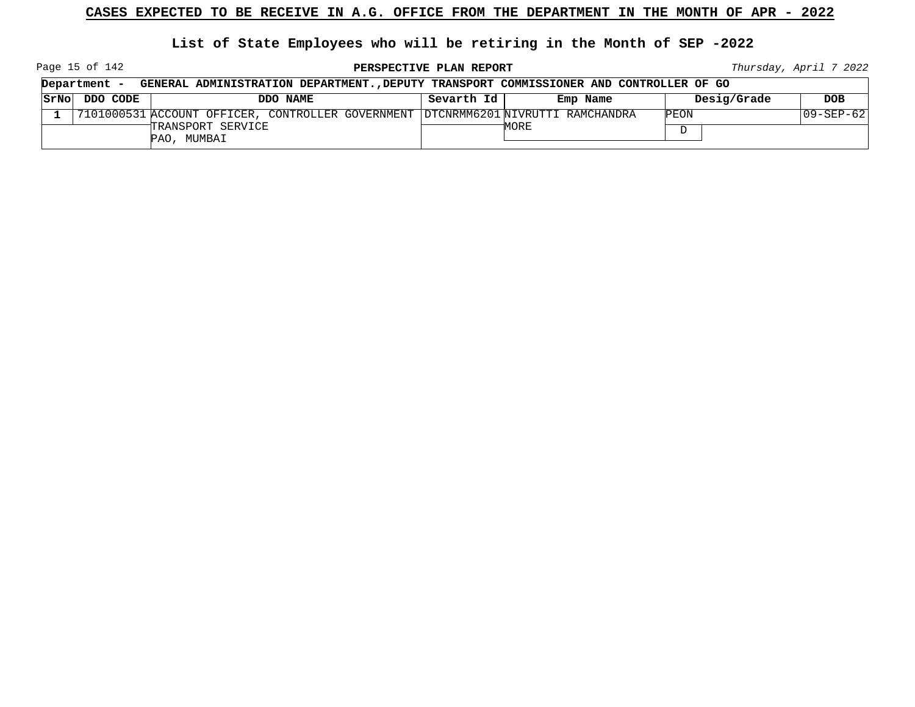**List of State Employees who will be retiring in the Month of SEP -2022**

Page 15 of 142

**PERSPECTIVE PLAN REPORT Thursday**, April 7 2022

| Department -  | GENERAL ADMINISTRATION DEPARTMENT., DEPUTY TRANSPORT COMMISSIONER AND CONTROLLER OF GO |            |          |             |            |
|---------------|----------------------------------------------------------------------------------------|------------|----------|-------------|------------|
| SrNo DDO CODE | DDO NAME                                                                               | Sevarth Id | Emp Name | Desig/Grade | <b>DOB</b> |
|               | 7101000531 ACCOUNT OFFICER, CONTROLLER GOVERNMENT  DTCNRMM6201 NIVRUTTI RAMCHANDRA     |            |          | PEON        | 09-SEP-62  |
|               | TRANSPORT SERVICE<br>PAO, MUMBAI                                                       |            | MORE     |             |            |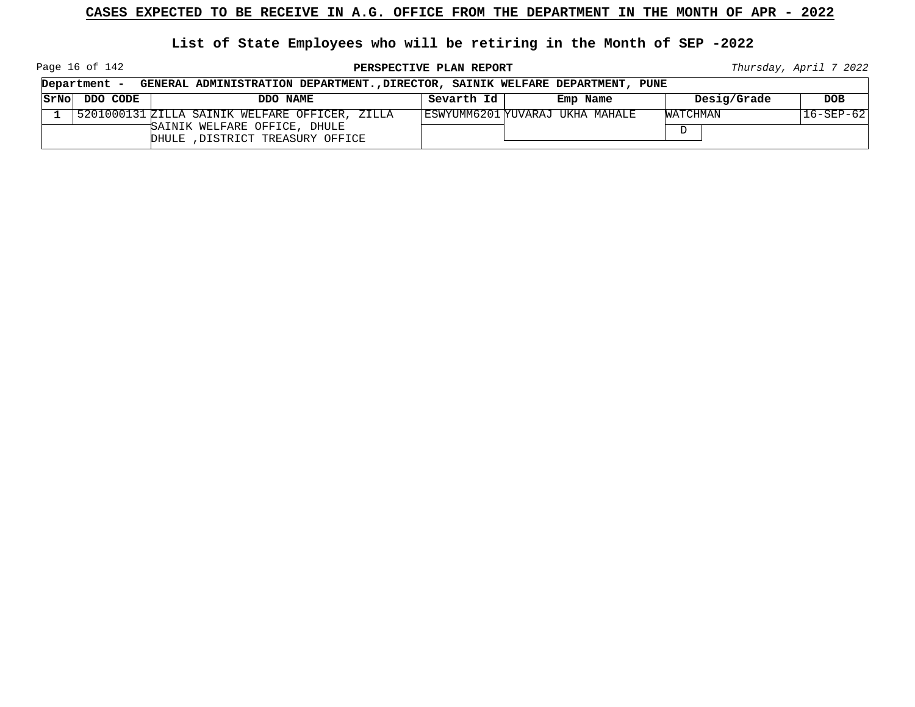**List of State Employees who will be retiring in the Month of SEP -2022**

Page 16 of 142

**PERSPECTIVE PLAN REPORT Thursday**, April 7 2022

┑

|      | Department - | GENERAL ADMINISTRATION DEPARTMENT., DIRECTOR, SAINIK WELFARE DEPARTMENT, PUNE |            |                                 |             |                 |
|------|--------------|-------------------------------------------------------------------------------|------------|---------------------------------|-------------|-----------------|
| SrNo | DDO CODE     | DDO NAME                                                                      | Sevarth Id | Emp Name                        | Desig/Grade | <b>DOB</b>      |
|      |              | 5201000131 ZILLA SAINIK WELFARE OFFICER, ZILLA                                |            | ESWYUMM6201 YUVARAJ UKHA MAHALE | WATCHMAN    | $16 - SEP - 62$ |
|      |              | SAINIK WELFARE OFFICE, DHULE<br>DHULE , DISTRICT TREASURY OFFICE              |            |                                 | $\Gamma$    |                 |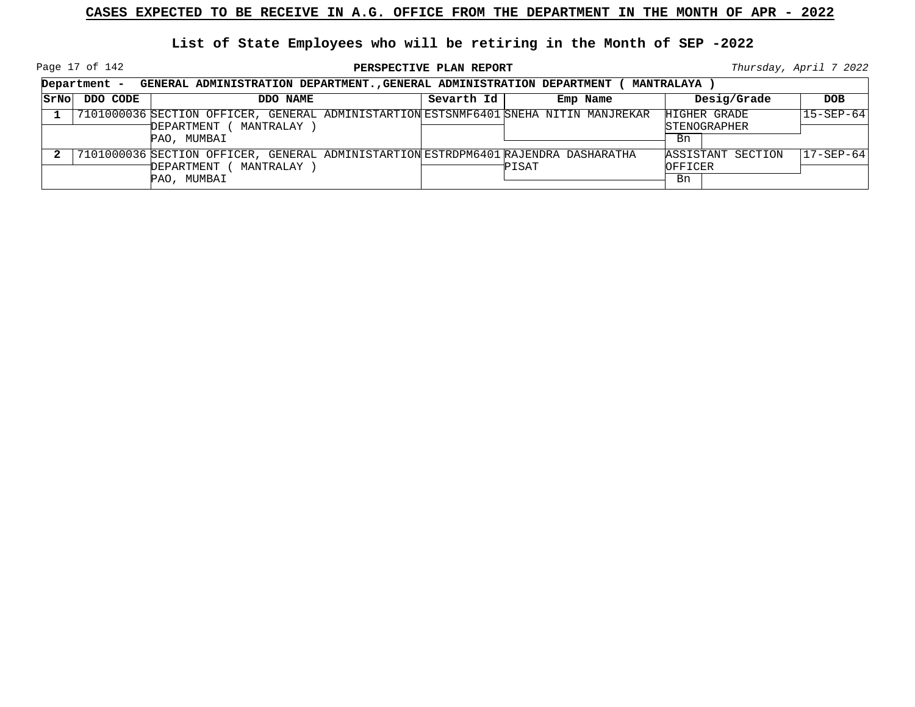Page 17 of 142

|      | Department -<br>GENERAL ADMINISTRATION DEPARTMENT., GENERAL ADMINISTRATION DEPARTMENT<br><b>MANTRALAYA</b> |                                                                                                                                |            |          |                                           |                   |  |  |
|------|------------------------------------------------------------------------------------------------------------|--------------------------------------------------------------------------------------------------------------------------------|------------|----------|-------------------------------------------|-------------------|--|--|
| SrNo | DDO CODE                                                                                                   | DDO NAME                                                                                                                       | Sevarth Id | Emp Name | Desig/Grade                               | <b>DOB</b>        |  |  |
|      |                                                                                                            | 7101000036 SECTION OFFICER, GENERAL ADMINISTARTION ESTSNMF6401 SNEHA NITIN MANJREKAR<br>MANTRALAY<br>DEPARTMENT<br>PAO, MUMBAI |            |          | HIGHER GRADE<br><b>STENOGRAPHER</b><br>Bn | $15 - SEP - 64$   |  |  |
|      |                                                                                                            | 7101000036 SECTION OFFICER, GENERAL ADMINISTARTION ESTRDPM6401 RAJENDRA DASHARATHA<br>MANTRALAY<br>DEPARTMENT<br>PAO, MUMBAI   |            | PISAT    | ASSISTANT SECTION<br>OFFICER<br>Bn        | $ 17 - SEP - 64 $ |  |  |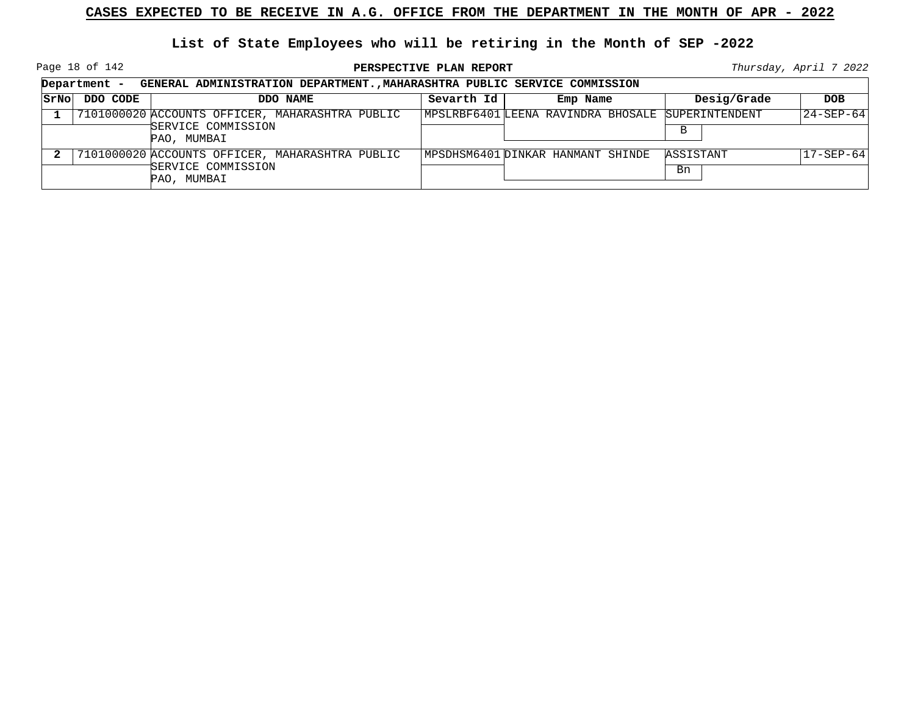Page 18 of 142

**PERSPECTIVE PLAN REPORT Thursday**, April 7 2022

 $\overline{\phantom{a}}$ 

|      | Department -<br>GENERAL ADMINISTRATION DEPARTMENT., MAHARASHTRA PUBLIC SERVICE COMMISSION |                                                                                      |            |                                                   |  |                 |             |                   |  |
|------|-------------------------------------------------------------------------------------------|--------------------------------------------------------------------------------------|------------|---------------------------------------------------|--|-----------------|-------------|-------------------|--|
| SrNo | DDO CODE                                                                                  | DDO NAME                                                                             | Sevarth Id | Emp Name                                          |  |                 | Desig/Grade | <b>DOB</b>        |  |
|      |                                                                                           | 7101000020 ACCOUNTS OFFICER, MAHARASHTRA PUBLIC<br>SERVICE COMMISSION<br>PAO, MUMBAI |            | MPSLRBF6401 LEENA RAVINDRA BHOSALE SUPERINTENDENT |  | B               |             | $ 24 - SEP - 64 $ |  |
|      |                                                                                           | 7101000020 ACCOUNTS OFFICER, MAHARASHTRA PUBLIC<br>SERVICE COMMISSION<br>PAO, MUMBAI |            | MPSDHSM6401 DINKAR HANMANT SHINDE                 |  | ASSISTANT<br>Bn |             | $17 - SEP - 64$   |  |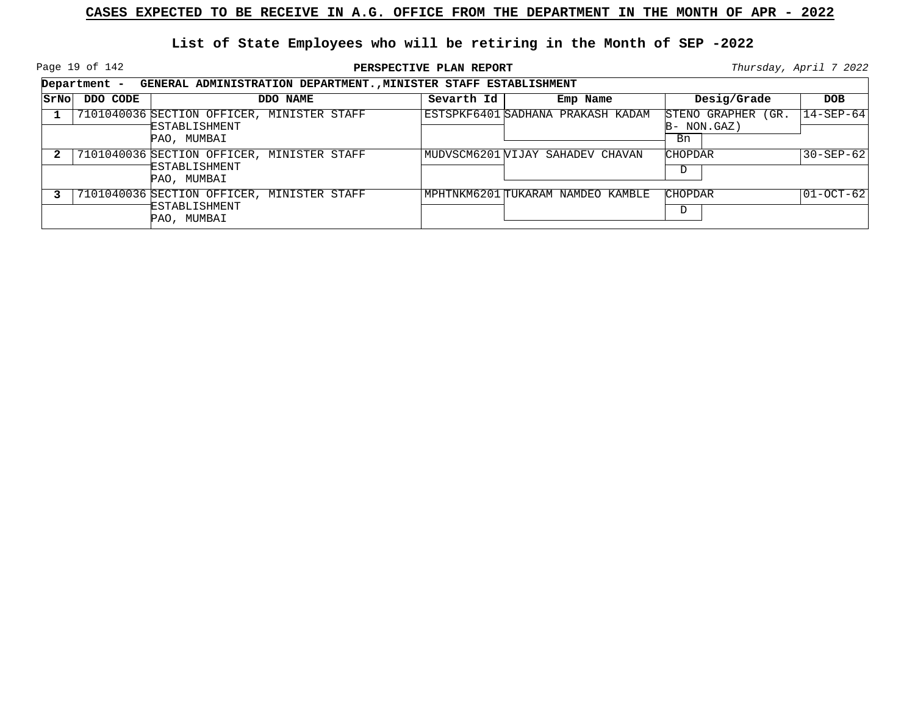Page 19 of 142

|       | Department - | GENERAL ADMINISTRATION DEPARTMENT., MINISTER STAFF ESTABLISHMENT           |            |                                   |                                           |                 |
|-------|--------------|----------------------------------------------------------------------------|------------|-----------------------------------|-------------------------------------------|-----------------|
| SrNol | DDO CODE     | DDO NAME                                                                   | Sevarth Id | Emp Name                          | Desig/Grade                               | <b>DOB</b>      |
|       |              | 7101040036 SECTION OFFICER, MINISTER STAFF<br>ESTABLISHMENT<br>PAO, MUMBAI |            | ESTSPKF6401 SADHANA PRAKASH KADAM | STENO GRAPHER (GR.<br>$B-NON.GAZ$ )<br>Bn | $14 - SEP - 64$ |
|       |              | 7101040036 SECTION OFFICER, MINISTER STAFF<br>ESTABLISHMENT<br>PAO, MUMBAI |            | MUDVSCM6201 VIJAY SAHADEV CHAVAN  | <b>CHOPDAR</b><br>D                       | $30 - SEP - 62$ |
|       |              | 7101040036 SECTION OFFICER, MINISTER STAFF<br>ESTABLISHMENT<br>PAO, MUMBAI |            | MPHTNKM6201 TUKARAM NAMDEO KAMBLE | <b>CHOPDAR</b><br>D                       | 01-OCT-621      |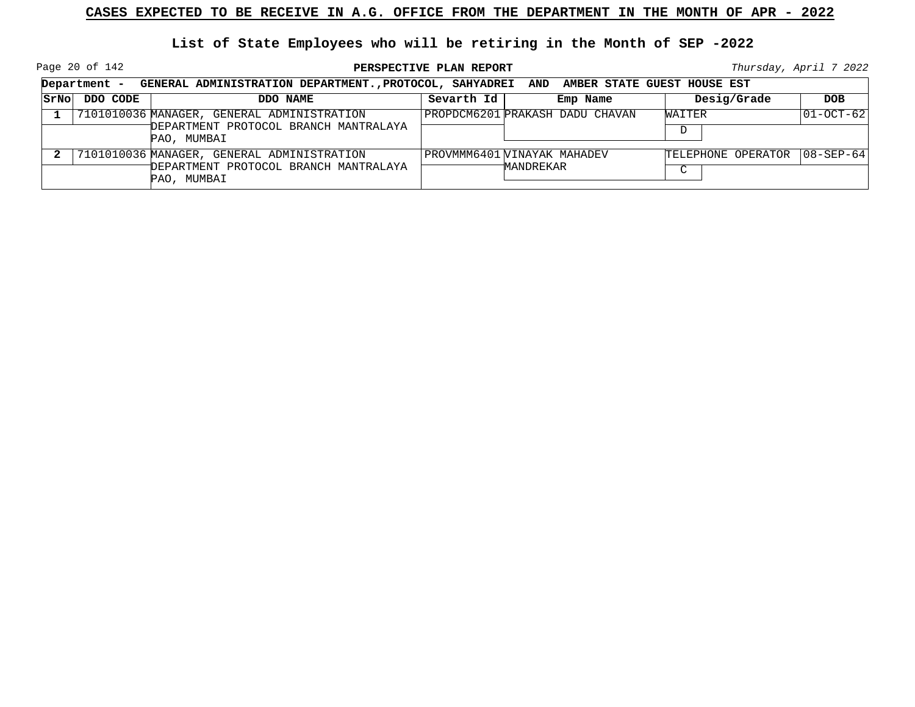Page 20 of 142

|      | Department - GENERAL ADMINISTRATION DEPARTMENT., PROTOCOL, SAHYADREI AND AMBER STATE GUEST HOUSE EST |                                                                                                    |            |                                          |                              |                   |  |  |
|------|------------------------------------------------------------------------------------------------------|----------------------------------------------------------------------------------------------------|------------|------------------------------------------|------------------------------|-------------------|--|--|
| SrNo | DDO CODE                                                                                             | DDO NAME                                                                                           | Sevarth Id | Emp Name                                 | Desig/Grade                  | <b>DOB</b>        |  |  |
|      |                                                                                                      | 7101010036 MANAGER, GENERAL ADMINISTRATION<br>DEPARTMENT PROTOCOL BRANCH MANTRALAYA<br>PAO, MUMBAI |            | PROPDCM6201 PRAKASH DADU CHAVAN          | WAITER<br>D                  | $ 01-OCT-62 $     |  |  |
|      |                                                                                                      | 7101010036 MANAGER, GENERAL ADMINISTRATION<br>DEPARTMENT PROTOCOL BRANCH MANTRALAYA<br>PAO, MUMBAI |            | PROVMMM6401 WINAYAK MAHADEV<br>MANDREKAR | TELEPHONE OPERATOR<br>$\sim$ | $ 08 - SEP - 64 $ |  |  |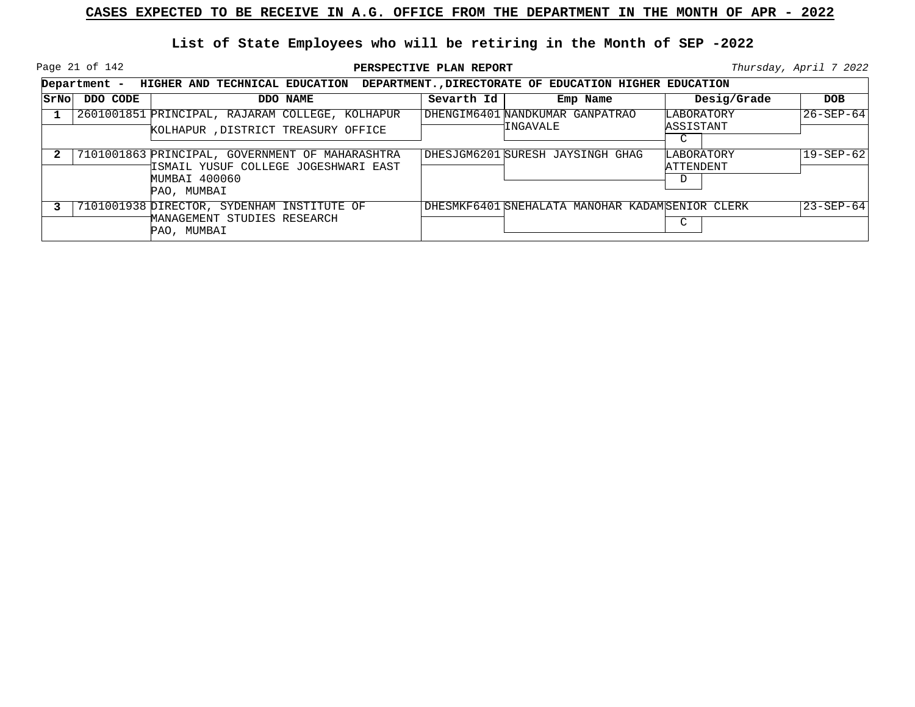Page 21 of 142

|      | Department - HIGHER AND TECHNICAL EDUCATION DEPARTMENT., DIRECTORATE OF EDUCATION HIGHER EDUCATION |                                                                                                                         |            |                                                 |                              |                 |
|------|----------------------------------------------------------------------------------------------------|-------------------------------------------------------------------------------------------------------------------------|------------|-------------------------------------------------|------------------------------|-----------------|
| SrNo | DDO CODE                                                                                           | DDO NAME                                                                                                                | Sevarth Id | Emp Name                                        | Desig/Grade                  | DOB             |
|      |                                                                                                    | 2601001851 PRINCIPAL, RAJARAM COLLEGE, KOLHAPUR<br>KOLHAPUR , DISTRICT TREASURY OFFICE                                  |            | DHENGIM6401 NANDKUMAR GANPATRAO<br>'INGAVALE    | LABORATORY<br>ASSISTANT<br>C | $26 - SEP - 64$ |
|      |                                                                                                    | 7101001863 PRINCIPAL, GOVERNMENT OF MAHARASHTRA<br>ISMAIL YUSUF COLLEGE JOGESHWARI EAST<br>MUMBAI 400060<br>PAO, MUMBAI |            | DHESJGM6201 SURESH JAYSINGH GHAG                | LABORATORY<br>ATTENDENT<br>D | $19 - SEP - 62$ |
|      |                                                                                                    | 7101001938 DIRECTOR, SYDENHAM INSTITUTE OF<br>MANAGEMENT STUDIES RESEARCH<br>PAO, MUMBAI                                |            | DHESMKF6401 SNEHALATA MANOHAR KADAMSENIOR CLERK | C                            | $23 - SEP - 64$ |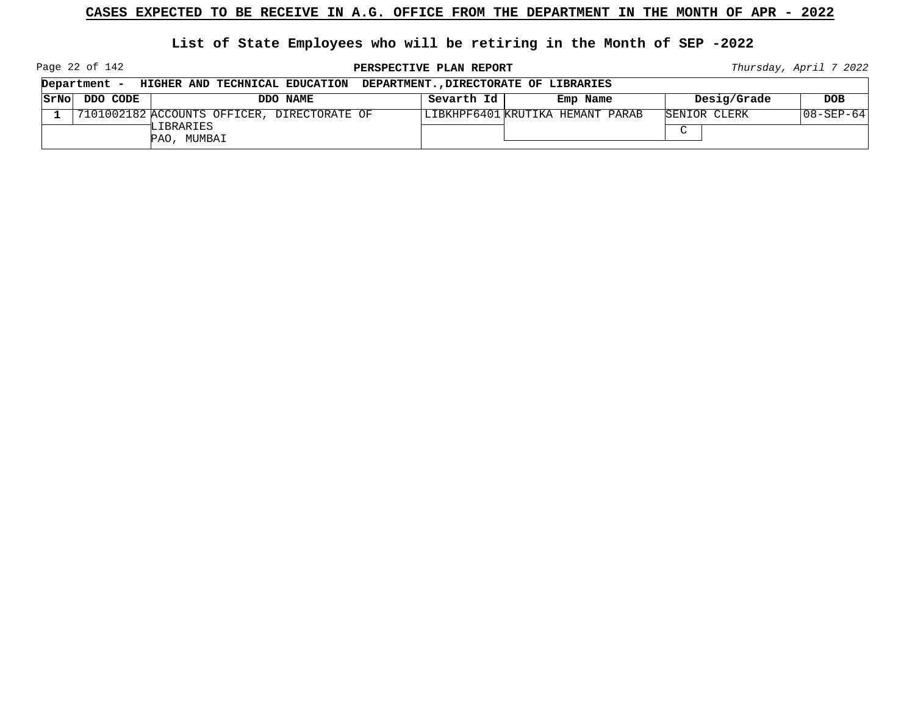**List of State Employees who will be retiring in the Month of SEP -2022**

Page 22 of 142

**PERSPECTIVE PLAN REPORT Thursday**, April 7 2022

┑

|      | Department - | HIGHER AND TECHNICAL EDUCATION               |          |            | DEPARTMENT. DIRECTORATE OF LIBRARIES |              |                  |
|------|--------------|----------------------------------------------|----------|------------|--------------------------------------|--------------|------------------|
| SrNo | DDO CODE     |                                              | DDO NAME | Sevarth Id | Emp Name                             | Desig/Grade  | <b>DOB</b>       |
|      |              | 17101002182 ACCOUNTS OFFICER, DIRECTORATE OF |          |            | LIBKHPF6401 KRUTIKA HEMANT PARAB     | SENIOR CLERK | $108 - SEP - 64$ |
|      |              | LIBRARIES<br>PAO, MUMBAI                     |          |            |                                      | $\sim$       |                  |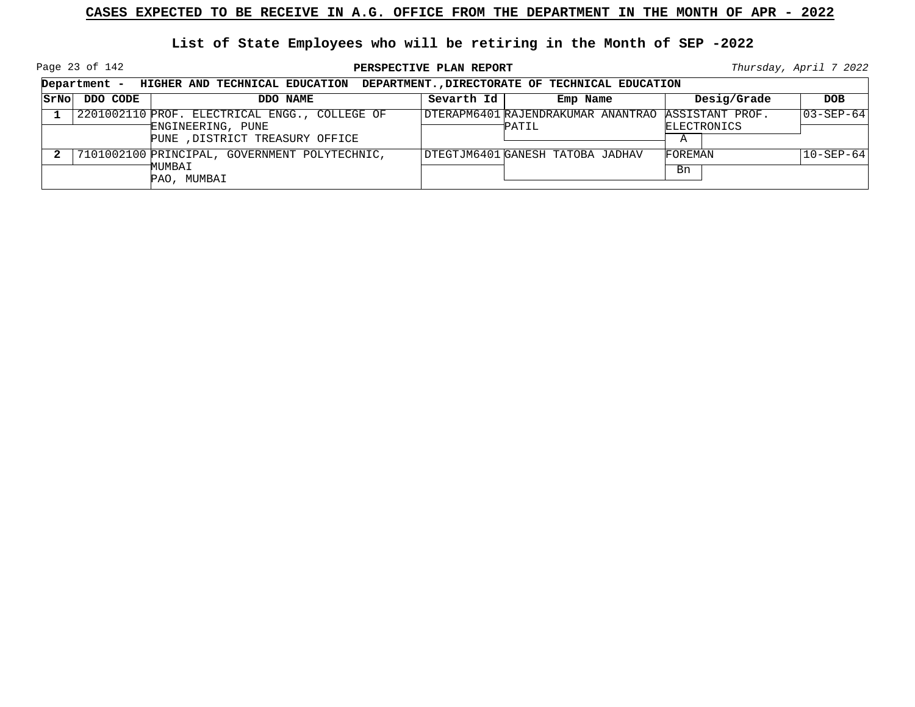Page 23 of 142

|                    |          | Department - HIGHER AND TECHNICAL EDUCATION                                                           |            | DEPARTMENT., DIRECTORATE OF TECHNICAL EDUCATION              |                  |                   |
|--------------------|----------|-------------------------------------------------------------------------------------------------------|------------|--------------------------------------------------------------|------------------|-------------------|
| <i><b>SrNo</b></i> | DDO CODE | DDO NAME                                                                                              | Sevarth Id | Emp Name                                                     | Desig/Grade      | <b>DOB</b>        |
|                    |          | 2201002110 PROF. ELECTRICAL ENGG., COLLEGE OF<br>ENGINEERING, PUNE<br>PUNE , DISTRICT TREASURY OFFICE |            | DTERAPM6401 RAJENDRAKUMAR ANANTRAO ASSISTANT PROF.<br>PATIL. | ELECTRONICS<br>A | $ 03 - SEP - 64 $ |
|                    |          | 7101002100 PRINCIPAL, GOVERNMENT POLYTECHNIC,<br>MUMBAI<br>PAO, MUMBAI                                |            | DTEGTJM6401 GANESH TATOBA JADHAV                             | FOREMAN<br>Bn    | $10 - SEP - 64$   |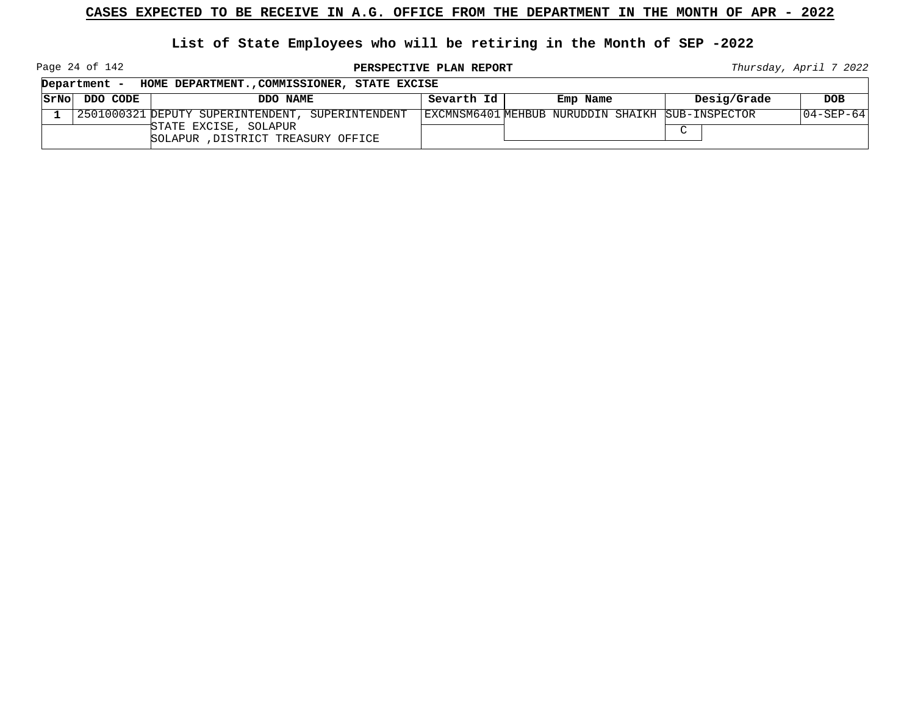#### **List of State Employees who will be retiring in the Month of SEP -2022**

Page 24 of 142

**PERSPECTIVE PLAN REPORT Thursday**, April 7 2022

┑

|      | Department - | HOME DEPARTMENT., COMMISSIONER, STATE EXCISE                 |            |                                                  |             |             |
|------|--------------|--------------------------------------------------------------|------------|--------------------------------------------------|-------------|-------------|
| SrNo | DDO CODE     | DDO NAME                                                     | Sevarth Id | Emp Name                                         | Desig/Grade | DOB.        |
|      |              | 12501000321 DEPUTY SUPERINTENDENT, SUPERINTENDENT            |            | EXCMNSM6401 MEHBUB NURUDDIN SHAIKH SUB-INSPECTOR |             | 104-SEP-641 |
|      |              | TSTATE EXCISE, SOLAPUR<br>SOLAPUR , DISTRICT TREASURY OFFICE |            |                                                  | $\sim$      |             |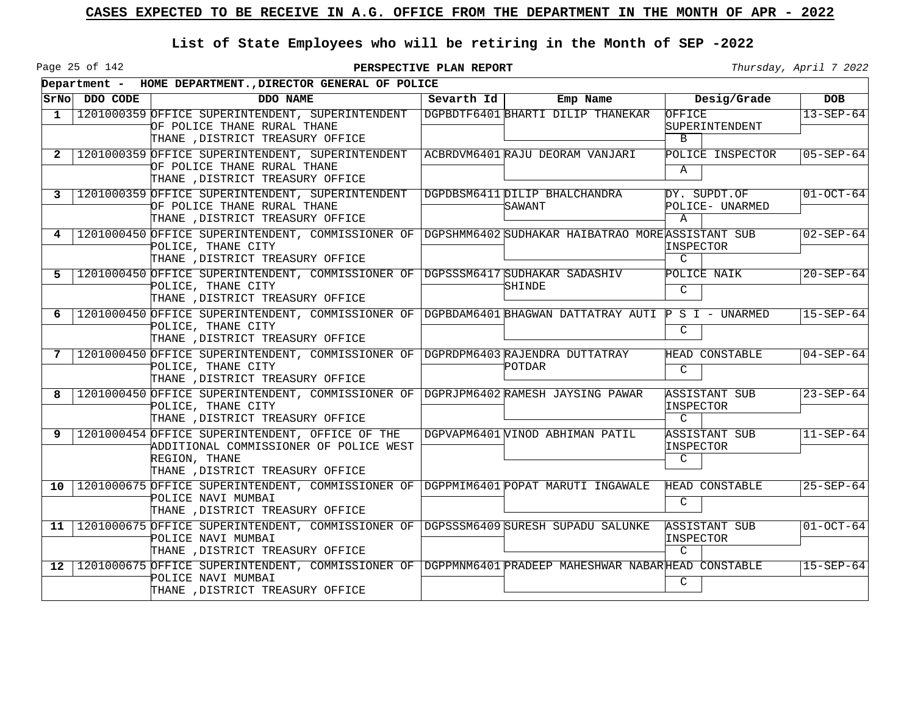Page 25 of 142

|                 |               | Department - HOME DEPARTMENT., DIRECTOR GENERAL OF POLICE                                                                                                     |              |                                         |                                             |                 |  |  |  |
|-----------------|---------------|---------------------------------------------------------------------------------------------------------------------------------------------------------------|--------------|-----------------------------------------|---------------------------------------------|-----------------|--|--|--|
|                 | SrNo DDO CODE | DDO NAME                                                                                                                                                      | Sevarth $Id$ | Emp Name                                | Desig/Grade                                 | <b>DOB</b>      |  |  |  |
| 1               |               | 1201000359 OFFICE SUPERINTENDENT, SUPERINTENDENT<br>OF POLICE THANE RURAL THANE<br>THANE , DISTRICT TREASURY OFFICE                                           |              | DGPBDTF6401 BHARTI DILIP THANEKAR       | OFFICE<br>SUPERINTENDENT<br>$\mathbf{B}$    | $13 - SEP - 64$ |  |  |  |
| 2               |               | 1201000359 OFFICE SUPERINTENDENT, SUPERINTENDENT<br>OF POLICE THANE RURAL THANE<br>THANE , DISTRICT TREASURY OFFICE                                           |              | ACBRDVM6401 RAJU DEORAM VANJARI         | POLICE INSPECTOR<br>Α                       | $05 - SEP - 64$ |  |  |  |
| 3               |               | 1201000359 OFFICE SUPERINTENDENT, SUPERINTENDENT<br>OF POLICE THANE RURAL THANE<br>THANE , DISTRICT TREASURY OFFICE                                           |              | DGPDBSM6411 DILIP BHALCHANDRA<br>SAWANT | DY. SUPDT.OF<br>POLICE- UNARMED<br>A        | $01-OCT-64$     |  |  |  |
| 4               |               | 1201000450 OFFICE SUPERINTENDENT, COMMISSIONER OF DGPSHMM6402 SUDHAKAR HAIBATRAO MORE ASSISTANT SUB<br>POLICE, THANE CITY<br>THANE , DISTRICT TREASURY OFFICE |              |                                         | INSPECTOR<br>$\mathcal{C}$                  | $02 - SEP - 64$ |  |  |  |
| 5               |               | 1201000450 OFFICE SUPERINTENDENT, COMMISSIONER OF<br>POLICE, THANE CITY<br>THANE , DISTRICT TREASURY OFFICE                                                   |              | DGPSSSM6417 SUDHAKAR SADASHIV<br>SHINDE | POLICE NAIK<br>C                            | $20 - SEP - 64$ |  |  |  |
| 6               |               | 1201000450 OFFICE SUPERINTENDENT, COMMISSIONER OF DGPBDAM6401 BHAGWAN DATTATRAY AUTI P S I - UNARMED<br>POLICE, THANE CITY<br>THANE .DISTRICT TREASURY OFFICE |              |                                         | C                                           | $15 - SEP - 64$ |  |  |  |
| 7               |               | 1201000450 OFFICE SUPERINTENDENT, COMMISSIONER OF DGPRDPM6403 RAJENDRA DUTTATRAY<br>POLICE, THANE CITY<br>THANE , DISTRICT TREASURY OFFICE                    |              | POTDAR                                  | HEAD CONSTABLE<br>C                         | $04 - SEP - 64$ |  |  |  |
| 8               |               | 1201000450 OFFICE SUPERINTENDENT, COMMISSIONER OF DGPRJPM6402 RAMESH JAYSING PAWAR<br>POLICE, THANE CITY<br>THANE , DISTRICT TREASURY OFFICE                  |              |                                         | ASSISTANT SUB<br>INSPECTOR<br>$\mathcal{C}$ | $23 - SEP - 64$ |  |  |  |
| 9               |               | 1201000454 OFFICE SUPERINTENDENT, OFFICE OF THE<br>ADDITIONAL COMMISSIONER OF POLICE WEST<br>REGION, THANE<br>THANE , DISTRICT TREASURY OFFICE                |              | DGPVAPM6401 VINOD ABHIMAN PATIL         | ASSISTANT SUB<br>INSPECTOR<br>C             | $11-SEP-64$     |  |  |  |
| 10              |               | 1201000675 OFFICE SUPERINTENDENT, COMMISSIONER OF DGPPMIM6401 POPAT MARUTI INGAWALE<br>POLICE NAVI MUMBAI<br>THANE , DISTRICT TREASURY OFFICE                 |              |                                         | HEAD CONSTABLE<br>C                         | $25 - SEP - 64$ |  |  |  |
| 11              |               | 1201000675 OFFICE SUPERINTENDENT, COMMISSIONER OF DGPSSSM6409 SURESH SUPADU SALUNKE<br>POLICE NAVI MUMBAI<br>THANE , DISTRICT TREASURY OFFICE                 |              |                                         | ASSISTANT SUB<br>INSPECTOR<br>$\mathcal{C}$ | $01-0CT-64$     |  |  |  |
| 12 <sub>1</sub> |               | 1201000675 OFFICE SUPERINTENDENT, COMMISSIONER OF DGPPMNM6401 PRADEEP MAHESHWAR NABARHEAD CONSTABLE<br>POLICE NAVI MUMBAI<br>THANE , DISTRICT TREASURY OFFICE |              |                                         | C                                           | $15 - SEP - 64$ |  |  |  |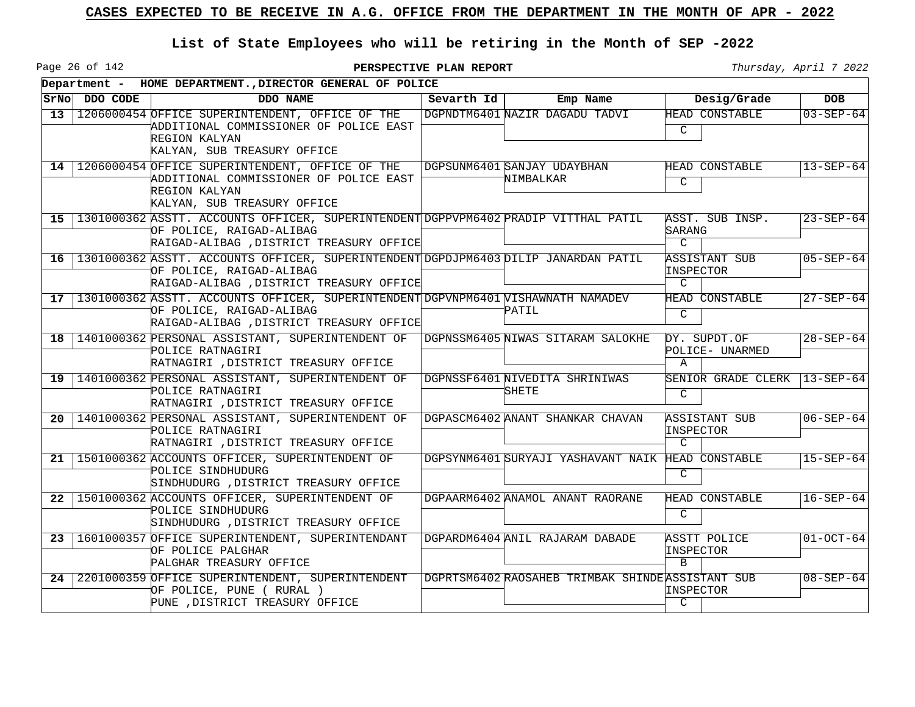Page 26 of 142

|    | SrNo DDO CODE | DDO NAME                                                                                                                                                         | Sevarth Id | Emp Name                                          | Desig/Grade                                     | <b>DOB</b>      |
|----|---------------|------------------------------------------------------------------------------------------------------------------------------------------------------------------|------------|---------------------------------------------------|-------------------------------------------------|-----------------|
|    |               | 13 1206000454 OFFICE SUPERINTENDENT, OFFICE OF THE                                                                                                               |            | DGPNDTM6401 NAZIR DAGADU TADVI                    | HEAD CONSTABLE                                  | $03 - SEP - 64$ |
|    |               | ADDITIONAL COMMISSIONER OF POLICE EAST<br>REGION KALYAN<br>KALYAN, SUB TREASURY OFFICE                                                                           |            |                                                   | $\mathcal{C}$                                   |                 |
| 14 |               | 1206000454 OFFICE SUPERINTENDENT, OFFICE OF THE<br>ADDITIONAL COMMISSIONER OF POLICE EAST<br>REGION KALYAN<br>KALYAN, SUB TREASURY OFFICE                        |            | DGPSUNM6401 SANJAY UDAYBHAN<br>NIMBALKAR          | HEAD CONSTABLE<br>$\mathcal{C}$                 | $13 - SEP - 64$ |
|    |               | 15   1301000362 ASSTT. ACCOUNTS OFFICER, SUPERINTENDENT DGPPVPM6402 PRADIP VITTHAL PATIL<br>OF POLICE, RAIGAD-ALIBAG<br>RAIGAD-ALIBAG , DISTRICT TREASURY OFFICE |            |                                                   | ASST. SUB INSP.<br>SARANG<br>$\mathcal{C}$      | $23 - SEP - 64$ |
|    |               | 16   1301000362 ASSTT. ACCOUNTS OFFICER, SUPERINTENDENT DGPDJPM6403 DILIP JANARDAN PATIL<br>OF POLICE, RAIGAD-ALIBAG<br>RAIGAD-ALIBAG , DISTRICT TREASURY OFFICE |            |                                                   | ASSISTANT SUB<br>INSPECTOR<br>$\mathcal{C}$     | $05 - SEP - 64$ |
|    |               | 17   1301000362 ASSTT. ACCOUNTS OFFICER, SUPERINTENDENT DGPVNPM6401 VISHAWNATH NAMADEV<br>OF POLICE, RAIGAD-ALIBAG<br>RAIGAD-ALIBAG , DISTRICT TREASURY OFFICE   |            | PATIL                                             | HEAD CONSTABLE<br>$\mathcal{C}$                 | $27 - SEP - 64$ |
|    |               | 18   1401000362 PERSONAL ASSISTANT, SUPERINTENDENT OF<br>POLICE RATNAGIRI<br>RATNAGIRI , DISTRICT TREASURY OFFICE                                                |            | DGPNSSM6405 NIWAS SITARAM SALOKHE                 | DY. SUPDT.OF<br>POLICE- UNARMED<br>$\mathsf{A}$ | $28 - SEP - 64$ |
|    |               | 19   1401000362 PERSONAL ASSISTANT, SUPERINTENDENT OF<br>POLICE RATNAGIRI<br>RATNAGIRI , DISTRICT TREASURY OFFICE                                                |            | DGPNSSF6401 NIVEDITA SHRINIWAS<br>SHETE           | SENIOR GRADE CLERK<br>$\mathcal{C}$             | $13 - SEP - 64$ |
|    |               | 20   1401000362 PERSONAL ASSISTANT, SUPERINTENDENT OF<br>POLICE RATNAGIRI<br>RATNAGIRI , DISTRICT TREASURY OFFICE                                                |            | DGPASCM6402 ANANT SHANKAR CHAVAN                  | <b>ASSISTANT SUB</b><br>INSPECTOR<br>C.         | $06 - SEP - 64$ |
|    |               | 21   1501000362 ACCOUNTS OFFICER, SUPERINTENDENT OF<br>POLICE SINDHUDURG<br>SINDHUDURG , DISTRICT TREASURY OFFICE                                                |            | DGPSYNM6401 SURYAJI YASHAVANT NAIK                | HEAD CONSTABLE<br>C                             | $15 - SEP - 64$ |
|    |               | 22   1501000362 ACCOUNTS OFFICER, SUPERINTENDENT OF<br>POLICE SINDHUDURG<br>SINDHUDURG , DISTRICT TREASURY OFFICE                                                |            | DGPAARM6402 ANAMOL ANANT RAORANE                  | HEAD CONSTABLE<br>C                             | $16 - SEP - 64$ |
|    |               | 23   1601000357 OFFICE SUPERINTENDENT, SUPERINTENDANT<br>OF POLICE PALGHAR<br>PALGHAR TREASURY OFFICE                                                            |            | DGPARDM6404 ANIL RAJARAM DABADE                   | ASSTT POLICE<br>INSPECTOR<br><sub>B</sub>       | $01-0CT-64$     |
| 24 |               | 2201000359 OFFICE SUPERINTENDENT, SUPERINTENDENT<br>OF POLICE, PUNE (RURAL)<br>PUNE , DISTRICT TREASURY OFFICE                                                   |            | DGPRTSM6402 RAOSAHEB TRIMBAK SHINDE ASSISTANT SUB | INSPECTOR<br>$\overline{C}$                     | $08 - SEP - 64$ |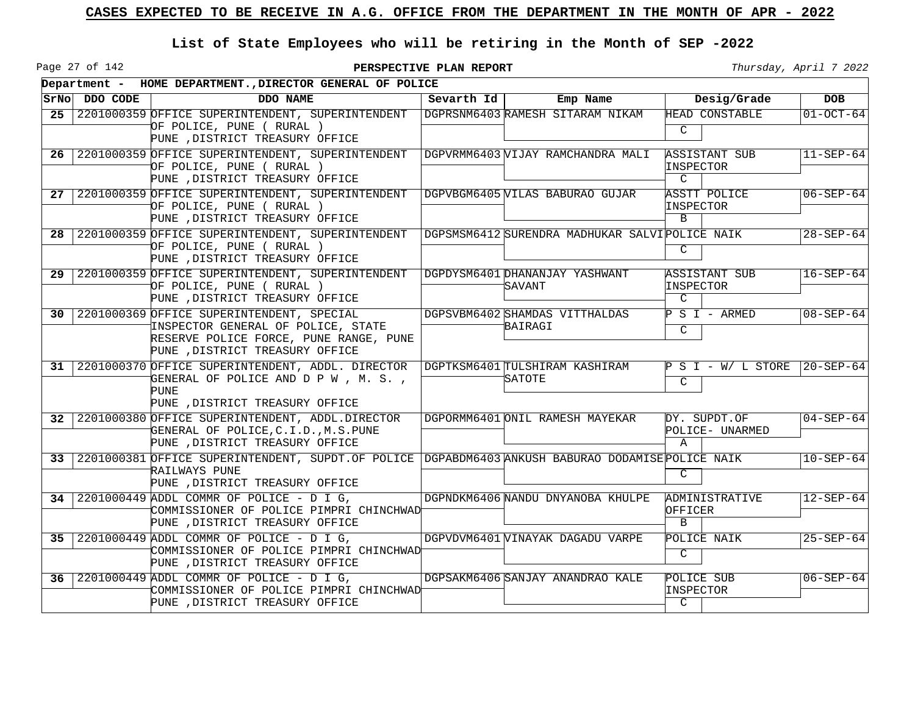Page 27 of 142

|    |               | Department - HOME DEPARTMENT., DIRECTOR GENERAL OF POLICE                                                                                                    |            |                                                |                                                   |                 |  |  |  |  |
|----|---------------|--------------------------------------------------------------------------------------------------------------------------------------------------------------|------------|------------------------------------------------|---------------------------------------------------|-----------------|--|--|--|--|
|    | SrNo DDO CODE | DDO NAME                                                                                                                                                     | Sevarth Id | Emp Name                                       | Desig/Grade                                       | <b>DOB</b>      |  |  |  |  |
| 25 |               | 2201000359 OFFICE SUPERINTENDENT, SUPERINTENDENT<br>OF POLICE, PUNE ( RURAL )<br>PUNE , DISTRICT TREASURY OFFICE                                             |            | DGPRSNM6403 RAMESH SITARAM NIKAM               | HEAD CONSTABLE<br>C                               | $01 - OCT - 64$ |  |  |  |  |
| 26 |               | 2201000359 OFFICE SUPERINTENDENT, SUPERINTENDENT<br>OF POLICE, PUNE ( RURAL )<br>PUNE , DISTRICT TREASURY OFFICE                                             |            | DGPVRMM6403 VIJAY RAMCHANDRA MALI              | <b>ASSISTANT SUB</b><br>INSPECTOR<br>$\mathsf{C}$ | $11 - SEP - 64$ |  |  |  |  |
| 27 |               | 2201000359 OFFICE SUPERINTENDENT, SUPERINTENDENT<br>OF POLICE, PUNE ( RURAL )<br>PUNE , DISTRICT TREASURY OFFICE                                             |            | DGPVBGM6405 WILAS BABURAO GUJAR                | <b>ASSTT POLICE</b><br>INSPECTOR<br>$\mathbf{B}$  | $06 - SEP - 64$ |  |  |  |  |
| 28 |               | 2201000359 OFFICE SUPERINTENDENT, SUPERINTENDENT<br>OF POLICE, PUNE ( RURAL )<br>PUNE , DISTRICT TREASURY OFFICE                                             |            | DGPSMSM6412 SURENDRA MADHUKAR SALVIPOLICE NAIK | C                                                 | $28 - SEP - 64$ |  |  |  |  |
| 29 |               | 2201000359 OFFICE SUPERINTENDENT, SUPERINTENDENT<br>OF POLICE, PUNE ( RURAL )<br>PUNE , DISTRICT TREASURY OFFICE                                             |            | DGPDYSM6401 DHANANJAY YASHWANT<br>SAVANT       | ASSISTANT SUB<br>INSPECTOR<br>$\mathcal{C}$       | $16 - SEP - 64$ |  |  |  |  |
| 30 |               | 2201000369 OFFICE SUPERINTENDENT, SPECIAL<br>INSPECTOR GENERAL OF POLICE, STATE<br>RESERVE POLICE FORCE, PUNE RANGE, PUNE<br>PUNE , DISTRICT TREASURY OFFICE |            | DGPSVBM6402 SHAMDAS VITTHALDAS<br>BAIRAGI      | $P S I - ARMED$<br>C                              | $08 - SEP - 64$ |  |  |  |  |
| 31 |               | 2201000370 OFFICE SUPERINTENDENT, ADDL. DIRECTOR<br>GENERAL OF POLICE AND D P W , M. S. ,<br>PUNE<br>PUNE , DISTRICT TREASURY OFFICE                         |            | DGPTKSM6401 TULSHIRAM KASHIRAM<br>SATOTE       | $P S I - W / L STORE$<br>C                        | $20 - SEP - 64$ |  |  |  |  |
| 32 |               | 2201000380 OFFICE SUPERINTENDENT, ADDL.DIRECTOR<br>GENERAL OF POLICE, C.I.D., M.S.PUNE<br>PUNE , DISTRICT TREASURY OFFICE                                    |            | DGPORMM6401 ONIL RAMESH MAYEKAR                | DY. SUPDT.OF<br>POLICE- UNARMED<br>$\mathbb A$    | $04 - SEP - 64$ |  |  |  |  |
| 33 |               | 2201000381 OFFICE SUPERINTENDENT, SUPDT. OF POLICE   DGPABDM6403 ANKUSH BABURAO DODAMISE POLICE NAIK<br>RAILWAYS PUNE<br>PUNE , DISTRICT TREASURY OFFICE     |            |                                                | C                                                 | $10 - SEP - 64$ |  |  |  |  |
|    |               | 34 2201000449 ADDL COMMR OF POLICE - D I G,<br>COMMISSIONER OF POLICE PIMPRI CHINCHWAD<br>PUNE , DISTRICT TREASURY OFFICE                                    |            | DGPNDKM6406 NANDU DNYANOBA KHULPE              | ADMINISTRATIVE<br>OFFICER<br>$\mathbf{B}$         | $12 - SEP - 64$ |  |  |  |  |
| 35 |               | $\vert$ 2201000449 ADDL COMMR OF POLICE - D I G,<br>COMMISSIONER OF POLICE PIMPRI CHINCHWAD<br>PUNE , DISTRICT TREASURY OFFICE                               |            | DGPVDVM6401WINAYAK DAGADU VARPE                | POLICE NAIK<br>$\mathsf{C}$                       | $25 - SEP - 64$ |  |  |  |  |
| 36 |               | 2201000449 ADDL COMMR OF POLICE - D I G,<br>COMMISSIONER OF POLICE PIMPRI CHINCHWAD<br>PUNE , DISTRICT TREASURY OFFICE                                       |            | DGPSAKM6406 SANJAY ANANDRAO KALE               | POLICE SUB<br>INSPECTOR<br>$\overline{C}$         | $06 - SEP - 64$ |  |  |  |  |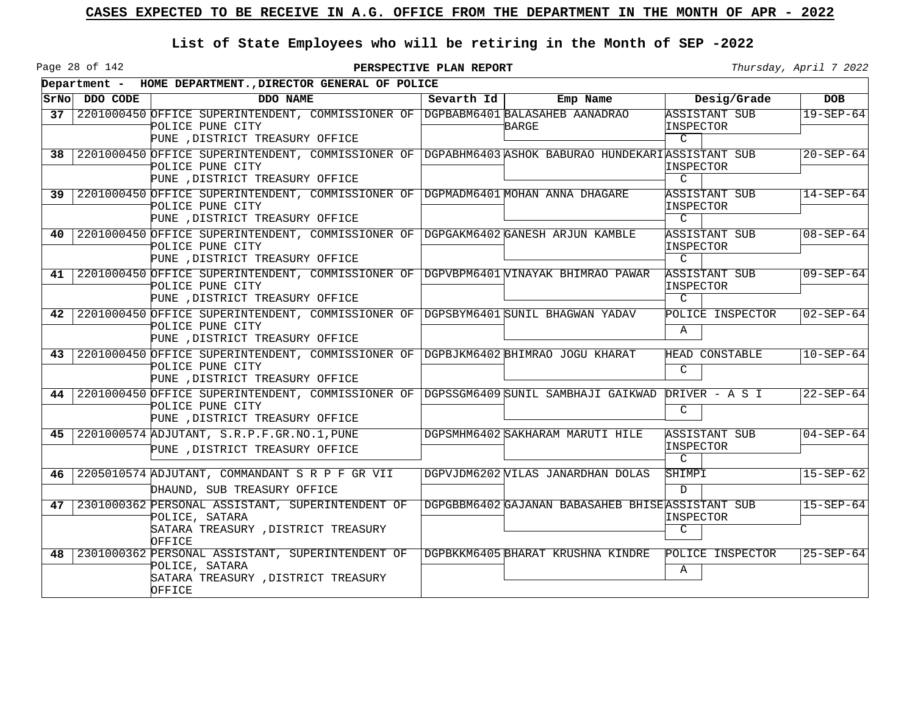Page 28 of 142

|      |               | Department - HOME DEPARTMENT., DIRECTOR GENERAL OF POLICE                                                                 |            |                                                   |                            |                 |
|------|---------------|---------------------------------------------------------------------------------------------------------------------------|------------|---------------------------------------------------|----------------------------|-----------------|
|      | SrNo DDO CODE | DDO NAME                                                                                                                  | Sevarth Id | Emp Name                                          | Desig/Grade                | <b>DOB</b>      |
| 37   |               | 2201000450 OFFICE SUPERINTENDENT, COMMISSIONER OF DGPBABM6401 BALASAHEB AANADRAO                                          |            |                                                   | ASSISTANT SUB              | $19 - SEP - 64$ |
|      |               | POLICE PUNE CITY<br>PUNE , DISTRICT TREASURY OFFICE                                                                       |            | BARGE                                             | INSPECTOR<br>$\mathcal{C}$ |                 |
|      |               |                                                                                                                           |            |                                                   |                            |                 |
|      |               | 38 2201000450 OFFICE SUPERINTENDENT, COMMISSIONER OF DGPABHM6403 ASHOK BABURAO HUNDEKARIASSISTANT SUB<br>POLICE PUNE CITY |            |                                                   | INSPECTOR                  | $20 - SEP - 64$ |
|      |               | PUNE , DISTRICT TREASURY OFFICE                                                                                           |            |                                                   | $\mathcal{C}$              |                 |
| 39 I |               | 2201000450 OFFICE SUPERINTENDENT, COMMISSIONER OF DGPMADM6401 MOHAN ANNA DHAGARE                                          |            |                                                   | ASSISTANT SUB              | $14 - SEP - 64$ |
|      |               | POLICE PUNE CITY                                                                                                          |            |                                                   | INSPECTOR                  |                 |
|      |               | PUNE , DISTRICT TREASURY OFFICE                                                                                           |            |                                                   | $\mathcal{C}$              |                 |
| 40   |               | 2201000450 OFFICE SUPERINTENDENT, COMMISSIONER OF DGPGAKM6402 GANESH ARJUN KAMBLE                                         |            |                                                   | ASSISTANT SUB              | $08 - SEP - 64$ |
|      |               | POLICE PUNE CITY                                                                                                          |            |                                                   | INSPECTOR                  |                 |
|      |               | PUNE , DISTRICT TREASURY OFFICE                                                                                           |            |                                                   | $\mathcal{C}$              |                 |
| 41 I |               | 2201000450 OFFICE SUPERINTENDENT, COMMISSIONER OF DGPVBPM6401 VINAYAK BHIMRAO PAWAR                                       |            |                                                   | ASSISTANT SUB              | $09 - SEP - 64$ |
|      |               | POLICE PUNE CITY                                                                                                          |            |                                                   | INSPECTOR                  |                 |
|      |               | PUNE , DISTRICT TREASURY OFFICE                                                                                           |            |                                                   | $\mathcal{C}$              |                 |
| 42   |               | 2201000450 OFFICE SUPERINTENDENT, COMMISSIONER OF DGPSBYM6401 SUNIL BHAGWAN YADAV                                         |            |                                                   | POLICE INSPECTOR           | $02 - SEP - 64$ |
|      |               | POLICE PUNE CITY                                                                                                          |            |                                                   | Α                          |                 |
|      |               | PUNE , DISTRICT TREASURY OFFICE                                                                                           |            |                                                   |                            |                 |
|      |               | 43 2201000450 OFFICE SUPERINTENDENT, COMMISSIONER OF DGPBJKM6402 BHIMRAO JOGU KHARAT                                      |            |                                                   | HEAD CONSTABLE             | $10 - SEP - 64$ |
|      |               | POLICE PUNE CITY                                                                                                          |            |                                                   | C                          |                 |
|      |               | PUNE , DISTRICT TREASURY OFFICE                                                                                           |            |                                                   |                            |                 |
| 44   |               | 2201000450 OFFICE SUPERINTENDENT, COMMISSIONER OF DGPSSGM6409 SUNIL SAMBHAJI GAIKWAD                                      |            |                                                   | DRIVER - A S I             | $22 - SEP - 64$ |
|      |               | POLICE PUNE CITY                                                                                                          |            |                                                   | C                          |                 |
|      |               | PUNE , DISTRICT TREASURY OFFICE                                                                                           |            |                                                   |                            |                 |
|      |               | 45 2201000574 ADJUTANT, S.R.P.F.GR.NO.1, PUNE                                                                             |            | DGPSMHM6402 SAKHARAM MARUTI HILE                  | ASSISTANT SUB              | $04 - SEP - 64$ |
|      |               | PUNE , DISTRICT TREASURY OFFICE                                                                                           |            |                                                   | INSPECTOR<br>$\mathcal{C}$ |                 |
| 46   |               | 2205010574 ADJUTANT, COMMANDANT S R P F GR VII                                                                            |            | DGPVJDM6202 VILAS JANARDHAN DOLAS                 | SHIMPI                     | $15 - SEP - 62$ |
|      |               |                                                                                                                           |            |                                                   |                            |                 |
|      |               | DHAUND, SUB TREASURY OFFICE                                                                                               |            |                                                   | $\mathcal{D}$              |                 |
| 47   |               | 2301000362 PERSONAL ASSISTANT, SUPERINTENDENT OF                                                                          |            | DGPGBBM6402 GAJANAN BABASAHEB BHISE ASSISTANT SUB |                            | $15 - SEP - 64$ |
|      |               | POLICE, SATARA                                                                                                            |            |                                                   | INSPECTOR                  |                 |
|      |               | SATARA TREASURY , DISTRICT TREASURY<br>OFFICE                                                                             |            |                                                   | C                          |                 |
| 48 I |               | 2301000362 PERSONAL ASSISTANT, SUPERINTENDENT OF                                                                          |            | DGPBKKM6405 BHARAT KRUSHNA KINDRE                 | POLICE INSPECTOR           | $25 - SEP - 64$ |
|      |               | POLICE, SATARA                                                                                                            |            |                                                   | Α                          |                 |
|      |               | SATARA TREASURY , DISTRICT TREASURY                                                                                       |            |                                                   |                            |                 |
|      |               | OFFICE                                                                                                                    |            |                                                   |                            |                 |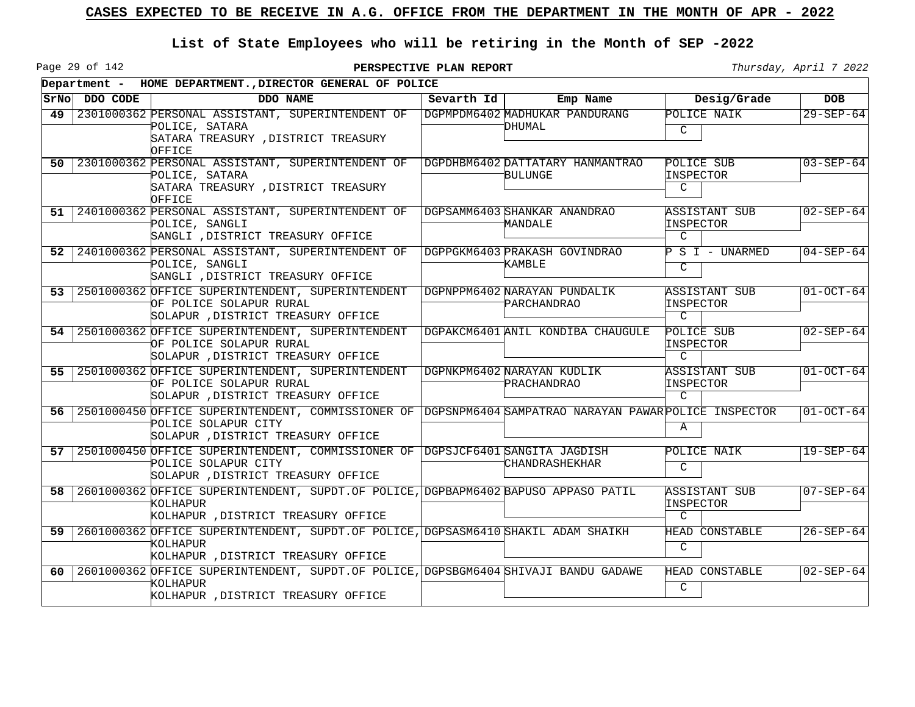Page 29 of 142

|                 |               | Department - HOME DEPARTMENT., DIRECTOR GENERAL OF POLICE                                                                                                           |            |                                             |                                                    |                 |
|-----------------|---------------|---------------------------------------------------------------------------------------------------------------------------------------------------------------------|------------|---------------------------------------------|----------------------------------------------------|-----------------|
|                 | SrNo DDO CODE | DDO NAME                                                                                                                                                            | Sevarth Id | Emp Name                                    | Desig/Grade                                        | <b>DOB</b>      |
| 49              |               | 2301000362 PERSONAL ASSISTANT, SUPERINTENDENT OF<br>POLICE, SATARA<br>SATARA TREASURY , DISTRICT TREASURY<br>OFFICE                                                 |            | DGPMPDM6402 MADHUKAR PANDURANG<br>DHUMAL    | POLICE NAIK<br>$\mathcal{C}$                       | $29 - SEP - 64$ |
| 50 <sub>1</sub> |               | 2301000362 PERSONAL ASSISTANT, SUPERINTENDENT OF<br>POLICE, SATARA<br>SATARA TREASURY , DISTRICT TREASURY<br>OFFICE                                                 |            | DGPDHBM6402 DATTATARY HANMANTRAO<br>BULUNGE | POLICE SUB<br>INSPECTOR<br>$\mathcal{C}$           | $03 - SEP - 64$ |
|                 |               | 51 2401000362 PERSONAL ASSISTANT, SUPERINTENDENT OF<br>POLICE, SANGLI<br>SANGLI , DISTRICT TREASURY OFFICE                                                          |            | DGPSAMM6403 SHANKAR ANANDRAO<br>MANDALE     | ASSISTANT SUB<br>INSPECTOR<br>$\mathcal{C}$        | $02 - SEP - 64$ |
|                 |               | 52 2401000362 PERSONAL ASSISTANT, SUPERINTENDENT OF<br>POLICE, SANGLI<br>SANGLI , DISTRICT TREASURY OFFICE                                                          |            | DGPPGKM6403 PRAKASH GOVINDRAO<br>KAMBLE     | P S I - UNARMED<br>$\mathcal{C}$                   | $04 - SEP - 64$ |
|                 |               | 53 2501000362 OFFICE SUPERINTENDENT, SUPERINTENDENT<br>OF POLICE SOLAPUR RURAL<br>SOLAPUR , DISTRICT TREASURY OFFICE                                                |            | DGPNPPM6402 NARAYAN PUNDALIK<br>PARCHANDRAO | ASSISTANT SUB<br>INSPECTOR<br>$\mathcal{C}$        | $01-0CT-64$     |
|                 |               | 54 2501000362 OFFICE SUPERINTENDENT, SUPERINTENDENT<br>OF POLICE SOLAPUR RURAL<br>SOLAPUR , DISTRICT TREASURY OFFICE                                                |            | DGPAKCM6401 ANIL KONDIBA CHAUGULE           | POLICE SUB<br>INSPECTOR<br>$\mathcal{C}$           | $02 - SEP - 64$ |
|                 |               | 55 2501000362 OFFICE SUPERINTENDENT, SUPERINTENDENT<br>OF POLICE SOLAPUR RURAL<br>SOLAPUR , DISTRICT TREASURY OFFICE                                                |            | DGPNKPM6402 NARAYAN KUDLIK<br>PRACHANDRAO   | <b>ASSISTANT SUB</b><br>INSPECTOR<br>$\mathcal{C}$ | $01 - OCT - 64$ |
| 56 l            |               | 2501000450 OFFICE SUPERINTENDENT, COMMISSIONER OF DGPSNPM6404 SAMPATRAO NARAYAN PAWAR POLICE INSPECTOR<br>POLICE SOLAPUR CITY<br>SOLAPUR , DISTRICT TREASURY OFFICE |            |                                             | Α                                                  | $01-OCT-64$     |
| 57 I            |               | 2501000450 OFFICE SUPERINTENDENT, COMMISSIONER OF DGPSJCF6401 SANGITA JAGDISH<br>POLICE SOLAPUR CITY<br>SOLAPUR , DISTRICT TREASURY OFFICE                          |            | CHANDRASHEKHAR                              | POLICE NAIK<br>$\overline{C}$                      | $19 - SEP - 64$ |
| 58 I            |               | 2601000362 OFFICE SUPERINTENDENT, SUPDT.OF POLICE, DGPBAPM6402 BAPUSO APPASO PATIL<br>KOLHAPUR.<br>KOLHAPUR , DISTRICT TREASURY OFFICE                              |            |                                             | ASSISTANT SUB<br>INSPECTOR<br>$\mathcal{C}$        | $07 - SEP - 64$ |
| 59 I            |               | 2601000362 OFFICE SUPERINTENDENT, SUPDT.OF POLICE, DGPSASM6410 SHAKIL ADAM SHAIKH<br>KOLHAPUR<br>KOLHAPUR , DISTRICT TREASURY OFFICE                                |            |                                             | HEAD CONSTABLE<br>$\mathcal{C}$                    | $26 - SEP - 64$ |
| 60 I            |               | 2601000362 OFFICE SUPERINTENDENT, SUPDT.OF POLICE, DGPSBGM6404 SHIVAJI BANDU GADAWE<br>KOLHAPUR<br>KOLHAPUR , DISTRICT TREASURY OFFICE                              |            |                                             | HEAD CONSTABLE<br>$\mathcal{C}$                    | $02 - SEP - 64$ |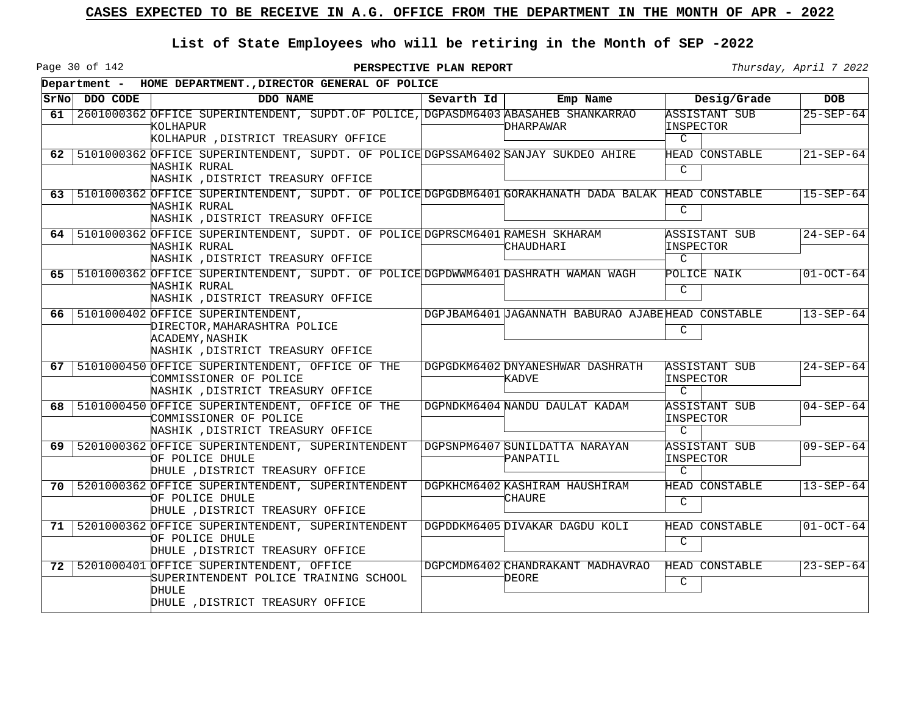Page 30 of 142

|                 |               | Department - HOME DEPARTMENT., DIRECTOR GENERAL OF POLICE                                                                                                 |            |                                                   |                                                    |                 |
|-----------------|---------------|-----------------------------------------------------------------------------------------------------------------------------------------------------------|------------|---------------------------------------------------|----------------------------------------------------|-----------------|
|                 | SrNo DDO CODE | DDO NAME                                                                                                                                                  | Sevarth Id | Emp Name                                          | Desig/Grade                                        | <b>DOB</b>      |
| 61              |               | 2601000362 OFFICE SUPERINTENDENT, SUPDT. OF POLICE, DGPASDM6403 ABASAHEB SHANKARRAO<br>kolhapur<br>KOLHAPUR , DISTRICT TREASURY OFFICE                    |            | DHARPAWAR                                         | ASSISTANT SUB<br>INSPECTOR<br>C                    | $25 - SEP - 64$ |
| 62 <sup>1</sup> |               | 5101000362 OFFICE SUPERINTENDENT, SUPDT. OF POLICE DGPSSAM6402 SANJAY SUKDEO AHIRE<br>NASHIK RURAL<br>NASHIK , DISTRICT TREASURY OFFICE                   |            |                                                   | HEAD CONSTABLE<br>$\mathcal{C}$                    | $21 - SEP - 64$ |
| 63 I            |               | 5101000362 OFFICE SUPERINTENDENT, SUPDT. OF POLICE DGPGDBM6401 GORAKHANATH DADA BALAK HEAD CONSTABLE<br>NASHIK RURAL<br>NASHIK , DISTRICT TREASURY OFFICE |            |                                                   | $\mathcal{C}$                                      | $15 - SEP - 64$ |
|                 |               | 64   5101000362 OFFICE SUPERINTENDENT, SUPDT. OF POLICE DGPRSCM6401 RAMESH SKHARAM<br>NASHIK RURAL<br>NASHIK , DISTRICT TREASURY OFFICE                   |            | CHAUDHARI                                         | <b>ASSISTANT SUB</b><br>INSPECTOR<br>$\mathcal{C}$ | $24 - SEP - 64$ |
|                 |               | 65   5101000362 OFFICE SUPERINTENDENT, SUPDT. OF POLICE DGPDWWM6401 DASHRATH WAMAN WAGH<br>NASHIK RURAL<br>NASHIK , DISTRICT TREASURY OFFICE              |            |                                                   | POLICE NAIK<br>C                                   | $01-OCT-64$     |
| 66              |               | 5101000402 OFFICE SUPERINTENDENT,<br>DIRECTOR, MAHARASHTRA POLICE<br><b>ACADEMY, NASHIK</b><br>NASHIK , DISTRICT TREASURY OFFICE                          |            | DGPJBAM6401 JAGANNATH BABURAO AJABEHEAD CONSTABLE | C                                                  | $13 - SEP - 64$ |
|                 |               | 67   5101000450 OFFICE SUPERINTENDENT, OFFICE OF THE<br>COMMISSIONER OF POLICE<br>NASHIK , DISTRICT TREASURY OFFICE                                       |            | DGPGDKM6402 DNYANESHWAR DASHRATH<br>KADVE         | ASSISTANT SUB<br>INSPECTOR<br>$\mathcal{C}$        | $24 - SEP - 64$ |
| 68 l            |               | 5101000450 OFFICE SUPERINTENDENT, OFFICE OF THE<br>COMMISSIONER OF POLICE<br>NASHIK , DISTRICT TREASURY OFFICE                                            |            | DGPNDKM6404 NANDU DAULAT KADAM                    | ASSISTANT SUB<br>INSPECTOR<br>$\mathcal{C}$        | $04 - SEP - 64$ |
|                 |               | 69   5201000362 OFFICE SUPERINTENDENT, SUPERINTENDENT<br>OF POLICE DHULE<br>DHULE , DISTRICT TREASURY OFFICE                                              |            | DGPSNPM6407 SUNILDATTA NARAYAN<br>PANPATIL        | ASSISTANT SUB<br>INSPECTOR<br>$\mathcal{C}$        | $09 - SEP - 64$ |
|                 |               | 70   5201000362 OFFICE SUPERINTENDENT, SUPERINTENDENT<br>OF POLICE DHULE<br>DHULE , DISTRICT TREASURY OFFICE                                              |            | DGPKHCM6402 KASHIRAM HAUSHIRAM<br>CHAURE          | HEAD CONSTABLE<br>$\mathcal{C}$                    | $13 - SEP - 64$ |
|                 |               | 71   5201000362 OFFICE SUPERINTENDENT, SUPERINTENDENT<br>OF POLICE DHULE<br>DHULE , DISTRICT TREASURY OFFICE                                              |            | DGPDDKM6405 DIVAKAR DAGDU KOLI                    | HEAD CONSTABLE<br>$\mathcal{C}$                    | $01-OCT-64$     |
|                 |               | 72   5201000401 OFFICE SUPERINTENDENT, OFFICE<br>SUPERINTENDENT POLICE TRAINING SCHOOL<br>DHULE<br>DHULE , DISTRICT TREASURY OFFICE                       |            | DGPCMDM6402 CHANDRAKANT MADHAVRAO<br>DEORE        | HEAD CONSTABLE<br>C                                | $23 - SEP - 64$ |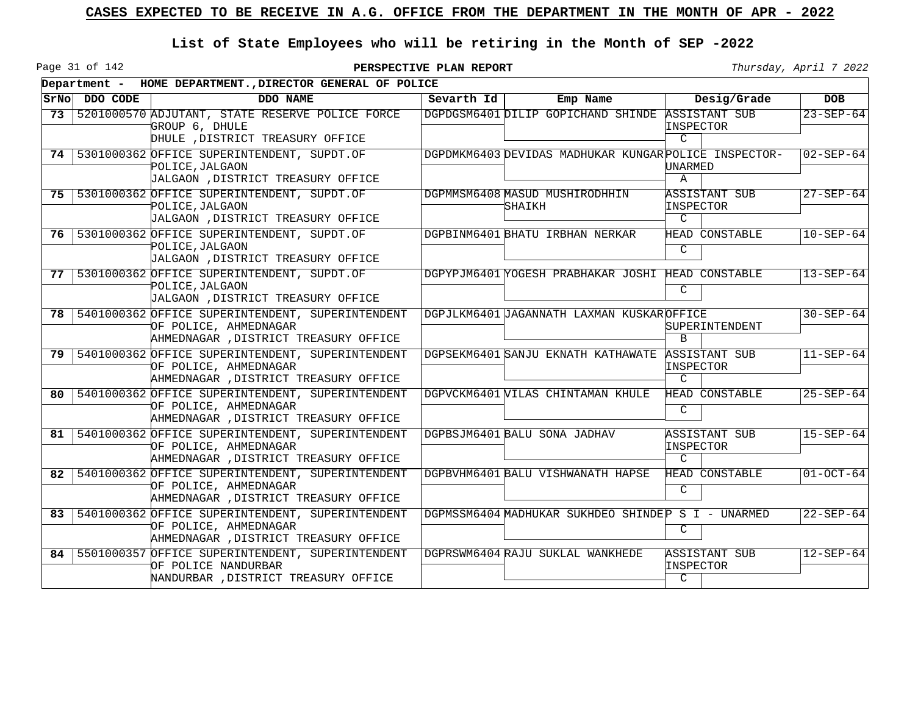Page 31 of 142

|      |               |                                                                                                                         | Department - HOME DEPARTMENT., DIRECTOR GENERAL OF POLICE |                                                       |                                                           |                 |  |  |  |  |  |
|------|---------------|-------------------------------------------------------------------------------------------------------------------------|-----------------------------------------------------------|-------------------------------------------------------|-----------------------------------------------------------|-----------------|--|--|--|--|--|
|      | SrNo DDO CODE | DDO NAME                                                                                                                | Sevarth Id                                                | Emp Name                                              | Desig/Grade                                               | <b>DOB</b>      |  |  |  |  |  |
| 73   |               | 5201000570 ADJUTANT, STATE RESERVE POLICE FORCE<br>GROUP 6, DHULE<br>DHULE , DISTRICT TREASURY OFFICE                   |                                                           | DGPDGSM6401 DILIP GOPICHAND SHINDE                    | <b>ASSISTANT SUB</b><br>INSPECTOR<br>$\mathcal{C}$        | $23 - SEP - 64$ |  |  |  |  |  |
|      |               | 74 5301000362 OFFICE SUPERINTENDENT, SUPDT.OF<br>POLICE, JALGAON<br>JALGAON , DISTRICT TREASURY OFFICE                  |                                                           | DGPDMKM6403 DEVIDAS MADHUKAR KUNGAR POLICE INSPECTOR- | UNARMED<br>$\mathsf{A}$                                   | $02 - SEP - 64$ |  |  |  |  |  |
|      |               | 75   5301000362 OFFICE SUPERINTENDENT, SUPDT.OF<br>POLICE, JALGAON<br>JALGAON , DISTRICT TREASURY OFFICE                |                                                           | DGPMMSM6408 MASUD MUSHIRODHHIN<br>SHAIKH              | <b>ASSISTANT SUB</b><br>INSPECTOR<br>$\mathcal{C}$        | $27 - SEP - 64$ |  |  |  |  |  |
| 76   |               | 5301000362 OFFICE SUPERINTENDENT, SUPDT.OF<br>POLICE, JALGAON<br>JALGAON , DISTRICT TREASURY OFFICE                     |                                                           | DGPBINM6401 BHATU IRBHAN NERKAR                       | HEAD CONSTABLE<br>C                                       | $10 - SEP - 64$ |  |  |  |  |  |
| 77 I |               | 5301000362 OFFICE SUPERINTENDENT, SUPDT.OF<br>POLICE, JALGAON<br>JALGAON , DISTRICT TREASURY OFFICE                     |                                                           | DGPYPJM6401 YOGESH PRABHAKAR JOSHI HEAD CONSTABLE     | C                                                         | $13 - SEP - 64$ |  |  |  |  |  |
|      |               | 78   5401000362 OFFICE SUPERINTENDENT, SUPERINTENDENT<br>OF POLICE, AHMEDNAGAR<br>AHMEDNAGAR , DISTRICT TREASURY OFFICE |                                                           | DGPJLKM6401 JAGANNATH LAXMAN KUSKAROFFICE             | SUPERINTENDENT<br><sub>B</sub>                            | $30 - SEP - 64$ |  |  |  |  |  |
| 79   |               | 5401000362 OFFICE SUPERINTENDENT, SUPERINTENDENT<br>OF POLICE, AHMEDNAGAR<br>AHMEDNAGAR , DISTRICT TREASURY OFFICE      |                                                           | DGPSEKM6401 SANJU EKNATH KATHAWATE                    | <b>ASSISTANT SUB</b><br><b>INSPECTOR</b><br>$\mathcal{C}$ | $11 - SEP - 64$ |  |  |  |  |  |
| 80   |               | 5401000362 OFFICE SUPERINTENDENT, SUPERINTENDENT<br>OF POLICE, AHMEDNAGAR<br>AHMEDNAGAR , DISTRICT TREASURY OFFICE      |                                                           | DGPVCKM6401 VILAS CHINTAMAN KHULE                     | <b>HEAD CONSTABLE</b><br>C                                | $25 - SEP - 64$ |  |  |  |  |  |
| 81   |               | 5401000362 OFFICE SUPERINTENDENT, SUPERINTENDENT<br>OF POLICE, AHMEDNAGAR<br>AHMEDNAGAR , DISTRICT TREASURY OFFICE      |                                                           | DGPBSJM6401 BALU SONA JADHAV                          | <b>ASSISTANT SUB</b><br><b>INSPECTOR</b><br>$\mathcal{C}$ | $15 - SEP - 64$ |  |  |  |  |  |
| 82   |               | 5401000362 OFFICE SUPERINTENDENT, SUPERINTENDENT<br>OF POLICE, AHMEDNAGAR<br>AHMEDNAGAR , DISTRICT TREASURY OFFICE      |                                                           | DGPBVHM6401 BALU VISHWANATH HAPSE                     | <b>HEAD CONSTABLE</b><br>C                                | $01-OCT-64$     |  |  |  |  |  |
| 83   |               | 5401000362 OFFICE SUPERINTENDENT, SUPERINTENDENT<br>OF POLICE, AHMEDNAGAR<br>AHMEDNAGAR , DISTRICT TREASURY OFFICE      |                                                           | DGPMSSM6404 MADHUKAR SUKHDEO SHINDEP S I - UNARMED    | C                                                         | $22 - SEP - 64$ |  |  |  |  |  |
| 84   |               | 5501000357 OFFICE SUPERINTENDENT, SUPERINTENDENT<br>OF POLICE NANDURBAR<br>NANDURBAR , DISTRICT TREASURY OFFICE         |                                                           | DGPRSWM6404 RAJU SUKLAL WANKHEDE                      | <b>ASSISTANT SUB</b><br><b>INSPECTOR</b><br>C             | $12 - SEP - 64$ |  |  |  |  |  |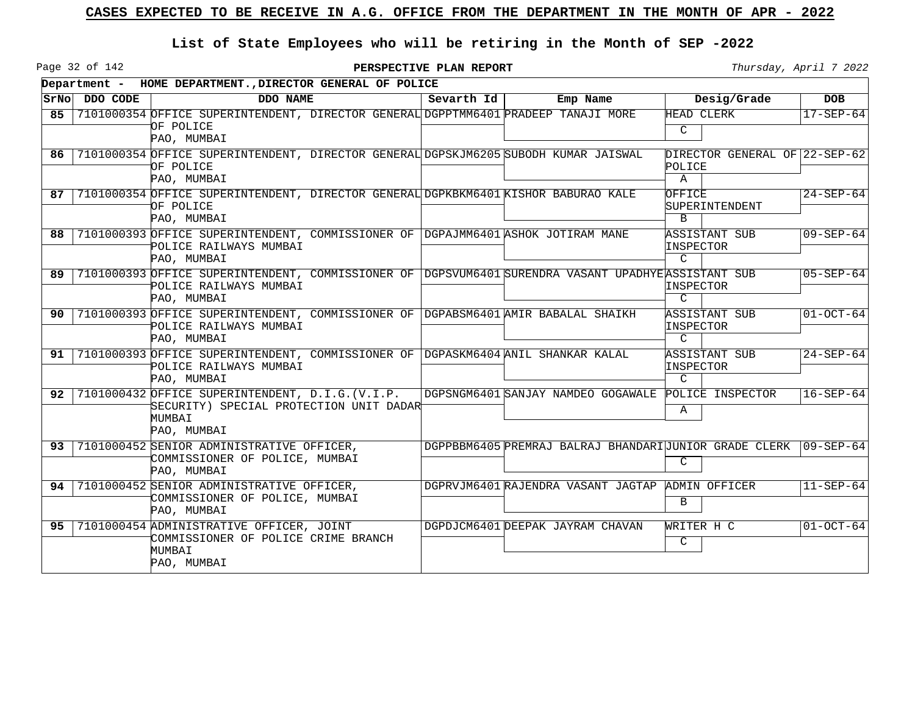Page 32 of 142

|                 |          | Department - HOME DEPARTMENT., DIRECTOR GENERAL OF POLICE                                                                                   |            |                                                                  |                                                    |                 |
|-----------------|----------|---------------------------------------------------------------------------------------------------------------------------------------------|------------|------------------------------------------------------------------|----------------------------------------------------|-----------------|
| SrNo            | DDO CODE | DDO NAME                                                                                                                                    | Sevarth Id | Emp Name                                                         | Desig/Grade                                        | <b>DOB</b>      |
| 85              |          | 7101000354 OFFICE SUPERINTENDENT, DIRECTOR GENERAL DGPPTMM6401 PRADEEP TANAJI MORE<br>OF POLICE<br>PAO, MUMBAI                              |            |                                                                  | HEAD CLERK<br>C                                    | $17 - SEP - 64$ |
| 86.             |          | 7101000354 OFFICE SUPERINTENDENT, DIRECTOR GENERAL DGPSKJM6205 SUBODH KUMAR JAISWAL<br>OF POLICE<br>PAO, MUMBAI                             |            |                                                                  | DIRECTOR GENERAL OF 22-SEP-62<br>POLICE<br>Α       |                 |
| 87              |          | 7101000354 OFFICE SUPERINTENDENT, DIRECTOR GENERAL DGPKBKM6401 KISHOR BABURAO KALE<br>OF POLICE<br>PAO, MUMBAI                              |            |                                                                  | OFFICE<br>SUPERINTENDENT<br><sub>B</sub>           | $24 - SEP - 64$ |
| 88              |          | 7101000393 OFFICE SUPERINTENDENT, COMMISSIONER OF DGPAJMM6401 ASHOK JOTIRAM MANE<br>POLICE RAILWAYS MUMBAI<br>PAO, MUMBAI                   |            |                                                                  | ASSISTANT SUB<br>INSPECTOR<br>$\mathcal{C}$        | $09 - SEP - 64$ |
| 89              |          | 7101000393 OFFICE SUPERINTENDENT, COMMISSIONER OF DGPSVUM6401 SURENDRA VASANT UPADHYEASSISTANT SUB<br>POLICE RAILWAYS MUMBAI<br>PAO, MUMBAI |            |                                                                  | INSPECTOR<br>$\mathcal{C}$                         | $05 - SEP - 64$ |
| 90.             |          | 7101000393 OFFICE SUPERINTENDENT, COMMISSIONER OF DGPABSM6401 AMIR BABALAL SHAIKH<br>POLICE RAILWAYS MUMBAI<br>PAO, MUMBAI                  |            |                                                                  | ASSISTANT SUB<br>INSPECTOR<br>$\mathcal{C}$        | $01-0CT-64$     |
| 91              |          | 7101000393 OFFICE SUPERINTENDENT, COMMISSIONER OF DGPASKM6404 ANIL SHANKAR KALAL<br>POLICE RAILWAYS MUMBAI<br>PAO, MUMBAI                   |            |                                                                  | <b>ASSISTANT SUB</b><br>INSPECTOR<br>$\mathcal{C}$ | $24 - SEP - 64$ |
| 92 I            |          | 7101000432 OFFICE SUPERINTENDENT, D.I.G. (V.I.P.<br>SECURITY) SPECIAL PROTECTION UNIT DADAR<br>MUMBAI<br>PAO, MUMBAI                        |            | DGPSNGM6401 SANJAY NAMDEO GOGAWALE                               | POLICE INSPECTOR<br>Α                              | $16 - SEP - 64$ |
| 93 <sub>1</sub> |          | 7101000452 SENIOR ADMINISTRATIVE OFFICER,<br>COMMISSIONER OF POLICE, MUMBAI<br>PAO, MUMBAI                                                  |            | DGPPBBM6405 PREMRAJ BALRAJ BHANDARI JUNIOR GRADE CLERK 09-SEP-64 | C                                                  |                 |
| 94 I            |          | 7101000452 SENIOR ADMINISTRATIVE OFFICER,<br>COMMISSIONER OF POLICE, MUMBAI<br>PAO, MUMBAI                                                  |            | DGPRVJM6401 RAJENDRA VASANT JAGTAP ADMIN OFFICER                 | B                                                  | $11 - SEP - 64$ |
| $95 \mid$       |          | 7101000454 ADMINISTRATIVE OFFICER, JOINT<br>COMMISSIONER OF POLICE CRIME BRANCH<br>MUMBAI<br>PAO, MUMBAI                                    |            | DGPDJCM6401 DEEPAK JAYRAM CHAVAN                                 | WRITER H C<br>C                                    | $01-0CT-64$     |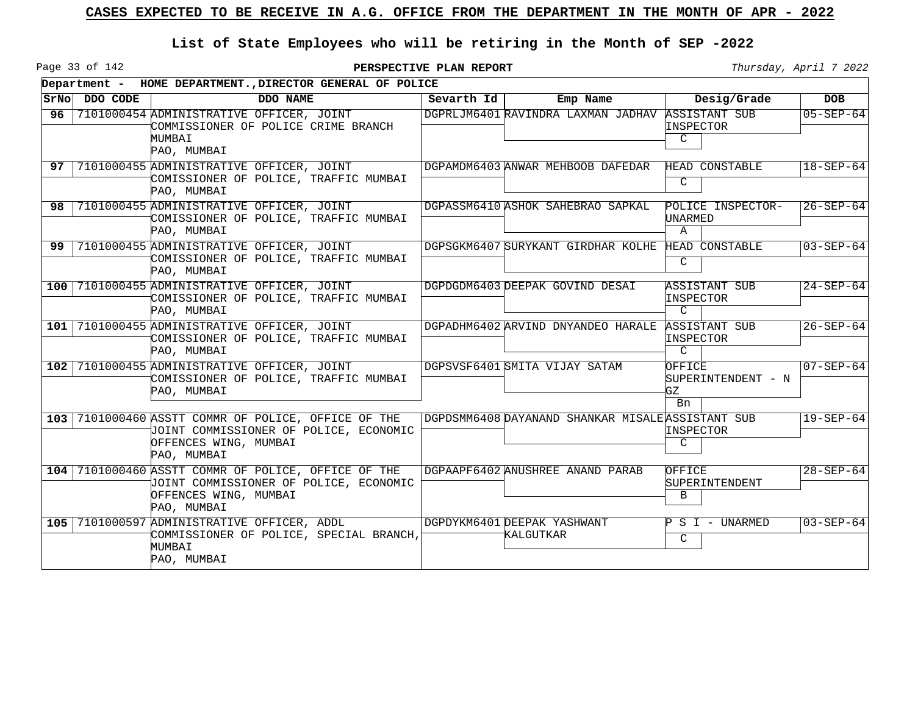Page 33 of 142

**PERSPECTIVE PLAN REPORT** Thursday, April 7 2022

 $\overline{\phantom{0}}$ 

|     |                | Department - HOME DEPARTMENT., DIRECTOR GENERAL OF POLICE                                                                             |            |                                                   |                                                   |                 |
|-----|----------------|---------------------------------------------------------------------------------------------------------------------------------------|------------|---------------------------------------------------|---------------------------------------------------|-----------------|
|     | SrNo  DDO CODE | DDO NAME                                                                                                                              | Sevarth Id | Emp Name                                          | Desig/Grade                                       | <b>DOB</b>      |
| 96  |                | 7101000454 ADMINISTRATIVE OFFICER, JOINT<br>COMMISSIONER OF POLICE CRIME BRANCH<br>MUMBAI<br>PAO, MUMBAI                              |            | DGPRLJM6401 RAVINDRA LAXMAN JADHAV                | <b>ASSISTANT SUB</b><br>INSPECTOR<br>$\mathsf{C}$ | $05 - SEP - 64$ |
|     |                | 97   7101000455 ADMINISTRATIVE OFFICER, JOINT<br>COMISSIONER OF POLICE, TRAFFIC MUMBAI<br>PAO, MUMBAI                                 |            | DGPAMDM6403 ANWAR MEHBOOB DAFEDAR                 | HEAD CONSTABLE<br>C                               | $18 - SEP - 64$ |
| 98. |                | 7101000455 ADMINISTRATIVE OFFICER, JOINT<br>COMISSIONER OF POLICE, TRAFFIC MUMBAI<br>PAO, MUMBAI                                      |            | DGPASSM6410 ASHOK SAHEBRAO SAPKAL                 | POLICE INSPECTOR-<br>UNARMED<br>A                 | $26 - SEP - 64$ |
|     |                | 99 7101000455 ADMINISTRATIVE OFFICER, JOINT<br>COMISSIONER OF POLICE, TRAFFIC MUMBAI<br>PAO, MUMBAI                                   |            | DGPSGKM6407 SURYKANT GIRDHAR KOLHE                | HEAD CONSTABLE<br>C                               | $03 - SEP - 64$ |
|     |                | 100 7101000455 ADMINISTRATIVE OFFICER, JOINT<br>COMISSIONER OF POLICE, TRAFFIC MUMBAI<br>PAO, MUMBAI                                  |            | DGPDGDM6403 DEEPAK GOVIND DESAI                   | ASSISTANT SUB<br>INSPECTOR<br>$\overline{C}$      | $24 - SEP - 64$ |
|     |                | 101 7101000455 ADMINISTRATIVE OFFICER, JOINT<br>COMISSIONER OF POLICE, TRAFFIC MUMBAI<br>PAO, MUMBAI                                  |            | DGPADHM6402 ARVIND DNYANDEO HARALE                | ASSISTANT SUB<br>INSPECTOR<br>$\mathcal{C}$       | $26 - SEP - 64$ |
|     |                | 102 7101000455 ADMINISTRATIVE OFFICER, JOINT<br>COMISSIONER OF POLICE, TRAFFIC MUMBAI<br>PAO, MUMBAI                                  |            | DGPSVSF6401 SMITA VIJAY SATAM                     | OFFICE<br>SUPERINTENDENT - N<br>GZ<br>Bn          | $07 - SEP - 64$ |
|     |                | 103 7101000460 ASSTT COMMR OF POLICE, OFFICE OF THE<br>JOINT COMMISSIONER OF POLICE, ECONOMIC<br>OFFENCES WING, MUMBAI<br>PAO, MUMBAI |            | DGPDSMM6408 DAYANAND SHANKAR MISALE ASSISTANT SUB | INSPECTOR<br>C                                    | $19 - SEP - 64$ |
|     |                | 104 7101000460 ASSTT COMMR OF POLICE, OFFICE OF THE<br>JOINT COMMISSIONER OF POLICE, ECONOMIC<br>OFFENCES WING, MUMBAI<br>PAO, MUMBAI |            | DGPAAPF6402 ANUSHREE ANAND PARAB                  | OFFICE<br>SUPERINTENDENT<br>B                     | $28 - SEP - 64$ |
|     |                | 105 7101000597 ADMINISTRATIVE OFFICER, ADDL<br>COMMISSIONER OF POLICE, SPECIAL BRANCH,<br>MUMBAI<br>PAO, MUMBAI                       |            | DGPDYKM6401DEEPAK YASHWANT<br>KALGUTKAR           | $P S I - UNARMED$<br>C                            | $03 - SEP - 64$ |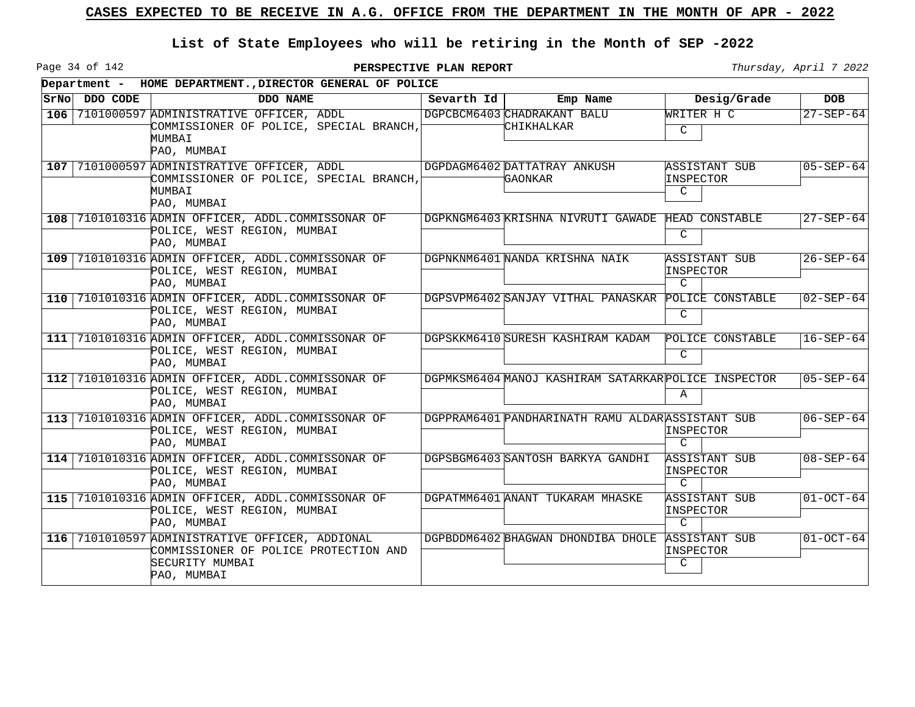Page 34 of 142

|     | Department - HOME DEPARTMENT., DIRECTOR GENERAL OF POLICE |                                                                                                                            |            |                                                      |                                                    |                 |  |  |
|-----|-----------------------------------------------------------|----------------------------------------------------------------------------------------------------------------------------|------------|------------------------------------------------------|----------------------------------------------------|-----------------|--|--|
|     | SrNo DDO CODE                                             | DDO NAME                                                                                                                   | Sevarth Id | Emp Name                                             | Desig/Grade                                        | <b>DOB</b>      |  |  |
|     |                                                           | 106 7101000597 ADMINISTRATIVE OFFICER, ADDL<br>COMMISSIONER OF POLICE, SPECIAL BRANCH,<br>MUMBAI<br>PAO, MUMBAI            |            | DGPCBCM6403 CHADRAKANT BALU<br>CHIKHALKAR            | WRITER H C<br>$\mathcal{C}$                        | $27 - SEP - 64$ |  |  |
|     |                                                           | 107 7101000597 ADMINISTRATIVE OFFICER, ADDL<br>COMMISSIONER OF POLICE, SPECIAL BRANCH,<br>MUMBAI<br>PAO, MUMBAI            |            | DGPDAGM6402 DATTATRAY ANKUSH<br><b>GAONKAR</b>       | ASSISTANT SUB<br>INSPECTOR<br>C                    | $05 - SEP - 64$ |  |  |
|     |                                                           | 108 7101010316 ADMIN OFFICER, ADDL.COMMISSONAR OF<br>POLICE, WEST REGION, MUMBAI<br>PAO, MUMBAI                            |            | DGPKNGM6403 KRISHNA NIVRUTI GAWADE                   | HEAD CONSTABLE<br>C                                | $27 - SEP - 64$ |  |  |
|     |                                                           | 109 7101010316 ADMIN OFFICER, ADDL.COMMISSONAR OF<br>POLICE, WEST REGION, MUMBAI<br>PAO, MUMBAI                            |            | DGPNKNM6401 NANDA KRISHNA NAIK                       | ASSISTANT SUB<br>INSPECTOR<br>$\mathcal{C}$        | $26 - SEP - 64$ |  |  |
| 110 |                                                           | 7101010316 ADMIN OFFICER, ADDL.COMMISSONAR OF<br>POLICE, WEST REGION, MUMBAI<br>PAO, MUMBAI                                |            | DGPSVPM6402 SANJAY VITHAL PANASKAR POLICE CONSTABLE  | C                                                  | $02 - SEP - 64$ |  |  |
| 111 |                                                           | 7101010316 ADMIN OFFICER, ADDL.COMMISSONAR OF<br>POLICE, WEST REGION, MUMBAI<br>PAO, MUMBAI                                |            | DGPSKKM6410 SURESH KASHIRAM KADAM                    | POLICE CONSTABLE<br>C                              | $16 - SEP - 64$ |  |  |
| 112 |                                                           | 7101010316 ADMIN OFFICER, ADDL.COMMISSONAR OF<br>POLICE, WEST REGION, MUMBAI<br>PAO, MUMBAI                                |            | DGPMKSM6404 MANOJ KASHIRAM SATARKAR POLICE INSPECTOR | $\mathbf{A}$                                       | $05 - SEP - 64$ |  |  |
|     |                                                           | 113 7101010316 ADMIN OFFICER, ADDL.COMMISSONAR OF<br>POLICE, WEST REGION, MUMBAI<br>PAO, MUMBAI                            |            | DGPPRAM6401 PANDHARINATH RAMU ALDARASSISTANT SUB     | INSPECTOR<br>$\mathcal{C}$                         | $06 - SEP - 64$ |  |  |
|     |                                                           | 114 7101010316 ADMIN OFFICER, ADDL.COMMISSONAR OF<br>POLICE, WEST REGION, MUMBAI<br>PAO, MUMBAI                            |            | DGPSBGM6403 SANTOSH BARKYA GANDHI                    | <b>ASSISTANT SUB</b><br>INSPECTOR<br>$\mathcal{C}$ | $08 - SEP - 64$ |  |  |
|     |                                                           | 115 7101010316 ADMIN OFFICER, ADDL.COMMISSONAR OF<br>POLICE, WEST REGION, MUMBAI<br>PAO, MUMBAI                            |            | DGPATMM6401 ANANT TUKARAM MHASKE                     | ASSISTANT SUB<br>INSPECTOR<br>$\mathcal{C}$        | $01 - OCT - 64$ |  |  |
|     |                                                           | 116 7101010597 ADMINISTRATIVE OFFICER, ADDIONAL<br>COMMISSIONER OF POLICE PROTECTION AND<br>SECURITY MUMBAI<br>PAO, MUMBAI |            | DGPBDDM6402 BHAGWAN DHONDIBA DHOLE                   | <b>ASSISTANT SUB</b><br>INSPECTOR<br>C             | $01 - OCT - 64$ |  |  |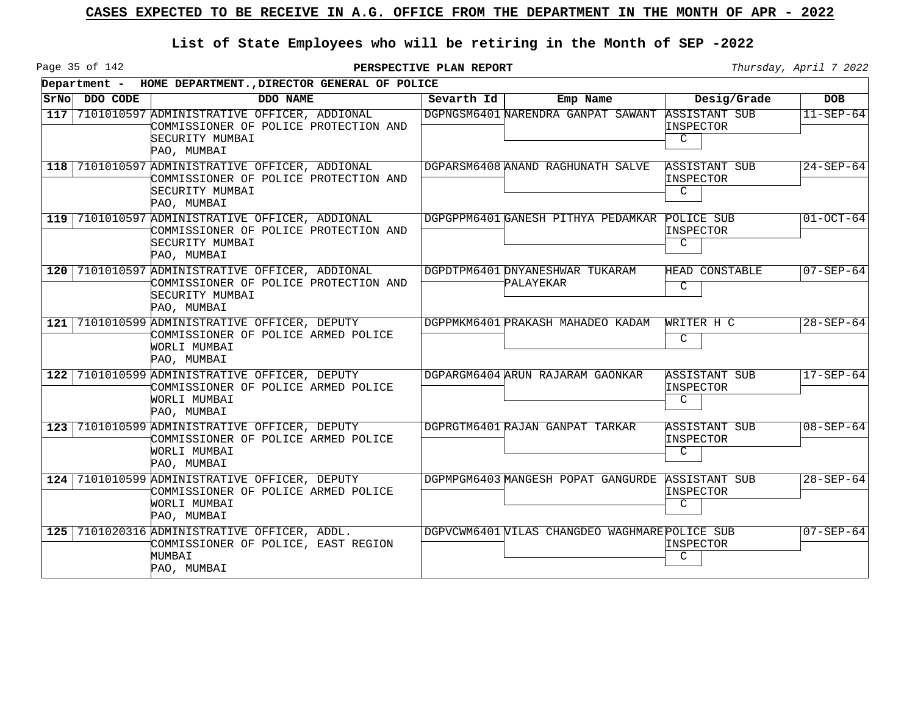Page 35 of 142

|       | Department - HOME DEPARTMENT., DIRECTOR GENERAL OF POLICE |                                                                                                                            |            |                                                |                                                   |                 |  |  |  |
|-------|-----------------------------------------------------------|----------------------------------------------------------------------------------------------------------------------------|------------|------------------------------------------------|---------------------------------------------------|-----------------|--|--|--|
| SrNol | DDO CODE                                                  | DDO NAME                                                                                                                   | Sevarth Id | Emp Name                                       | Desig/Grade                                       | <b>DOB</b>      |  |  |  |
| 117   |                                                           | 7101010597 ADMINISTRATIVE OFFICER, ADDIONAL<br>COMMISSIONER OF POLICE PROTECTION AND<br>SECURITY MUMBAI<br>PAO, MUMBAI     |            | DGPNGSM6401 NARENDRA GANPAT SAWANT             | <b>ASSISTANT SUB</b><br>INSPECTOR<br>$\mathsf{C}$ | $11 - SEP - 64$ |  |  |  |
|       |                                                           | 118 7101010597 ADMINISTRATIVE OFFICER, ADDIONAL<br>COMMISSIONER OF POLICE PROTECTION AND<br>SECURITY MUMBAI<br>PAO, MUMBAI |            | DGPARSM6408 ANAND RAGHUNATH SALVE              | ASSISTANT SUB<br>INSPECTOR<br>C                   | $24 - SEP - 64$ |  |  |  |
|       |                                                           | 119 7101010597 ADMINISTRATIVE OFFICER, ADDIONAL<br>COMMISSIONER OF POLICE PROTECTION AND<br>SECURITY MUMBAI<br>PAO, MUMBAI |            | DGPGPPM6401 GANESH PITHYA PEDAMKAR             | POLICE SUB<br>INSPECTOR<br>C                      | $01 - OCT - 64$ |  |  |  |
|       |                                                           | 120 7101010597 ADMINISTRATIVE OFFICER, ADDIONAL<br>COMMISSIONER OF POLICE PROTECTION AND<br>SECURITY MUMBAI<br>PAO, MUMBAI |            | DGPDTPM6401 DNYANESHWAR TUKARAM<br>PALAYEKAR   | HEAD CONSTABLE<br>C                               | $07 - SEP - 64$ |  |  |  |
|       |                                                           | 121 7101010599 ADMINISTRATIVE OFFICER, DEPUTY<br>COMMISSIONER OF POLICE ARMED POLICE<br>WORLI MUMBAI<br>PAO, MUMBAI        |            | DGPPMKM6401 PRAKASH MAHADEO KADAM              | WRITER H C<br>C                                   | $28 - SEP - 64$ |  |  |  |
| 122   |                                                           | 7101010599 ADMINISTRATIVE OFFICER, DEPUTY<br>COMMISSIONER OF POLICE ARMED POLICE<br>WORLI MUMBAI<br>PAO, MUMBAI            |            | DGPARGM6404 ARUN RAJARAM GAONKAR               | <b>ASSISTANT SUB</b><br>INSPECTOR<br>C            | $17 - SEP - 64$ |  |  |  |
| 123   |                                                           | 7101010599 ADMINISTRATIVE OFFICER, DEPUTY<br>COMMISSIONER OF POLICE ARMED POLICE<br>WORLI MUMBAI<br>PAO, MUMBAI            |            | DGPRGTM6401 RAJAN GANPAT TARKAR                | <b>ASSISTANT SUB</b><br>INSPECTOR<br>C.           | $08 - SEP - 64$ |  |  |  |
| 124   |                                                           | 7101010599 ADMINISTRATIVE OFFICER, DEPUTY<br>COMMISSIONER OF POLICE ARMED POLICE<br>WORLI MUMBAI<br>PAO, MUMBAI            |            | DGPMPGM6403 MANGESH POPAT GANGURDE             | ASSISTANT SUB<br>INSPECTOR<br>C.                  | $28 - SEP - 64$ |  |  |  |
|       |                                                           | 125 7101020316 ADMINISTRATIVE OFFICER, ADDL.<br>COMMISSIONER OF POLICE, EAST REGION<br>MUMBAI<br>PAO, MUMBAI               |            | DGPVCWM6401 VILAS CHANGDEO WAGHMARE POLICE SUB | INSPECTOR<br>C.                                   | $07 - SEP - 64$ |  |  |  |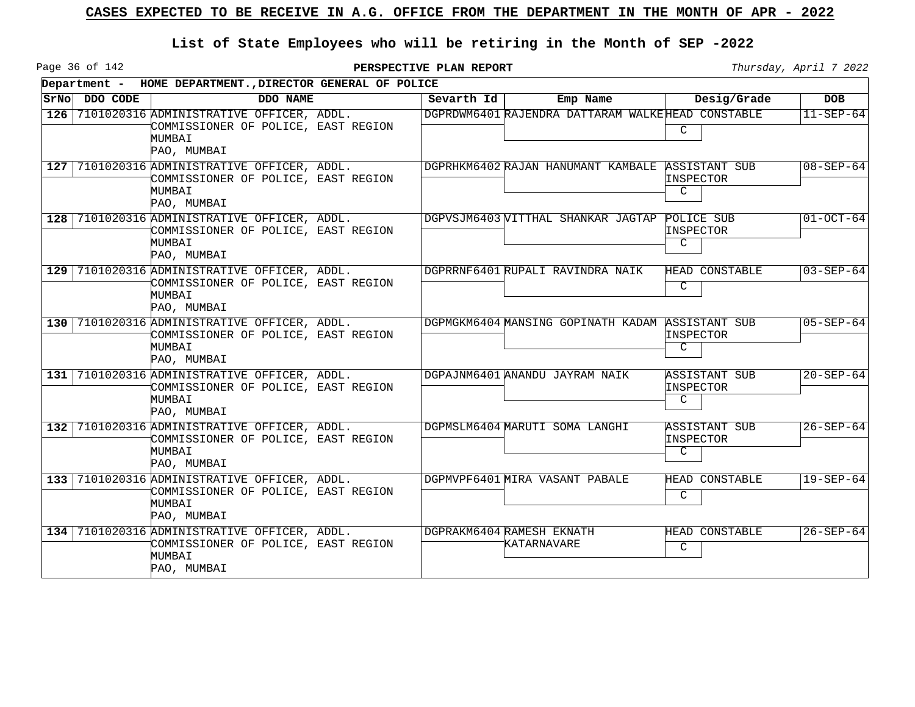Page 36 of 142

|      |          | Department - HOME DEPARTMENT., DIRECTOR GENERAL OF POLICE                                                    |  |            |                                                   |                                                    |                 |  |  |
|------|----------|--------------------------------------------------------------------------------------------------------------|--|------------|---------------------------------------------------|----------------------------------------------------|-----------------|--|--|
| SrNo | DDO CODE | DDO NAME                                                                                                     |  | Sevarth Id | Emp Name                                          | Desig/Grade                                        | <b>DOB</b>      |  |  |
| 126  |          | 7101020316 ADMINISTRATIVE OFFICER, ADDL.<br>COMMISSIONER OF POLICE, EAST REGION<br>MUMBAI<br>PAO, MUMBAI     |  |            | DGPRDWM6401 RAJENDRA DATTARAM WALKEHEAD CONSTABLE | C                                                  | $11 - SEP - 64$ |  |  |
|      |          | 127 7101020316 ADMINISTRATIVE OFFICER, ADDL.<br>COMMISSIONER OF POLICE, EAST REGION<br>MUMBAI<br>PAO, MUMBAI |  |            | DGPRHKM6402 RAJAN HANUMANT KAMBALE ASSISTANT SUB  | INSPECTOR<br>$\mathcal{C}$                         | $08 - SEP - 64$ |  |  |
|      |          | 128 7101020316 ADMINISTRATIVE OFFICER, ADDL.<br>COMMISSIONER OF POLICE, EAST REGION<br>MUMBAI<br>PAO, MUMBAI |  |            | DGPVSJM6403 VITTHAL SHANKAR JAGTAP                | POLICE SUB<br>INSPECTOR<br>C                       | $01 - OCT - 64$ |  |  |
|      |          | 129 7101020316 ADMINISTRATIVE OFFICER, ADDL.<br>COMMISSIONER OF POLICE, EAST REGION<br>MUMBAI<br>PAO, MUMBAI |  |            | DGPRRNF6401 RUPALI RAVINDRA NAIK                  | HEAD CONSTABLE<br>C                                | $03 - SEP - 64$ |  |  |
|      |          | 130 7101020316 ADMINISTRATIVE OFFICER, ADDL.<br>COMMISSIONER OF POLICE, EAST REGION<br>MUMBAI<br>PAO, MUMBAI |  |            | DGPMGKM6404 MANSING GOPINATH KADAM                | ASSISTANT SUB<br>INSPECTOR<br>C                    | $05 - SEP - 64$ |  |  |
| 131  |          | 7101020316 ADMINISTRATIVE OFFICER, ADDL.<br>COMMISSIONER OF POLICE, EAST REGION<br>MUMBAI<br>PAO, MUMBAI     |  |            | DGPAJNM6401 ANANDU JAYRAM NAIK                    | ASSISTANT SUB<br>INSPECTOR<br>C                    | $20 - SEP - 64$ |  |  |
| 132  |          | 7101020316 ADMINISTRATIVE OFFICER, ADDL.<br>COMMISSIONER OF POLICE, EAST REGION<br>MUMBAI<br>PAO, MUMBAI     |  |            | DGPMSLM6404 MARUTI SOMA LANGHI                    | <b>ASSISTANT SUB</b><br>INSPECTOR<br>$\mathcal{C}$ | $26 - SEP - 64$ |  |  |
| 133  |          | 7101020316 ADMINISTRATIVE OFFICER, ADDL.<br>COMMISSIONER OF POLICE, EAST REGION<br>MUMBAI<br>PAO, MUMBAI     |  |            | DGPMVPF6401 MIRA VASANT PABALE                    | HEAD CONSTABLE<br>C                                | $19 - SEP - 64$ |  |  |
|      |          | 134 7101020316 ADMINISTRATIVE OFFICER, ADDL.<br>COMMISSIONER OF POLICE, EAST REGION<br>MUMBAI<br>PAO, MUMBAI |  |            | DGPRAKM6404 RAMESH EKNATH<br>KATARNAVARE          | HEAD CONSTABLE<br>C                                | $26 - SEP - 64$ |  |  |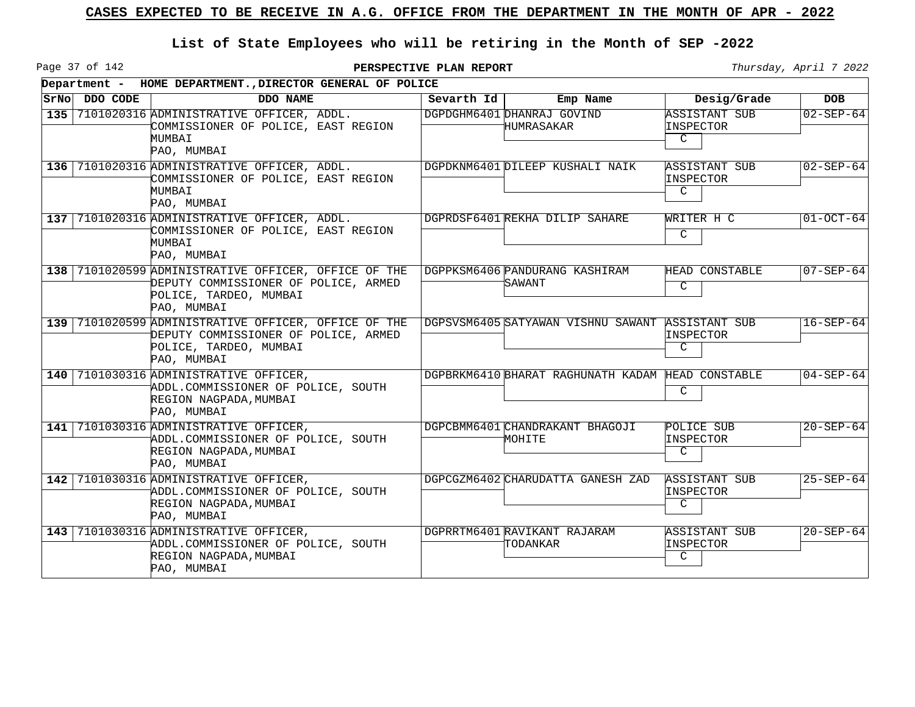Page 37 of 142

|     |               | Department - HOME DEPARTMENT., DIRECTOR GENERAL OF POLICE                                                                             |            |                                           |                                                   |                 |
|-----|---------------|---------------------------------------------------------------------------------------------------------------------------------------|------------|-------------------------------------------|---------------------------------------------------|-----------------|
|     | SrNo DDO CODE | DDO NAME                                                                                                                              | Sevarth Id | Emp Name                                  | Desig/Grade                                       | <b>DOB</b>      |
| 135 |               | 7101020316 ADMINISTRATIVE OFFICER, ADDL.<br>COMMISSIONER OF POLICE, EAST REGION<br>MUMBAI<br>PAO, MUMBAI                              |            | DGPDGHM6401 DHANRAJ GOVIND<br>HUMRASAKAR  | <b>ASSISTANT SUB</b><br>INSPECTOR<br>$\mathsf{C}$ | $02 - SEP - 64$ |
|     |               | 136 7101020316 ADMINISTRATIVE OFFICER, ADDL.<br>COMMISSIONER OF POLICE, EAST REGION<br>MUMBAI<br>PAO, MUMBAI                          |            | DGPDKNM6401 DILEEP KUSHALI NAIK           | ASSISTANT SUB<br>INSPECTOR<br>C                   | $02 - SEP - 64$ |
|     |               | 137 7101020316 ADMINISTRATIVE OFFICER, ADDL.<br>COMMISSIONER OF POLICE, EAST REGION<br>MUMBAI<br>PAO, MUMBAI                          |            | DGPRDSF6401 REKHA DILIP SAHARE            | WRITER H C<br>$\mathcal{C}$                       | $01 - OCT - 64$ |
|     |               | 138 7101020599 ADMINISTRATIVE OFFICER, OFFICE OF THE<br>DEPUTY COMMISSIONER OF POLICE, ARMED<br>POLICE, TARDEO, MUMBAI<br>PAO, MUMBAI |            | DGPPKSM6406 PANDURANG KASHIRAM<br>SAWANT  | HEAD CONSTABLE<br>C                               | $07 - SEP - 64$ |
|     |               | 139 7101020599 ADMINISTRATIVE OFFICER, OFFICE OF THE<br>DEPUTY COMMISSIONER OF POLICE, ARMED<br>POLICE, TARDEO, MUMBAI<br>PAO, MUMBAI |            | DGPSVSM6405 SATYAWAN VISHNU SAWANT        | ASSISTANT SUB<br>INSPECTOR<br>C                   | $16 - SEP - 64$ |
|     |               | 140 7101030316 ADMINISTRATIVE OFFICER,<br>ADDL.COMMISSIONER OF POLICE, SOUTH<br>REGION NAGPADA, MUMBAI<br>PAO, MUMBAI                 |            | DGPBRKM6410 BHARAT RAGHUNATH KADAM        | HEAD CONSTABLE<br>C                               | $04 - SEP - 64$ |
| 141 |               | 7101030316 ADMINISTRATIVE OFFICER,<br>ADDL.COMMISSIONER OF POLICE, SOUTH<br>REGION NAGPADA, MUMBAI<br>PAO, MUMBAI                     |            | DGPCBMM6401 CHANDRAKANT BHAGOJI<br>MOHITE | POLICE SUB<br>INSPECTOR<br>C                      | $20 - SEP - 64$ |
|     |               | 142 7101030316 ADMINISTRATIVE OFFICER,<br>ADDL.COMMISSIONER OF POLICE, SOUTH<br>REGION NAGPADA, MUMBAI<br>PAO, MUMBAI                 |            | DGPCGZM6402 CHARUDATTA GANESH ZAD         | <b>ASSISTANT SUB</b><br>INSPECTOR<br>C            | $25 - SEP - 64$ |
|     |               | 143 7101030316 ADMINISTRATIVE OFFICER,<br>ADDL.COMMISSIONER OF POLICE, SOUTH<br>REGION NAGPADA, MUMBAI<br>PAO, MUMBAI                 |            | DGPRRTM6401 RAVIKANT RAJARAM<br>TODANKAR  | <b>ASSISTANT SUB</b><br>INSPECTOR<br>C            | $20 - SEP - 64$ |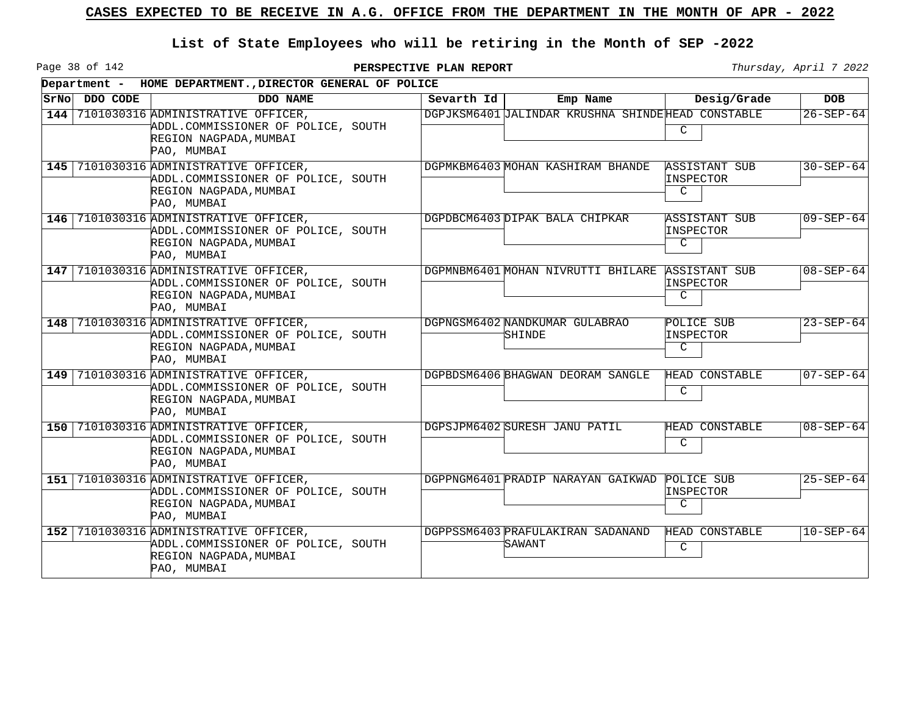Page 38 of 142

|     |               | Department - HOME DEPARTMENT., DIRECTOR GENERAL OF POLICE                                                             |  |            |                                                   |                                                   |                 |  |  |
|-----|---------------|-----------------------------------------------------------------------------------------------------------------------|--|------------|---------------------------------------------------|---------------------------------------------------|-----------------|--|--|
|     | SrNo DDO CODE | DDO NAME                                                                                                              |  | Sevarth Id | Emp Name                                          | Desig/Grade                                       | <b>DOB</b>      |  |  |
| 144 |               | 7101030316 ADMINISTRATIVE OFFICER,<br>ADDL.COMMISSIONER OF POLICE, SOUTH<br>REGION NAGPADA, MUMBAI<br>PAO, MUMBAI     |  |            | DGPJKSM6401 JALINDAR KRUSHNA SHINDEHEAD CONSTABLE | C                                                 | $26 - SEP - 64$ |  |  |
|     |               | 145 7101030316 ADMINISTRATIVE OFFICER,<br>ADDL.COMMISSIONER OF POLICE, SOUTH<br>REGION NAGPADA, MUMBAI<br>PAO, MUMBAI |  |            | DGPMKBM6403 MOHAN KASHIRAM BHANDE                 | <b>ASSISTANT SUB</b><br>INSPECTOR<br>$\mathsf{C}$ | $30 - SEP - 64$ |  |  |
|     |               | 146 7101030316 ADMINISTRATIVE OFFICER,<br>ADDL.COMMISSIONER OF POLICE, SOUTH<br>REGION NAGPADA, MUMBAI<br>PAO, MUMBAI |  |            | DGPDBCM6403 DIPAK BALA CHIPKAR                    | ASSISTANT SUB<br>INSPECTOR<br>C                   | $09 - SEP - 64$ |  |  |
|     |               | 147 7101030316 ADMINISTRATIVE OFFICER,<br>ADDL.COMMISSIONER OF POLICE, SOUTH<br>REGION NAGPADA, MUMBAI<br>PAO, MUMBAI |  |            | DGPMNBM6401 MOHAN NIVRUTTI BHILARE                | <b>ASSISTANT SUB</b><br>INSPECTOR<br>C            | $08 - SEP - 64$ |  |  |
| 148 |               | 7101030316 ADMINISTRATIVE OFFICER,<br>ADDL.COMMISSIONER OF POLICE, SOUTH<br>REGION NAGPADA, MUMBAI<br>PAO, MUMBAI     |  |            | DGPNGSM6402 NANDKUMAR GULABRAO<br>SHINDE          | POLICE SUB<br>INSPECTOR<br>C                      | $23 - SEP - 64$ |  |  |
|     |               | 149 7101030316 ADMINISTRATIVE OFFICER,<br>ADDL.COMMISSIONER OF POLICE, SOUTH<br>REGION NAGPADA, MUMBAI<br>PAO, MUMBAI |  |            | DGPBDSM6406 BHAGWAN DEORAM SANGLE                 | HEAD CONSTABLE<br>C                               | $07 - SEP - 64$ |  |  |
|     |               | 150 7101030316 ADMINISTRATIVE OFFICER,<br>ADDL.COMMISSIONER OF POLICE, SOUTH<br>REGION NAGPADA, MUMBAI<br>PAO, MUMBAI |  |            | DGPSJPM6402 SURESH JANU PATIL                     | <b>HEAD CONSTABLE</b><br>C                        | $08 - SEP - 64$ |  |  |
|     |               | 151 7101030316 ADMINISTRATIVE OFFICER,<br>ADDL.COMMISSIONER OF POLICE, SOUTH<br>REGION NAGPADA, MUMBAI<br>PAO, MUMBAI |  |            | DGPPNGM6401 PRADIP NARAYAN GAIKWAD                | POLICE SUB<br>INSPECTOR<br>C                      | $25 - SEP - 64$ |  |  |
|     |               | 152 7101030316 ADMINISTRATIVE OFFICER,<br>ADDL.COMMISSIONER OF POLICE, SOUTH<br>REGION NAGPADA, MUMBAI<br>PAO, MUMBAI |  |            | DGPPSSM6403 PRAFULAKIRAN SADANAND<br>SAWANT       | HEAD CONSTABLE<br>C                               | $10 - SEP - 64$ |  |  |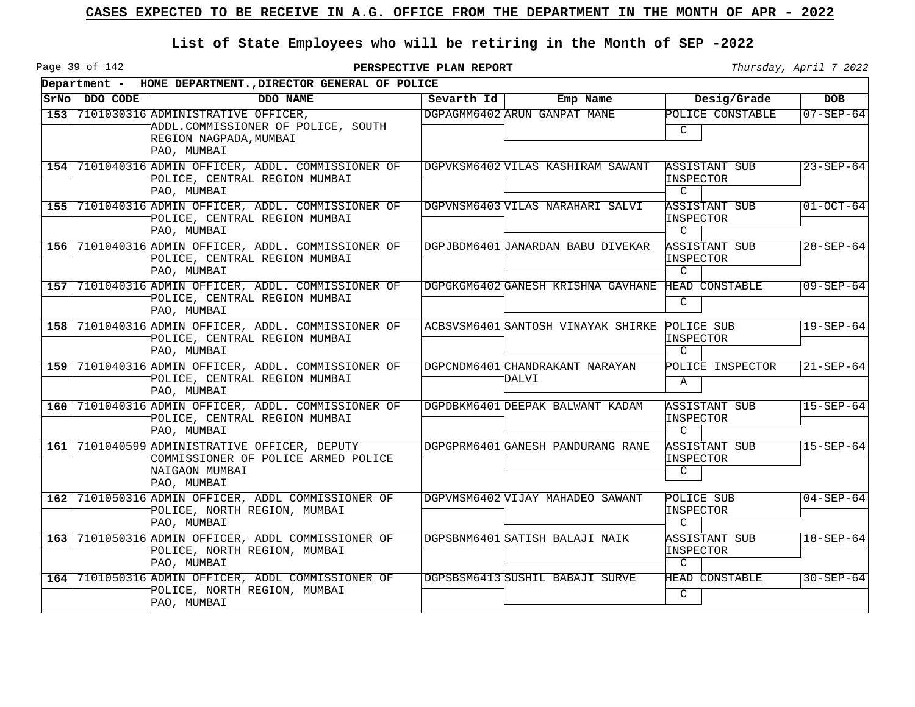Page 39 of 142

|               | Department - HOME DEPARTMENT., DIRECTOR GENERAL OF POLICE                                                             |            |                                          |                                                    |                 |
|---------------|-----------------------------------------------------------------------------------------------------------------------|------------|------------------------------------------|----------------------------------------------------|-----------------|
| SrNo DDO CODE | DDO NAME                                                                                                              | Sevarth Id | Emp Name                                 | Desig/Grade                                        | <b>DOB</b>      |
|               | 153 7101030316 ADMINISTRATIVE OFFICER.<br>ADDL.COMMISSIONER OF POLICE, SOUTH<br>REGION NAGPADA, MUMBAI<br>PAO, MUMBAI |            | DGPAGMM6402 ARUN GANPAT MANE             | POLICE CONSTABLE<br>C                              | $07 - SEP - 64$ |
|               | 154 7101040316 ADMIN OFFICER, ADDL. COMMISSIONER OF<br>POLICE, CENTRAL REGION MUMBAI<br>PAO, MUMBAI                   |            | DGPVKSM6402 VILAS KASHIRAM SAWANT        | ASSISTANT SUB<br>INSPECTOR<br>$\mathcal{C}$        | $23 - SEP - 64$ |
|               | 155 7101040316 ADMIN OFFICER, ADDL. COMMISSIONER OF<br>POLICE, CENTRAL REGION MUMBAI<br>PAO, MUMBAI                   |            | DGPVNSM6403 WILAS NARAHARI SALVI         | ASSISTANT SUB<br>INSPECTOR<br>$\mathcal{C}$        | $01 - OCT - 64$ |
|               | 156 7101040316 ADMIN OFFICER, ADDL. COMMISSIONER OF<br>POLICE, CENTRAL REGION MUMBAI<br>PAO, MUMBAI                   |            | DGPJBDM6401 JANARDAN BABU DIVEKAR        | ASSISTANT SUB<br>INSPECTOR<br>$\mathcal{C}$        | $28 - SEP - 64$ |
|               | 157 7101040316 ADMIN OFFICER, ADDL. COMMISSIONER OF<br>POLICE, CENTRAL REGION MUMBAI<br>PAO, MUMBAI                   |            | DGPGKGM6402 GANESH KRISHNA GAVHANE       | HEAD CONSTABLE<br>$\mathsf{C}$                     | $09 - SEP - 64$ |
|               | 158 7101040316 ADMIN OFFICER, ADDL. COMMISSIONER OF<br>POLICE, CENTRAL REGION MUMBAI<br>PAO, MUMBAI                   |            | ACBSVSM6401 SANTOSH VINAYAK SHIRKE       | POLICE SUB<br>INSPECTOR<br>C                       | $19 - SEP - 64$ |
|               | 159 7101040316 ADMIN OFFICER, ADDL. COMMISSIONER OF<br>POLICE, CENTRAL REGION MUMBAI<br>PAO, MUMBAI                   |            | DGPCNDM6401 CHANDRAKANT NARAYAN<br>DALVI | POLICE INSPECTOR<br>Α                              | $21 - SEP - 64$ |
|               | 160 7101040316 ADMIN OFFICER, ADDL. COMMISSIONER OF<br>POLICE, CENTRAL REGION MUMBAI<br>PAO, MUMBAI                   |            | DGPDBKM6401 DEEPAK BALWANT KADAM         | ASSISTANT SUB<br>INSPECTOR<br>$\mathcal{C}$        | $15 - SEP - 64$ |
|               | 161 7101040599 ADMINISTRATIVE OFFICER, DEPUTY<br>COMMISSIONER OF POLICE ARMED POLICE<br>NAIGAON MUMBAI<br>PAO, MUMBAI |            | DGPGPRM6401 GANESH PANDURANG RANE        | ASSISTANT SUB<br>INSPECTOR<br>C                    | $15 - SEP - 64$ |
|               | 162 7101050316 ADMIN OFFICER, ADDL COMMISSIONER OF<br>POLICE, NORTH REGION, MUMBAI<br>PAO, MUMBAI                     |            | DGPVMSM6402 VIJAY MAHADEO SAWANT         | POLICE SUB<br>INSPECTOR<br>$\mathcal{C}$           | $04 - SEP - 64$ |
|               | 163 7101050316 ADMIN OFFICER, ADDL COMMISSIONER OF<br>POLICE, NORTH REGION, MUMBAI<br>PAO, MUMBAI                     |            | DGPSBNM6401 SATISH BALAJI NAIK           | <b>ASSISTANT SUB</b><br>INSPECTOR<br>$\mathcal{C}$ | $18 - SEP - 64$ |
|               | 164 7101050316 ADMIN OFFICER, ADDL COMMISSIONER OF<br>POLICE, NORTH REGION, MUMBAI<br>PAO, MUMBAI                     |            | DGPSBSM6413 SUSHIL BABAJI SURVE          | <b>HEAD CONSTABLE</b><br>$\mathcal{C}$             | $30 - SEP - 64$ |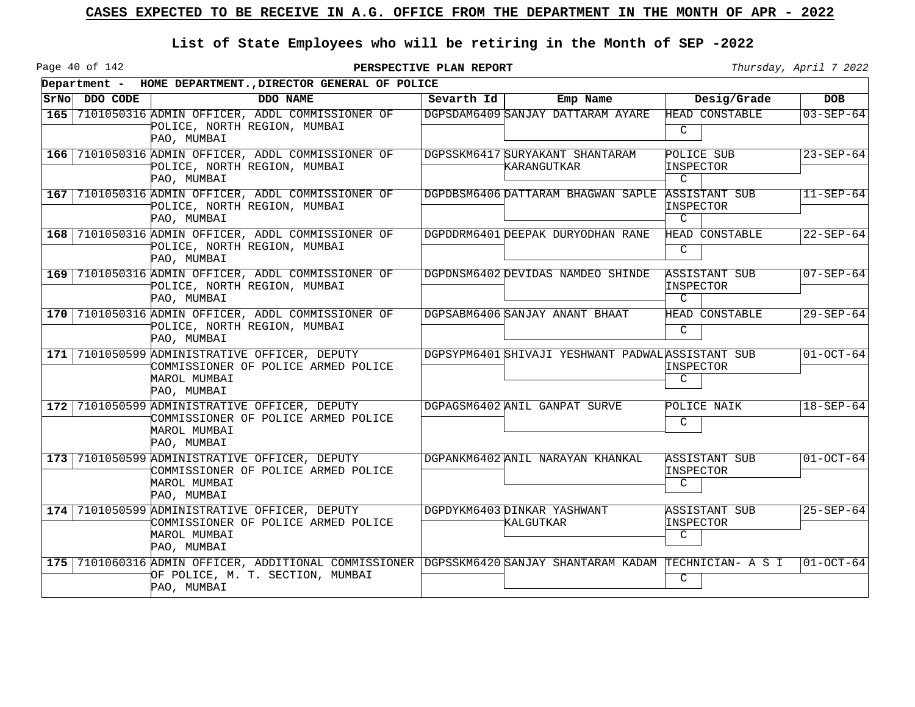Page 40 of 142

|     | Department - HOME DEPARTMENT., DIRECTOR GENERAL OF POLICE |                                                                                                                                                               |            |                                                   |                                                           |                 |  |  |  |
|-----|-----------------------------------------------------------|---------------------------------------------------------------------------------------------------------------------------------------------------------------|------------|---------------------------------------------------|-----------------------------------------------------------|-----------------|--|--|--|
|     | SrNo DDO CODE                                             | DDO NAME                                                                                                                                                      | Sevarth Id | Emp Name                                          | Desig/Grade                                               | <b>DOB</b>      |  |  |  |
| 165 |                                                           | 7101050316 ADMIN OFFICER, ADDL COMMISSIONER OF<br>POLICE, NORTH REGION, MUMBAI<br>PAO, MUMBAI                                                                 |            | DGPSDAM6409 SANJAY DATTARAM AYARE                 | HEAD CONSTABLE<br>C                                       | $03 - SEP - 64$ |  |  |  |
|     |                                                           | 166 7101050316 ADMIN OFFICER, ADDL COMMISSIONER OF<br>POLICE, NORTH REGION, MUMBAI<br>PAO, MUMBAI                                                             |            | DGPSSKM6417 SURYAKANT SHANTARAM<br>KARANGUTKAR    | POLICE SUB<br>INSPECTOR<br>$\mathcal{C}$                  | $23 - SEP - 64$ |  |  |  |
|     |                                                           | 167 7101050316 ADMIN OFFICER, ADDL COMMISSIONER OF<br>POLICE, NORTH REGION, MUMBAI<br>PAO, MUMBAI                                                             |            | DGPDBSM6406 DATTARAM BHAGWAN SAPLE                | <b>ASSISTANT SUB</b><br><b>INSPECTOR</b><br>$\mathcal{C}$ | $11 - SEP - 64$ |  |  |  |
|     |                                                           | 168 7101050316 ADMIN OFFICER, ADDL COMMISSIONER OF<br>POLICE, NORTH REGION, MUMBAI<br>PAO, MUMBAI                                                             |            | DGPDDRM6401 DEEPAK DURYODHAN RANE                 | HEAD CONSTABLE<br>C                                       | $22 - SEP - 64$ |  |  |  |
|     |                                                           | 169 7101050316 ADMIN OFFICER, ADDL COMMISSIONER OF<br>POLICE, NORTH REGION, MUMBAI<br>PAO, MUMBAI                                                             |            | DGPDNSM6402 DEVIDAS NAMDEO SHINDE                 | <b>ASSISTANT SUB</b><br><b>INSPECTOR</b><br>C             | $07 - SEP - 64$ |  |  |  |
|     |                                                           | 170 7101050316 ADMIN OFFICER, ADDL COMMISSIONER OF<br>POLICE, NORTH REGION, MUMBAI<br>PAO, MUMBAI                                                             |            | DGPSABM6406 SANJAY ANANT BHAAT                    | HEAD CONSTABLE<br>C                                       | $29 - SEP - 64$ |  |  |  |
|     |                                                           | 171 7101050599 ADMINISTRATIVE OFFICER, DEPUTY<br>COMMISSIONER OF POLICE ARMED POLICE<br>MAROL MUMBAI<br>PAO, MUMBAI                                           |            | DGPSYPM6401 SHIVAJI YESHWANT PADWAL ASSISTANT SUB | INSPECTOR<br>C                                            | $01 - OCT - 64$ |  |  |  |
| 172 |                                                           | 7101050599 ADMINISTRATIVE OFFICER, DEPUTY<br>COMMISSIONER OF POLICE ARMED POLICE<br>MAROL MUMBAI<br>PAO, MUMBAI                                               |            | DGPAGSM6402 ANIL GANPAT SURVE                     | POLICE NAIK<br>C                                          | $18 - SEP - 64$ |  |  |  |
|     |                                                           | 173 7101050599 ADMINISTRATIVE OFFICER, DEPUTY<br>COMMISSIONER OF POLICE ARMED POLICE<br>MAROL MUMBAI<br>PAO, MUMBAI                                           |            | DGPANKM6402 ANIL NARAYAN KHANKAL                  | <b>ASSISTANT SUB</b><br>INSPECTOR<br>C                    | $01-0CT-64$     |  |  |  |
| 174 |                                                           | 7101050599 ADMINISTRATIVE OFFICER, DEPUTY<br>COMMISSIONER OF POLICE ARMED POLICE<br>MAROL MUMBAI<br>PAO, MUMBAI                                               |            | DGPDYKM6403 DINKAR YASHWANT<br>KALGUTKAR          | ASSISTANT SUB<br>INSPECTOR<br>$\mathcal{C}$               | $25 - SEP - 64$ |  |  |  |
|     |                                                           | 175 7101060316 ADMIN OFFICER, ADDITIONAL COMMISSIONER DGPSSKM6420 SANJAY SHANTARAM KADAM TECHNICIAN- A S I<br>OF POLICE, M. T. SECTION, MUMBAI<br>PAO, MUMBAI |            |                                                   | C                                                         | $01-0CT-64$     |  |  |  |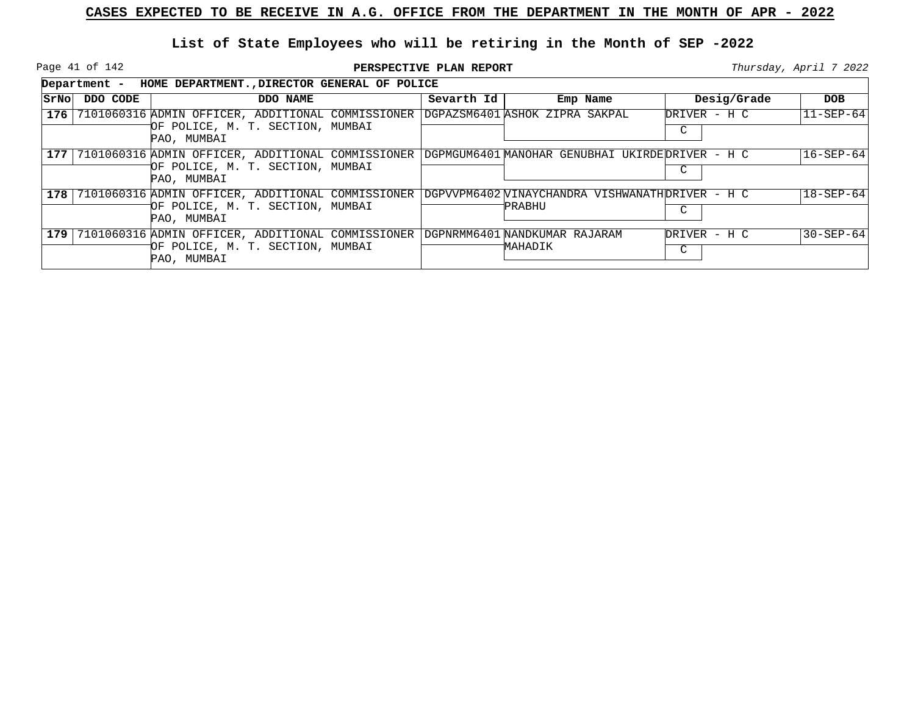Page 41 of 142

|      | HOME DEPARTMENT., DIRECTOR GENERAL OF POLICE<br>Department - |                                                                                                      |  |            |                                                            |   |              |                  |  |  |
|------|--------------------------------------------------------------|------------------------------------------------------------------------------------------------------|--|------------|------------------------------------------------------------|---|--------------|------------------|--|--|
| SrNo | DDO CODE                                                     | DDO NAME                                                                                             |  | Sevarth Id | Emp Name                                                   |   | Desig/Grade  | DOB              |  |  |
| 176  |                                                              | 7101060316 ADMIN OFFICER, ADDITIONAL COMMISSIONER<br>OF POLICE, M. T. SECTION, MUMBAI<br>PAO, MUMBAI |  |            | DGPAZSM6401 ASHOK ZIPRA SAKPAL                             | C | DRIVER - H C | $ 11 - SEP - 64$ |  |  |
| 177  |                                                              | 7101060316 ADMIN OFFICER, ADDITIONAL COMMISSIONER<br>OF POLICE, M. T. SECTION, MUMBAI<br>PAO, MUMBAI |  |            | DGPMGUM6401 MANOHAR GENUBHAI UKIRDEDRIVER - H C            | C |              | 16-SEP-64        |  |  |
| 178  |                                                              | 7101060316 ADMIN OFFICER, ADDITIONAL COMMISSIONER<br>OF POLICE, M. T. SECTION, MUMBAI<br>PAO, MUMBAI |  |            | DGPVVPM6402 WINAYCHANDRA VISHWANATHDRIVER - H C<br>'PRABHU | C |              | $18 - SEP - 64$  |  |  |
| 179  |                                                              | 7101060316 ADMIN OFFICER, ADDITIONAL COMMISSIONER<br>OF POLICE, M. T. SECTION, MUMBAI<br>PAO, MUMBAI |  |            | DGPNRMM6401 NANDKUMAR RAJARAM<br>MAHADIK                   | C | DRIVER - H C | $30 - SEP - 64$  |  |  |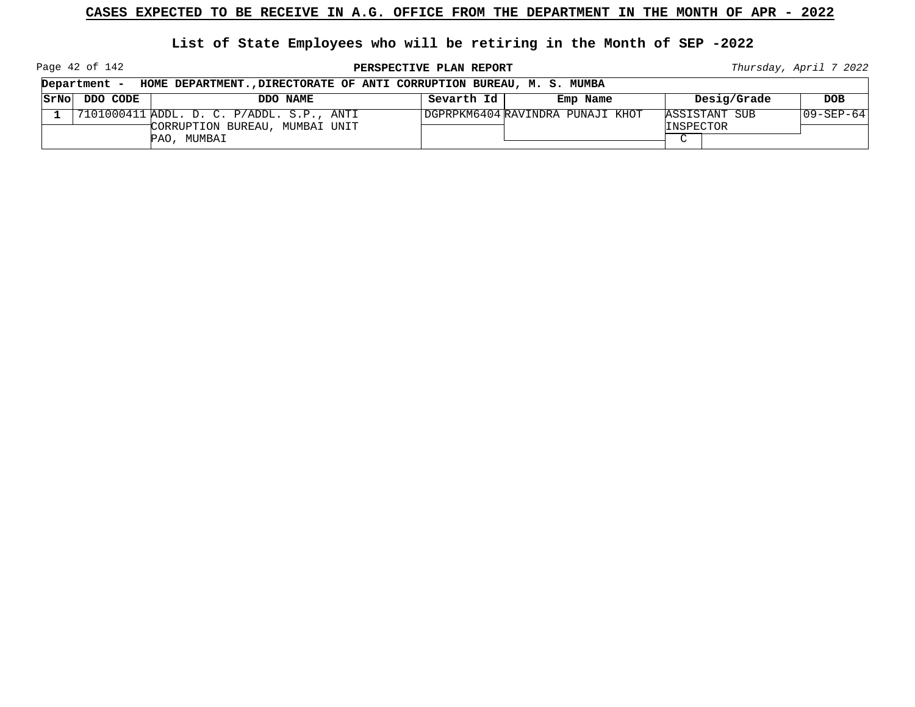**List of State Employees who will be retiring in the Month of SEP -2022**

Page 42 of 142

**PERSPECTIVE PLAN REPORT Thursday**, April 7 2022

┑

| Department -<br>HOME DEPARTMENT., DIRECTORATE OF ANTI CORRUPTION BUREAU, M. S. MUMBA |          |                                           |            |                                  |                     |               |             |  |
|--------------------------------------------------------------------------------------|----------|-------------------------------------------|------------|----------------------------------|---------------------|---------------|-------------|--|
| SrNo                                                                                 | DDO CODE | DDO NAME                                  | Sevarth Id | Emp Name                         |                     | Desig/Grade   | DOB.        |  |
|                                                                                      |          | 7101000411 ADDL. D. C. P/ADDL. S.P., ANTI |            | DGPRPKM6404 RAVINDRA PUNAJI KHOT |                     | ASSISTANT SUB | 109-SEP-641 |  |
|                                                                                      |          | CORRUPTION BUREAU, MUMBAI UNIT            |            |                                  | INSPECTOR<br>$\sim$ |               |             |  |
|                                                                                      |          | PAO, MUMBAI                               |            |                                  |                     |               |             |  |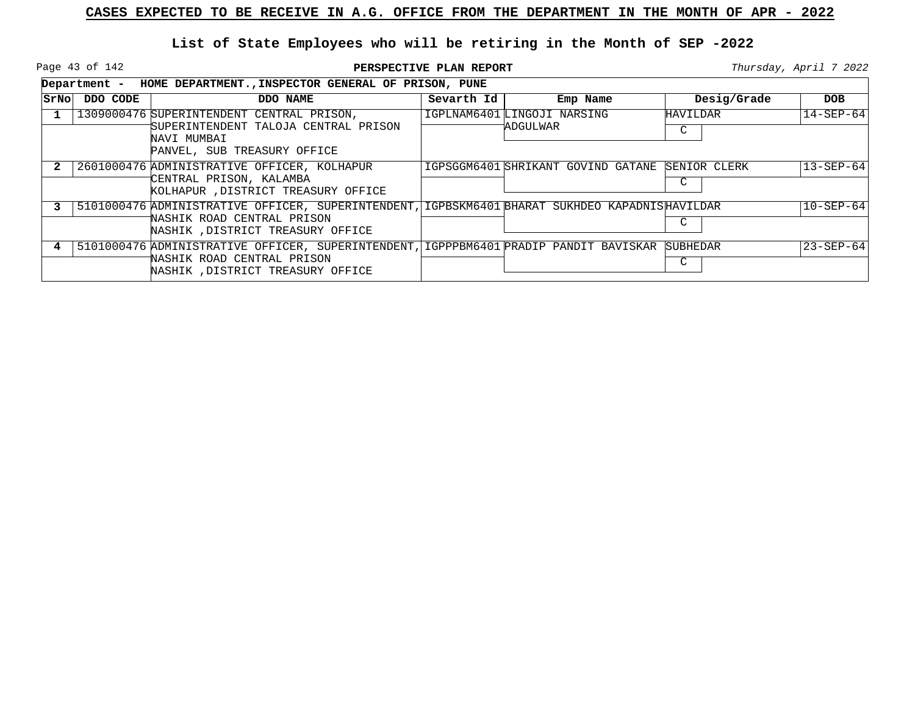Page 43 of 142

**PERSPECTIVE PLAN REPORT Thursday**, April 7 2022

|       | Department - | HOME DEPARTMENT., INSPECTOR GENERAL OF PRISON, PUNE                                                                                                               |            |                                          |                   |                 |
|-------|--------------|-------------------------------------------------------------------------------------------------------------------------------------------------------------------|------------|------------------------------------------|-------------------|-----------------|
| SrNol | DDO CODE     | DDO NAME                                                                                                                                                          | Sevarth Id | Emp Name                                 | Desig/Grade       | DOB             |
|       |              | 1309000476 SUPERINTENDENT CENTRAL PRISON,<br>SUPERINTENDENT TALOJA CENTRAL PRISON<br>NAVI MUMBAI<br>PANVEL, SUB TREASURY OFFICE                                   |            | IGPLNAM6401 LINGOJI NARSING<br>'ADGULWAR | HAVILDAR<br>C     | $14 - SEP - 64$ |
|       |              | 2601000476 ADMINISTRATIVE OFFICER, KOLHAPUR<br>CENTRAL PRISON, KALAMBA<br>KOLHAPUR , DISTRICT TREASURY OFFICE                                                     |            | IGPSGGM6401 SHRIKANT GOVIND GATANE       | SENIOR CLERK<br>C | $13 - SEP - 64$ |
|       |              | 5101000476 ADMINISTRATIVE OFFICER, SUPERINTENDENT, IGPBSKM6401 BHARAT SUKHDEO KAPADNISHAVILDAR<br>NASHIK ROAD CENTRAL PRISON<br>NASHIK , DISTRICT TREASURY OFFICE |            |                                          | C                 | $10 - SEP - 64$ |
|       |              | 5101000476 ADMINISTRATIVE OFFICER, SUPERINTENDENT, IGPPPBM6401 PRADIP PANDIT BAVISKAR<br>NASHIK ROAD CENTRAL PRISON<br>NASHIK, DISTRICT TREASURY OFFICE           |            |                                          | SUBHEDAR<br>C     | $23 - SEP - 64$ |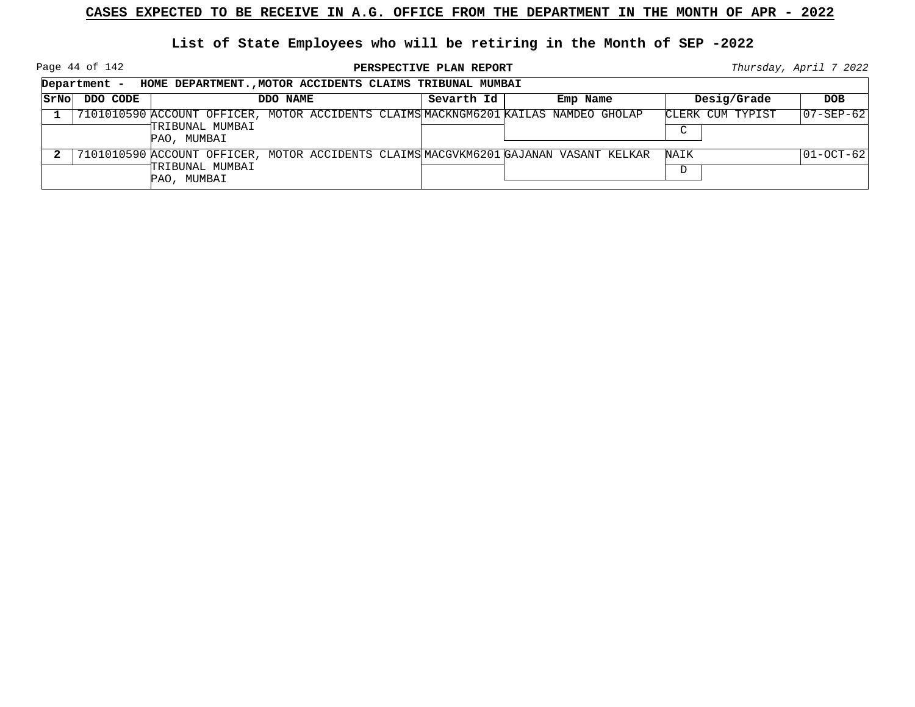Page 44 of 142

**PERSPECTIVE PLAN REPORT Thursday**, April 7 2022

|      | HOME DEPARTMENT., MOTOR ACCIDENTS CLAIMS TRIBUNAL MUMBAI<br>Department - |                                                                                                                        |            |          |                            |                   |  |  |  |
|------|--------------------------------------------------------------------------|------------------------------------------------------------------------------------------------------------------------|------------|----------|----------------------------|-------------------|--|--|--|
| SrNo | DDO CODE                                                                 | DDO NAME                                                                                                               | Sevarth Id | Emp Name | Desig/Grade                | <b>DOB</b>        |  |  |  |
|      |                                                                          | 7101010590 ACCOUNT OFFICER, MOTOR ACCIDENTS CLAIMS MACKNGM6201 KAILAS NAMDEO GHOLAP<br>TRIBUNAL MUMBAI<br>PAO, MUMBAI  |            |          | CLERK CUM TYPIST<br>$\sim$ | $ 07 - SEP - 62 $ |  |  |  |
|      |                                                                          | 7101010590 ACCOUNT OFFICER, MOTOR ACCIDENTS CLAIMS MACGVKM6201 GAJANAN VASANT KELKAR<br>TRIBUNAL MUMBAI<br>PAO, MUMBAI |            |          | NAIK<br>D                  | $ 01-0CT-62 $     |  |  |  |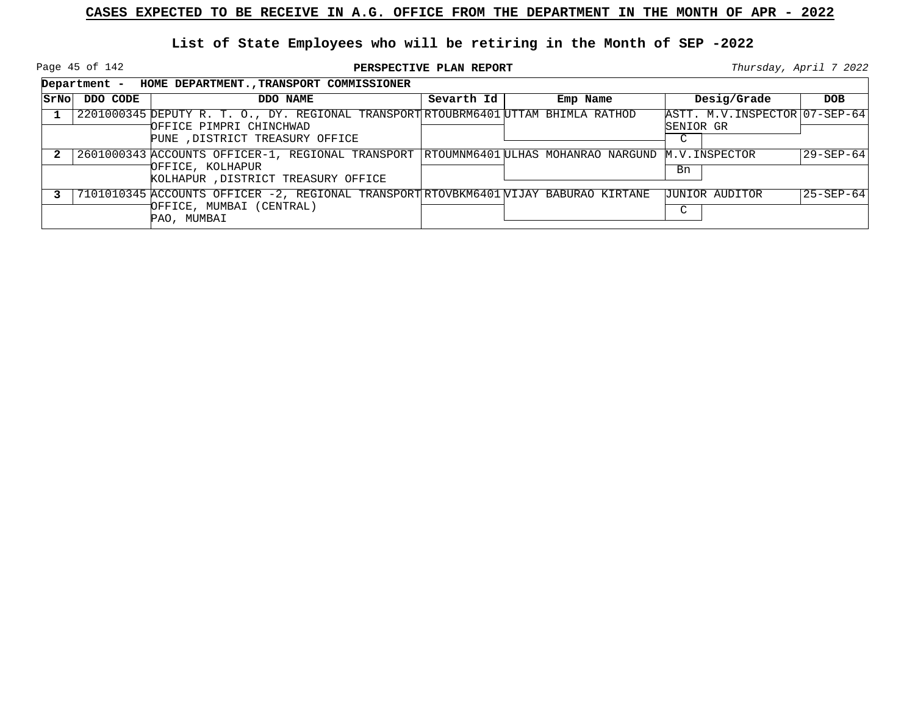Page 45 of 142

|       |          | Department - HOME DEPARTMENT., TRANSPORT COMMISSIONER                                                         |            |                                                  |                                             |            |  |  |  |
|-------|----------|---------------------------------------------------------------------------------------------------------------|------------|--------------------------------------------------|---------------------------------------------|------------|--|--|--|
| SrNol | DDO CODE | DDO NAME                                                                                                      | Sevarth Id | Emp Name                                         | Desig/Grade                                 | <b>DOB</b> |  |  |  |
|       |          | 2201000345 DEPUTY R. T. O., DY. REGIONAL TRANSPORT RTOUBRM6401 UTTAM BHIMLA RATHOD<br>OFFICE PIMPRI CHINCHWAD |            |                                                  | ASTT. M.V. INSPECTOR 07-SEP-64<br>SENIOR GR |            |  |  |  |
|       |          | PUNE , DISTRICT TREASURY OFFICE                                                                               |            |                                                  | C                                           |            |  |  |  |
|       |          | 2601000343 ACCOUNTS OFFICER-1, REGIONAL TRANSPORT                                                             |            | RTOUMNM6401 ULHAS MOHANRAO NARGUND M.V.INSPECTOR |                                             | 29-SEP-64  |  |  |  |
|       |          | OFFICE, KOLHAPUR<br>KOLHAPUR , DISTRICT TREASURY OFFICE                                                       |            |                                                  | Bn                                          |            |  |  |  |
|       |          | 7101010345 ACCOUNTS OFFICER -2, REGIONAL TRANSPORT RTOVBKM6401 VIJAY BABURAO KIRTANE                          |            |                                                  | <b>JUNIOR AUDITOR</b>                       | 25-SEP-64  |  |  |  |
|       |          | OFFICE, MUMBAI (CENTRAL)<br>PAO, MUMBAI                                                                       |            |                                                  | $\sim$                                      |            |  |  |  |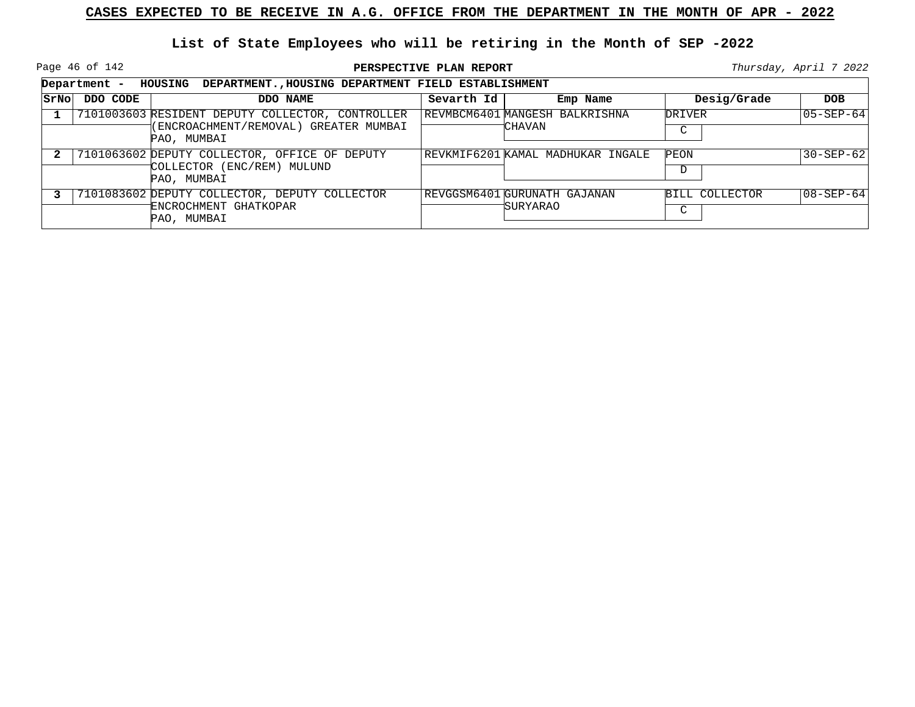Page 46 of 142

|      | Department - | <b>HOUSING</b><br>DEPARTMENT., HOUSING DEPARTMENT FIELD ESTABLISHMENT                                    |            |                                                 |                     |                 |  |  |  |
|------|--------------|----------------------------------------------------------------------------------------------------------|------------|-------------------------------------------------|---------------------|-----------------|--|--|--|
| SrNo | DDO CODE     | DDO NAME                                                                                                 | Sevarth Id | Emp Name                                        | Desig/Grade         | <b>DOB</b>      |  |  |  |
|      |              | 7101003603 RESIDENT DEPUTY COLLECTOR, CONTROLLER<br>(ENCROACHMENT/REMOVAL) GREATER MUMBAI<br>PAO, MUMBAI |            | REVMBCM6401 MANGESH BALKRISHNA<br>†CHAVAN       | <b>DRIVER</b><br>C  | 105-SEP-64      |  |  |  |
|      |              | 7101063602 DEPUTY COLLECTOR, OFFICE OF DEPUTY<br>COLLECTOR (ENC/REM) MULUND<br>PAO, MUMBAI               |            | REVKMIF6201 KAMAL MADHUKAR INGALE               | PEON<br>D           | $30 - SEP - 62$ |  |  |  |
|      |              | 7101083602 DEPUTY COLLECTOR, DEPUTY COLLECTOR<br>ENCROCHMENT GHATKOPAR<br>PAO, MUMBAI                    |            | REVGGSM6401 GURUNATH GAJANAN<br><b>SURYARAO</b> | BILL COLLECTOR<br>◡ | 08-SEP-64       |  |  |  |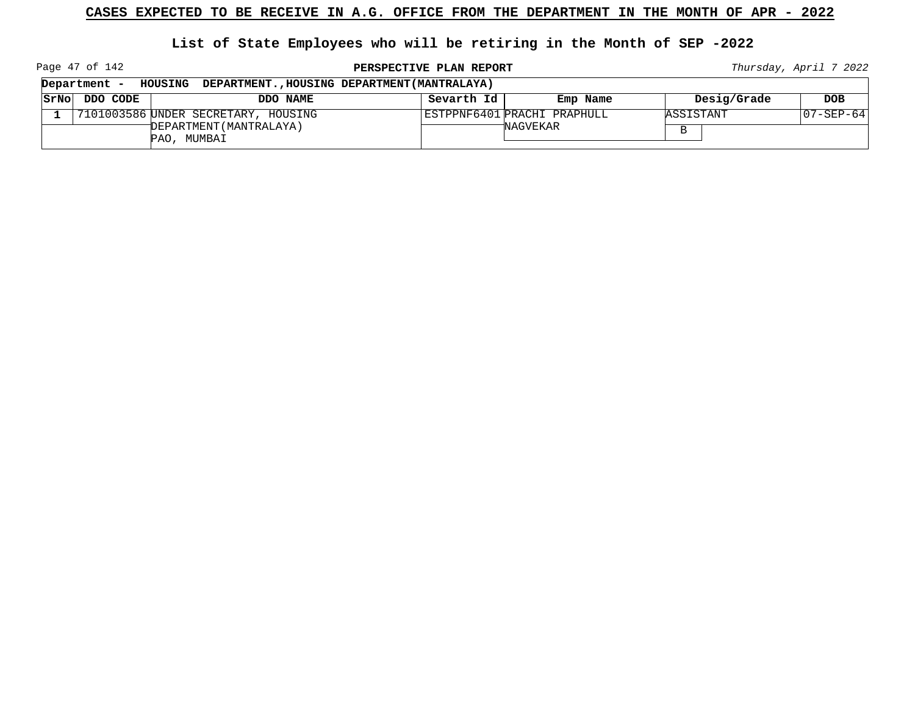## **List of State Employees who will be retiring in the Month of SEP -2022**

Page 47 of 142

**PERSPECTIVE PLAN REPORT Thursday**, April 7 2022

|      | Department - | DEPARTMENT., HOUSING DEPARTMENT (MANTRALAYA)<br><b>HOUSING</b> |            |                             |             |           |
|------|--------------|----------------------------------------------------------------|------------|-----------------------------|-------------|-----------|
| SrNo | DDO CODE     | DDO NAME                                                       | Sevarth Id | Emp Name                    | Desig/Grade | DOB       |
|      |              | 7101003586 UNDER SECRETARY, HOUSING                            |            | ESTPPNF6401 PRACHI PRAPHULL | ASSISTANT   | 07-SEP-64 |
|      |              | DEPARTMENT (MANTRALAYA)<br>PAO, MUMBAI                         |            | *NAGVEKAR                   |             |           |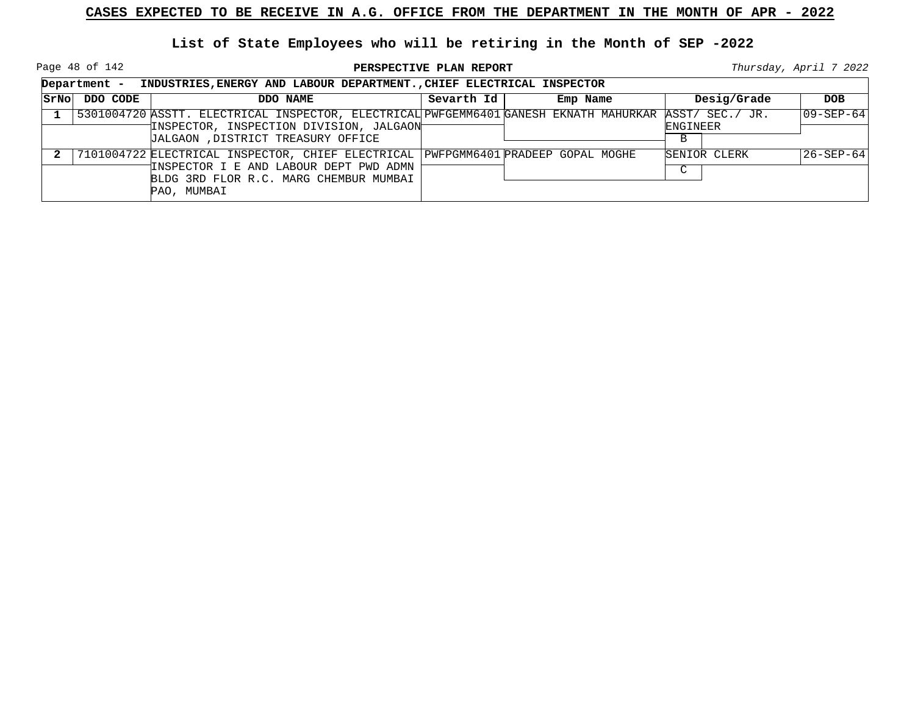Page 48 of 142

|      | Department -<br>INDUSTRIES, ENERGY AND LABOUR DEPARTMENT., CHIEF ELECTRICAL INSPECTOR |                                                                                                                                                                                      |            |          |                                  |                   |  |  |  |
|------|---------------------------------------------------------------------------------------|--------------------------------------------------------------------------------------------------------------------------------------------------------------------------------------|------------|----------|----------------------------------|-------------------|--|--|--|
| SrNo | DDO CODE                                                                              | DDO NAME                                                                                                                                                                             | Sevarth Id | Emp Name | Desig/Grade                      | <b>DOB</b>        |  |  |  |
|      |                                                                                       | 5301004720 ASSTT. ELECTRICAL INSPECTOR, ELECTRICAL PWFGEMM6401 GANESH EKNATH MAHURKAR<br>INSPECTOR, INSPECTION DIVISION, JALGAON<br>JALGAON , DISTRICT TREASURY OFFICE               |            |          | ASST/ SEC./ JR.<br>ENGINEER<br>B | $ 09 - SEP - 64 $ |  |  |  |
|      |                                                                                       | 7101004722 ELECTRICAL INSPECTOR, CHIEF ELECTRICAL PWFPGMM6401 PRADEEP GOPAL MOGHE<br>INSPECTOR I E AND LABOUR DEPT PWD ADMN<br>BLDG 3RD FLOR R.C. MARG CHEMBUR MUMBAI<br>PAO, MUMBAI |            |          | SENIOR CLERK<br>C                | 26-SEP-64         |  |  |  |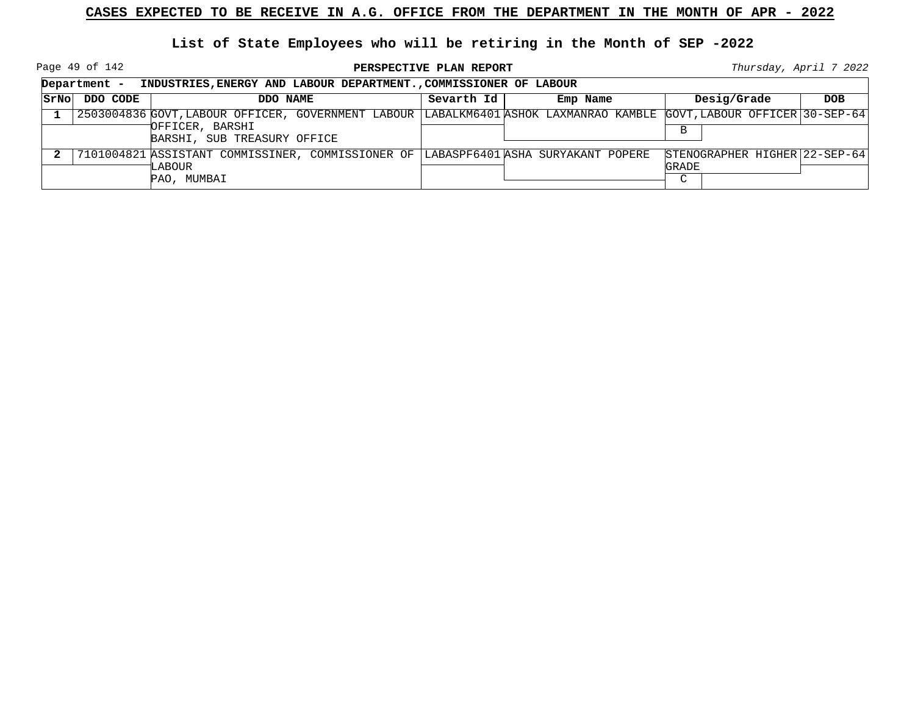Page 49 of 142

|             | Department -<br>INDUSTRIES, ENERGY AND LABOUR DEPARTMENT., COMMISSIONER OF LABOUR |                                                                                                                      |            |          |                                               |            |  |
|-------------|-----------------------------------------------------------------------------------|----------------------------------------------------------------------------------------------------------------------|------------|----------|-----------------------------------------------|------------|--|
| <b>SrNo</b> | DDO CODE                                                                          | DDO NAME                                                                                                             | Sevarth Id | Emp Name | Desig/Grade                                   | <b>DOB</b> |  |
|             |                                                                                   | 2503004836 GOVT, LABOUR OFFICER, GOVERNMENT LABOUR LABALKM6401 ASHOK LAXMANRAO KAMBLE GOVT, LABOUR OFFICER 30-SEP-64 |            |          |                                               |            |  |
|             |                                                                                   | OFFICER, BARSHI<br>BARSHI, SUB TREASURY OFFICE                                                                       |            |          | В                                             |            |  |
|             |                                                                                   | 7101004821 ASSISTANT COMMISSINER, COMMISSIONER OF  LABASPF6401 ASHA SURYAKANT POPERE<br>LABOUR                       |            |          | STENOGRAPHER HIGHER 22-SEP-64<br><b>GRADE</b> |            |  |
|             |                                                                                   | PAO, MUMBAI                                                                                                          |            |          | $\sim$                                        |            |  |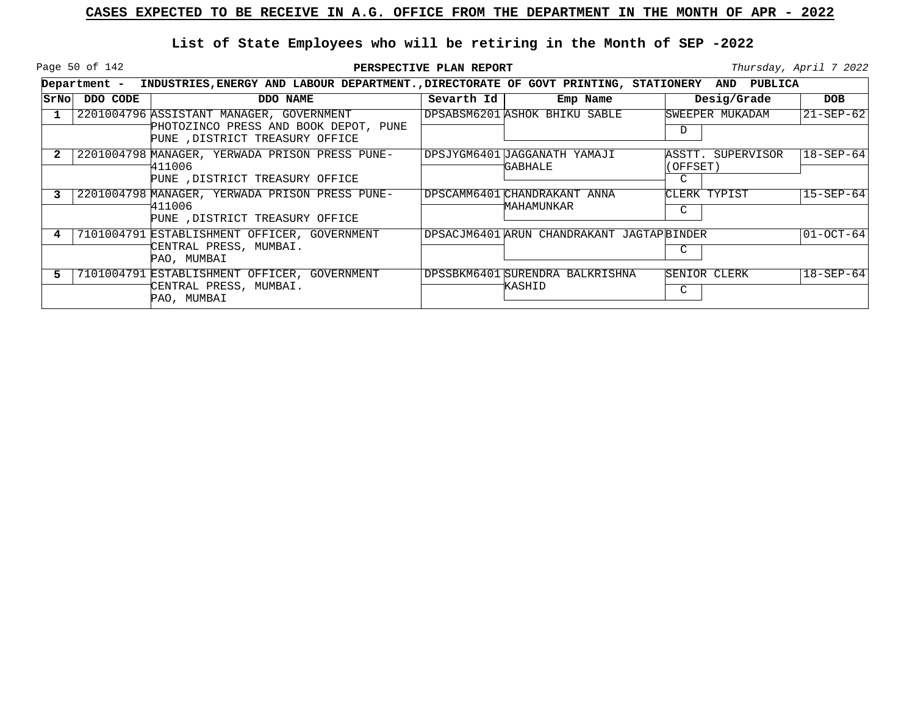Page 50 of 142

|      | Department - | INDUSTRIES, ENERGY AND LABOUR DEPARTMENT., DIRECTORATE OF GOVT PRINTING, STATIONERY AND |            |                                           |               | <b>PUBLICA</b>    |                          |
|------|--------------|-----------------------------------------------------------------------------------------|------------|-------------------------------------------|---------------|-------------------|--------------------------|
| SrNo | DDO CODE     | DDO NAME                                                                                | Sevarth Id | Emp Name                                  |               | Desig/Grade       | <b>DOB</b>               |
|      |              | 2201004796 ASSISTANT MANAGER, GOVERNMENT                                                |            | DPSABSM6201 ASHOK BHIKU SABLE             |               | SWEEPER MUKADAM   | $ 21 - \text{SEP} - 62 $ |
|      |              | PHOTOZINCO PRESS AND BOOK DEPOT, PUNE<br>PUNE , DISTRICT TREASURY OFFICE                |            |                                           | D             |                   |                          |
|      |              | 2201004798 MANAGER, YERWADA PRISON PRESS PUNE-                                          |            | DPSJYGM6401 JAGGANATH YAMAJI              |               | ASSTT. SUPERVISOR | $18 - SEP - 64$          |
|      |              | 411006<br>PUNE , DISTRICT TREASURY OFFICE                                               |            | GABHALE                                   | (OFFSET)<br>C |                   |                          |
|      |              | 2201004798 MANAGER, YERWADA PRISON PRESS PUNE-                                          |            | DPSCAMM6401 CHANDRAKANT ANNA              |               | CLERK TYPIST      | $15 - SEP - 64$          |
|      |              | 1411006<br>PUNE , DISTRICT TREASURY OFFICE                                              |            | MAHAMUNKAR                                | C             |                   |                          |
| 4    |              | 7101004791 ESTABLISHMENT OFFICER, GOVERNMENT                                            |            | DPSACJM6401 ARUN CHANDRAKANT JAGTAPBINDER |               |                   | $ 01-OCT-64 $            |
|      |              | CENTRAL PRESS, MUMBAI.<br>PAO, MUMBAI                                                   |            |                                           | C             |                   |                          |
| 5    |              | 7101004791 ESTABLISHMENT OFFICER, GOVERNMENT                                            |            | DPSSBKM6401 SURENDRA BALKRISHNA           |               | SENIOR CLERK      | $18 - SEP - 64$          |
|      |              | CENTRAL PRESS, MUMBAI.<br>PAO, MUMBAI                                                   |            | KASHID                                    | C             |                   |                          |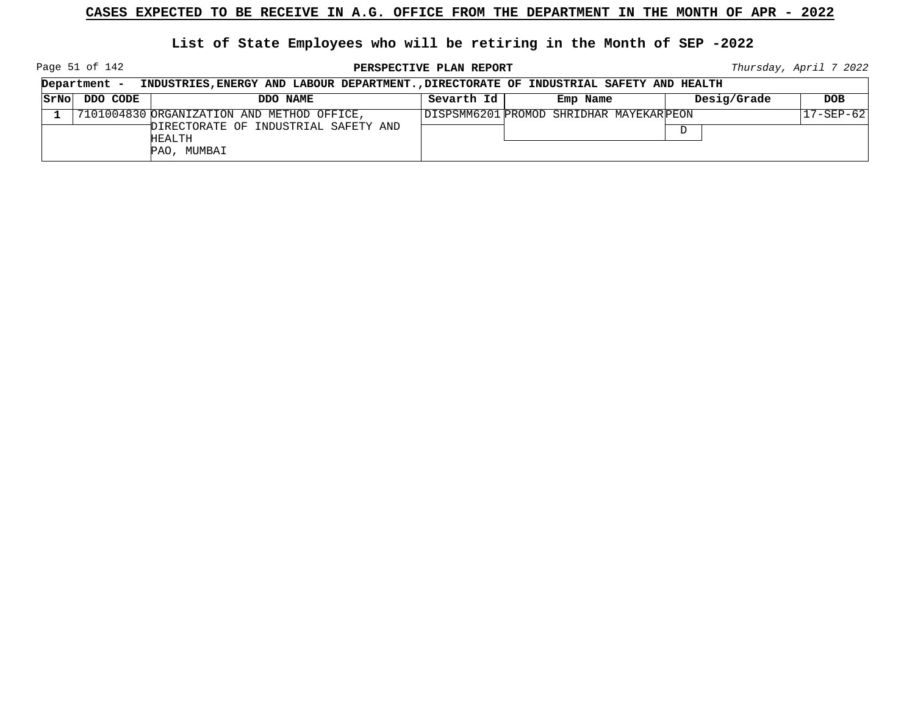Page 51 of 142

**PERSPECTIVE PLAN REPORT Thursday**, April 7 2022

| Department -<br>INDUSTRIES, ENERGY AND LABOUR DEPARTMENT., DIRECTORATE OF INDUSTRIAL SAFETY AND HEALTH |                                            |            |                                          |             |                 |
|--------------------------------------------------------------------------------------------------------|--------------------------------------------|------------|------------------------------------------|-------------|-----------------|
| STNO DDO CODE                                                                                          | DDO NAME                                   | Sevarth Id | Emp Name                                 | Desig/Grade | <b>DOB</b>      |
|                                                                                                        | 7101004830 ORGANIZATION AND METHOD OFFICE, |            | DISPSMM6201 PROMOD SHRIDHAR MAYEKAR PEON |             | $17 - SEP - 62$ |
|                                                                                                        | DIRECTORATE OF INDUSTRIAL SAFETY AND       |            |                                          | D           |                 |
|                                                                                                        | HEALTH                                     |            |                                          |             |                 |
|                                                                                                        | PAO, MUMBAI                                |            |                                          |             |                 |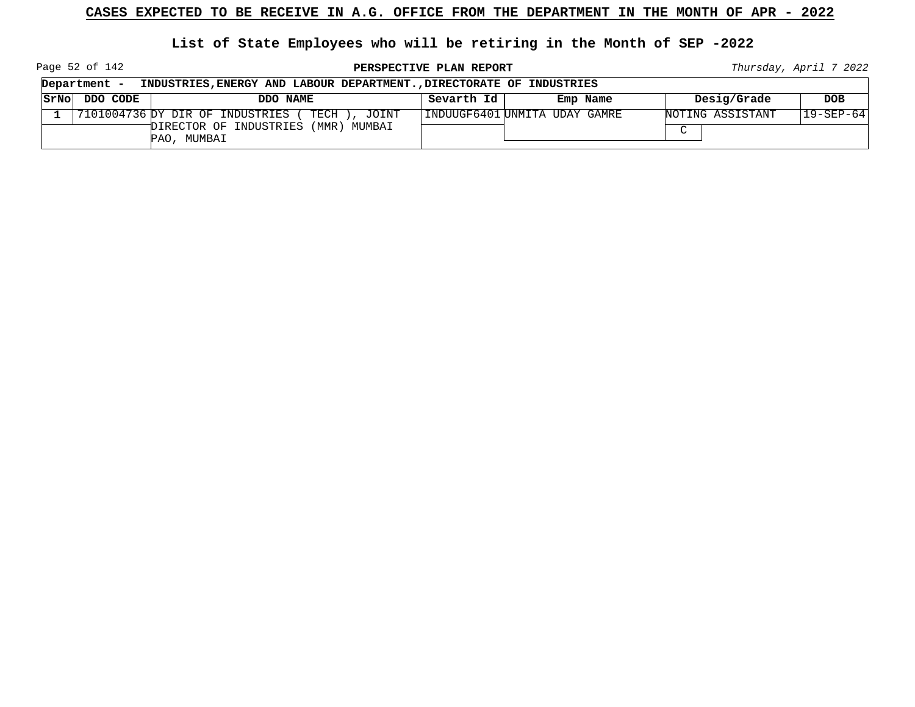**List of State Employees who will be retiring in the Month of SEP -2022**

Page 52 of 142

**PERSPECTIVE PLAN REPORT Thursday**, April 7 2022

┑

|      | Department -<br>INDUSTRIES, ENERGY AND LABOUR DEPARTMENT., DIRECTORATE OF INDUSTRIES |                                                            |            |                                |                  |                 |  |  |
|------|--------------------------------------------------------------------------------------|------------------------------------------------------------|------------|--------------------------------|------------------|-----------------|--|--|
| SrNo | DDO CODE                                                                             | DDO NAME                                                   | Sevarth Id | Emp Name                       | Desig/Grade      | <b>DOB</b>      |  |  |
|      |                                                                                      | $ 7101004736$ $p$ y dir OF INDUSTRIES<br>TECH )<br>, JOINT |            | IINDUUGF6401 UNMITA UDAY GAMRE | NOTING ASSISTANT | $19 - SEP - 64$ |  |  |
|      |                                                                                      | (MMR) MUMBAI<br>DIRECTOR OF INDUSTRIES<br>PAO, MUMBAI      |            |                                | $\sim$           |                 |  |  |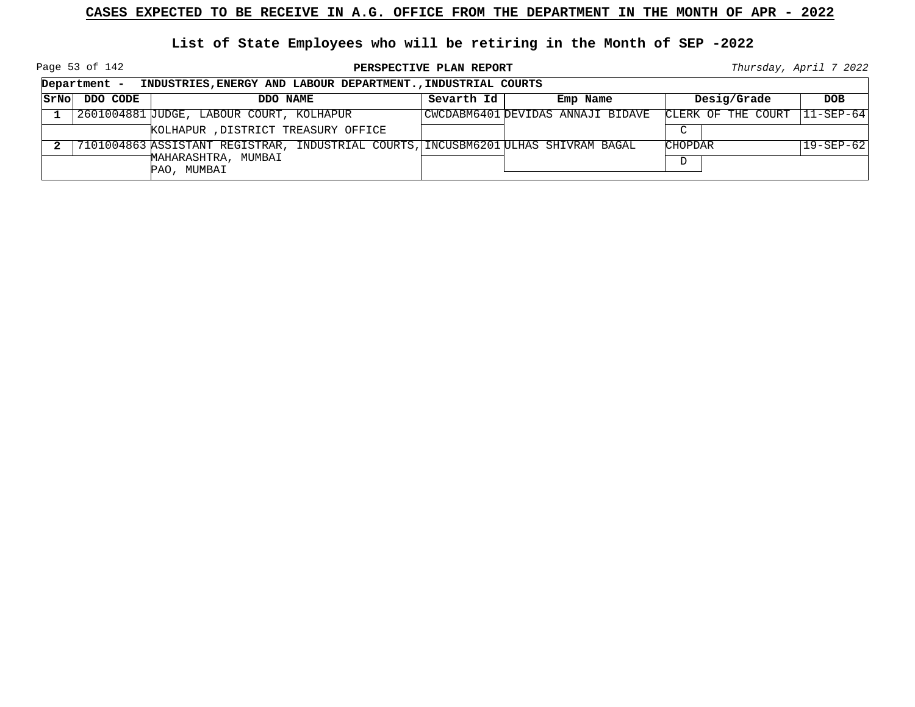Page 53 of 142

**PERSPECTIVE PLAN REPORT Thursday**, April 7 2022

|       | Department -<br>INDUSTRIES, ENERGY AND LABOUR DEPARTMENT., INDUSTRIAL COURTS |                                                                                    |            |                                   |                    |                          |  |  |
|-------|------------------------------------------------------------------------------|------------------------------------------------------------------------------------|------------|-----------------------------------|--------------------|--------------------------|--|--|
| SrNol | DDO CODE                                                                     | DDO NAME                                                                           | Sevarth Id | Emp Name                          | Desig/Grade        | <b>DOB</b>               |  |  |
|       |                                                                              | 2601004881 JUDGE, LABOUR COURT, KOLHAPUR                                           |            | CWCDABM6401 DEVIDAS ANNAJI BIDAVE | CLERK OF THE COURT | $ 11 - \text{SEP} - 64 $ |  |  |
|       |                                                                              | KOLHAPUR, DISTRICT TREASURY OFFICE                                                 |            |                                   | $\mathcal{C}$      |                          |  |  |
|       |                                                                              | 7101004863 ASSISTANT REGISTRAR, INDUSTRIAL COURTS, INCUSBM6201 ULHAS SHIVRAM BAGAL |            |                                   | <b>CHOPDAR</b>     | 19-SEP-62                |  |  |
|       |                                                                              | MAHARASHTRA, MUMBAI<br>PAO, MUMBAI                                                 |            |                                   | D                  |                          |  |  |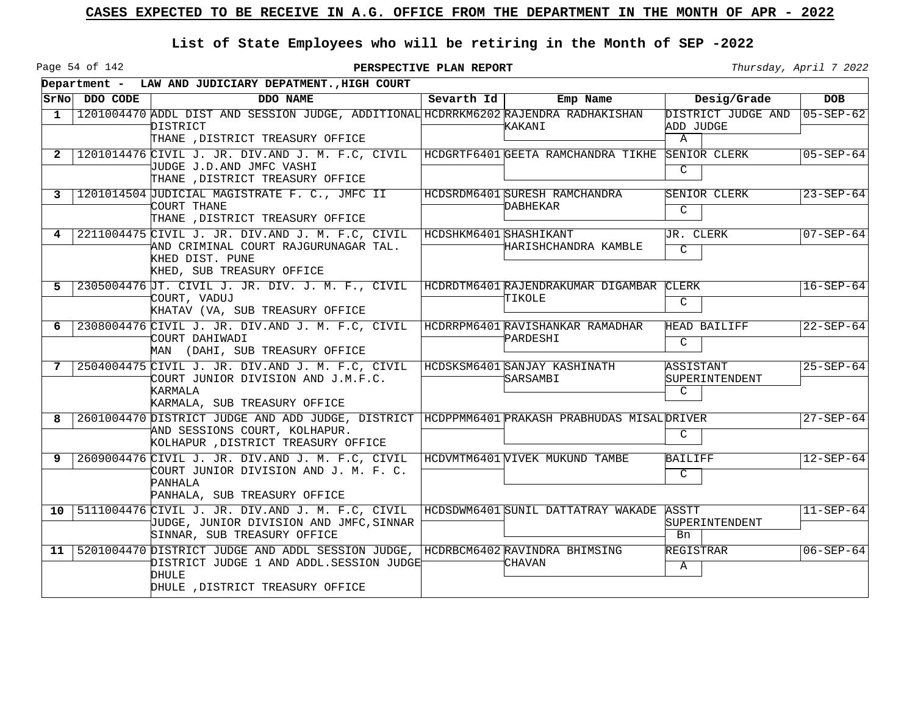Page 54 of 142

|                 |               | Department - LAW AND JUDICIARY DEPATMENT., HIGH COURT                                                                                                                        |                        |                                                    |                                                 |                 |
|-----------------|---------------|------------------------------------------------------------------------------------------------------------------------------------------------------------------------------|------------------------|----------------------------------------------------|-------------------------------------------------|-----------------|
|                 | SrNo DDO CODE | DDO NAME                                                                                                                                                                     | Sevarth $Id$           | Emp Name                                           | Desig/Grade                                     | <b>DOB</b>      |
| 1               |               | 1201004470 ADDL DIST AND SESSION JUDGE, ADDITIONAL HCDRRKM6202 RAJENDRA RADHAKISHAN<br>DISTRICT<br>THANE , DISTRICT TREASURY OFFICE                                          |                        | KAKANI                                             | DISTRICT JUDGE AND<br>ADD JUDGE<br>$\mathbb{A}$ | $05 - SEP - 62$ |
| 2               |               | 1201014476 CIVIL J. JR. DIV.AND J. M. F.C, CIVIL<br>JUDGE J.D.AND JMFC VASHI<br>THANE , DISTRICT TREASURY OFFICE                                                             |                        | HCDGRTF6401 GEETA RAMCHANDRA TIKHE                 | SENIOR CLERK<br>C                               | $05 - SEP - 64$ |
| 3               |               | 1201014504 JUDICIAL MAGISTRATE F. C., JMFC II<br>COURT THANE<br>THANE , DISTRICT TREASURY OFFICE                                                                             |                        | HCDSRDM6401 SURESH RAMCHANDRA<br>DABHEKAR          | <b>SENIOR CLERK</b><br>$\mathcal{C}$            | $23 - SEP - 64$ |
| 4               |               | 2211004475 CIVIL J. JR. DIV.AND J. M. F.C, CIVIL<br>AND CRIMINAL COURT RAJGURUNAGAR TAL.<br>KHED DIST. PUNE<br>KHED, SUB TREASURY OFFICE                                     | HCDSHKM6401 SHASHIKANT | HARISHCHANDRA KAMBLE                               | <b>JR. CLERK</b><br>$\mathcal{C}$               | $07 - SEP - 64$ |
| -5              |               | 2305004476 JT. CIVIL J. JR. DIV. J. M. F., CIVIL<br>COURT, VADUJ<br>KHATAV (VA, SUB TREASURY OFFICE                                                                          |                        | HCDRDTM6401 RAJENDRAKUMAR DIGAMBAR CLERK<br>TIKOLE | $\mathcal{C}$                                   | $16 - SEP - 64$ |
| 6               |               | 2308004476 CIVIL J. JR. DIV.AND J. M. F.C, CIVIL<br>COURT DAHIWADI<br>MAN (DAHI, SUB TREASURY OFFICE                                                                         |                        | HCDRRPM6401 RAVISHANKAR RAMADHAR<br>PARDESHI       | HEAD BAILIFF<br>C                               | $22 - SEP - 64$ |
| 7               |               | 2504004475 CIVIL J. JR. DIV.AND J. M. F.C, CIVIL<br>COURT JUNIOR DIVISION AND J.M.F.C.<br>KARMALA<br>KARMALA, SUB TREASURY OFFICE                                            |                        | HCDSKSM6401 SANJAY KASHINATH<br>SARSAMBI           | ASSISTANT<br>SUPERINTENDENT<br>$\mathcal{C}$    | $25 - SEP - 64$ |
| 8               |               | 2601004470 DISTRICT JUDGE AND ADD JUDGE, DISTRICT HCDPPMM6401 PRAKASH PRABHUDAS MISAL DRIVER<br>AND SESSIONS COURT, KOLHAPUR.<br>KOLHAPUR , DISTRICT TREASURY OFFICE         |                        |                                                    | C                                               | $27 - SEP - 64$ |
| 9               |               | 2609004476 CIVIL J. JR. DIV.AND J. M. F.C, CIVIL<br>COURT JUNIOR DIVISION AND J. M. F. C.<br>PANHALA<br>PANHALA, SUB TREASURY OFFICE                                         |                        | HCDVMTM6401 VIVEK MUKUND TAMBE                     | BAILIFF<br>C                                    | $12 - SEP - 64$ |
| 10 <sup>1</sup> |               | 5111004476 CIVIL J. JR. DIV.AND J. M. F.C, CIVIL<br>JUDGE, JUNIOR DIVISION AND JMFC, SINNAR<br>SINNAR, SUB TREASURY OFFICE                                                   |                        | HCDSDWM6401 SUNIL DATTATRAY WAKADE                 | ASSTT<br>SUPERINTENDENT<br>Bn                   | $11 - SEP - 64$ |
|                 |               | 11   5201004470 DISTRICT JUDGE AND ADDL SESSION JUDGE, HCDRBCM6402 RAVINDRA BHIMSING<br>DISTRICT JUDGE 1 AND ADDL.SESSION JUDGE<br>DHULE<br>DHULE , DISTRICT TREASURY OFFICE |                        | CHAVAN                                             | REGISTRAR<br>Α                                  | $06 - SEP - 64$ |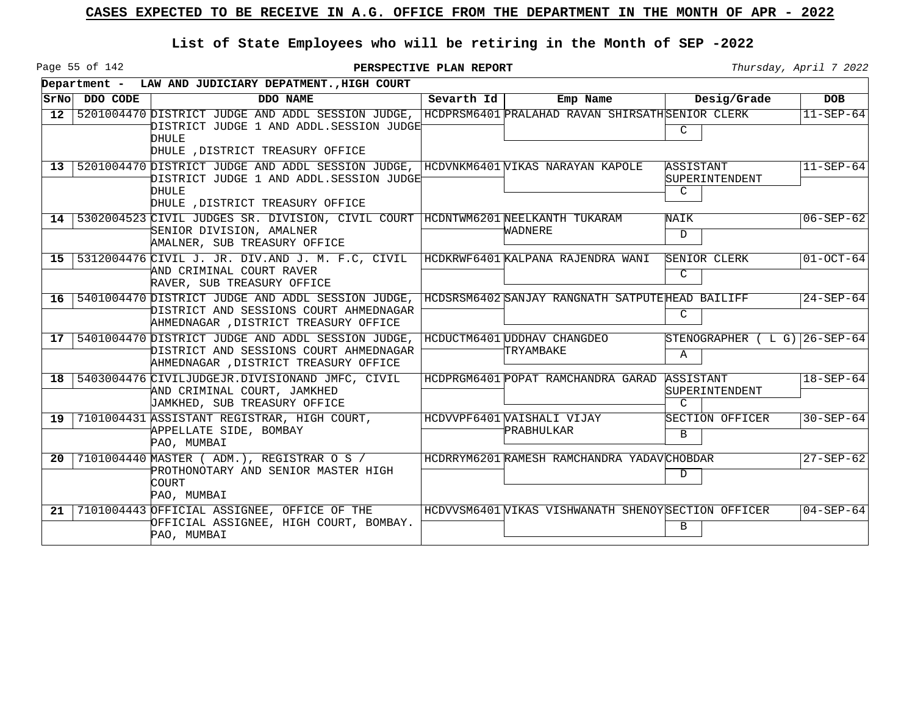Page 55 of 142

|                 |          | Department - LAW AND JUDICIARY DEPATMENT., HIGH COURT                                                                                         |            |                                                     |                                              |                 |
|-----------------|----------|-----------------------------------------------------------------------------------------------------------------------------------------------|------------|-----------------------------------------------------|----------------------------------------------|-----------------|
| SrNo            | DDO CODE | DDO NAME                                                                                                                                      | Sevarth Id | Emp Name                                            | Desig/Grade                                  | <b>DOB</b>      |
| 12 <sup>1</sup> |          | 5201004470 DISTRICT JUDGE AND ADDL SESSION JUDGE,<br>DISTRICT JUDGE 1 AND ADDL.SESSION JUDGE<br>DHULE<br>DHULE , DISTRICT TREASURY OFFICE     |            | HCDPRSM6401 PRALAHAD RAVAN SHIRSATHSENIOR CLERK     | C                                            | $11 - SEP - 64$ |
|                 |          | 13 5201004470 DISTRICT JUDGE AND ADDL SESSION JUDGE,<br>DISTRICT JUDGE 1 AND ADDL.SESSION JUDGET<br>DHULE<br>DHULE , DISTRICT TREASURY OFFICE |            | HCDVNKM6401 VIKAS NARAYAN KAPOLE                    | ASSISTANT<br>SUPERINTENDENT<br>$\mathcal{C}$ | $11 - SEP - 64$ |
|                 |          | 14 5302004523 CIVIL JUDGES SR. DIVISION, CIVIL COURT<br>SENIOR DIVISION, AMALNER<br>AMALNER, SUB TREASURY OFFICE                              |            | HCDNTWM6201 NEELKANTH TUKARAM<br>WADNERE            | NAIK<br>D                                    | $06 - SEP - 62$ |
|                 |          | 15 5312004476 CIVIL J. JR. DIV.AND J. M. F.C, CIVIL<br>AND CRIMINAL COURT RAVER<br>RAVER, SUB TREASURY OFFICE                                 |            | HCDKRWF6401 KALPANA RAJENDRA WANI                   | SENIOR CLERK<br>C                            | $01-0CT-64$     |
|                 |          | 16   5401004470 DISTRICT JUDGE AND ADDL SESSION JUDGE,<br>DISTRICT AND SESSIONS COURT AHMEDNAGAR<br>AHMEDNAGAR , DISTRICT TREASURY OFFICE     |            | HCDSRSM6402 SANJAY RANGNATH SATPUTEHEAD BAILIFF     | C                                            | $24 - SEP - 64$ |
|                 |          | 17   5401004470 DISTRICT JUDGE AND ADDL SESSION JUDGE,<br>DISTRICT AND SESSIONS COURT AHMEDNAGAR<br>AHMEDNAGAR , DISTRICT TREASURY OFFICE     |            | HCDUCTM6401 UDDHAV CHANGDEO<br>TRYAMBAKE            | STENOGRAPHER (LG) 26-SEP-64<br>$\mathbf{A}$  |                 |
|                 |          | 18   5403004476 CIVILJUDGEJR. DIVISIONAND JMFC, CIVIL<br>AND CRIMINAL COURT, JAMKHED<br>JAMKHED, SUB TREASURY OFFICE                          |            | HCDPRGM6401 POPAT RAMCHANDRA GARAD                  | ASSISTANT<br><b>SUPERINTENDENT</b><br>C      | $18 - SEP - 64$ |
| 19 <sup>1</sup> |          | 7101004431 ASSISTANT REGISTRAR, HIGH COURT,<br>APPELLATE SIDE, BOMBAY<br>PAO, MUMBAI                                                          |            | HCDVVPF6401 VAISHALI VIJAY<br><b>PRABHULKAR</b>     | SECTION OFFICER<br>B                         | $30 - SEP - 64$ |
| 20              |          | 7101004440 MASTER ( ADM.), REGISTRAR O S /<br>PROTHONOTARY AND SENIOR MASTER HIGH<br>COURT<br>PAO, MUMBAI                                     |            | HCDRRYM6201 RAMESH RAMCHANDRA YADAVCHOBDAR          | D                                            | $27 - SEP - 62$ |
| 21              |          | 7101004443 OFFICIAL ASSIGNEE, OFFICE OF THE<br>OFFICIAL ASSIGNEE, HIGH COURT, BOMBAY.<br>PAO, MUMBAI                                          |            | HCDVVSM6401 VIKAS VISHWANATH SHENOY SECTION OFFICER | B                                            | $04 - SEP - 64$ |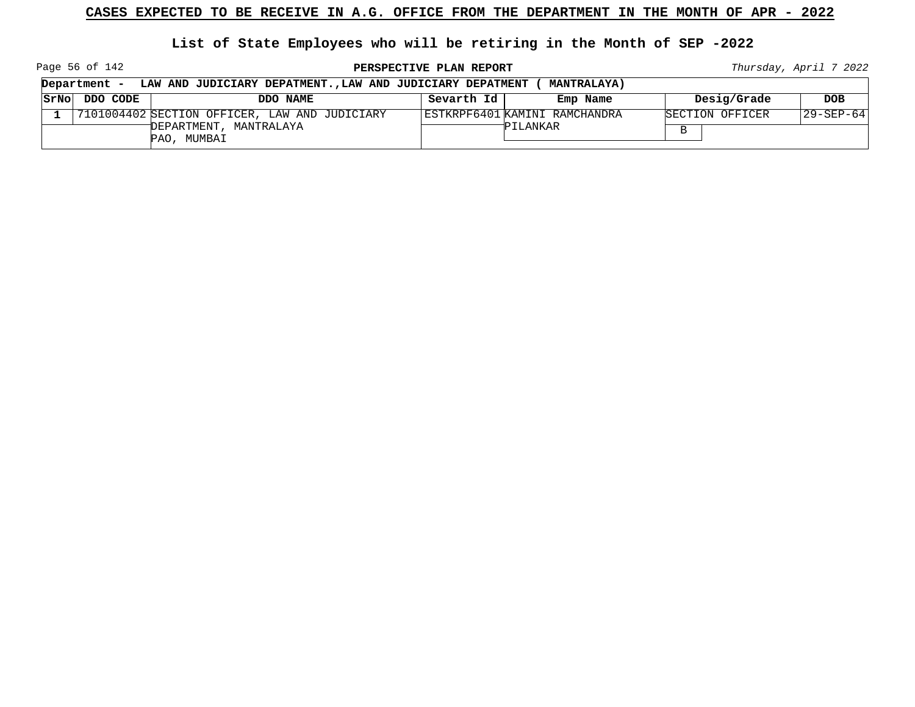**List of State Employees who will be retiring in the Month of SEP -2022**

Page 56 of 142

**PERSPECTIVE PLAN REPORT Thursday**, April 7 2022

|      | Department - | LAW AND JUDICIARY DEPATMENT., LAW AND JUDICIARY DEPATMENT |            | <b>MANTRALAYA)</b>            |                 |                   |
|------|--------------|-----------------------------------------------------------|------------|-------------------------------|-----------------|-------------------|
| SrNo | DDO CODE     | DDO NAME                                                  | Sevarth Id | Emp Name                      | Desig/Grade     | <b>DOB</b>        |
|      |              | 7101004402 SECTION OFFICER, LAW AND JUDICIARY             |            | ESTKRPF6401 KAMINI RAMCHANDRA | SECTION OFFICER | $ 29 - SEP - 64 $ |
|      |              | DEPARTMENT, MANTRALAYA<br>PAO, MUMBAI                     |            | PILANKAR                      | в               |                   |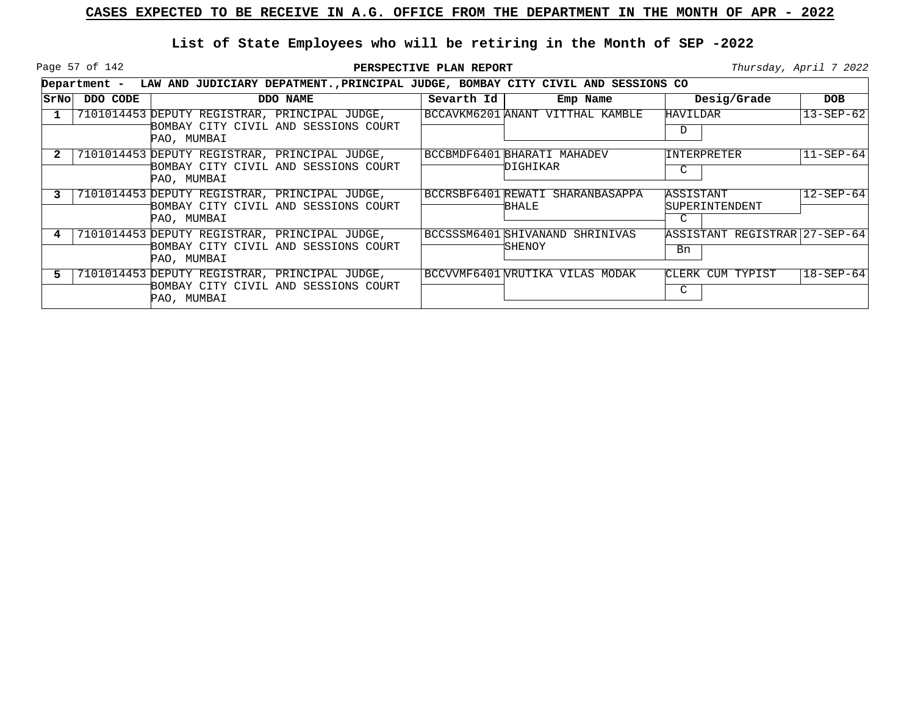Page 57 of 142

|      |          | Department - LAW AND JUDICIARY DEPATMENT., PRINCIPAL JUDGE, BOMBAY CITY CIVIL AND SESSIONS CO        |            |                                                   |                                     |                   |
|------|----------|------------------------------------------------------------------------------------------------------|------------|---------------------------------------------------|-------------------------------------|-------------------|
| SrNo | DDO CODE | DDO NAME                                                                                             | Sevarth Id | Emp Name                                          | Desig/Grade                         | <b>DOB</b>        |
|      |          | 7101014453 DEPUTY REGISTRAR, PRINCIPAL JUDGE,<br>BOMBAY CITY CIVIL AND SESSIONS COURT<br>PAO, MUMBAI |            | BCCAVKM6201 ANANT VITTHAL KAMBLE                  | HAVILDAR<br>D                       | $13 - SEP - 62$   |
|      |          | 7101014453 DEPUTY REGISTRAR, PRINCIPAL JUDGE,<br>BOMBAY CITY CIVIL AND SESSIONS COURT<br>PAO, MUMBAI |            | BCCBMDF6401 BHARATI MAHADEV<br>DIGHIKAR           | <b>INTERPRETER</b><br>C             | $11 - SEP - 64$   |
|      |          | 7101014453 DEPUTY REGISTRAR, PRINCIPAL JUDGE,<br>BOMBAY CITY CIVIL AND SESSIONS COURT<br>PAO, MUMBAI |            | BCCRSBF6401 REWATI SHARANBASAPPA<br>BHALE         | ASSISTANT<br>SUPERINTENDENT<br>C    | $12 - SEP - 64$   |
|      |          | 7101014453 DEPUTY REGISTRAR, PRINCIPAL JUDGE,<br>BOMBAY CITY CIVIL AND SESSIONS COURT<br>PAO, MUMBAI |            | BCCSSSM6401 SHIVANAND SHRINIVAS<br><b>İSHENOY</b> | ASSISTANT REGISTRAR 27-SEP-64<br>Bn |                   |
|      |          | 7101014453 DEPUTY REGISTRAR, PRINCIPAL JUDGE,<br>BOMBAY CITY CIVIL AND SESSIONS COURT<br>PAO, MUMBAI |            | BCCVVMF6401 VRUTIKA VILAS MODAK                   | CLERK CUM TYPIST<br>C               | $ 18 - SEP - 64 $ |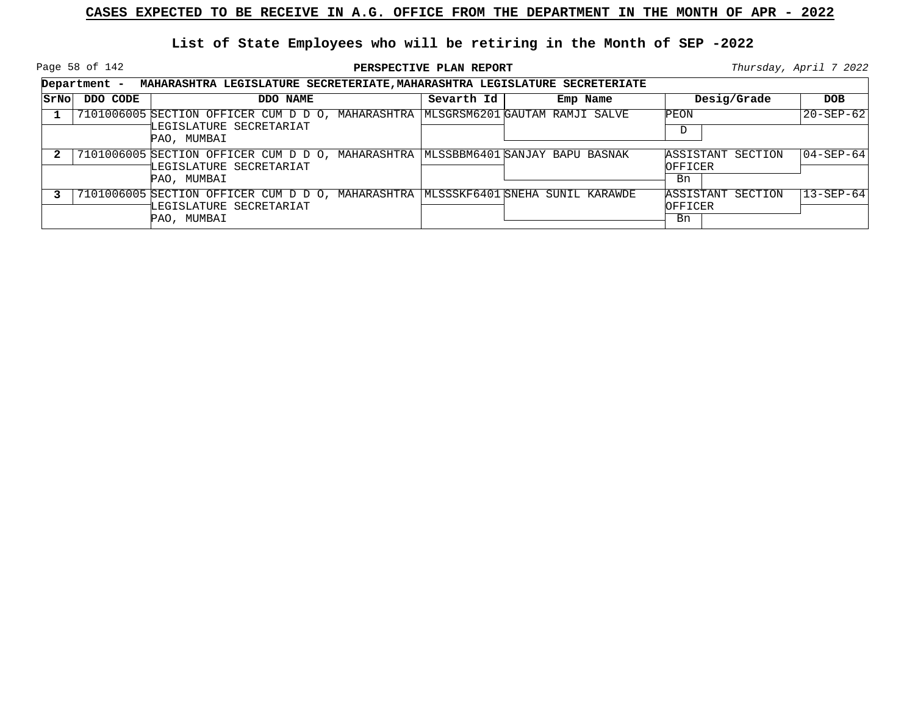Page 58 of 142

|             |          | Department - MAHARASHTRA LEGISLATURE SECRETERIATE, MAHARASHTRA LEGISLATURE SECRETERIATE                                       |            |          |               |                   |                   |
|-------------|----------|-------------------------------------------------------------------------------------------------------------------------------|------------|----------|---------------|-------------------|-------------------|
| <b>SrNo</b> | DDO CODE | DDO NAME                                                                                                                      | Sevarth Id | Emp Name |               | Desig/Grade       | <b>DOB</b>        |
|             |          | 7101006005 SECTION OFFICER CUM D D O, MAHARASHTRA MLSGRSM6201 GAUTAM RAMJI SALVE<br>LEGISLATURE SECRETARIAT<br>PAO, MUMBAI    |            |          | PEON<br>D     |                   | $20 - SEP - 62$   |
|             |          | 7101006005 SECTION OFFICER CUM D D O, MAHARASHTRA MLSSBBM6401 SANJAY BAPU BASNAK<br>LEGISLATURE SECRETARIAT<br>PAO, MUMBAI    |            |          | OFFICER<br>Bn | ASSISTANT SECTION | $ 04 - SEP - 64 $ |
|             |          | 7101006005 SECTION OFFICER CUM D D O, MAHARASHTRA   MLSSSKF6401 SNEHA SUNIL KARAWDE<br>LEGISLATURE SECRETARIAT<br>PAO, MUMBAI |            |          | OFFICER<br>Bn | ASSISTANT SECTION | $13 - SEP - 64$   |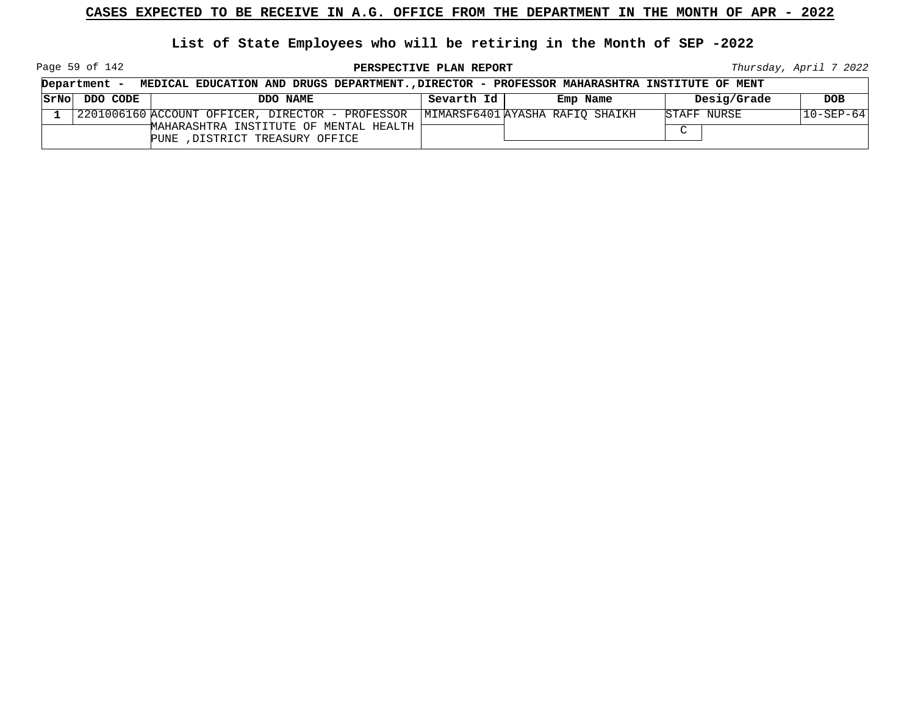**List of State Employees who will be retiring in the Month of SEP -2022**

Page 59 of 142

**PERSPECTIVE PLAN REPORT Thursday**, April 7 2022

| Department -          | MEDICAL EDUCATION AND DRUGS DEPARTMENT., DIRECTOR - PROFESSOR MAHARASHTRA INSTITUTE OF MENT |            |          |             |                 |
|-----------------------|---------------------------------------------------------------------------------------------|------------|----------|-------------|-----------------|
| $ SrNo $ DDO CODE $ $ | DDO NAME                                                                                    | Sevarth Id | Emp Name | Desig/Grade | <b>DOB</b>      |
|                       | 2201006160 ACCOUNT OFFICER, DIRECTOR - PROFESSOR   MIMARSF6401 AYASHA RAFIO SHAIKH          |            |          | STAFF NURSE | $10 - SEP - 64$ |
|                       | MAHARASHTRA INSTITUTE OF MENTAL HEALTH  <br>PUNE , DISTRICT TREASURY OFFICE                 |            |          | $\sim$      |                 |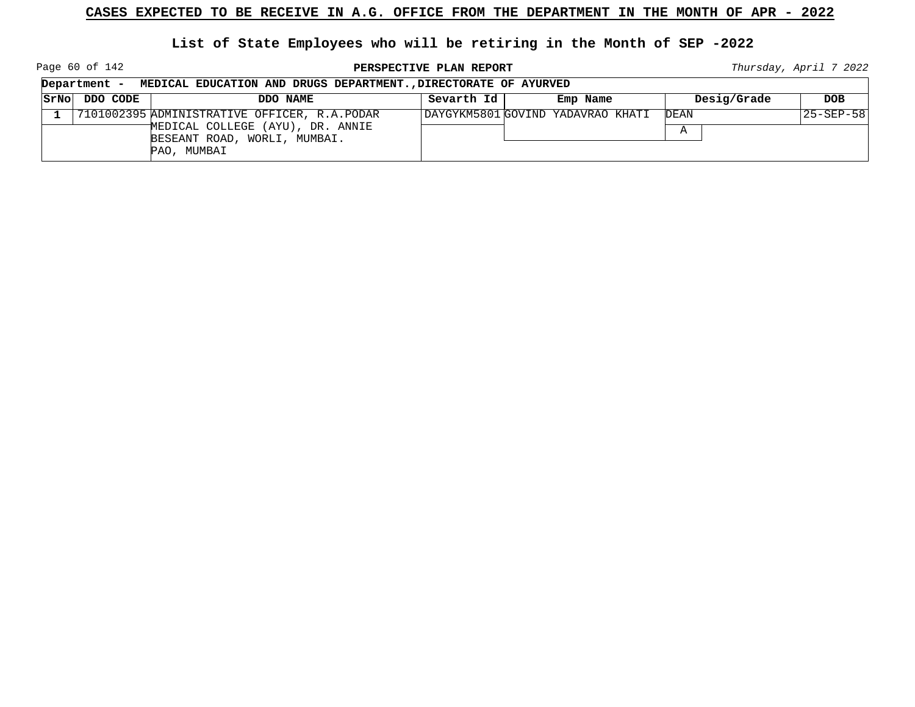Page 60 of 142

**PERSPECTIVE PLAN REPORT Thursday**, April 7 2022

┑

|              | Department - | MEDICAL EDUCATION AND DRUGS DEPARTMENT., DIRECTORATE OF AYURVED                                                  |            |                                   |             |            |  |  |
|--------------|--------------|------------------------------------------------------------------------------------------------------------------|------------|-----------------------------------|-------------|------------|--|--|
| SrNo         | DDO CODE     | DDO NAME                                                                                                         | Sevarth Id | Emp Name                          | Desig/Grade | <b>DOB</b> |  |  |
| $\mathbf{1}$ |              | 7101002395 ADMINISTRATIVE OFFICER, R.A.PODAR<br>MEDICAL COLLEGE (AYU), DR. ANNIE<br>BESEANT ROAD, WORLI, MUMBAI. |            | DAYGYKM5801 GOVIND YADAVRAO KHATI | DEAN<br>Α   | 25-SEP-58  |  |  |
|              |              | PAO, MUMBAI                                                                                                      |            |                                   |             |            |  |  |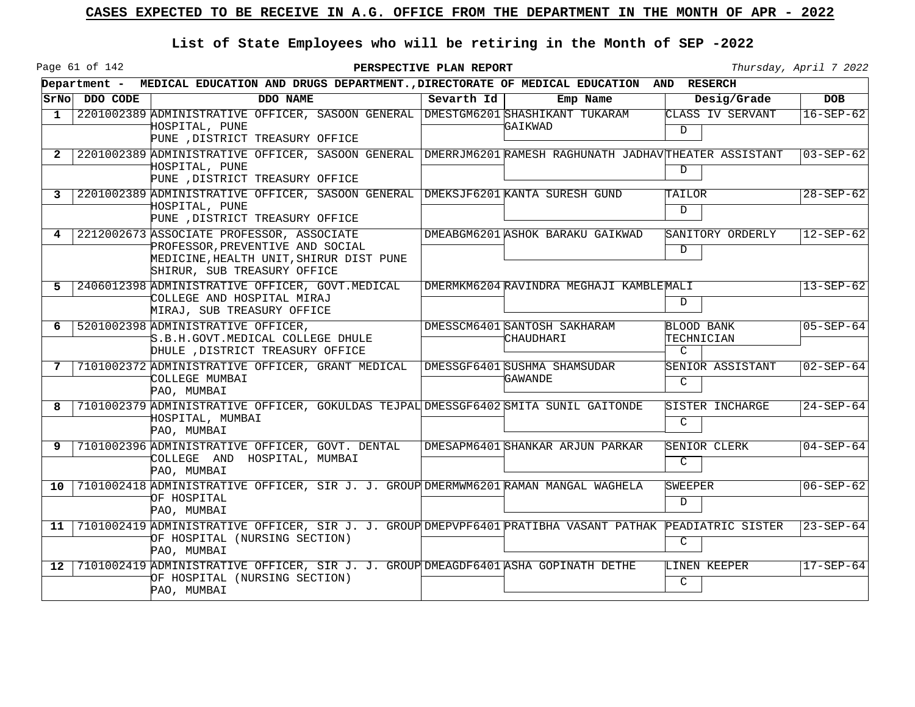Page 61 of 142

|                 |               | Department - MEDICAL EDUCATION AND DRUGS DEPARTMENT., DIRECTORATE OF MEDICAL EDUCATION AND RESERCH                                                          |            |                                           |                                                  |                 |
|-----------------|---------------|-------------------------------------------------------------------------------------------------------------------------------------------------------------|------------|-------------------------------------------|--------------------------------------------------|-----------------|
|                 | SrNo DDO CODE | DDO NAME                                                                                                                                                    | Sevarth Id | Emp Name                                  | Desig/Grade                                      | <b>DOB</b>      |
| 1               |               | 2201002389 ADMINISTRATIVE OFFICER, SASOON GENERAL DMESTGM6201 SHASHIKANT TUKARAM<br>HOSPITAL, PUNE<br>PUNE , DISTRICT TREASURY OFFICE                       |            | GAIKWAD                                   | CLASS IV SERVANT<br>$\mathcal{D}$                | $16-SEP-62$     |
| $\overline{2}$  |               | 2201002389 ADMINISTRATIVE OFFICER, SASOON GENERAL DMERRJM6201 RAMESH RAGHUNATH JADHAVTHEATER ASSISTANT<br>HOSPITAL, PUNE<br>PUNE , DISTRICT TREASURY OFFICE |            |                                           | D                                                | 03-SEP-621      |
| 3               |               | 2201002389 ADMINISTRATIVE OFFICER, SASOON GENERAL DMEKSJF6201 KANTA SURESH GUND<br>HOSPITAL, PUNE<br>PUNE , DISTRICT TREASURY OFFICE                        |            |                                           | TAILOR<br>$\mathcal{D}$                          | $28 - SEP - 62$ |
| 4               |               | 2212002673 ASSOCIATE PROFESSOR, ASSOCIATE<br>PROFESSOR, PREVENTIVE AND SOCIAL<br>MEDICINE, HEALTH UNIT, SHIRUR DIST PUNE<br>SHIRUR, SUB TREASURY OFFICE     |            | DMEABGM6201 ASHOK BARAKU GAIKWAD          | SANITORY ORDERLY<br>$\mathbf D$                  | $12 - SEP - 62$ |
| .5.             |               | 2406012398 ADMINISTRATIVE OFFICER, GOVT. MEDICAL<br>COLLEGE AND HOSPITAL MIRAJ<br>MIRAJ, SUB TREASURY OFFICE                                                |            | DMERMKM6204 RAVINDRA MEGHAJI KAMBLEMALI   | D                                                | $13 - SEP - 62$ |
| 6               |               | 5201002398 ADMINISTRATIVE OFFICER,<br>'S.B.H.GOVT.MEDICAL COLLEGE DHULE<br>DHULE , DISTRICT TREASURY OFFICE                                                 |            | DMESSCM6401 SANTOSH SAKHARAM<br>CHAUDHARI | <b>BLOOD BANK</b><br>TECHNICIAN<br>$\mathcal{C}$ | $05 - SEP - 64$ |
|                 |               | 7101002372 ADMINISTRATIVE OFFICER, GRANT MEDICAL<br>COLLEGE MUMBAI<br>PAO, MUMBAI                                                                           |            | DMESSGF6401 SUSHMA SHAMSUDAR<br>GAWANDE   | SENIOR ASSISTANT<br>$\mathcal{C}$                | $02 - SEP - 64$ |
| 8               |               | 7101002379 ADMINISTRATIVE OFFICER, GOKULDAS TEJPAL DMESSGF6402 SMITA SUNIL GAITONDE<br>HOSPITAL, MUMBAI<br>PAO, MUMBAI                                      |            |                                           | SISTER INCHARGE<br>$\mathcal{C}$                 | $24 - SEP - 64$ |
| 9               |               | 7101002396 ADMINISTRATIVE OFFICER, GOVT. DENTAL<br>COLLEGE AND HOSPITAL, MUMBAI<br>PAO, MUMBAI                                                              |            | DMESAPM6401 SHANKAR ARJUN PARKAR          | SENIOR CLERK<br>C                                | $04 - SEP - 64$ |
| 10 <sup>1</sup> |               | 7101002418 ADMINISTRATIVE OFFICER, SIR J. J. GROUP DMERMWM6201 RAMAN MANGAL WAGHELA<br>OF HOSPITAL<br>PAO, MUMBAI                                           |            |                                           | SWEEPER<br>$\mathcal{D}$                         | $06 - SEP - 62$ |
| 11              |               | 7101002419 ADMINISTRATIVE OFFICER, SIR J. J. GROUP DMEPVPF6401 PRATIBHA VASANT PATHAK PEADIATRIC SISTER<br>OF HOSPITAL (NURSING SECTION)<br>PAO, MUMBAI     |            |                                           | $\mathcal{C}$                                    | $23 - SEP - 64$ |
| 12              |               | 7101002419 ADMINISTRATIVE OFFICER, SIR J. J. GROUP DMEAGDF6401 ASHA GOPINATH DETHE<br>OF HOSPITAL (NURSING SECTION)<br>PAO, MUMBAI                          |            |                                           | LINEN KEEPER<br>$\mathcal{C}$                    | $17 - SEP - 64$ |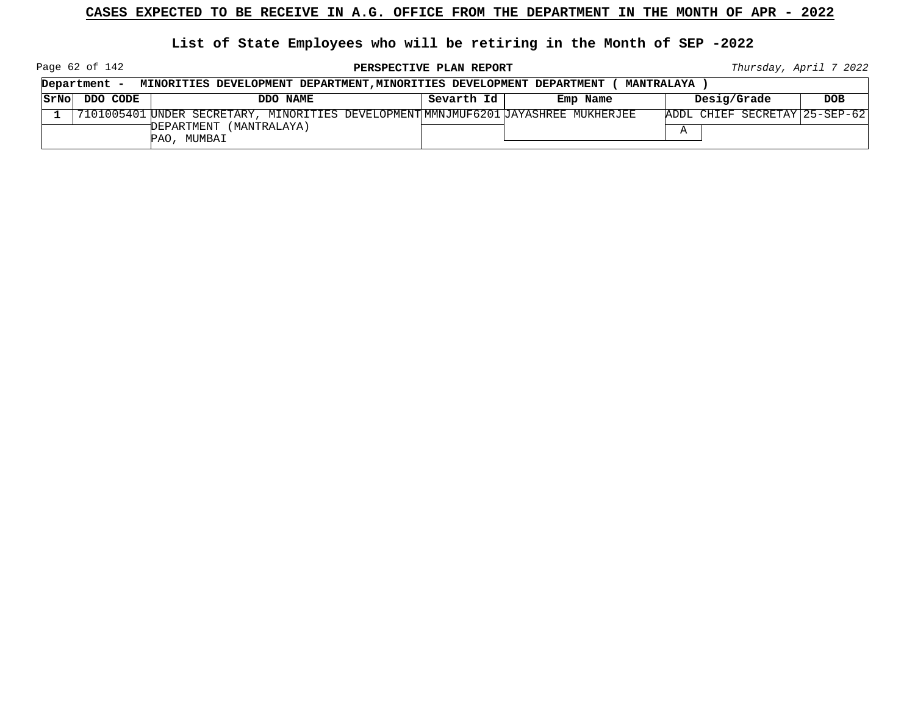**List of State Employees who will be retiring in the Month of SEP -2022**

Page 62 of 142

**PERSPECTIVE PLAN REPORT Thursday**, April 7 2022

|      | Department -<br>MINORITIES DEVELOPMENT DEPARTMENT, MINORITIES DEVELOPMENT DEPARTMENT |  |             |                         |          | <b>MANTRALAYA</b>                                                                  |          |             |                               |
|------|--------------------------------------------------------------------------------------|--|-------------|-------------------------|----------|------------------------------------------------------------------------------------|----------|-------------|-------------------------------|
| SrNo | DDO CODE                                                                             |  |             |                         | DDO NAME | Sevarth Id                                                                         | Emp Name | Desig/Grade | <b>DOB</b>                    |
|      |                                                                                      |  |             |                         |          | 7101005401 UNDER SECRETARY, MINORITIES DEVELOPMENT MMNJMUF6201 JAYASHREE MUKHERJEE |          |             | ADDL CHIEF SECRETAY 25-SEP-62 |
|      |                                                                                      |  | PAO, MUMBAI | DEPARTMENT (MANTRALAYA) |          |                                                                                    |          |             |                               |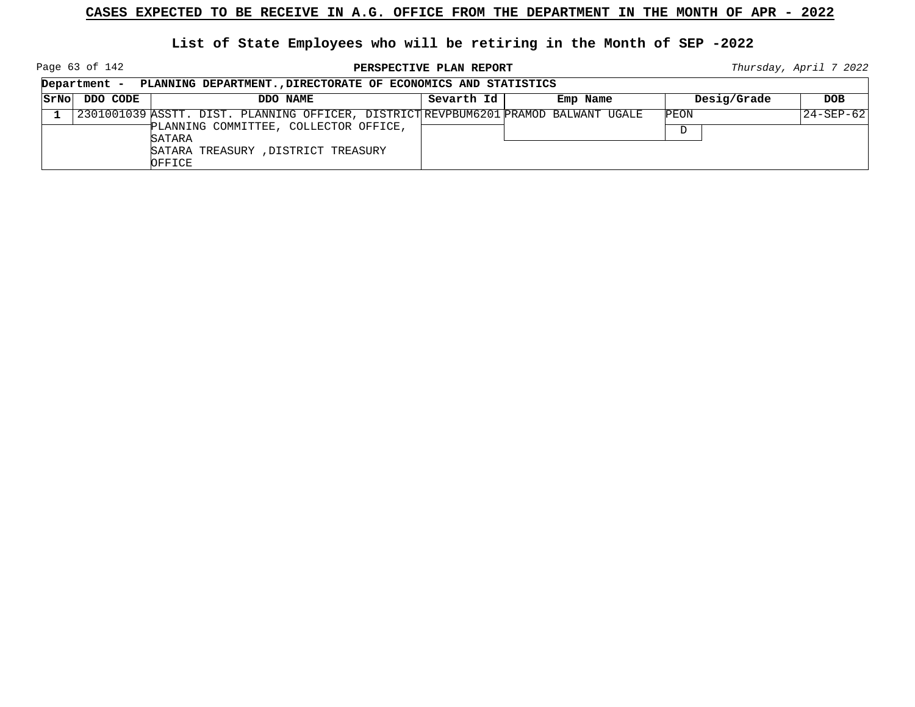Page 63 of 142

**PERSPECTIVE PLAN REPORT Thursday**, April 7 2022

┑

|      | Department - | PLANNING DEPARTMENT., DIRECTORATE OF ECONOMICS AND STATISTICS                                                                                                                          |            |          |             |                 |
|------|--------------|----------------------------------------------------------------------------------------------------------------------------------------------------------------------------------------|------------|----------|-------------|-----------------|
| SrNo | DDO CODE     | DDO NAME                                                                                                                                                                               | Sevarth Id | Emp Name | Desig/Grade | <b>DOB</b>      |
|      |              | 2301001039 ASSTT. DIST. PLANNING OFFICER, DISTRICT REVPBUM6201 PRAMOD BALWANT UGALE<br>PLANNING COMMITTEE, COLLECTOR OFFICE,<br>SATARA<br>SATARA TREASURY, DISTRICT TREASURY<br>OFFICE |            |          | PEON<br>D   | $24 - SEP - 62$ |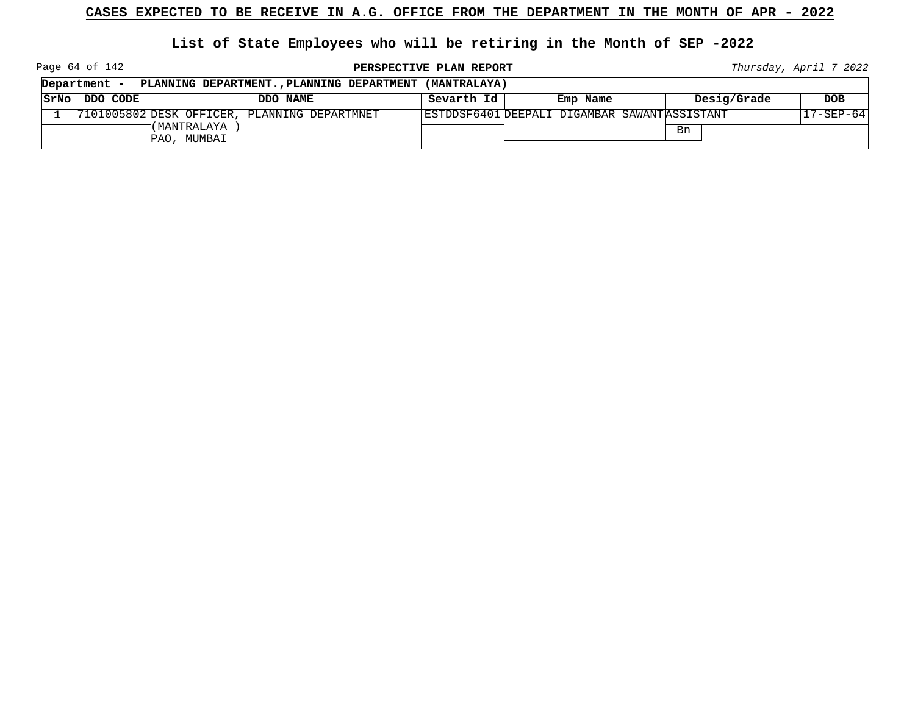#### **List of State Employees who will be retiring in the Month of SEP -2022**

Page 64 of 142

**PERSPECTIVE PLAN REPORT Thursday**, April 7 2022

|      | Department - | PLANNING DEPARTMENT., PLANNING DEPARTMENT (MANTRALAYA) |            |                                              |             |                 |
|------|--------------|--------------------------------------------------------|------------|----------------------------------------------|-------------|-----------------|
| SrNo | DDO CODE     | DDO NAME                                               | Sevarth Id | Emp Name                                     | Desig/Grade | DOB             |
|      |              | 7101005802 DESK OFFICER, PLANNING DEPARTMNET           |            | ESTDDSF6401 DEEPALI DIGAMBAR SAWANTASSISTANT |             | $17 - SEP - 64$ |
|      |              | (MANTRALAYA<br>PAO, MUMBAI                             |            |                                              | Bn          |                 |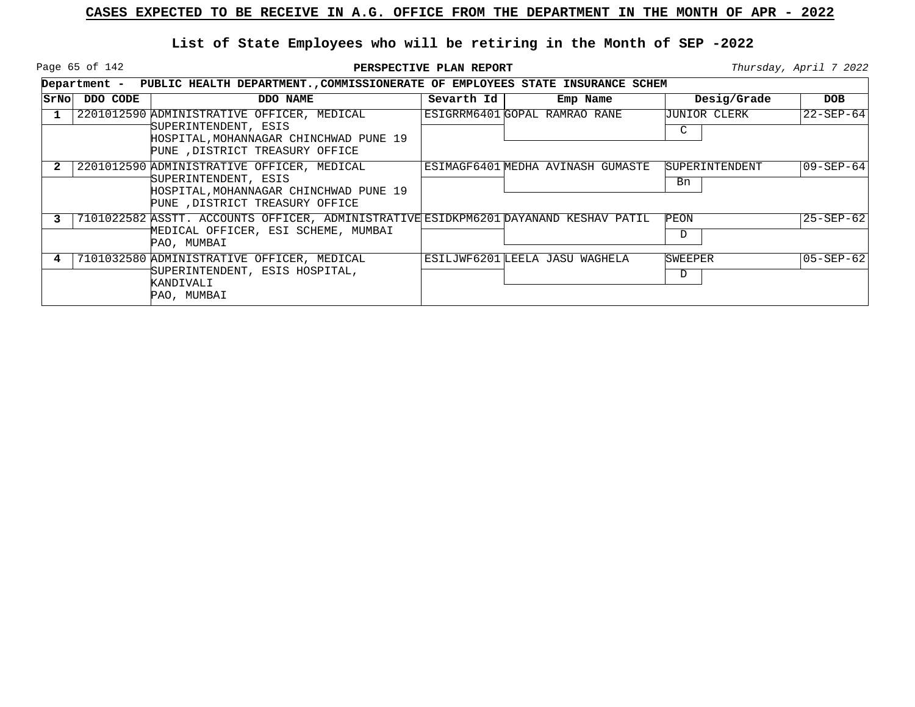Page 65 of 142

|      | Department - PUBLIC HEALTH DEPARTMENT., COMMISSIONERATE OF EMPLOYEES STATE INSURANCE SCHEM |                                                                                                                                                 |            |                                   |                             |                          |  |  |  |
|------|--------------------------------------------------------------------------------------------|-------------------------------------------------------------------------------------------------------------------------------------------------|------------|-----------------------------------|-----------------------------|--------------------------|--|--|--|
| SrNo | DDO CODE                                                                                   | DDO NAME                                                                                                                                        | Sevarth Id | Emp Name                          | Desig/Grade                 | <b>DOB</b>               |  |  |  |
|      |                                                                                            | 2201012590 ADMINISTRATIVE OFFICER, MEDICAL<br>SUPERINTENDENT, ESIS<br>HOSPITAL, MOHANNAGAR CHINCHWAD PUNE 19<br>PUNE , DISTRICT TREASURY OFFICE |            | ESIGRRM6401 GOPAL RAMRAO RANE     | UUNIOR CLERK<br>C           | $22 - SEP - 64$          |  |  |  |
|      |                                                                                            | 2201012590 ADMINISTRATIVE OFFICER, MEDICAL<br>SUPERINTENDENT, ESIS<br>HOSPITAL, MOHANNAGAR CHINCHWAD PUNE 19<br>PUNE , DISTRICT TREASURY OFFICE |            | ESIMAGF6401 MEDHA AVINASH GUMASTE | <b>SUPERINTENDENT</b><br>Bn | $ 09 - \text{SEP} - 64 $ |  |  |  |
|      |                                                                                            | 7101022582 ASSTT. ACCOUNTS OFFICER, ADMINISTRATIVE ESIDKPM6201 DAYANAND KESHAV PATIL<br>MEDICAL OFFICER, ESI SCHEME, MUMBAI<br>PAO, MUMBAI      |            |                                   | PEON<br>D                   | $25 - SEP - 62$          |  |  |  |
|      |                                                                                            | 7101032580 ADMINISTRATIVE OFFICER, MEDICAL<br>SUPERINTENDENT, ESIS HOSPITAL,<br>KANDIVALI<br>PAO, MUMBAI                                        |            | ESILJWF6201 LEELA JASU WAGHELA    | SWEEPER<br>D                | $05 - SEP - 62$          |  |  |  |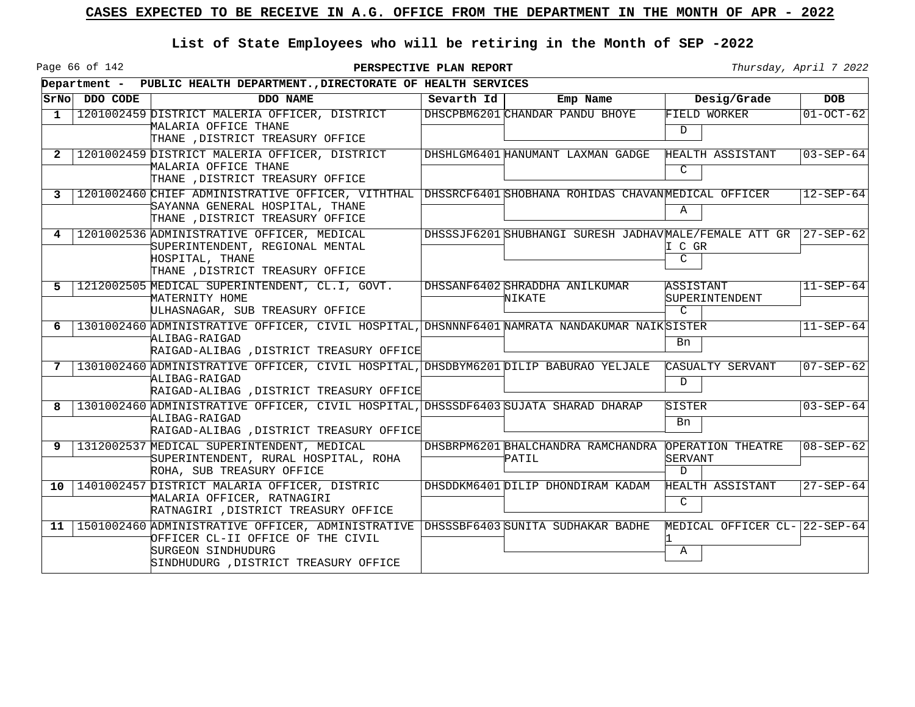Page 66 of 142

|              |               | Department - PUBLIC HEALTH DEPARTMENT., DIRECTORATE OF HEALTH SERVICES                                                                                                                  |            |                                                                 |                                               |                 |
|--------------|---------------|-----------------------------------------------------------------------------------------------------------------------------------------------------------------------------------------|------------|-----------------------------------------------------------------|-----------------------------------------------|-----------------|
|              | SrNo DDO CODE | DDO NAME                                                                                                                                                                                | Sevarth Id | Emp Name                                                        | Desig/Grade                                   | <b>DOB</b>      |
| $\mathbf{1}$ |               | 1201002459 DISTRICT MALERIA OFFICER, DISTRICT<br>MALARIA OFFICE THANE<br>THANE , DISTRICT TREASURY OFFICE                                                                               |            | DHSCPBM6201 CHANDAR PANDU BHOYE                                 | FIELD WORKER<br>$\mathcal{D}$                 | $01 - OCT - 62$ |
| 2            |               | 1201002459 DISTRICT MALERIA OFFICER, DISTRICT<br>MALARIA OFFICE THANE<br>THANE , DISTRICT TREASURY OFFICE                                                                               |            | DHSHLGM6401 HANUMANT LAXMAN GADGE                               | HEALTH ASSISTANT<br>$\mathcal{C}$             | $03 - SEP - 64$ |
| 3            |               | 1201002460 CHIEF ADMINISTRATIVE OFFICER, VITHTHAL DHSSRCF6401 SHOBHANA ROHIDAS CHAVANMEDICAL OFFICER<br>SAYANNA GENERAL HOSPITAL, THANE<br>THANE , DISTRICT TREASURY OFFICE             |            |                                                                 | $\mathbb A$                                   | $12 - SEP - 64$ |
| 4            |               | 1201002536 ADMINISTRATIVE OFFICER, MEDICAL<br>SUPERINTENDENT, REGIONAL MENTAL<br>HOSPITAL, THANE<br>THANE , DISTRICT TREASURY OFFICE                                                    |            | DHSSSJF6201 SHUBHANGI SURESH JADHAVMALE/FEMALE ATT GR 27-SEP-62 | I C GR<br>$\mathcal{C}$                       |                 |
| 5.           |               | 1212002505 MEDICAL SUPERINTENDENT, CL.I, GOVT.<br>MATERNITY HOME<br>ULHASNAGAR, SUB TREASURY OFFICE                                                                                     |            | DHSSANF6402 SHRADDHA ANILKUMAR<br>NIKATE                        | ASSISTANT<br>SUPERINTENDENT<br>$\cap$         | $11 - SEP - 64$ |
| 6            |               | 1301002460 ADMINISTRATIVE OFFICER, CIVIL HOSPITAL, DHSNNNF6401 NAMRATA NANDAKUMAR NAIK SISTER<br>ALIBAG-RAIGAD<br>RAIGAD-ALIBAG , DISTRICT TREASURY OFFICE                              |            |                                                                 | Bn                                            | $11 - SEP - 64$ |
| 7            |               | 1301002460 ADMINISTRATIVE OFFICER, CIVIL HOSPITAL, DHSDBYM6201 DILIP BABURAO YELJALE<br>ALIBAG-RAIGAD<br>RAIGAD-ALIBAG , DISTRICT TREASURY OFFICE                                       |            |                                                                 | CASUALTY SERVANT<br>D                         | $07 - SEP - 62$ |
| 8            |               | 1301002460 ADMINISTRATIVE OFFICER, CIVIL HOSPITAL, DHSSSDF6403 SUJATA SHARAD DHARAP<br>ALIBAG-RAIGAD<br>RAIGAD-ALIBAG , DISTRICT TREASURY OFFICE                                        |            |                                                                 | SISTER<br>Bn                                  | $03 - SEP - 64$ |
| 9            |               | 1312002537 MEDICAL SUPERINTENDENT, MEDICAL<br>SUPERINTENDENT, RURAL HOSPITAL, ROHA<br>ROHA, SUB TREASURY OFFICE                                                                         |            | DHSBRPM6201 BHALCHANDRA RAMCHANDRA<br>PATIL                     | OPERATION THEATRE<br>SERVANT<br>$\mathcal{D}$ | $08 - SEP - 62$ |
| 10           |               | 1401002457 DISTRICT MALARIA OFFICER, DISTRIC<br>MALARIA OFFICER, RATNAGIRI<br>RATNAGIRI , DISTRICT TREASURY OFFICE                                                                      |            | DHSDDKM6401 DILIP DHONDIRAM KADAM                               | HEALTH ASSISTANT<br>C                         | $27 - SEP - 64$ |
| 11           |               | 1501002460 ADMINISTRATIVE OFFICER, ADMINISTRATIVE DHSSSBF6403 SUNITA SUDHAKAR BADHE<br>OFFICER CL-II OFFICE OF THE CIVIL<br>SURGEON SINDHUDURG<br>SINDHUDURG , DISTRICT TREASURY OFFICE |            |                                                                 | MEDICAL OFFICER CL- 22-SEP-64<br>Α            |                 |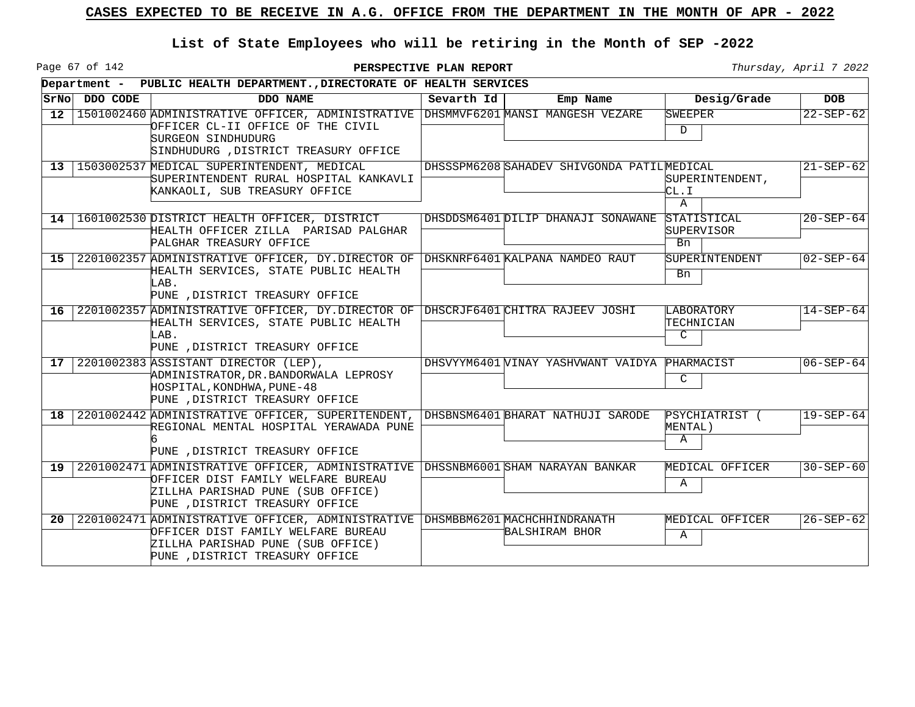Page 67 of 142

|                 |               | Department - PUBLIC HEALTH DEPARTMENT., DIRECTORATE OF HEALTH SERVICES                                                                                                                 |            |                                                |                                        |                 |
|-----------------|---------------|----------------------------------------------------------------------------------------------------------------------------------------------------------------------------------------|------------|------------------------------------------------|----------------------------------------|-----------------|
|                 | SrNo DDO CODE | DDO NAME                                                                                                                                                                               | Sevarth Id | Emp Name                                       | Desig/Grade                            | <b>DOB</b>      |
| 12              |               | 1501002460 ADMINISTRATIVE OFFICER, ADMINISTRATIVE DHSMMVF6201 MANSI MANGESH VEZARE<br>OFFICER CL-II OFFICE OF THE CIVIL<br>SURGEON SINDHUDURG<br>SINDHUDURG , DISTRICT TREASURY OFFICE |            |                                                | SWEEPER<br>D                           | $22 - SEP - 62$ |
| 13 <sup>1</sup> |               | 1503002537 MEDICAL SUPERINTENDENT, MEDICAL<br>SUPERINTENDENT RURAL HOSPITAL KANKAVLI<br>KANKAOLI, SUB TREASURY OFFICE                                                                  |            | DHSSSPM6208 SAHADEV SHIVGONDA PATILMEDICAL     | SUPERINTENDENT,<br>CL.I<br>A           | $21 - SEP - 62$ |
| 14 <sup>1</sup> |               | 1601002530 DISTRICT HEALTH OFFICER, DISTRICT<br>HEALTH OFFICER ZILLA PARISAD PALGHAR<br>PALGHAR TREASURY OFFICE                                                                        |            | DHSDDSM6401 DILIP DHANAJI SONAWANE             | STATISTICAL<br><b>SUPERVISOR</b><br>Bn | $20 - SEP - 64$ |
| 15 <sub>1</sub> |               | 2201002357 ADMINISTRATIVE OFFICER, DY.DIRECTOR OF DHSKNRF6401 KALPANA NAMDEO RAUT<br>HEALTH SERVICES, STATE PUBLIC HEALTH<br>LAB.<br>PUNE , DISTRICT TREASURY OFFICE                   |            |                                                | SUPERINTENDENT<br>Bn                   | $02 - SEP - 64$ |
| 16 l            |               | 2201002357 ADMINISTRATIVE OFFICER, DY.DIRECTOR OF DHSCRJF6401 CHITRA RAJEEV JOSHI<br>HEALTH SERVICES, STATE PUBLIC HEALTH<br>LAB.<br>PUNE , DISTRICT TREASURY OFFICE                   |            |                                                | LABORATORY<br>TECHNICIAN<br>C.         | $14 - SEP - 64$ |
| 17 <sup>1</sup> |               | 2201002383 ASSISTANT DIRECTOR (LEP),<br>ADMINISTRATOR, DR. BANDORWALA LEPROSY<br>HOSPITAL, KONDHWA, PUNE-48<br>PUNE , DISTRICT TREASURY OFFICE                                         |            | DHSVYYM6401 WINAY YASHVWANT VAIDYA             | PHARMACIST<br>C                        | $06 - SEP - 64$ |
| 18 l            |               | 2201002442 ADMINISTRATIVE OFFICER, SUPERITENDENT,<br>REGIONAL MENTAL HOSPITAL YERAWADA PUNE<br>PUNE , DISTRICT TREASURY OFFICE                                                         |            | DHSBNSM6401 BHARAT NATHUJI SARODE              | PSYCHIATRIST (<br>MENTAL)<br>Α         | $19 - SEP - 64$ |
| 19 I            |               | 2201002471 ADMINISTRATIVE OFFICER, ADMINISTRATIVE<br>OFFICER DIST FAMILY WELFARE BUREAU<br>ZILLHA PARISHAD PUNE (SUB OFFICE)<br>PUNE , DISTRICT TREASURY OFFICE                        |            | DHSSNBM6001 SHAM NARAYAN BANKAR                | MEDICAL OFFICER<br>Α                   | $30 - SEP - 60$ |
| 20 <sub>1</sub> |               | 2201002471 ADMINISTRATIVE OFFICER, ADMINISTRATIVE<br>OFFICER DIST FAMILY WELFARE BUREAU<br>ZILLHA PARISHAD PUNE (SUB OFFICE)<br>PUNE , DISTRICT TREASURY OFFICE                        |            | DHSMBBM6201 MACHCHHINDRANATH<br>BALSHIRAM BHOR | MEDICAL OFFICER<br>Α                   | $26 - SEP - 62$ |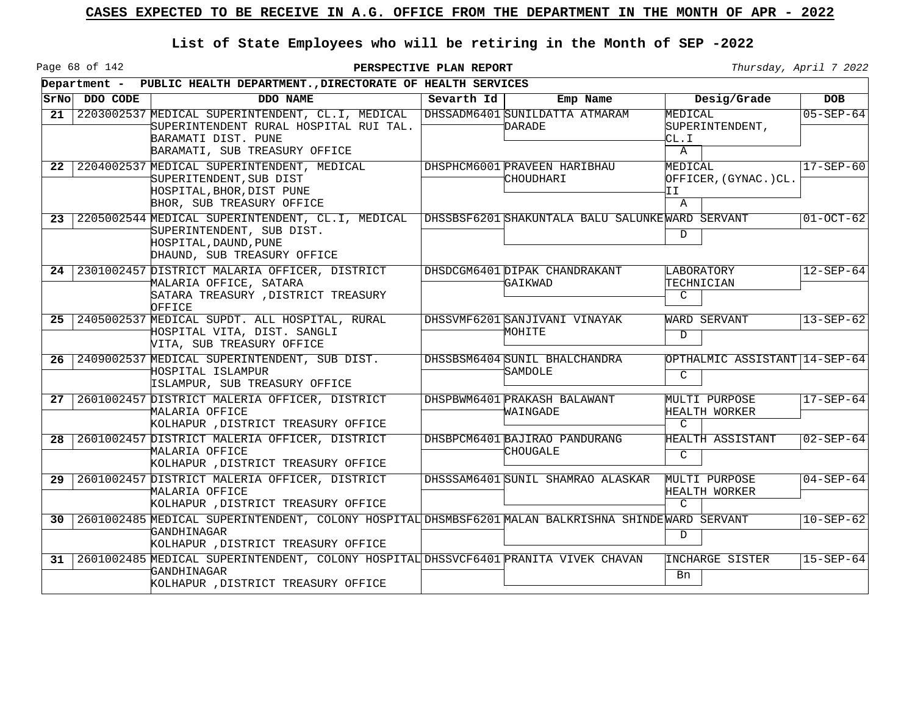Page 68 of 142

**PERSPECTIVE PLAN REPORT Thursday**, April 7 2022

┑

|                 |          | Department - PUBLIC HEALTH DEPARTMENT., DIRECTORATE OF HEALTH SERVICES                                                                                   |            |                                                 |                                                 |                 |
|-----------------|----------|----------------------------------------------------------------------------------------------------------------------------------------------------------|------------|-------------------------------------------------|-------------------------------------------------|-----------------|
| SrNo            | DDO CODE | DDO NAME                                                                                                                                                 | Sevarth Id | Emp Name                                        | Desig/Grade                                     | <b>DOB</b>      |
| 21              |          | 2203002537 MEDICAL SUPERINTENDENT, CL.I, MEDICAL<br>SUPERINTENDENT RURAL HOSPITAL RUI TAL.<br>BARAMATI DIST. PUNE                                        |            | DHSSADM6401 SUNILDATTA ATMARAM<br>DARADE        | MEDICAL<br>SUPERINTENDENT,<br>CL.I              | $05 - SEP - 64$ |
|                 |          | BARAMATI, SUB TREASURY OFFICE                                                                                                                            |            |                                                 | $\mathbf{A}$                                    |                 |
| 22 <sub>1</sub> |          | 2204002537 MEDICAL SUPERINTENDENT, MEDICAL<br>SUPERITENDENT, SUB DIST<br>HOSPITAL, BHOR, DIST PUNE<br>BHOR, SUB TREASURY OFFICE                          |            | DHSPHCM6001 PRAVEEN HARIBHAU<br>CHOUDHARI       | MEDICAL<br>OFFICER, (GYNAC.)CL.<br>ΙI<br>A      | $17 - SEP - 60$ |
| 23 <sub>1</sub> |          | 2205002544 MEDICAL SUPERINTENDENT, CL.I, MEDICAL<br>SUPERINTENDENT, SUB DIST.<br>HOSPITAL, DAUND, PUNE<br>DHAUND, SUB TREASURY OFFICE                    |            | DHSSBSF6201 SHAKUNTALA BALU SALUNKEWARD SERVANT | D                                               | $01-0CT-62$     |
|                 |          | 24 2301002457 DISTRICT MALARIA OFFICER, DISTRICT<br>MALARIA OFFICE, SATARA<br>SATARA TREASURY , DISTRICT TREASURY<br>OFFICE                              |            | DHSDCGM6401 DIPAK CHANDRAKANT<br>GAIKWAD        | LABORATORY<br>TECHNICIAN<br>$\mathcal{C}$       | $12 - SEP - 64$ |
| 25 <sub>1</sub> |          | 2405002537 MEDICAL SUPDT. ALL HOSPITAL, RURAL<br>HOSPITAL VITA, DIST. SANGLI<br>VITA, SUB TREASURY OFFICE                                                |            | DHSSVMF6201 SANJIVANI VINAYAK<br>MOHITE         | WARD SERVANT<br>D                               | $13 - SEP - 62$ |
| $26-1$          |          | 2409002537 MEDICAL SUPERINTENDENT, SUB DIST.<br>HOSPITAL ISLAMPUR<br>ISLAMPUR, SUB TREASURY OFFICE                                                       |            | DHSSBSM6404 SUNIL BHALCHANDRA<br>SAMDOLE        | OPTHALMIC ASSISTANT 14-SEP-64 <br>$\mathcal{C}$ |                 |
| 27              |          | 2601002457 DISTRICT MALERIA OFFICER, DISTRICT<br>MALARIA OFFICE<br>KOLHAPUR , DISTRICT TREASURY OFFICE                                                   |            | DHSPBWM6401 PRAKASH BALAWANT<br>WAINGADE        | MULTI PURPOSE<br>HEALTH WORKER<br>$\mathcal{C}$ | $17 - SEP - 64$ |
| 28 I            |          | 2601002457 DISTRICT MALERIA OFFICER, DISTRICT<br>MALARIA OFFICE<br>KOLHAPUR , DISTRICT TREASURY OFFICE                                                   |            | DHSBPCM6401 BAJIRAO PANDURANG<br>CHOUGALE       | HEALTH ASSISTANT<br>$\mathsf{C}$                | $02 - SEP - 64$ |
| 29              |          | 2601002457 DISTRICT MALERIA OFFICER, DISTRICT<br>MALARIA OFFICE<br>KOLHAPUR , DISTRICT TREASURY OFFICE                                                   |            | DHSSSAM6401 SUNIL SHAMRAO ALASKAR               | MULTI PURPOSE<br>HEALTH WORKER<br>$\mathcal{C}$ | $04 - SEP - 64$ |
| 30 I            |          | 2601002485 MEDICAL SUPERINTENDENT, COLONY HOSPITAL DHSMBSF6201 MALAN BALKRISHNA SHINDEWARD SERVANT<br>GANDHINAGAR<br>KOLHAPUR , DISTRICT TREASURY OFFICE |            |                                                 | D                                               | $10 - SEP - 62$ |
| 31              |          | 2601002485 MEDICAL SUPERINTENDENT, COLONY HOSPITAL DHSSVCF6401 PRANITA VIVEK CHAVAN<br>GANDHINAGAR<br>KOLHAPUR , DISTRICT TREASURY OFFICE                |            |                                                 | INCHARGE SISTER<br>Bn                           | $15 - SEP - 64$ |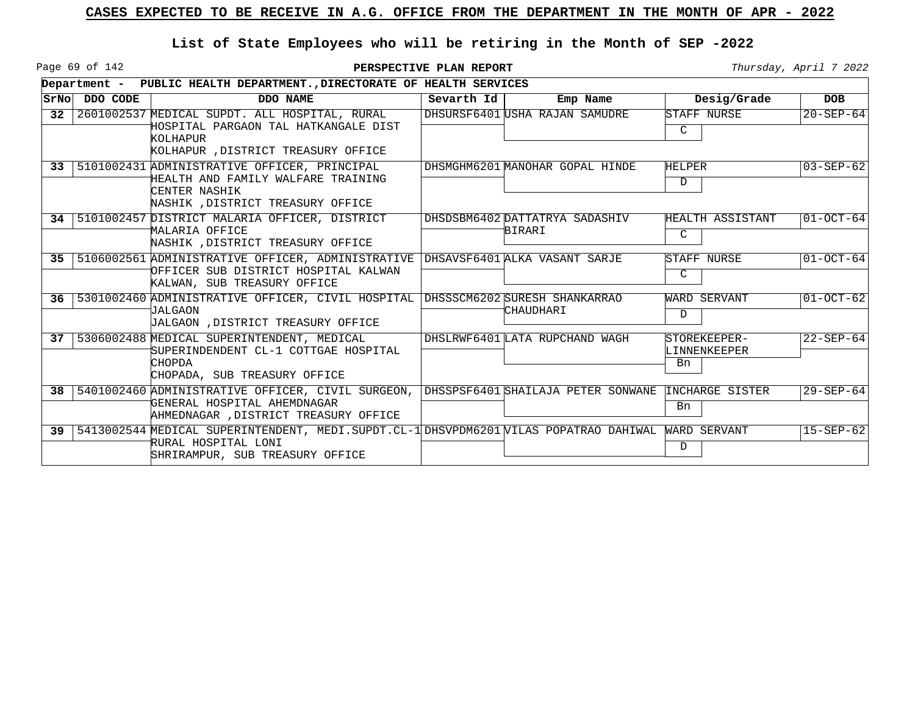Page 69 of 142

**PERSPECTIVE PLAN REPORT Thursday**, April 7 2022

|                 |          | Department - PUBLIC HEALTH DEPARTMENT., DIRECTORATE OF HEALTH SERVICES                                                                                 |            |                                          |                                    |                 |
|-----------------|----------|--------------------------------------------------------------------------------------------------------------------------------------------------------|------------|------------------------------------------|------------------------------------|-----------------|
| SrNol           | DDO CODE | DDO NAME                                                                                                                                               | Sevarth Id | Emp Name                                 | Desig/Grade                        | <b>DOB</b>      |
| 32 <sup>2</sup> |          | 2601002537 MEDICAL SUPDT. ALL HOSPITAL, RURAL<br>HOSPITAL PARGAON TAL HATKANGALE DIST<br>KOLHAPUR<br>KOLHAPUR , DISTRICT TREASURY OFFICE               |            | DHSURSF6401 USHA RAJAN SAMUDRE           | STAFF NURSE<br>C                   | $20 - SEP - 64$ |
|                 |          | 33 5101002431 ADMINISTRATIVE OFFICER, PRINCIPAL<br>HEALTH AND FAMILY WALFARE TRAINING<br>CENTER NASHIK<br>NASHIK , DISTRICT TREASURY OFFICE            |            | DHSMGHM6201 MANOHAR GOPAL HINDE          | <b>HELPER</b><br>D                 | $03 - SEP - 62$ |
| 34 <sup>1</sup> |          | 5101002457 DISTRICT MALARIA OFFICER, DISTRICT<br>MALARIA OFFICE<br>NASHIK , DISTRICT TREASURY OFFICE                                                   |            | DHSDSBM6402 DATTATRYA SADASHIV<br>BIRARI | HEALTH ASSISTANT<br>C              | $01-0CT-64$     |
| 35 <sub>1</sub> |          | 5106002561 ADMINISTRATIVE OFFICER, ADMINISTRATIVE DHSAVSF6401 ALKA VASANT SARJE<br>OFFICER SUB DISTRICT HOSPITAL KALWAN<br>KALWAN, SUB TREASURY OFFICE |            |                                          | STAFF NURSE<br>C                   | $01-0CT-64$     |
| 36              |          | 5301002460 ADMINISTRATIVE OFFICER, CIVIL HOSPITAL DHSSSCM6202 SURESH SHANKARRAO<br>JALGAON<br>JALGAON , DISTRICT TREASURY OFFICE                       |            | <b>CHAUDHARI</b>                         | WARD SERVANT<br>D                  | $01-0CT-62$     |
| 37              |          | 5306002488 MEDICAL SUPERINTENDENT, MEDICAL<br>SUPERINDENDENT CL-1 COTTGAE HOSPITAL<br>CHOPDA<br>CHOPADA, SUB TREASURY OFFICE                           |            | DHSLRWF6401 LATA RUPCHAND WAGH           | STOREKEEPER-<br>LINNENKEEPER<br>Bn | $22 - SEP - 64$ |
| 38              |          | 5401002460 ADMINISTRATIVE OFFICER, CIVIL SURGEON,<br>GENERAL HOSPITAL AHEMDNAGAR<br>AHMEDNAGAR , DISTRICT TREASURY OFFICE                              |            | DHSSPSF6401 SHAILAJA PETER SONWANE       | INCHARGE SISTER<br>Bn              | $29 - SEP - 64$ |
| 39 <sup>1</sup> |          | 5413002544 MEDICAL SUPERINTENDENT, MEDI. SUPDT. CL-1 DHSVPDM6201 VILAS POPATRAO DAHIWAL<br>RURAL HOSPITAL LONI<br>SHRIRAMPUR, SUB TREASURY OFFICE      |            |                                          | WARD SERVANT<br>D                  | $15 - SEP - 62$ |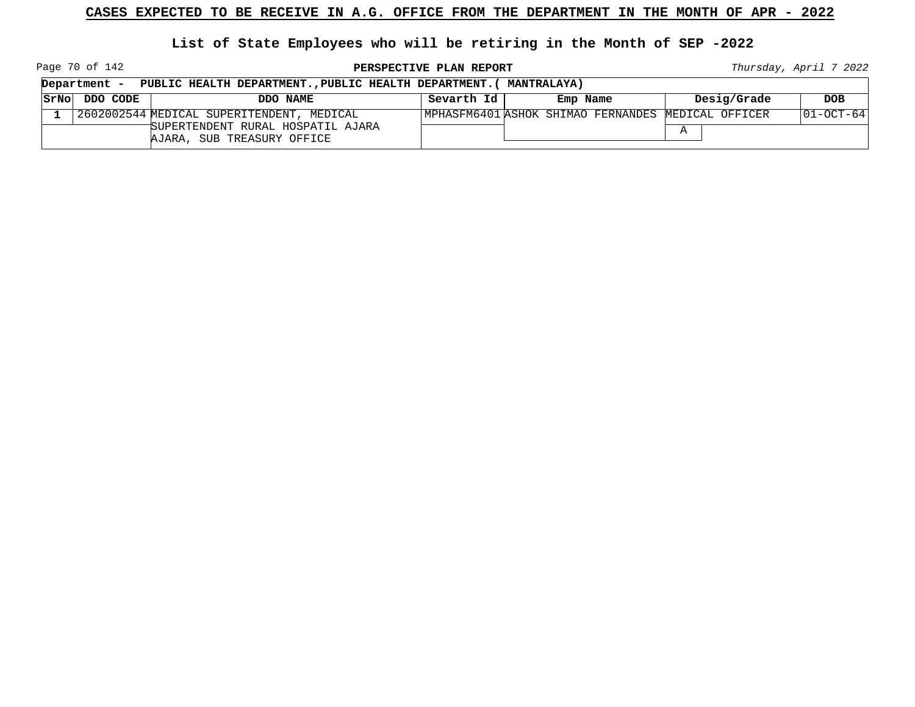**List of State Employees who will be retiring in the Month of SEP -2022**

Page 70 of 142

**PERSPECTIVE PLAN REPORT Thursday**, April 7 2022

| Department -  | PUBLIC HEALTH DEPARTMENT., PUBLIC HEALTH DEPARTMENT. (MANTRALAYA) |            |                                                    |             |             |
|---------------|-------------------------------------------------------------------|------------|----------------------------------------------------|-------------|-------------|
| SrNo DDO CODE | DDO NAME                                                          | Sevarth Id | Emp Name                                           | Desig/Grade | <b>DOB</b>  |
|               | 2602002544 MEDICAL SUPERITENDENT, MEDICAL                         |            | MPHASFM6401 ASHOK SHIMAO FERNANDES MEDICAL OFFICER |             | 101-OCT-641 |
|               | SUPERTENDENT RURAL HOSPATIL AJARA<br>AJARA, SUB TREASURY OFFICE   |            |                                                    |             |             |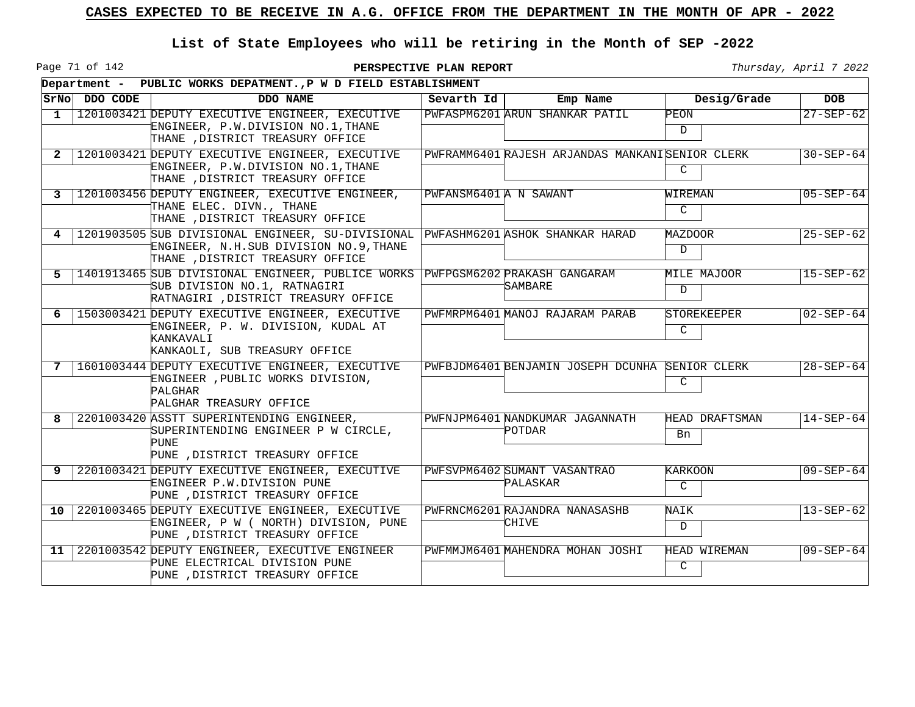Page 71 of 142

|    |               | Department - PUBLIC WORKS DEPATMENT., P W D FIELD ESTABLISHMENT                                                                     |                        |                                                 |                                 |                 |
|----|---------------|-------------------------------------------------------------------------------------------------------------------------------------|------------------------|-------------------------------------------------|---------------------------------|-----------------|
|    | SrNo DDO CODE | DDO NAME                                                                                                                            | Sevarth Id             | Emp Name                                        | Desig/Grade                     | <b>DOB</b>      |
| 1  |               | 1201003421 DEPUTY EXECUTIVE ENGINEER, EXECUTIVE<br>ENGINEER, P.W.DIVISION NO.1, THANE<br>THANE , DISTRICT TREASURY OFFICE           |                        | PWFASPM6201 ARUN SHANKAR PATIL                  | PEON<br>$\mathcal{D}$           | $27 - SEP - 62$ |
| 2  |               | 1201003421 DEPUTY EXECUTIVE ENGINEER, EXECUTIVE<br>ENGINEER, P.W.DIVISION NO.1, THANE<br>THANE , DISTRICT TREASURY OFFICE           |                        | PWFRAMM6401 RAJESH ARJANDAS MANKANISENIOR CLERK | $\mathsf{C}$                    | $30 - SEP - 64$ |
| 3  |               | 1201003456 DEPUTY ENGINEER, EXECUTIVE ENGINEER,<br>THANE ELEC. DIVN., THANE<br>THANE , DISTRICT TREASURY OFFICE                     | PWFANSM6401 A N SAWANT |                                                 | WIREMAN<br>$\mathcal{C}$        | $05 - SEP - 64$ |
| 4  |               | 1201903505 SUB DIVISIONAL ENGINEER, SU-DIVISIONAL<br>ENGINEER, N.H.SUB DIVISION NO.9,THANE<br>THANE , DISTRICT TREASURY OFFICE      |                        | PWFASHM6201 ASHOK SHANKAR HARAD                 | MAZDOOR<br>$\mathbb{D}$         | $25 - SEP - 62$ |
| 5  |               | 1401913465 SUB DIVISIONAL ENGINEER, PUBLICE WORKS<br>SUB DIVISION NO.1, RATNAGIRI<br>RATNAGIRI , DISTRICT TREASURY OFFICE           |                        | PWFPGSM6202 PRAKASH GANGARAM<br>SAMBARE         | MILE MAJOOR<br>D.               | $15 - SEP - 62$ |
| 6  |               | 1503003421 DEPUTY EXECUTIVE ENGINEER, EXECUTIVE<br>ENGINEER, P. W. DIVISION, KUDAL AT<br>KANKAVALI<br>KANKAOLI, SUB TREASURY OFFICE |                        | PWFMRPM6401 MANOJ RAJARAM PARAB                 | <b>STOREKEEPER</b><br>C         | $02 - SEP - 64$ |
| 7  |               | 1601003444 DEPUTY EXECUTIVE ENGINEER, EXECUTIVE<br>ENGINEER , PUBLIC WORKS DIVISION,<br>PALGHAR<br>PALGHAR TREASURY OFFICE          |                        | PWFBJDM6401 BENJAMIN JOSEPH DCUNHA              | <b>SENIOR CLERK</b><br>C        | $28 - SEP - 64$ |
| 8  |               | 2201003420 ASSTT SUPERINTENDING ENGINEER,<br>SUPERINTENDING ENGINEER P W CIRCLE,<br>PUNE<br>PUNE , DISTRICT TREASURY OFFICE         |                        | PWFNJPM6401 NANDKUMAR JAGANNATH<br>POTDAR       | HEAD DRAFTSMAN<br>Bn            | $14 - SEP - 64$ |
| 9  |               | 2201003421 DEPUTY EXECUTIVE ENGINEER, EXECUTIVE<br>ENGINEER P.W.DIVISION PUNE<br>PUNE , DISTRICT TREASURY OFFICE                    |                        | PWFSVPM6402 SUMANT VASANTRAO<br>PALASKAR        | <b>KARKOON</b><br>$\mathcal{C}$ | $09 - SEP - 64$ |
| 10 |               | 2201003465 DEPUTY EXECUTIVE ENGINEER, EXECUTIVE<br>ENGINEER, P W ( NORTH) DIVISION, PUNE<br>PUNE , DISTRICT TREASURY OFFICE         |                        | PWFRNCM6201 RAJANDRA NANASASHB<br>CHIVE         | NAIK<br>$\mathcal{D}$           | $13 - SEP - 62$ |
| 11 |               | 2201003542 DEPUTY ENGINEER, EXECUTIVE ENGINEER<br>PUNE ELECTRICAL DIVISION PUNE<br>PUNE , DISTRICT TREASURY OFFICE                  |                        | PWFMMJM6401 MAHENDRA MOHAN JOSHI                | HEAD WIREMAN<br>$\mathcal{C}$   | $09 - SEP - 64$ |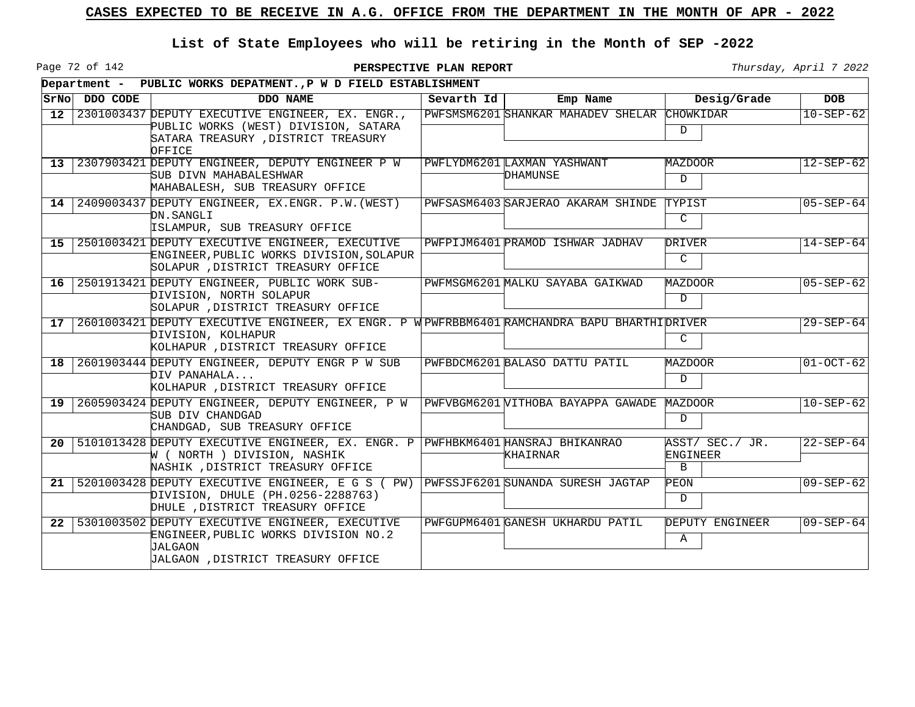Page 72 of 142

|                 |          | Department - PUBLIC WORKS DEPATMENT., P W D FIELD ESTABLISHMENT                                                                                                    |            |                                              |                                             |                 |
|-----------------|----------|--------------------------------------------------------------------------------------------------------------------------------------------------------------------|------------|----------------------------------------------|---------------------------------------------|-----------------|
| SrNo            | DDO CODE | DDO NAME                                                                                                                                                           | Sevarth Id | Emp Name                                     | Desig/Grade                                 | <b>DOB</b>      |
| 12 <sup>1</sup> |          | 2301003437 DEPUTY EXECUTIVE ENGINEER, EX. ENGR.,<br>PUBLIC WORKS (WEST) DIVISION, SATARA<br>SATARA TREASURY , DISTRICT TREASURY                                    |            | PWFSMSM6201 SHANKAR MAHADEV SHELAR CHOWKIDAR | $\mathcal{D}$                               | $10 - SEP - 62$ |
|                 |          | OFFICE<br>13 2307903421 DEPUTY ENGINEER, DEPUTY ENGINEER P W<br>SUB DIVN MAHABALESHWAR<br>MAHABALESH, SUB TREASURY OFFICE                                          |            | PWFLYDM6201 LAXMAN YASHWANT<br>DHAMUNSE      | MAZDOOR<br>$\overline{D}$                   | $12 - SEP - 62$ |
|                 |          | 14 2409003437 DEPUTY ENGINEER, EX. ENGR. P.W. (WEST)<br>DN.SANGLI<br>ISLAMPUR, SUB TREASURY OFFICE                                                                 |            | PWFSASM6403 SARJERAO AKARAM SHINDE           | TYPIST<br>$\mathsf{C}$                      | $05 - SEP - 64$ |
| 15 <sub>1</sub> |          | 2501003421 DEPUTY EXECUTIVE ENGINEER, EXECUTIVE<br>ENGINEER, PUBLIC WORKS DIVISION, SOLAPUR<br>SOLAPUR , DISTRICT TREASURY OFFICE                                  |            | PWFPIJM6401 PRAMOD ISHWAR JADHAV             | DRIVER<br>$\mathsf{C}$                      | $14 - SEP - 64$ |
| 16 <sup>1</sup> |          | 2501913421 DEPUTY ENGINEER, PUBLIC WORK SUB-<br>DIVISION, NORTH SOLAPUR<br>SOLAPUR, DISTRICT TREASURY OFFICE                                                       |            | PWFMSGM6201 MALKU SAYABA GAIKWAD             | MAZDOOR<br>D                                | $05 - SEP - 62$ |
| 17 <sup>1</sup> |          | 2601003421 DEPUTY EXECUTIVE ENGINEER, EX ENGR. P W PWFRBBM6401 RAMCHANDRA BAPU BHARTHI DRIVER<br>DIVISION, KOLHAPUR<br>KOLHAPUR , DISTRICT TREASURY OFFICE         |            |                                              | C                                           | $29 - SEP - 64$ |
|                 |          | 18 2601903444 DEPUTY ENGINEER, DEPUTY ENGR P W SUB<br>DIV PANAHALA<br>KOLHAPUR , DISTRICT TREASURY OFFICE                                                          |            | PWFBDCM6201 BALASO DATTU PATIL               | MAZDOOR<br>$\mathcal{D}$                    | $01-0CT-62$     |
|                 |          | 19 2605903424 DEPUTY ENGINEER, DEPUTY ENGINEER, P W<br>SUB DIV CHANDGAD<br>CHANDGAD, SUB TREASURY OFFICE                                                           |            | PWFVBGM6201 VITHOBA BAYAPPA GAWADE MAZDOOR   | D                                           | $10 - SEP - 62$ |
|                 |          | 20   5101013428 DEPUTY EXECUTIVE ENGINEER, EX. ENGR. P   PWFHBKM6401 HANSRAJ BHIKANRAO<br>W ( NORTH ) DIVISION, NASHIK<br>NASHIK , DISTRICT TREASURY OFFICE        |            | KHAIRNAR                                     | ASST/ SEC./ JR.<br>ENGINEER<br>$\mathbf{B}$ | $22 - SEP - 64$ |
|                 |          | 21   5201003428 DEPUTY EXECUTIVE ENGINEER, E G S (PW)   PWFSSJF6201 SUNANDA SURESH JAGTAP<br>DIVISION, DHULE (PH.0256-2288763)<br>DHULE , DISTRICT TREASURY OFFICE |            |                                              | PEON<br>D                                   | $09 - SEP - 62$ |
|                 |          | 22 5301003502 DEPUTY EXECUTIVE ENGINEER, EXECUTIVE<br>ENGINEER, PUBLIC WORKS DIVISION NO. 2<br>JALGAON<br>JALGAON , DISTRICT TREASURY OFFICE                       |            | PWFGUPM6401 GANESH UKHARDU PATIL             | DEPUTY ENGINEER<br>Α                        | $09 - SEP - 64$ |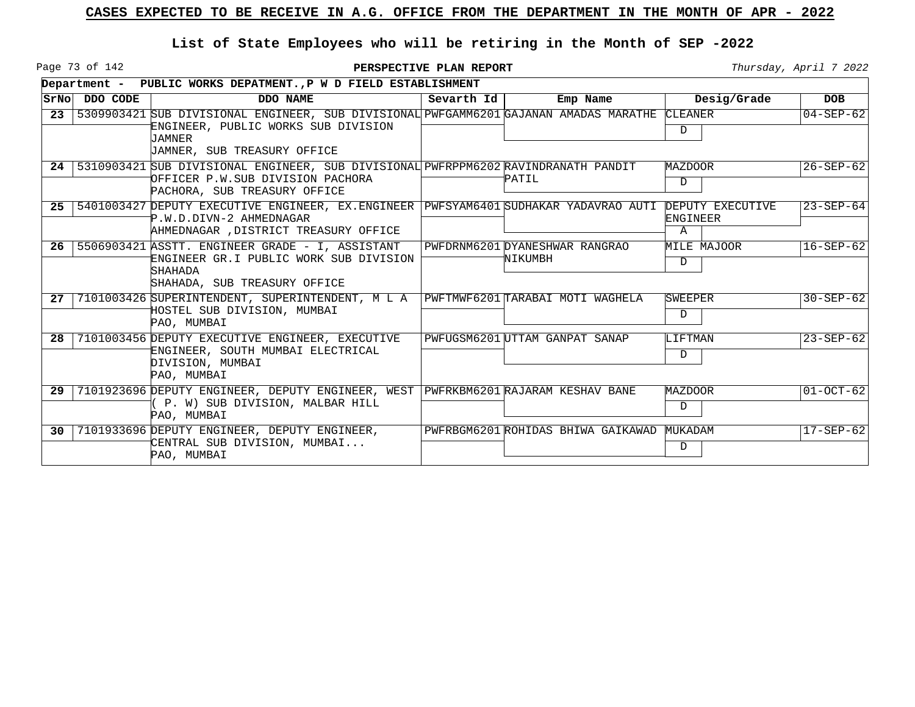Page 73 of 142

|                 |          | Department - PUBLIC WORKS DEPATMENTP W D FIELD ESTABLISHMENT                                                                                                                 |            |                                          |                                          |                 |
|-----------------|----------|------------------------------------------------------------------------------------------------------------------------------------------------------------------------------|------------|------------------------------------------|------------------------------------------|-----------------|
| SrNo            | DDO CODE | DDO NAME                                                                                                                                                                     | Sevarth Id | Emp Name                                 | Desig/Grade                              | <b>DOB</b>      |
| 23              |          | 5309903421 SUB DIVISIONAL ENGINEER, SUB DIVISIONAL PWFGAMM6201 GAJANAN AMADAS MARATHE<br>ENGINEER, PUBLIC WORKS SUB DIVISION<br><b>JAMNER</b><br>JAMNER, SUB TREASURY OFFICE |            |                                          | CLEANER<br>D                             | $04 - SEP - 62$ |
| 24              |          | 5310903421 SUB DIVISIONAL ENGINEER, SUB DIVISIONAL PWFRPPM6202 RAVINDRANATH PANDIT<br>OFFICER P.W.SUB DIVISION PACHORA<br>PACHORA, SUB TREASURY OFFICE                       |            | PATIL                                    | MAZDOOR<br>D                             | $26 - SEP - 62$ |
| 25 <sub>1</sub> |          | 5401003427 DEPUTY EXECUTIVE ENGINEER, EX.ENGINEER PWFSYAM6401 SUDHAKAR YADAVRAO AUTI<br>P.W.D.DIVN-2 AHMEDNAGAR<br>AHMEDNAGAR , DISTRICT TREASURY OFFICE                     |            |                                          | DEPUTY EXECUTIVE<br><b>ENGINEER</b><br>A | $23 - SEP - 64$ |
| 26              |          | 5506903421 ASSTT. ENGINEER GRADE - I, ASSISTANT<br>ENGINEER GR.I PUBLIC WORK SUB DIVISION<br><b>SHAHADA</b><br>SHAHADA, SUB TREASURY OFFICE                                  |            | PWFDRNM6201DYANESHWAR RANGRAO<br>NIKUMBH | MILE MAJOOR<br>D                         | $16 - SEP - 62$ |
| 27              |          | 7101003426 SUPERINTENDENT, SUPERINTENDENT, M L A<br>HOSTEL SUB DIVISION, MUMBAI<br>PAO, MUMBAI                                                                               |            | PWFTMWF6201 TARABAI MOTI WAGHELA         | <b>SWEEPER</b><br>D                      | $30 - SEP - 62$ |
| 28              |          | 7101003456 DEPUTY EXECUTIVE ENGINEER, EXECUTIVE<br>ENGINEER, SOUTH MUMBAI ELECTRICAL<br>DIVISION, MUMBAI<br>PAO, MUMBAI                                                      |            | PWFUGSM6201 UTTAM GANPAT SANAP           | LIFTMAN<br>D                             | $23 - SEP - 62$ |
| 29              |          | 7101923696 DEPUTY ENGINEER, DEPUTY ENGINEER, WEST PWFRKBM6201 RAJARAM KESHAV BANE<br>( P. W) SUB DIVISION, MALBAR HILL<br>PAO, MUMBAI                                        |            |                                          | MAZDOOR<br>D                             | $01-0CT-62$     |
| 30              |          | 7101933696 DEPUTY ENGINEER, DEPUTY ENGINEER,<br>CENTRAL SUB DIVISION, MUMBAI<br>PAO, MUMBAI                                                                                  |            | PWFRBGM6201 ROHIDAS BHIWA GAIKAWAD       | MUKADAM<br>D                             | $17 - SEP - 62$ |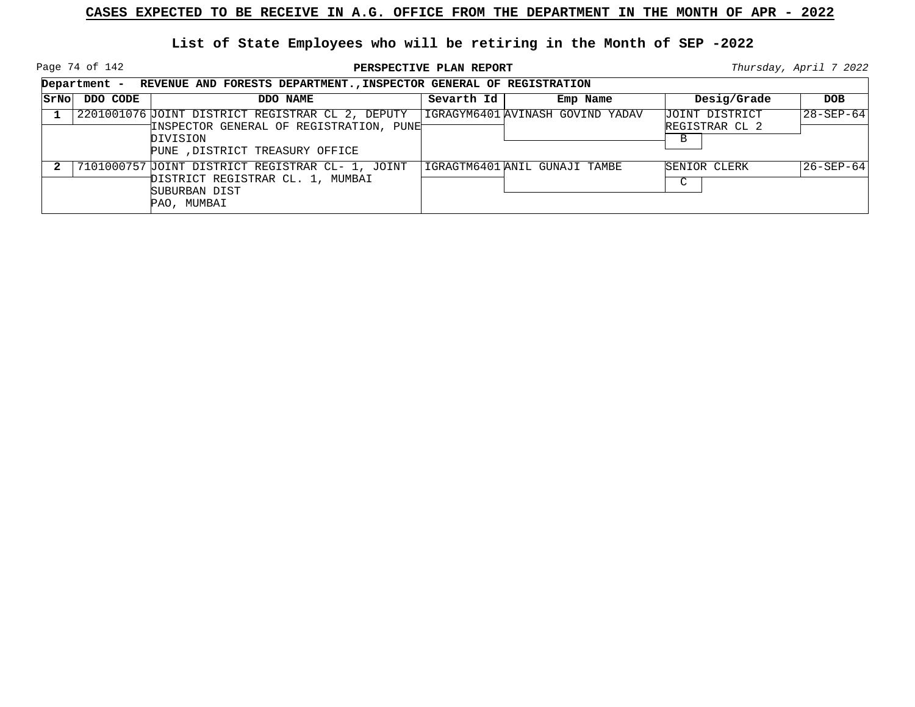Page 74 of 142

**PERSPECTIVE PLAN REPORT Thursday**, April 7 2022

┑

|      |          | Department - REVENUE AND FORESTS DEPARTMENT., INSPECTOR GENERAL OF REGISTRATION                                                             |            |                                  |                                                  |                 |
|------|----------|---------------------------------------------------------------------------------------------------------------------------------------------|------------|----------------------------------|--------------------------------------------------|-----------------|
| SrNo | DDO CODE | DDO NAME                                                                                                                                    | Sevarth Id | Emp Name                         | Desig/Grade                                      | <b>DOB</b>      |
|      |          | 2201001076 JOINT DISTRICT REGISTRAR CL 2, DEPUTY<br>INSPECTOR GENERAL OF REGISTRATION, PUNET<br>DIVISION<br>PUNE , DISTRICT TREASURY OFFICE |            | IGRAGYM6401 AVINASH GOVIND YADAV | JOINT DISTRICT<br>REGISTRAR CL 2<br><sub>B</sub> | $28 - SEP - 64$ |
|      |          | 7101000757 JOINT DISTRICT REGISTRAR CL- 1, JOINT<br>DISTRICT REGISTRAR CL. 1, MUMBAI<br>SUBURBAN DIST<br>PAO, MUMBAI                        |            | IGRAGTM6401 ANIL GUNAJI TAMBE    | SENIOR CLERK<br>$\sim$                           | 26-SEP-64       |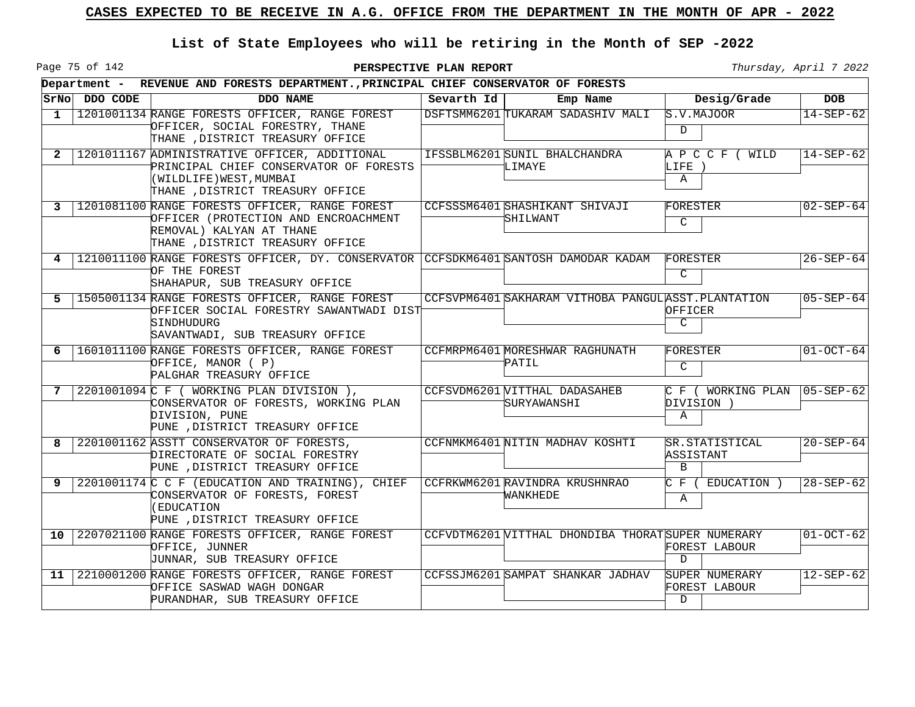Page 75 of 142

|              |               | Department - REVENUE AND FORESTS DEPARTMENT., PRINCIPAL CHIEF CONSERVATOR OF FORESTS                                                                   |            |                                                     |                                                        |                   |  |  |  |  |  |
|--------------|---------------|--------------------------------------------------------------------------------------------------------------------------------------------------------|------------|-----------------------------------------------------|--------------------------------------------------------|-------------------|--|--|--|--|--|
|              | SrNo DDO CODE | DDO NAME                                                                                                                                               | Sevarth Id | Emp Name                                            | Desig/Grade                                            | <b>DOB</b>        |  |  |  |  |  |
| $\mathbf{1}$ |               | 1201001134 RANGE FORESTS OFFICER, RANGE FOREST<br>OFFICER, SOCIAL FORESTRY, THANE<br>THANE , DISTRICT TREASURY OFFICE                                  |            | DSFTSMM6201 TUKARAM SADASHIV MALI                   | S.V.MATION<br>$\mathbf D$                              | $14 - SEP - 62$   |  |  |  |  |  |
| 2            |               | 1201011167 ADMINISTRATIVE OFFICER, ADDITIONAL<br>PRINCIPAL CHIEF CONSERVATOR OF FORESTS<br>(WILDLIFE) WEST, MUMBAI<br>THANE , DISTRICT TREASURY OFFICE |            | IFSSBLM6201 SUNIL BHALCHANDRA<br>LIMAYE             | A P C C F ( WILD<br>LIFE )<br>Α                        | $14 - SEP - 62$   |  |  |  |  |  |
| 3            |               | 1201081100 RANGE FORESTS OFFICER, RANGE FOREST<br>OFFICER (PROTECTION AND ENCROACHMENT<br>REMOVAL) KALYAN AT THANE<br>THANE , DISTRICT TREASURY OFFICE |            | CCFSSSM6401 SHASHIKANT SHIVAJI<br>SHILWANT          | FORESTER<br>C                                          | $02 - SEP - 64$   |  |  |  |  |  |
| 4            |               | 1210011100 RANGE FORESTS OFFICER, DY. CONSERVATOR CCFSDKM6401 SANTOSH DAMODAR KADAM<br>OF THE FOREST<br>SHAHAPUR, SUB TREASURY OFFICE                  |            |                                                     | FORESTER<br>C                                          | $26 - SEP - 64$   |  |  |  |  |  |
| 5            |               | 1505001134 RANGE FORESTS OFFICER, RANGE FOREST<br>OFFICER SOCIAL FORESTRY SAWANTWADI DIST<br>SINDHUDURG<br>SAVANTWADI, SUB TREASURY OFFICE             |            | CCFSVPM6401 SAKHARAM VITHOBA PANGULASST. PLANTATION | OFFICER<br>C                                           | $05 - SEP - 64$   |  |  |  |  |  |
| 6            |               | 1601011100 RANGE FORESTS OFFICER, RANGE FOREST<br>OFFICE, MANOR (P)<br>PALGHAR TREASURY OFFICE                                                         |            | CCFMRPM6401 MORESHWAR RAGHUNATH<br>PATIL            | FORESTER<br>C                                          | $01-0CT-64$       |  |  |  |  |  |
| 7            |               | 2201001094 C F ( WORKING PLAN DIVISION ),<br>CONSERVATOR OF FORESTS, WORKING PLAN<br>DIVISION, PUNE<br>PUNE , DISTRICT TREASURY OFFICE                 |            | CCFSVDM6201 VITTHAL DADASAHEB<br>SURYAWANSHI        | C F ( WORKING PLAN<br>DIVISION )<br>Α                  | $ 05 - SEP - 62 $ |  |  |  |  |  |
| 8            |               | 2201001162 ASSTT CONSERVATOR OF FORESTS,<br>DIRECTORATE OF SOCIAL FORESTRY<br>PUNE , DISTRICT TREASURY OFFICE                                          |            | CCFNMKM6401 NITIN MADHAV KOSHTI                     | SR.STATISTICAL<br>ASSISTANT<br>B                       | $20 - SEP - 64$   |  |  |  |  |  |
| 9            |               | 2201001174 C C F (EDUCATION AND TRAINING), CHIEF<br>CONSERVATOR OF FORESTS, FOREST<br>(EDUCATION<br>PUNE , DISTRICT TREASURY OFFICE                    |            | CCFRKWM6201 RAVINDRA KRUSHNRAO<br>WANKHEDE          | C F ( EDUCATION )<br>A                                 | $28 - SEP - 62$   |  |  |  |  |  |
| 10           |               | 2207021100 RANGE FORESTS OFFICER, RANGE FOREST<br>OFFICE, JUNNER<br>JUNNAR, SUB TREASURY OFFICE                                                        |            | CCFVDTM6201 VITTHAL DHONDIBA THORAT SUPER NUMERARY  | FOREST LABOUR<br>$\mathbf D$                           | $01-0CT-62$       |  |  |  |  |  |
| 11           |               | 2210001200 RANGE FORESTS OFFICER, RANGE FOREST<br>OFFICE SASWAD WAGH DONGAR<br>PURANDHAR, SUB TREASURY OFFICE                                          |            | CCFSSJM6201 SAMPAT SHANKAR JADHAV                   | SUPER NUMERARY<br><b>FOREST LABOUR</b><br>$\mathbb{D}$ | $12 - SEP - 62$   |  |  |  |  |  |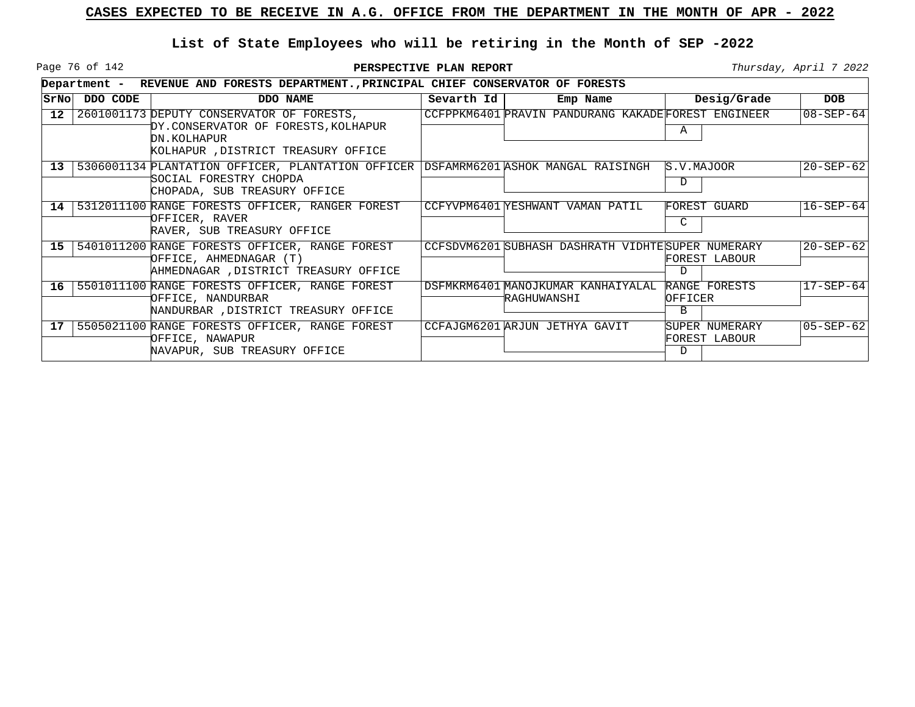Page 76 of 142

|                 |          | Department - REVENUE AND FORESTS DEPARTMENT., PRINCIPAL CHIEF CONSERVATOR OF FORESTS                                                          |            |                                                    |                                      |                 |
|-----------------|----------|-----------------------------------------------------------------------------------------------------------------------------------------------|------------|----------------------------------------------------|--------------------------------------|-----------------|
| SrNo            | DDO CODE | DDO NAME                                                                                                                                      | Sevarth Id | Emp Name                                           | Desig/Grade                          | <b>DOB</b>      |
| 12 <sup>°</sup> |          | 2601001173 DEPUTY CONSERVATOR OF FORESTS,<br>DY.CONSERVATOR OF FORESTS, KOLHAPUR<br>DN.KOLHAPUR<br>KOLHAPUR ,DISTRICT TREASURY OFFICE         |            | CCFPPKM6401 PRAVIN PANDURANG KAKADEFOREST ENGINEER | A                                    | $08 - SEP - 64$ |
| 13 <sup>°</sup> |          | 5306001134 PLANTATION OFFICER, PLANTATION OFFICER DSFAMRM6201 ASHOK MANGAL RAISINGH<br>SOCIAL FORESTRY CHOPDA<br>CHOPADA, SUB TREASURY OFFICE |            |                                                    | S.V.MAJOOR<br>D                      | $20 - SEP - 62$ |
| 14              |          | 5312011100 RANGE FORESTS OFFICER, RANGER FOREST<br>OFFICER, RAVER<br>RAVER, SUB TREASURY OFFICE                                               |            | CCFYVPM6401 YESHWANT VAMAN PATIL                   | <b>FOREST GUARD</b><br>C             | $16-SEP-64$     |
| 15              |          | 5401011200 RANGE FORESTS OFFICER, RANGE FOREST<br>OFFICE, AHMEDNAGAR (T)<br>AHMEDNAGAR ,DISTRICT TREASURY OFFICE                              |            | CCFSDVM6201 SUBHASH DASHRATH VIDHTESUPER NUMERARY  | FOREST LABOUR<br>D.                  | $20 - SEP - 62$ |
| 16 <sup>1</sup> |          | 5501011100 RANGE FORESTS OFFICER, RANGE FOREST<br>OFFICE, NANDURBAR<br>NANDURBAR , DISTRICT TREASURY OFFICE                                   |            | DSFMKRM6401 MANOJKUMAR KANHAIYALAL<br>RAGHUWANSHI  | RANGE FORESTS<br>OFFICER<br>B        | $17 - SEP - 64$ |
| 17              |          | 5505021100 RANGE FORESTS OFFICER, RANGE FOREST<br>OFFICE, NAWAPUR<br>NAVAPUR, SUB TREASURY OFFICE                                             |            | CCFAJGM6201 ARJUN JETHYA GAVIT                     | SUPER NUMERARY<br>FOREST LABOUR<br>D | $05 - SEP - 62$ |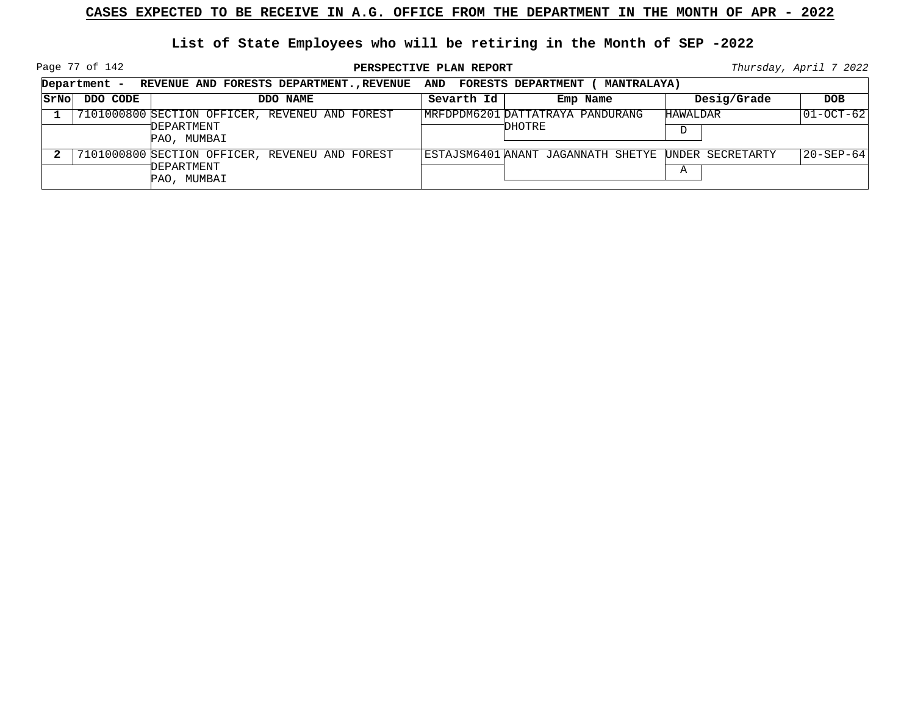Page 77 of 142

|      | Department - REVENUE AND FORESTS DEPARTMENT., REVENUE AND FORESTS DEPARTMENT ( |                                                                             |            | <b>MANTRALAYA)</b>                                  |               |                   |
|------|--------------------------------------------------------------------------------|-----------------------------------------------------------------------------|------------|-----------------------------------------------------|---------------|-------------------|
| SrNo | DDO CODE                                                                       | DDO NAME                                                                    | Sevarth Id | Emp Name                                            | Desig/Grade   | <b>DOB</b>        |
|      |                                                                                | 7101000800 SECTION OFFICER, REVENEU AND FOREST<br>DEPARTMENT<br>PAO, MUMBAI |            | MRFDPDM6201 DATTATRAYA PANDURANG<br>DHOTRE          | HAWALDAR<br>D | $ 01-OCT-62 $     |
|      |                                                                                | 7101000800 SECTION OFFICER, REVENEU AND FOREST<br>DEPARTMENT<br>PAO, MUMBAI |            | ESTAJSM6401 ANANT JAGANNATH SHETYE UNDER SECRETARTY | Α             | $ 20 - SEP - 64 $ |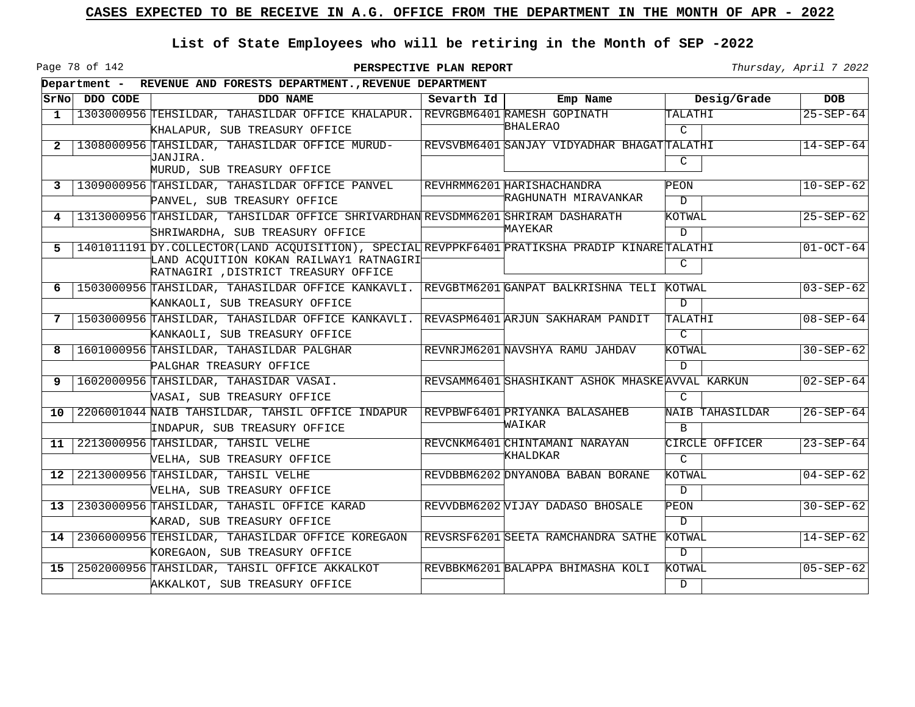Page 78 of 142

|                  |          | Department - REVENUE AND FORESTS DEPARTMENT., REVENUE DEPARTMENT                                                                           |            |                                                  |                        |                 |
|------------------|----------|--------------------------------------------------------------------------------------------------------------------------------------------|------------|--------------------------------------------------|------------------------|-----------------|
| SrNol            | DDO CODE | DDO NAME                                                                                                                                   | Sevarth Id | Emp Name                                         | Desig/Grade            | DOB             |
| $\mathbf{1}$     |          | 1303000956 TEHSILDAR, TAHASILDAR OFFICE KHALAPUR. REVRGBM6401 RAMESH GOPINATH                                                              |            |                                                  | TALATHI                | $25 - SEP - 64$ |
|                  |          | KHALAPUR, SUB TREASURY OFFICE                                                                                                              |            | BHALERAO                                         | $\mathcal{C}$          |                 |
| $\mathbf{2}$     |          | 1308000956 TAHSILDAR, TAHASILDAR OFFICE MURUD-                                                                                             |            | REVSVBM6401 SANJAY VIDYADHAR BHAGATTALATHI       |                        | $14 - SEP - 64$ |
|                  |          | JANJIRA.<br>MURUD, SUB TREASURY OFFICE                                                                                                     |            |                                                  | C                      |                 |
|                  |          |                                                                                                                                            |            | REVHRMM6201 HARISHACHANDRA                       | PEON                   | $10 - SEP - 62$ |
| 3                |          | 1309000956 TAHSILDAR, TAHASILDAR OFFICE PANVEL                                                                                             |            | RAGHUNATH MIRAVANKAR                             | $\mathbf D$            |                 |
|                  |          | PANVEL, SUB TREASURY OFFICE<br>1313000956 TAHSILDAR, TAHSILDAR OFFICE SHRIVARDHAN REVSDMM6201 SHRIRAM DASHARATH                            |            |                                                  | KOTWAL                 | $25 - SEP - 62$ |
| 4                |          |                                                                                                                                            |            | MAYEKAR                                          |                        |                 |
|                  |          | SHRIWARDHA, SUB TREASURY OFFICE                                                                                                            |            |                                                  | $\mathcal{D}$          |                 |
| 5.               |          | 1401011191 DY. COLLECTOR (LAND ACQUISITION), SPECIAL REVPPKF6401 PRATIKSHA PRADIP KINARETALATHI<br>LAND ACOUITION KOKAN RAILWAY1 RATNAGIRI |            |                                                  |                        | $01-0CT-64$     |
|                  |          | RATNAGIRI , DISTRICT TREASURY OFFICE                                                                                                       |            |                                                  | C                      |                 |
| 6                |          | 1503000956 TAHSILDAR, TAHASILDAR OFFICE KANKAVLI. REVGBTM6201 GANPAT BALKRISHNA TELI KOTWAL                                                |            |                                                  |                        | $03 - SEP - 62$ |
|                  |          | KANKAOLI, SUB TREASURY OFFICE                                                                                                              |            |                                                  | $\mathcal{D}$          |                 |
| 7                |          | 1503000956 TAHSILDAR, TAHASILDAR OFFICE KANKAVLI. REVASPM6401 ARJUN SAKHARAM PANDIT                                                        |            |                                                  | TALATHI                | $08 - SEP - 64$ |
|                  |          | KANKAOLI, SUB TREASURY OFFICE                                                                                                              |            |                                                  | $\overline{C}$         |                 |
| 8                |          | 1601000956 TAHSILDAR, TAHASILDAR PALGHAR                                                                                                   |            | REVNRJM6201 NAVSHYA RAMU JAHDAV                  | KOTWAL                 | $30 - SEP - 62$ |
|                  |          | PALGHAR TREASURY OFFICE                                                                                                                    |            |                                                  | $\mathbf D$            |                 |
| 9                |          | 1602000956 TAHSILDAR, TAHASIDAR VASAI.                                                                                                     |            | REVSAMM6401 SHASHIKANT ASHOK MHASKE AVVAL KARKUN |                        | $02 - SEP - 64$ |
|                  |          | VASAI, SUB TREASURY OFFICE                                                                                                                 |            |                                                  | $\mathcal{C}$          |                 |
| 10               |          | 2206001044 NAIB TAHSILDAR, TAHSIL OFFICE INDAPUR                                                                                           |            | REVPBWF6401 PRIYANKA BALASAHEB                   | <b>NAIB TAHASILDAR</b> | $26 - SEP - 64$ |
|                  |          | INDAPUR, SUB TREASURY OFFICE                                                                                                               |            | WAIKAR                                           | B                      |                 |
| 11               |          | 2213000956 TAHSILDAR, TAHSIL VELHE                                                                                                         |            | REVCNKM6401 CHINTAMANI NARAYAN                   | CIRCLE OFFICER         | $23 - SEP - 64$ |
|                  |          | VELHA, SUB TREASURY OFFICE                                                                                                                 |            | KHALDKAR                                         | $\overline{C}$         |                 |
| 12 <sup>12</sup> |          | 2213000956 TAHSILDAR, TAHSIL VELHE                                                                                                         |            | REVDBBM6202 DNYANOBA BABAN BORANE                | KOTWAL                 | $04 - SEP - 62$ |
|                  |          | VELHA, SUB TREASURY OFFICE                                                                                                                 |            |                                                  | $\mathbb{D}$           |                 |
| 13               |          | 2303000956 TAHSILDAR, TAHASIL OFFICE KARAD                                                                                                 |            | REVVDBM6202 VIJAY DADASO BHOSALE                 | PEON                   | $30 - SEP - 62$ |
|                  |          | KARAD, SUB TREASURY OFFICE                                                                                                                 |            |                                                  | D                      |                 |
| 14               |          | 2306000956 TEHSILDAR, TAHASILDAR OFFICE KOREGAON                                                                                           |            | REVSRSF6201 SEETA RAMCHANDRA SATHE               | KOTWAL                 | $14 - SEP - 62$ |
|                  |          | KOREGAON, SUB TREASURY OFFICE                                                                                                              |            |                                                  | D                      |                 |
| 15               |          | 2502000956 TAHSILDAR, TAHSIL OFFICE AKKALKOT                                                                                               |            | REVBBKM6201 BALAPPA BHIMASHA KOLI                | KOTWAL                 | $05 - SEP - 62$ |
|                  |          | AKKALKOT, SUB TREASURY OFFICE                                                                                                              |            |                                                  | $\overline{D}$         |                 |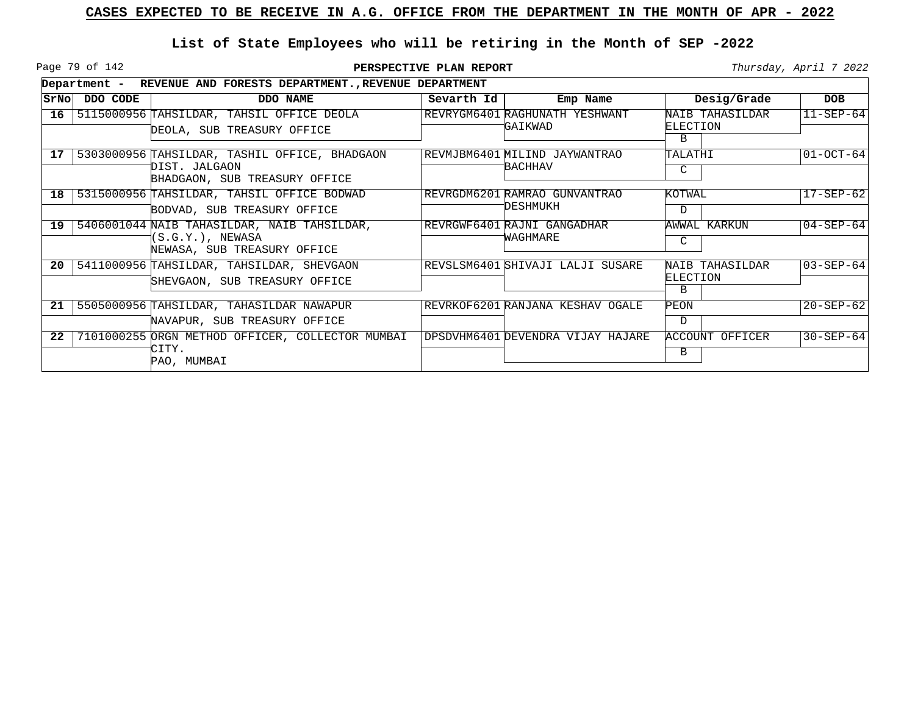Page 79 of 142

|      |          | Department - REVENUE AND FORESTS DEPARTMENT., REVENUE DEPARTMENT                                |            |                                                  |                                         |                 |
|------|----------|-------------------------------------------------------------------------------------------------|------------|--------------------------------------------------|-----------------------------------------|-----------------|
| SrNo | DDO CODE | DDO NAME                                                                                        | Sevarth Id | Emp Name                                         | Desig/Grade                             | <b>DOB</b>      |
| 16   |          | 5115000956 TAHSILDAR, TAHSIL OFFICE DEOLA<br>DEOLA, SUB TREASURY OFFICE                         |            | REVRYGM6401 RAGHUNATH YESHWANT<br><b>GAIKWAD</b> | NAIB TAHASILDAR<br>ELECTION<br>B        | $11 - SEP - 64$ |
| 17   |          | 5303000956 TAHSILDAR, TASHIL OFFICE, BHADGAON<br>DIST. JALGAON<br>BHADGAON, SUB TREASURY OFFICE |            | REVMJBM6401 MILIND JAYWANTRAO<br>BACHHAV         | TALATHI<br>C                            | $01-0CT-64$     |
| 18   |          | 5315000956 TAHSILDAR, TAHSIL OFFICE BODWAD<br>BODVAD, SUB TREASURY OFFICE                       |            | REVRGDM6201 RAMRAO GUNVANTRAO<br>DESHMUKH        | KOTWAL<br>$\mathbf D$                   | $17 - SEP - 62$ |
| 19   |          | 5406001044 NAIB TAHASILDAR, NAIB TAHSILDAR,<br>(S.G.Y.), NEWASA<br>NEWASA, SUB TREASURY OFFICE  |            | REVRGWF6401 RAJNI GANGADHAR<br>WAGHMARE          | AWWAL KARKUN<br>C                       | $04 - SEP - 64$ |
| 20   |          | 5411000956 TAHSILDAR, TAHSILDAR, SHEVGAON<br>SHEVGAON, SUB TREASURY OFFICE                      |            | REVSLSM6401 SHIVAJI LALJI SUSARE                 | NAIB TAHASILDAR<br><b>ELECTION</b><br>B | $03 - SEP - 64$ |
| 21   |          | 5505000956 TAHSILDAR, TAHASILDAR NAWAPUR<br>NAVAPUR, SUB TREASURY OFFICE                        |            | REVRKOF6201 RANJANA KESHAV OGALE                 | PEON<br>D                               | $20 - SEP - 62$ |
| 22   |          | 7101000255 ORGN METHOD OFFICER, COLLECTOR MUMBAI<br>CITY.<br>PAO, MUMBAI                        |            | DPSDVHM6401 DEVENDRA VIJAY HAJARE                | ACCOUNT OFFICER<br>В                    | $30 - SEP - 64$ |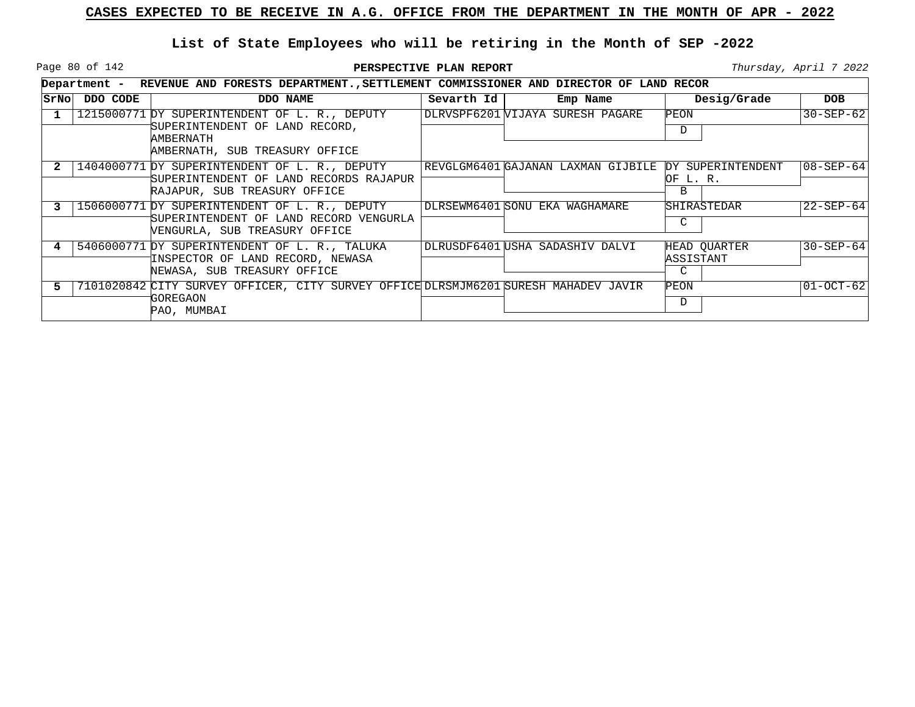Page 80 of 142

|      |          | Department - REVENUE AND FORESTS DEPARTMENT., SETTLEMENT COMMISSIONER AND DIRECTOR OF LAND RECOR                         |            |                                    |                                            |                 |
|------|----------|--------------------------------------------------------------------------------------------------------------------------|------------|------------------------------------|--------------------------------------------|-----------------|
| SrNo | DDO CODE | DDO NAME                                                                                                                 | Sevarth Id | Emp Name                           | Desig/Grade                                | <b>DOB</b>      |
|      |          | 1215000771 DY SUPERINTENDENT OF L. R., DEPUTY                                                                            |            | DLRVSPF6201 WIJAYA SURESH PAGARE   | PEON                                       | $30 - SEP - 62$ |
|      |          | SUPERINTENDENT OF LAND RECORD,<br>AMBERNATH<br>AMBERNATH, SUB TREASURY OFFICE                                            |            |                                    | D                                          |                 |
|      |          | 1404000771 DY SUPERINTENDENT OF L. R., DEPUTY<br>SUPERINTENDENT OF LAND RECORDS RAJAPUR<br>RAJAPUR, SUB TREASURY OFFICE  |            | REVGLGM6401 GAJANAN LAXMAN GIJBILE | DY SUPERINTENDENT<br>OF L. R.<br>B         | 108-SEP-641     |
|      |          | 1506000771 DY SUPERINTENDENT OF L. R., DEPUTY<br>SUPERINTENDENT OF LAND RECORD VENGURLA<br>VENGURLA, SUB TREASURY OFFICE |            | DLRSEWM6401 SONU EKA WAGHAMARE     | <b>SHIRASTEDAR</b><br>C                    | $22 - SEP - 64$ |
|      |          | 5406000771 DY SUPERINTENDENT OF L. R., TALUKA<br>INSPECTOR OF LAND RECORD, NEWASA<br>NEWASA, SUB TREASURY OFFICE         |            | DLRUSDF6401 USHA SADASHIV DALVI    | HEAD OUARTER<br>ASSISTANT<br>$\mathcal{C}$ | $30 - SEP - 64$ |
|      |          | 7101020842 CITY SURVEY OFFICER, CITY SURVEY OFFICE DLRSMJM6201 SURESH MAHADEV JAVIR<br>GOREGAON<br>PAO, MUMBAI           |            |                                    | PEON<br>D                                  | $01-0CT-62$     |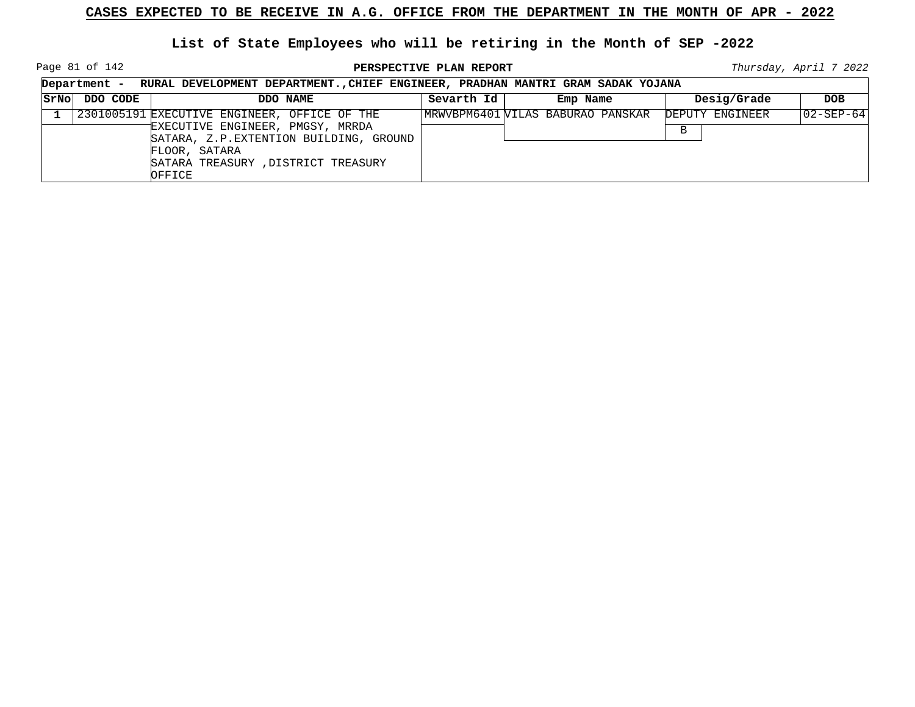Page 81 of 142

**PERSPECTIVE PLAN REPORT Thursday**, April 7 2022

┑

|      | Department - | RURAL DEVELOPMENT DEPARTMENT., CHIEF ENGINEER, PRADHAN MANTRI GRAM SADAK YOJANA                                                                                                              |            |                                  |                      |                   |
|------|--------------|----------------------------------------------------------------------------------------------------------------------------------------------------------------------------------------------|------------|----------------------------------|----------------------|-------------------|
| SrNo | DDO CODE     | DDO NAME                                                                                                                                                                                     | Sevarth Id | Emp Name                         | Desig/Grade          | <b>DOB</b>        |
|      |              | 2301005191 EXECUTIVE ENGINEER, OFFICE OF THE<br>EXECUTIVE ENGINEER, PMGSY, MRRDA<br>SATARA, Z.P. EXTENTION BUILDING, GROUND<br>FLOOR, SATARA<br>SATARA TREASURY, DISTRICT TREASURY<br>OFFICE |            | MRWVBPM6401WILAS BABURAO PANSKAR | DEPUTY ENGINEER<br>B | $ 02 - SEP - 64 $ |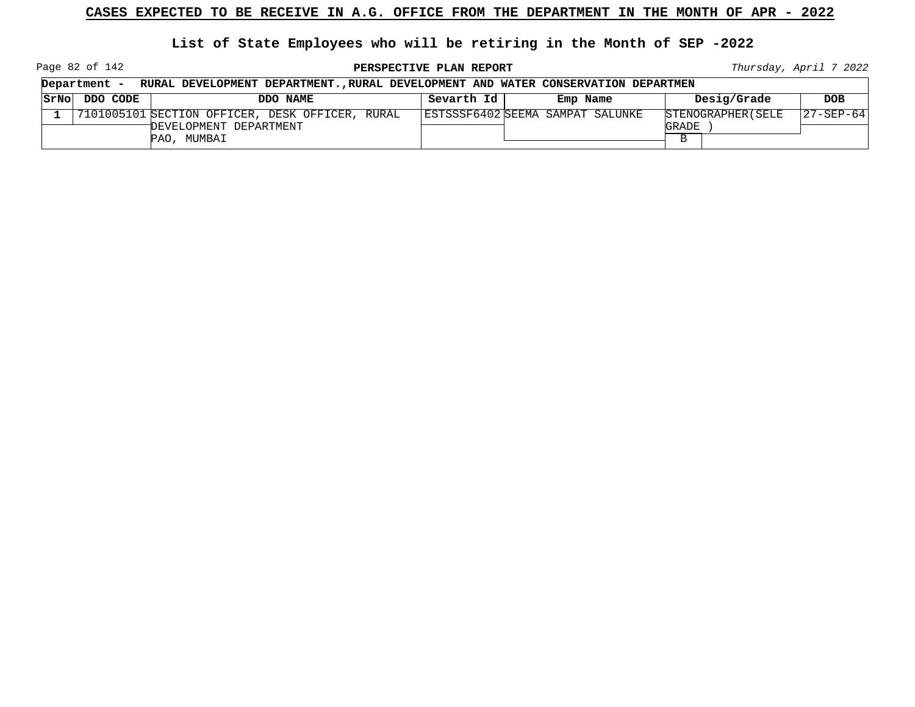**List of State Employees who will be retiring in the Month of SEP -2022**

Page 82 of 142

**PERSPECTIVE PLAN REPORT Thursday**, April 7 2022

┑

|      | Department -<br>RURAL DEVELOPMENT DEPARTMENT., RURAL DEVELOPMENT AND WATER CONSERVATION DEPARTMEN |                                                 |            |                                  |                    |                   |  |  |
|------|---------------------------------------------------------------------------------------------------|-------------------------------------------------|------------|----------------------------------|--------------------|-------------------|--|--|
| SrNo | DDO CODE                                                                                          | DDO NAME                                        | Sevarth Id | Emp Name                         | Desig/Grade        | <b>DOB</b>        |  |  |
|      |                                                                                                   | 7101005101 SECTION OFFICER, DESK OFFICER, RURAL |            | ESTSSSF6402 SEEMA SAMPAT SALUNKE | STENOGRAPHER (SELE | $ 27 - SEP - 64 $ |  |  |
|      |                                                                                                   | DEVELOPMENT DEPARTMENT                          |            |                                  | GRADE              |                   |  |  |
|      |                                                                                                   | PAO, MUMBAI                                     |            |                                  |                    |                   |  |  |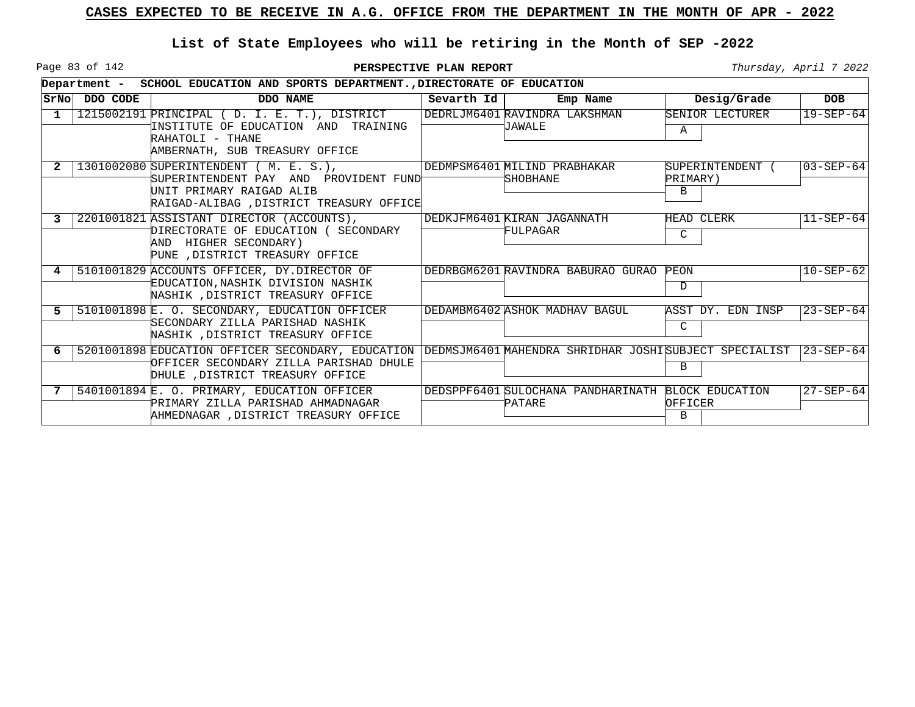Page 83 of 142

|      | Department - | SCHOOL EDUCATION AND SPORTS DEPARTMENT., DIRECTORATE OF EDUCATION                                                                                       |            |                                                       |                                 |                   |
|------|--------------|---------------------------------------------------------------------------------------------------------------------------------------------------------|------------|-------------------------------------------------------|---------------------------------|-------------------|
| SrNo | DDO CODE     | DDO NAME                                                                                                                                                | Sevarth Id | Emp Name                                              | Desig/Grade                     | <b>DOB</b>        |
| 1    |              | 1215002191 PRINCIPAL (D. I. E. T.), DISTRICT<br>INSTITUTE OF EDUCATION AND<br>TRAINING<br>RAHATOLI - THANE<br>AMBERNATH, SUB TREASURY OFFICE            |            | DEDRLJM6401 RAVINDRA LAKSHMAN<br>JAWALE               | SENIOR LECTURER<br>A            | $19 - SEP - 64$   |
|      |              | 1301002080 SUPERINTENDENT ( M. E. S.),<br>SUPERINTENDENT PAY AND PROVIDENT FUND<br>UNIT PRIMARY RAIGAD ALIB<br>RAIGAD-ALIBAG , DISTRICT TREASURY OFFICE |            | DEDMPSM6401 MILIND PRABHAKAR<br><b>SHOBHANE</b>       | SUPERINTENDENT<br>PRIMARY)<br>В | $03 - SEP - 64$   |
| 3    |              | 2201001821 ASSISTANT DIRECTOR (ACCOUNTS),<br>DIRECTORATE OF EDUCATION ( SECONDARY<br>AND HIGHER SECONDARY)<br>PUNE , DISTRICT TREASURY OFFICE           |            | DEDKJFM6401 KIRAN JAGANNATH<br>FULPAGAR               | HEAD CLERK<br>C                 | $11-SEP-64$       |
|      |              | 5101001829 ACCOUNTS OFFICER, DY.DIRECTOR OF<br>EDUCATION, NASHIK DIVISION NASHIK<br>NASHIK , DISTRICT TREASURY OFFICE                                   |            | DEDRBGM6201 RAVINDRA BABURAO GURAO                    | PEON<br>D                       | $10 - SEP - 62$   |
|      |              | 5101001898 E. O. SECONDARY, EDUCATION OFFICER<br>SECONDARY ZILLA PARISHAD NASHIK<br>NASHIK , DISTRICT TREASURY OFFICE                                   |            | DEDAMBM6402 ASHOK MADHAV BAGUL                        | ASST DY, EDN INSP<br>C          | $23 - SEP - 64$   |
|      |              | 5201001898 EDUCATION OFFICER SECONDARY, EDUCATION<br>OFFICER SECONDARY ZILLA PARISHAD DHULE<br>DHULE , DISTRICT TREASURY OFFICE                         |            | DEDMSJM6401 MAHENDRA SHRIDHAR JOSHISUBJECT SPECIALIST | В                               | $ 23 - SEP - 64 $ |
|      |              | 5401001894 E. O. PRIMARY, EDUCATION OFFICER<br>PRIMARY ZILLA PARISHAD AHMADNAGAR<br>AHMEDNAGAR .DISTRICT TREASURY OFFICE                                |            | DEDSPPF6401 SULOCHANA PANDHARINATH<br>PATARE          | BLOCK EDUCATION<br>OFFICER<br>B | $27 - SEP - 64$   |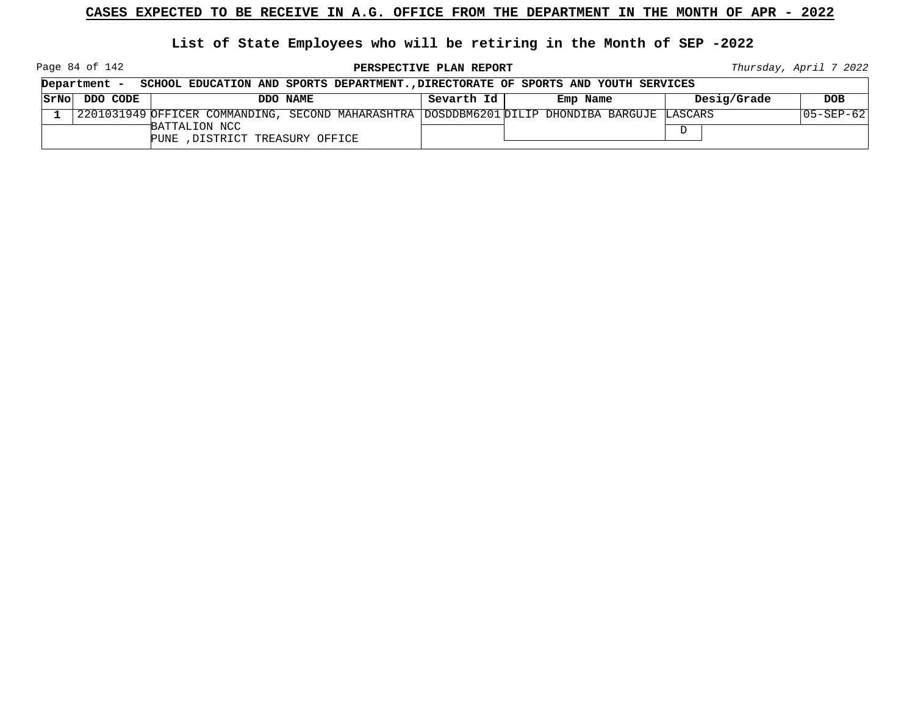**List of State Employees who will be retiring in the Month of SEP -2022**

Page 84 of 142

**PERSPECTIVE PLAN REPORT Thursday**, April 7 2022

 $\overline{\phantom{0}}$ 

|      | SCHOOL EDUCATION AND SPORTS DEPARTMENT., DIRECTORATE OF SPORTS AND YOUTH SERVICES<br>Department - |                                                  |                                                                                               |            |          |          |             |            |
|------|---------------------------------------------------------------------------------------------------|--------------------------------------------------|-----------------------------------------------------------------------------------------------|------------|----------|----------|-------------|------------|
| SrNo | DDO CODE                                                                                          |                                                  | DDO NAME                                                                                      | Sevarth Id | Emp Name |          | Desig/Grade | <b>DOB</b> |
|      |                                                                                                   |                                                  | 2201031949 OFFICER COMMANDING, SECOND MAHARASHTRA  DOSDDBM6201 DILIP DHONDIBA BARGUJE LASCARS |            |          |          |             | 05-SEP-62  |
|      |                                                                                                   | BATTALION NCC<br>PUNE , DISTRICT TREASURY OFFICE |                                                                                               |            |          | $\Gamma$ |             |            |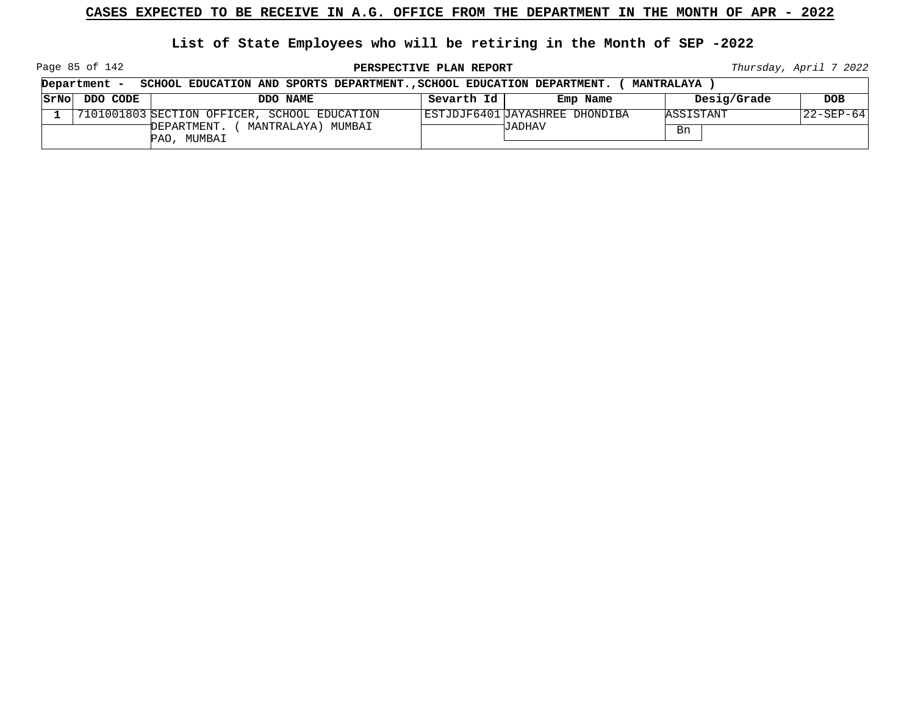**List of State Employees who will be retiring in the Month of SEP -2022**

Page 85 of 142

**PERSPECTIVE PLAN REPORT Thursday**, April 7 2022

| Department -<br>SCHOOL EDUCATION AND SPORTS DEPARTMENT., SCHOOL EDUCATION DEPARTMENT. |          |                                                    |            |                                | <b>MANTRALAYA</b> |            |
|---------------------------------------------------------------------------------------|----------|----------------------------------------------------|------------|--------------------------------|-------------------|------------|
| SrNo                                                                                  | DDO CODE | DDO NAME                                           | Sevarth Id | Emp Name                       | Desig/Grade       | <b>DOB</b> |
|                                                                                       |          | 7101001803 SECTION OFFICER, SCHOOL EDUCATION       |            | ESTJDJF6401 JAYASHREE DHONDIBA | ASSISTANT         | 22-SEP-64  |
|                                                                                       |          | MANTRALAYA) MUMBAI<br>DEPARTMENT. (<br>PAO, MUMBAI |            | JADHAV                         | Bn                |            |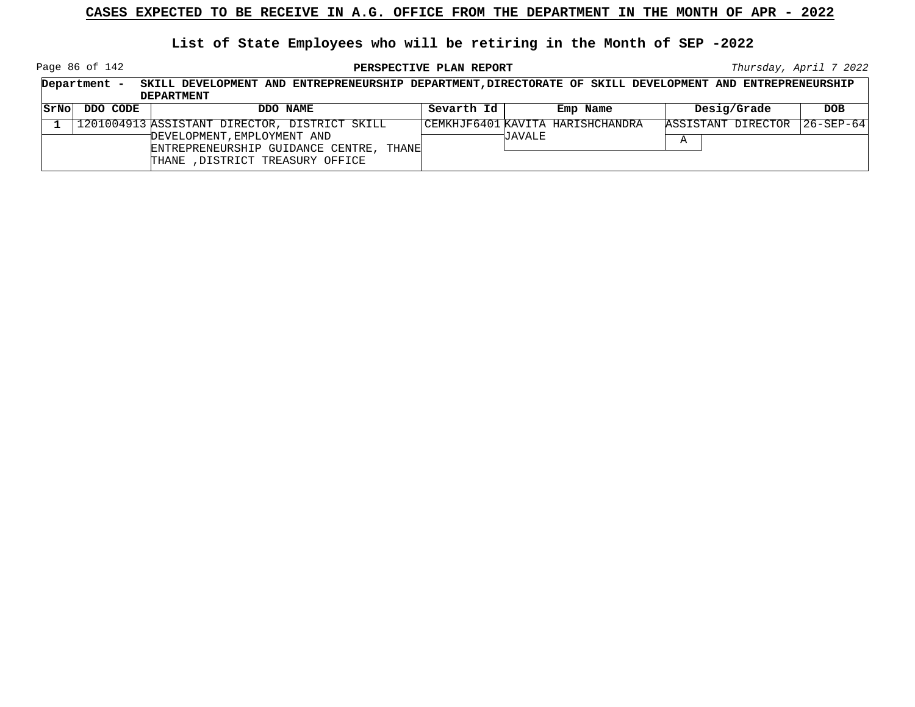**List of State Employees who will be retiring in the Month of SEP -2022**

Page 86 of 142

|      | Department | SKILL DEVELOPMENT AND ENTREPRENEURSHIP DEPARTMENT, DIRECTORATE OF SKILL DEVELOPMENT AND ENTREPRENEURSHIP   |            |                                  |                    |                   |
|------|------------|------------------------------------------------------------------------------------------------------------|------------|----------------------------------|--------------------|-------------------|
|      |            | <b>DEPARTMENT</b>                                                                                          |            |                                  |                    |                   |
| SrNo | DDO CODE   | DDO NAME                                                                                                   | Sevarth Id | Emp Name                         | Desig/Grade        | <b>DOB</b>        |
|      |            | 1201004913 ASSISTANT DIRECTOR, DISTRICT SKILL                                                              |            | CEMKHJF6401 KAVITA HARISHCHANDRA | ASSISTANT DIRECTOR | $ 26 - SEP - 64 $ |
|      |            | DEVELOPMENT, EMPLOYMENT AND<br>ENTREPRENEURSHIP GUIDANCE CENTRE, THANE<br>THANE , DISTRICT TREASURY OFFICE |            | <b>UAVALE</b>                    | Α                  |                   |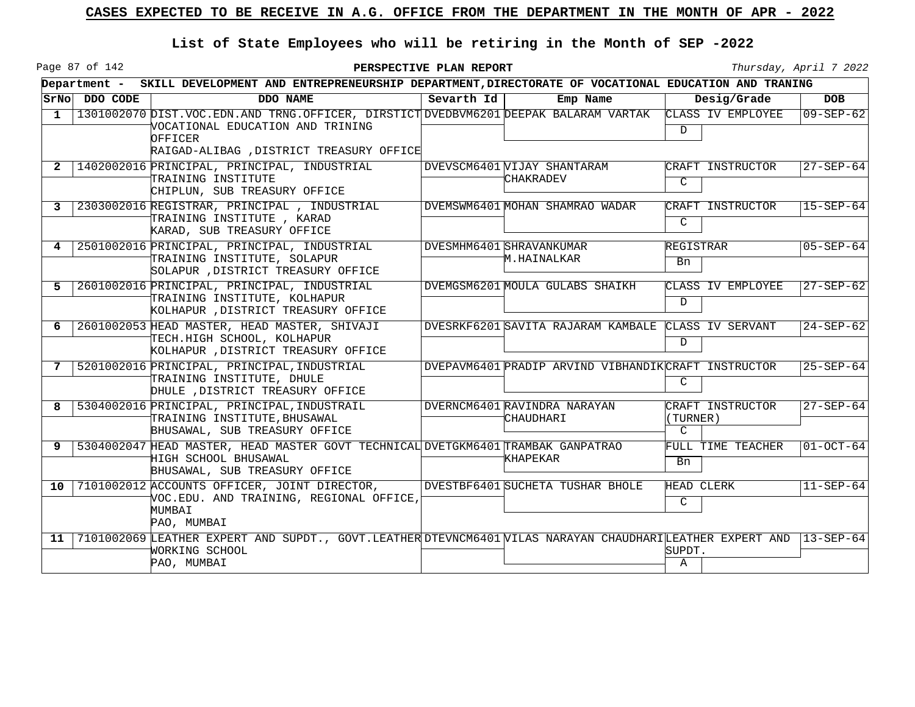Page 87 of 142

|              |               | Department - SKILL DEVELOPMENT AND ENTREPRENEURSHIP DEPARTMENT, DIRECTORATE OF VOCATIONAL EDUCATION AND TRANING                                                                     |            |                                                      |                                               |                   |  |  |
|--------------|---------------|-------------------------------------------------------------------------------------------------------------------------------------------------------------------------------------|------------|------------------------------------------------------|-----------------------------------------------|-------------------|--|--|
|              | SrNo DDO CODE | DDO NAME                                                                                                                                                                            | Sevarth Id | Emp Name                                             | Desig/Grade                                   | <b>DOB</b>        |  |  |
| $\mathbf{1}$ |               | 1301002070 DIST. VOC. EDN. AND TRNG. OFFICER, DIRSTICT DVEDBVM6201 DEEPAK BALARAM VARTAK<br>VOCATIONAL EDUCATION AND TRINING<br>OFFICER<br>RAIGAD-ALIBAG , DISTRICT TREASURY OFFICE |            |                                                      | CLASS IV EMPLOYEE<br>D.                       | $09 - SEP - 62$   |  |  |
| 2            |               | 1402002016 PRINCIPAL, PRINCIPAL, INDUSTRIAL<br>TRAINING INSTITUTE<br>CHIPLUN, SUB TREASURY OFFICE                                                                                   |            | DVEVSCM6401 VIJAY SHANTARAM<br><b>CHAKRADEV</b>      | CRAFT INSTRUCTOR<br>$\mathcal{C}$             | 27-SEP-64         |  |  |
|              |               | 2303002016 REGISTRAR, PRINCIPAL, INDUSTRIAL<br>TRAINING INSTITUTE , KARAD<br>KARAD, SUB TREASURY OFFICE                                                                             |            | DVEMSWM6401 MOHAN SHAMRAO WADAR                      | CRAFT INSTRUCTOR<br>$\mathcal{C}$             | $ 15 - SEP - 64 $ |  |  |
| 4            |               | 2501002016 PRINCIPAL, PRINCIPAL, INDUSTRIAL<br>TRAINING INSTITUTE, SOLAPUR<br>SOLAPUR , DISTRICT TREASURY OFFICE                                                                    |            | DVESMHM6401 SHRAVANKUMAR<br>M.HAINALKAR              | REGISTRAR<br>Bn                               | $05 - SEP - 64$   |  |  |
| 5.           |               | 2601002016 PRINCIPAL, PRINCIPAL, INDUSTRIAL<br>TRAINING INSTITUTE, KOLHAPUR<br>KOLHAPUR , DISTRICT TREASURY OFFICE                                                                  |            | DVEMGSM6201 MOULA GULABS SHAIKH                      | CLASS IV EMPLOYEE<br>D.                       | $27 - SEP - 62$   |  |  |
| 6            |               | 2601002053 HEAD MASTER, HEAD MASTER, SHIVAJI<br>TECH.HIGH SCHOOL, KOLHAPUR<br>KOLHAPUR , DISTRICT TREASURY OFFICE                                                                   |            | DVESRKF6201 SAVITA RAJARAM KAMBALE CLASS IV SERVANT  | D                                             | $24 - SEP - 62$   |  |  |
| 7            |               | 5201002016 PRINCIPAL, PRINCIPAL, INDUSTRIAL<br>TRAINING INSTITUTE, DHULE<br>DHULE , DISTRICT TREASURY OFFICE                                                                        |            | DVEPAVM6401 PRADIP ARVIND VIBHANDIK CRAFT INSTRUCTOR | $\mathcal{C}$                                 | $25 - SEP - 64$   |  |  |
| 8            |               | 5304002016 PRINCIPAL, PRINCIPAL, INDUSTRAIL<br>TRAINING INSTITUTE, BHUSAWAL<br>BHUSAWAL, SUB TREASURY OFFICE                                                                        |            | DVERNCM6401 RAVINDRA NARAYAN<br>CHAUDHARI            | CRAFT INSTRUCTOR<br>(TURNER)<br>$\mathcal{C}$ | $27 - SEP - 64$   |  |  |
| 9            |               | 5304002047 HEAD MASTER, HEAD MASTER GOVT TECHNICAL DVETGKM6401 TRAMBAK GANPATRAO<br>HIGH SCHOOL BHUSAWAL<br>BHUSAWAL, SUB TREASURY OFFICE                                           |            | KHAPEKAR                                             | FULL TIME TEACHER<br>Bn                       | $01-OCT-64$       |  |  |
| $10-1$       |               | 7101002012 ACCOUNTS OFFICER, JOINT DIRECTOR,<br>VOC.EDU. AND TRAINING, REGIONAL OFFICE,<br>MUMBAI<br>PAO, MUMBAI                                                                    |            | DVESTBF6401 SUCHETA TUSHAR BHOLE                     | HEAD CLERK<br>C                               | $11 - SEP - 64$   |  |  |
| 11           |               | 7101002069 LEATHER EXPERT AND SUPDT., GOVT.LEATHER DTEVNCM6401 VILAS NARAYAN CHAUDHARI LEATHER EXPERT AND  13-SEP-64<br>WORKING SCHOOL<br>PAO, MUMBAI                               |            |                                                      | SUPDT.<br>$\mathbb A$                         |                   |  |  |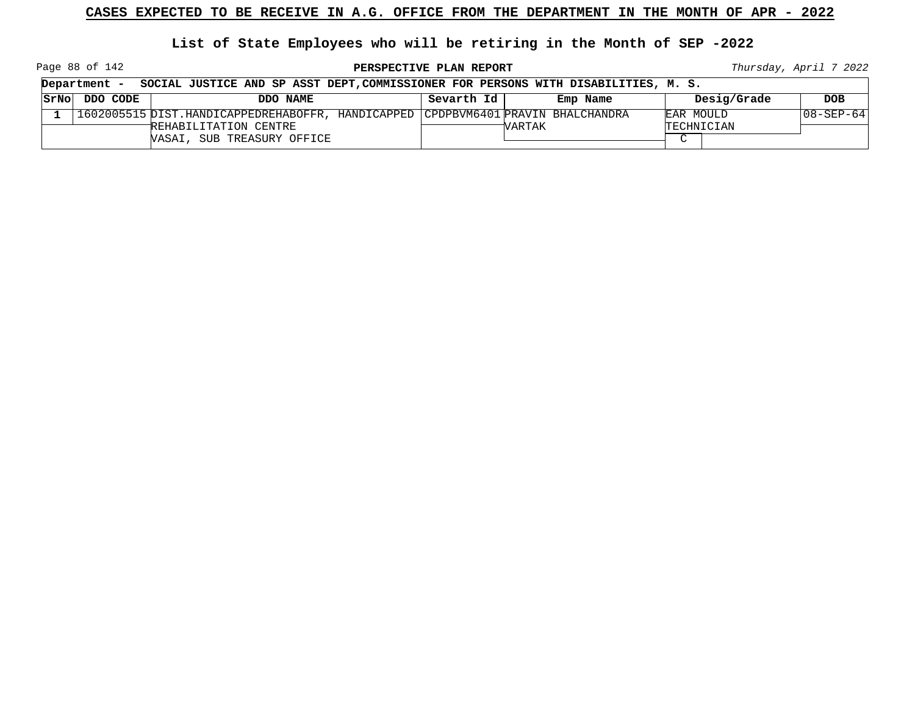**List of State Employees who will be retiring in the Month of SEP -2022**

Page 88 of 142

**PERSPECTIVE PLAN REPORT Thursday**, April 7 2022

| Department -<br>SOCIAL JUSTICE AND SP ASST DEPT, COMMISSIONER FOR PERSONS WITH DISABILITIES, M. S. |                                                                                   |            |          |            |             |             |  |
|----------------------------------------------------------------------------------------------------|-----------------------------------------------------------------------------------|------------|----------|------------|-------------|-------------|--|
| STNO DDO CODE                                                                                      | DDO NAME                                                                          | Sevarth Id | Emp Name |            | Desig/Grade | <b>DOB</b>  |  |
|                                                                                                    | 1602005515 DIST.HANDICAPPEDREHABOFFR, HANDICAPPED  CPDPBVM6401 PRAVIN BHALCHANDRA |            |          | EAR MOULD  |             | 108-SEP-641 |  |
|                                                                                                    | REHABILITATION CENTRE                                                             |            | WARTAK   | TECHNICIAN |             |             |  |
|                                                                                                    | <b>VASAI, SUB TREASURY OFFICE</b>                                                 |            |          | $\sim$     |             |             |  |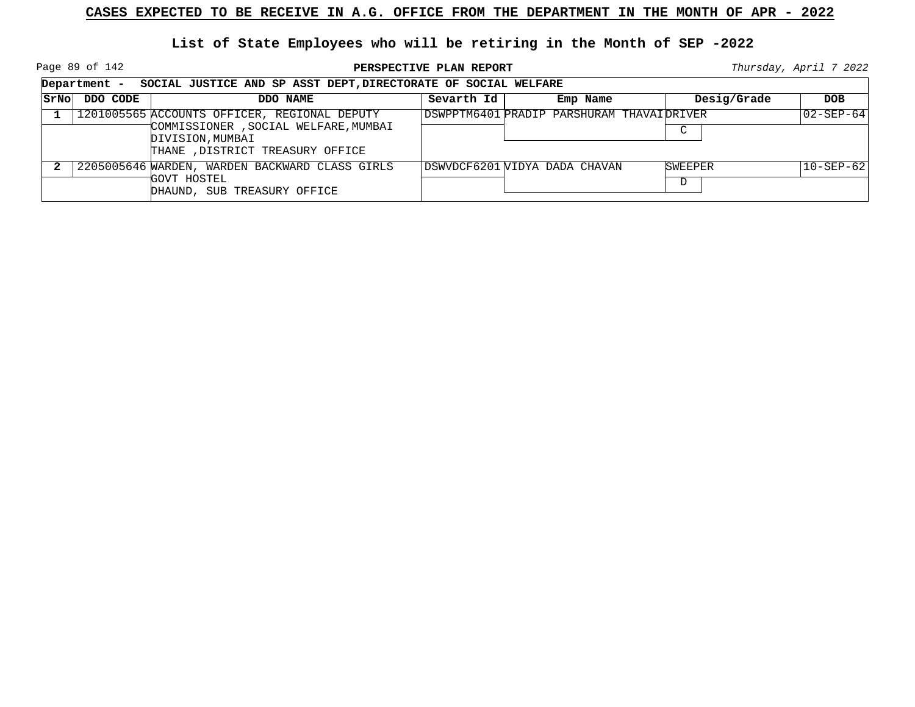Page 89 of 142

**PERSPECTIVE PLAN REPORT Thursday**, April 7 2022

┑

|      |          | Department - SOCIAL JUSTICE AND SP ASST DEPT, DIRECTORATE OF SOCIAL WELFARE                                                                   |            |                                           |              |                          |  |  |
|------|----------|-----------------------------------------------------------------------------------------------------------------------------------------------|------------|-------------------------------------------|--------------|--------------------------|--|--|
| SrNo | DDO CODE | DDO NAME                                                                                                                                      | Sevarth Id | Emp Name                                  | Desig/Grade  | <b>DOB</b>               |  |  |
|      |          | 1201005565 ACCOUNTS OFFICER, REGIONAL DEPUTY<br>COMMISSIONER , SOCIAL WELFARE, MUMBAI<br>DIVISION, MUMBAI<br>THANE , DISTRICT TREASURY OFFICE |            | DSWPPTM6401 PRADIP PARSHURAM THAVAIDRIVER | C            | $ 02 - SEP - 64 $        |  |  |
|      |          | 2205005646 WARDEN, WARDEN BACKWARD CLASS GIRLS<br>GOVT HOSTEL<br>DHAUND, SUB TREASURY OFFICE                                                  |            | DSWVDCF6201 VIDYA DADA CHAVAN             | SWEEPER<br>D | $ 10 - \text{SEP} - 62 $ |  |  |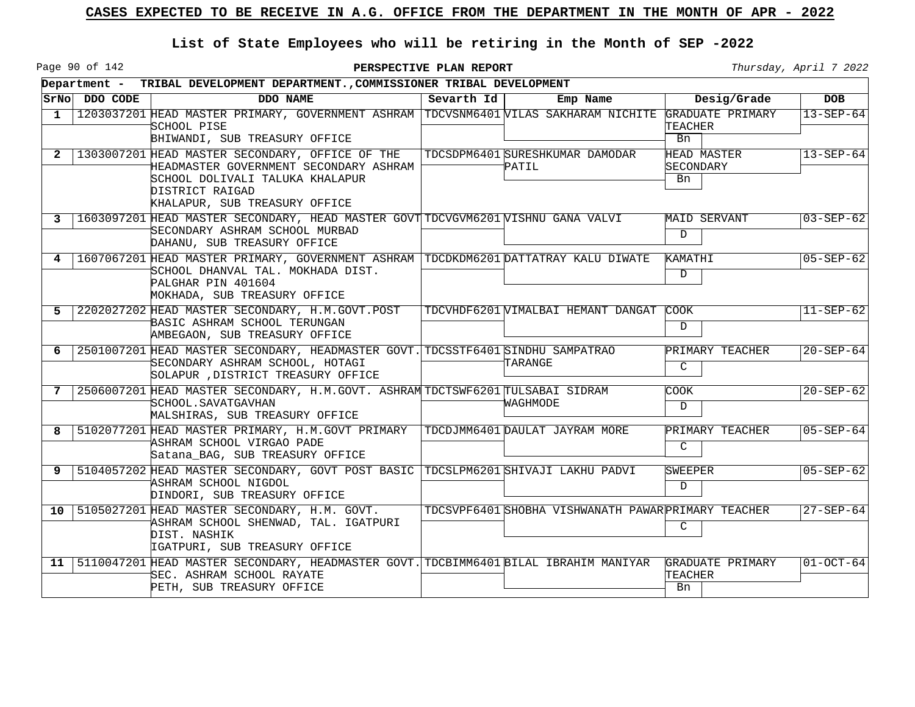Page 90 of 142

|                 |               | Department - TRIBAL DEVELOPMENT DEPARTMENT., COMMISSIONER TRIBAL DEVELOPMENT                                                                                                     |            |                                                     |                                       |                 |  |  |
|-----------------|---------------|----------------------------------------------------------------------------------------------------------------------------------------------------------------------------------|------------|-----------------------------------------------------|---------------------------------------|-----------------|--|--|
|                 | SrNo DDO CODE | DDO NAME                                                                                                                                                                         | Sevarth Id | Emp Name                                            | Desig/Grade                           | <b>DOB</b>      |  |  |
| $\mathbf{1}$    |               | 1203037201 HEAD MASTER PRIMARY, GOVERNMENT ASHRAM TDCVSNM6401 VILAS SAKHARAM NICHITE GRADUATE PRIMARY<br>SCHOOL PISE<br>BHIWANDI, SUB TREASURY OFFICE                            |            |                                                     | TEACHER<br>Bn                         | $13 - SEP - 64$ |  |  |
| -2              |               | 1303007201 HEAD MASTER SECONDARY, OFFICE OF THE<br>HEADMASTER GOVERNMENT SECONDARY ASHRAM<br>SCHOOL DOLIVALI TALUKA KHALAPUR<br>DISTRICT RAIGAD<br>KHALAPUR, SUB TREASURY OFFICE |            | TDCSDPM6401 SURESHKUMAR DAMODAR<br>PATIL            | <b>HEAD MASTER</b><br>SECONDARY<br>Bn | $13 - SEP - 64$ |  |  |
| 3               |               | 1603097201 HEAD MASTER SECONDARY, HEAD MASTER GOVT TDCVGVM6201 VISHNU GANA VALVI<br>SECONDARY ASHRAM SCHOOL MURBAD<br>DAHANU, SUB TREASURY OFFICE                                |            |                                                     | MAID SERVANT<br>D                     | $03 - SEP - 62$ |  |  |
| 4               |               | 1607067201 HEAD MASTER PRIMARY, GOVERNMENT ASHRAM TDCDKDM6201 DATTATRAY KALU DIWATE<br>SCHOOL DHANVAL TAL. MOKHADA DIST.<br>PALGHAR PIN 401604<br>MOKHADA, SUB TREASURY OFFICE   |            |                                                     | KAMATHI<br>$\mathbf D$                | $05 - SEP - 62$ |  |  |
| 5               |               | 2202027202 HEAD MASTER SECONDARY, H.M.GOVT.POST<br>BASIC ASHRAM SCHOOL TERUNGAN<br>AMBEGAON, SUB TREASURY OFFICE                                                                 |            | TDCVHDF6201 VIMALBAI HEMANT DANGAT                  | COOK<br>D                             | $11 - SEP - 62$ |  |  |
| 6               |               | 2501007201 HEAD MASTER SECONDARY, HEADMASTER GOVT. TDCSSTF6401 SINDHU SAMPATRAO<br>SECONDARY ASHRAM SCHOOL, HOTAGI<br>SOLAPUR , DISTRICT TREASURY OFFICE                         |            | TARANGE                                             | PRIMARY TEACHER<br>$\mathcal{C}$      | $20 - SEP - 64$ |  |  |
| 7               |               | 2506007201 HEAD MASTER SECONDARY, H.M.GOVT. ASHRAM TDCTSWF6201 TULSABAI SIDRAM<br>'SCHOOL.SAVATGAVHAN<br>MALSHIRAS, SUB TREASURY OFFICE                                          |            | WAGHMODE                                            | COOK<br>$\mathbb{D}$                  | $20 - SEP - 62$ |  |  |
| 8               |               | 5102077201 HEAD MASTER PRIMARY, H.M.GOVT PRIMARY   TDCDJMM6401 DAULAT JAYRAM MORE<br>ASHRAM SCHOOL VIRGAO PADE<br>Satana_BAG, SUB TREASURY OFFICE                                |            |                                                     | PRIMARY TEACHER<br>$\mathcal{C}$      | $05 - SEP - 64$ |  |  |
| 9               |               | 5104057202 HEAD MASTER SECONDARY, GOVT POST BASIC TDCSLPM6201 SHIVAJI LAKHU PADVI<br>ASHRAM SCHOOL NIGDOL<br>DINDORI, SUB TREASURY OFFICE                                        |            |                                                     | SWEEPER<br>$\mathbf D$                | $05 - SEP - 62$ |  |  |
|                 |               | 10   5105027201 HEAD MASTER SECONDARY, H.M. GOVT.<br>ASHRAM SCHOOL SHENWAD, TAL. IGATPURI<br>DIST. NASHIK<br>IGATPURI, SUB TREASURY OFFICE                                       |            | TDCSVPF6401 SHOBHA VISHWANATH PAWAR PRIMARY TEACHER | C                                     | $27 - SEP - 64$ |  |  |
| 11 <sub>1</sub> |               | 5110047201 HEAD MASTER SECONDARY, HEADMASTER GOVT. TDCBIMM6401 BILAL IBRAHIM MANIYAR<br>SEC. ASHRAM SCHOOL RAYATE<br>PETH, SUB TREASURY OFFICE                                   |            |                                                     | GRADUATE PRIMARY<br>TEACHER<br>Bn     | $01 - OCT - 64$ |  |  |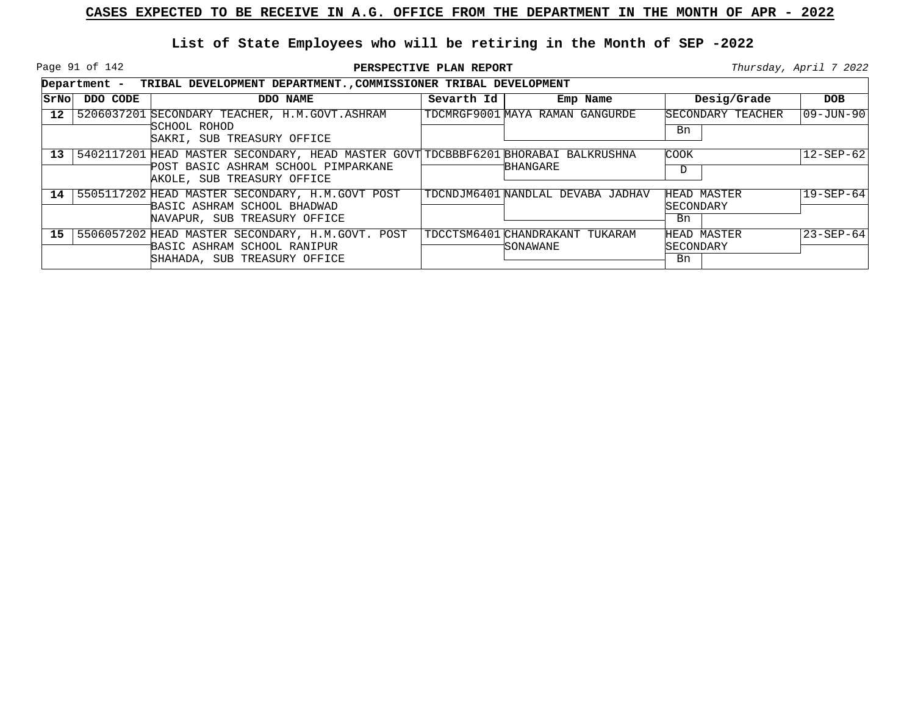Page 91 of 142

|                 |          | Department - TRIBAL DEVELOPMENT DEPARTMENT., COMMISSIONER TRIBAL DEVELOPMENT                                                                                 |            |                                              |                                |                 |  |  |  |
|-----------------|----------|--------------------------------------------------------------------------------------------------------------------------------------------------------------|------------|----------------------------------------------|--------------------------------|-----------------|--|--|--|
| SrNol           | DDO CODE | DDO NAME                                                                                                                                                     | Sevarth Id | Emp Name                                     | Desig/Grade                    | <b>DOB</b>      |  |  |  |
| 12 <sup>°</sup> |          | 5206037201 SECONDARY TEACHER, H.M.GOVT.ASHRAM<br>SCHOOL ROHOD<br>SAKRI, SUB TREASURY OFFICE                                                                  |            | TDCMRGF9001 MAYA RAMAN GANGURDE              | SECONDARY TEACHER<br>Bn        | 09-JUN-90       |  |  |  |
|                 |          | 13   5402117201 HEAD MASTER SECONDARY, HEAD MASTER GOVT TDCBBBF6201 BHORABAI BALKRUSHNA<br>POST BASIC ASHRAM SCHOOL PIMPARKANE<br>AKOLE, SUB TREASURY OFFICE |            | BHANGARE                                     | <b>COOK</b><br>D               | $12 - SEP - 62$ |  |  |  |
|                 |          | 14 5505117202 HEAD MASTER SECONDARY, H.M.GOVT POST<br>BASIC ASHRAM SCHOOL BHADWAD<br>NAVAPUR, SUB TREASURY OFFICE                                            |            | TDCNDJM6401 NANDLAL DEVABA JADHAV            | HEAD MASTER<br>SECONDARY<br>Bn | $19 - SEP - 64$ |  |  |  |
|                 |          | 15   5506057202 HEAD MASTER SECONDARY, H.M.GOVT. POST<br>BASIC ASHRAM SCHOOL RANIPUR<br>SHAHADA, SUB TREASURY OFFICE                                         |            | TDCCTSM6401 CHANDRAKANT TUKARAM<br>'SONAWANE | HEAD MASTER<br>SECONDARY<br>Bn | $23 - SEP - 64$ |  |  |  |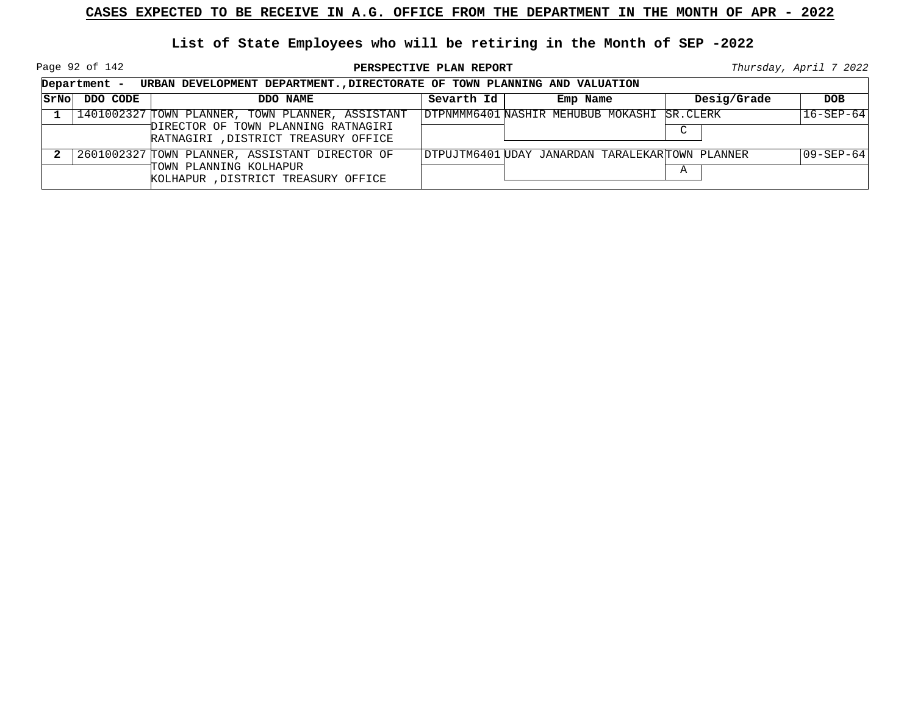Page 92 of 142

**PERSPECTIVE PLAN REPORT Thursday**, April 7 2022

| Department -  | URBAN DEVELOPMENT DEPARTMENT., DIRECTORATE OF TOWN PLANNING AND VALUATION                                                       |            |                                                 |             |                 |
|---------------|---------------------------------------------------------------------------------------------------------------------------------|------------|-------------------------------------------------|-------------|-----------------|
| STNO DDO CODE | DDO NAME                                                                                                                        | Sevarth Id | Emp Name                                        | Desig/Grade | <b>DOB</b>      |
|               | 1401002327 TOWN PLANNER, TOWN PLANNER, ASSISTANT<br>DIRECTOR OF TOWN PLANNING RATNAGIRI<br>RATNAGIRI , DISTRICT TREASURY OFFICE |            | DTPNMMM6401 NASHIR MEHUBUB MOKASHI SR.CLERK     | C           | $16 - SEP - 64$ |
|               | 2601002327 TOWN PLANNER, ASSISTANT DIRECTOR OF<br>TOWN PLANNING KOLHAPUR<br>KOLHAPUR, DISTRICT TREASURY OFFICE                  |            | DTPUJTM6401 UDAY JANARDAN TARALEKARTOWN PLANNER | A           | $09 - SEP - 64$ |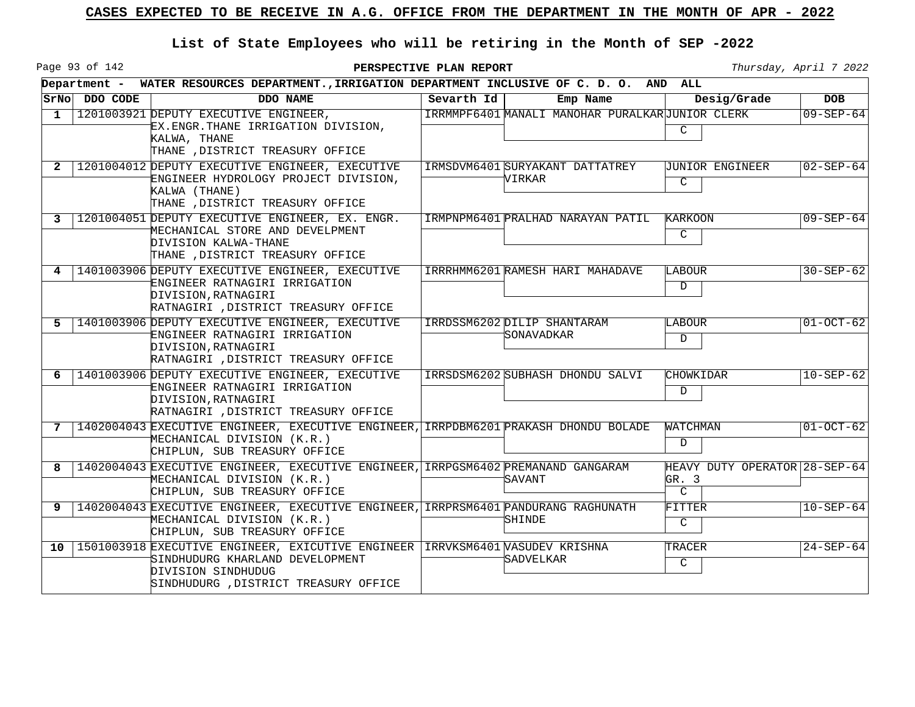Page 93 of 142

|                 |               | Department - WATER RESOURCES DEPARTMENT., IRRIGATION DEPARTMENT INCLUSIVE OF C. D. O. AND ALL                                                                                   |            |                                                    |                                                         |                 |
|-----------------|---------------|---------------------------------------------------------------------------------------------------------------------------------------------------------------------------------|------------|----------------------------------------------------|---------------------------------------------------------|-----------------|
|                 | STNO DDO CODE | DDO NAME                                                                                                                                                                        | Sevarth Id | Emp Name                                           | Desig/Grade                                             | <b>DOB</b>      |
| 1               |               | 1201003921 DEPUTY EXECUTIVE ENGINEER,<br>EX.ENGR.THANE IRRIGATION DIVISION,<br>KALWA, THANE<br>THANE , DISTRICT TREASURY OFFICE                                                 |            | IRRMMPF6401 MANALI MANOHAR PURALKARUUNIOR CLERK    | $\mathcal{C}$                                           | $09 - SEP - 64$ |
| $\mathbf{2}$    |               | 1201004012 DEPUTY EXECUTIVE ENGINEER, EXECUTIVE<br>ENGINEER HYDROLOGY PROJECT DIVISION.<br>KALWA (THANE)<br>THANE , DISTRICT TREASURY OFFICE                                    |            | IRMSDVM6401 SURYAKANT DATTATREY<br>VIRKAR          | JUNIOR ENGINEER<br>C                                    | $02 - SEP - 64$ |
| 3               |               | 1201004051 DEPUTY EXECUTIVE ENGINEER, EX. ENGR.<br>MECHANICAL STORE AND DEVELPMENT<br>DIVISION KALWA-THANE<br>THANE , DISTRICT TREASURY OFFICE                                  |            | IRMPNPM6401 PRALHAD NARAYAN PATIL                  | <b>KARKOON</b><br>$\mathsf{C}$                          | $09 - SEP - 64$ |
| 4               |               | 1401003906 DEPUTY EXECUTIVE ENGINEER, EXECUTIVE<br>ENGINEER RATNAGIRI IRRIGATION<br>DIVISION, RATNAGIRI<br>RATNAGIRI , DISTRICT TREASURY OFFICE                                 |            | IRRRHMM6201 RAMESH HARI MAHADAVE                   | <b>LABOUR</b><br>D                                      | $30 - SEP - 62$ |
| 5               |               | 1401003906 DEPUTY EXECUTIVE ENGINEER, EXECUTIVE<br>ENGINEER RATNAGIRI IRRIGATION<br>DIVISION, RATNAGIRI<br>RATNAGIRI , DISTRICT TREASURY OFFICE                                 |            | IRRDSSM6202 DILIP SHANTARAM<br><i>'</i> SONAVADKAR | <b>LABOUR</b><br>D                                      | $01-0CT-62$     |
| 6               |               | 1401003906 DEPUTY EXECUTIVE ENGINEER, EXECUTIVE<br>ENGINEER RATNAGIRI IRRIGATION<br>DIVISION, RATNAGIRI<br>RATNAGIRI , DISTRICT TREASURY OFFICE                                 |            | IRRSDSM6202 SUBHASH DHONDU SALVI                   | CHOWKIDAR<br>D                                          | $10 - SEP - 62$ |
| 7               |               | 1402004043 EXECUTIVE ENGINEER, EXECUTIVE ENGINEER, IRRPDBM6201 PRAKASH DHONDU BOLADE<br>MECHANICAL DIVISION (K.R.)<br>CHIPLUN, SUB TREASURY OFFICE                              |            |                                                    | WATCHMAN<br>D                                           | $01 - OCT - 62$ |
| 8               |               | 1402004043 EXECUTIVE ENGINEER, EXECUTIVE ENGINEER, IRRPGSM6402 PREMANAND GANGARAM<br>MECHANICAL DIVISION (K.R.)<br>CHIPLUN, SUB TREASURY OFFICE                                 |            | <i>'</i> SAVANT                                    | HEAVY DUTY OPERATOR 28-SEP-64<br>GR. 3<br>$\mathcal{C}$ |                 |
| 9               |               | 1402004043 EXECUTIVE ENGINEER, EXECUTIVE ENGINEER, IRRPRSM6401 PANDURANG RAGHUNATH<br>MECHANICAL DIVISION (K.R.)<br>CHIPLUN, SUB TREASURY OFFICE                                |            | SHINDE                                             | FITTER<br>$\mathsf{C}$                                  | $10 - SEP - 64$ |
| 10 <sup>1</sup> |               | 1501003918 EXECUTIVE ENGINEER, EXICUTIVE ENGINEER IRRVKSM6401 VASUDEV KRISHNA<br>SINDHUDURG KHARLAND DEVELOPMENT<br>DIVISION SINDHUDUG<br>SINDHUDURG , DISTRICT TREASURY OFFICE |            | SADVELKAR                                          | TRACER<br>$\mathsf{C}$                                  | $24 - SEP - 64$ |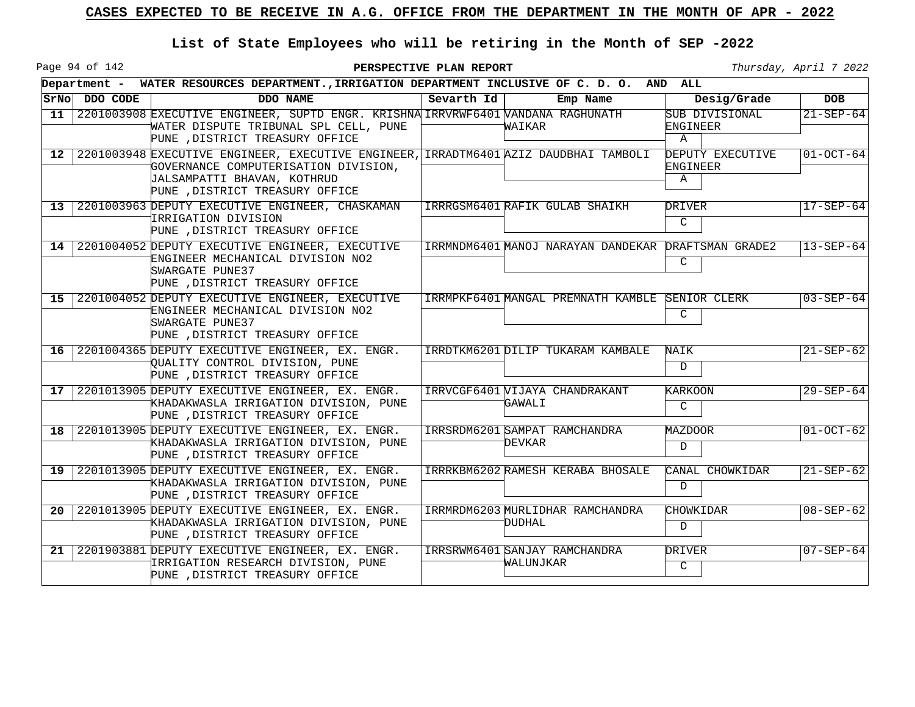Page 94 of 142

|                 |               | Department - WATER RESOURCES DEPARTMENT., IRRIGATION DEPARTMENT INCLUSIVE OF C. D. O. AND ALL                                                                                                  |            |                                                     |                                                   |                 |
|-----------------|---------------|------------------------------------------------------------------------------------------------------------------------------------------------------------------------------------------------|------------|-----------------------------------------------------|---------------------------------------------------|-----------------|
|                 | SrNo DDO CODE | DDO NAME                                                                                                                                                                                       | Sevarth Id | Emp Name                                            | Desig/Grade                                       | <b>DOB</b>      |
| 11              |               | 2201003908 EXECUTIVE ENGINEER, SUPTD ENGR. KRISHNA IRRVRWF6401 VANDANA RAGHUNATH<br>WATER DISPUTE TRIBUNAL SPL CELL, PUNE<br>PUNE , DISTRICT TREASURY OFFICE                                   |            | WAIKAR                                              | SUB DIVISIONAL<br><b>ENGINEER</b><br>$\mathbf{A}$ | $21 - SEP - 64$ |
| $12-1$          |               | 2201003948 EXECUTIVE ENGINEER, EXECUTIVE ENGINEER, IRRADTM6401 AZIZ DAUDBHAI TAMBOLI<br>GOVERNANCE COMPUTERISATION DIVISION,<br>JALSAMPATTI BHAVAN, KOTHRUD<br>PUNE , DISTRICT TREASURY OFFICE |            |                                                     | DEPUTY EXECUTIVE<br>ENGINEER<br>A                 | $01-0CT-64$     |
| $13-1$          |               | 2201003963 DEPUTY EXECUTIVE ENGINEER, CHASKAMAN<br>IRRIGATION DIVISION<br>PUNE , DISTRICT TREASURY OFFICE                                                                                      |            | IRRRGSM6401 RAFIK GULAB SHAIKH                      | DRIVER<br>$\overline{C}$                          | $17 - SEP - 64$ |
|                 |               | 14 2201004052 DEPUTY EXECUTIVE ENGINEER, EXECUTIVE<br>ENGINEER MECHANICAL DIVISION NO2<br>SWARGATE PUNE37<br>PUNE , DISTRICT TREASURY OFFICE                                                   |            | IRRMNDM6401 MANOJ NARAYAN DANDEKAR DRAFTSMAN GRADE2 | C                                                 | $13 - SEP - 64$ |
|                 |               | 15 2201004052 DEPUTY EXECUTIVE ENGINEER, EXECUTIVE<br>ENGINEER MECHANICAL DIVISION NO2<br>SWARGATE PUNE37<br>PUNE , DISTRICT TREASURY OFFICE                                                   |            | IRRMPKF6401 MANGAL PREMNATH KAMBLE                  | SENIOR CLERK<br>C                                 | $03 - SEP - 64$ |
| 16 <sup>1</sup> |               | 2201004365 DEPUTY EXECUTIVE ENGINEER, EX. ENGR.<br>OUALITY CONTROL DIVISION, PUNE<br>PUNE , DISTRICT TREASURY OFFICE                                                                           |            | IRRDTKM6201 DILIP TUKARAM KAMBALE                   | NAIK<br>D                                         | $21 - SEP - 62$ |
| 17              |               | 2201013905 DEPUTY EXECUTIVE ENGINEER, EX. ENGR.<br>KHADAKWASLA IRRIGATION DIVISION, PUNE<br>PUNE , DISTRICT TREASURY OFFICE                                                                    |            | IRRVCGF6401 VIJAYA CHANDRAKANT<br>GAWALI            | KARKOON<br>$\mathcal{C}$                          | $29 - SEP - 64$ |
| 18              |               | 2201013905 DEPUTY EXECUTIVE ENGINEER, EX. ENGR.<br>KHADAKWASLA IRRIGATION DIVISION, PUNE<br>PUNE , DISTRICT TREASURY OFFICE                                                                    |            | IRRSRDM6201 SAMPAT RAMCHANDRA<br>DEVKAR             | MAZDOOR<br>$\mathbf D$                            | $01-0CT-62$     |
| 19 <sup>1</sup> |               | 2201013905 DEPUTY EXECUTIVE ENGINEER, EX. ENGR.<br>KHADAKWASLA IRRIGATION DIVISION, PUNE<br>PUNE , DISTRICT TREASURY OFFICE                                                                    |            | IRRRKBM6202 RAMESH KERABA BHOSALE                   | CANAL CHOWKIDAR<br>$\mathbf D$                    | $21 - SEP - 62$ |
| 20              |               | 2201013905 DEPUTY EXECUTIVE ENGINEER, EX. ENGR.<br>KHADAKWASLA IRRIGATION DIVISION, PUNE<br>PUNE , DISTRICT TREASURY OFFICE                                                                    |            | IRRMRDM6203 MURLIDHAR RAMCHANDRA<br>DUDHAL          | CHOWKIDAR<br>D                                    | $08 - SEP - 62$ |
| 21              |               | 2201903881 DEPUTY EXECUTIVE ENGINEER, EX. ENGR.<br>IRRIGATION RESEARCH DIVISION, PUNE<br>PUNE , DISTRICT TREASURY OFFICE                                                                       |            | IRRSRWM6401 SANJAY RAMCHANDRA<br>WALUNJKAR          | DRIVER<br>$\mathcal{C}$                           | $07 - SEP - 64$ |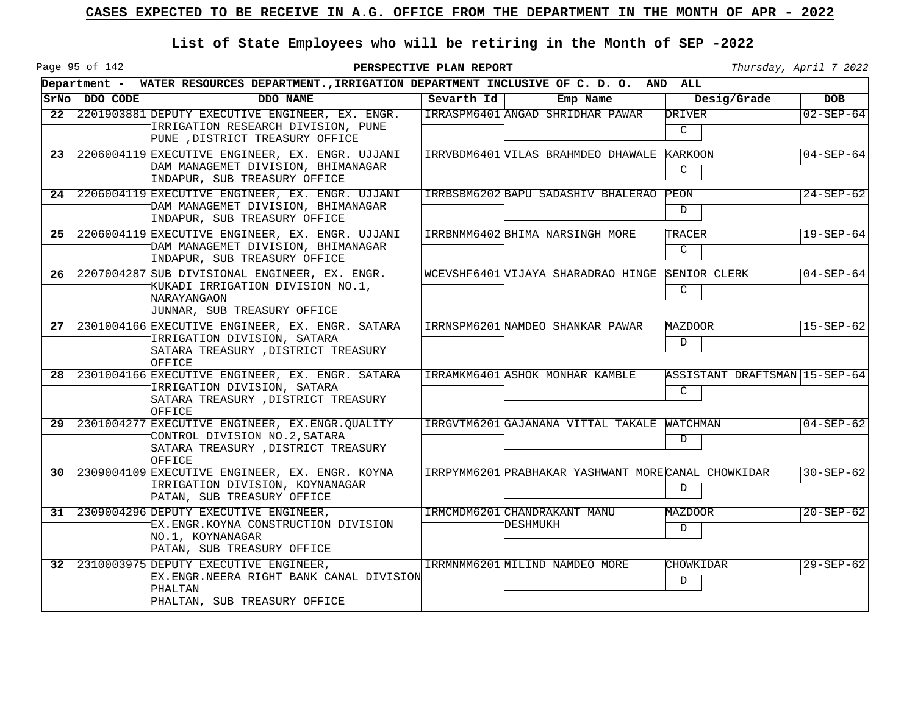Page 95 of 142

|                 |               | Department - WATER RESOURCES DEPARTMENT., IRRIGATION DEPARTMENT INCLUSIVE OF C. D. O. AND ALL                                      |            |                                                     |                                    |                 |
|-----------------|---------------|------------------------------------------------------------------------------------------------------------------------------------|------------|-----------------------------------------------------|------------------------------------|-----------------|
|                 | SrNo DDO CODE | DDO NAME                                                                                                                           | Sevarth Id | Emp Name                                            | Desig/Grade                        | <b>DOB</b>      |
| 22 <sub>2</sub> |               | 2201903881 DEPUTY EXECUTIVE ENGINEER, EX. ENGR.<br>IRRIGATION RESEARCH DIVISION, PUNE<br>PUNE , DISTRICT TREASURY OFFICE           |            | IRRASPM6401 ANGAD SHRIDHAR PAWAR                    | DRIVER<br>C                        | $02 - SEP - 64$ |
| 23              |               | 2206004119 EXECUTIVE ENGINEER, EX. ENGR. UJJANI<br>DAM MANAGEMET DIVISION, BHIMANAGAR<br>INDAPUR, SUB TREASURY OFFICE              |            | IRRVBDM6401 VILAS BRAHMDEO DHAWALE                  | <b>KARKOON</b><br>$\mathsf{C}$     | $04 - SEP - 64$ |
| 24              |               | 2206004119 EXECUTIVE ENGINEER, EX. ENGR. UJJANI<br>DAM MANAGEMET DIVISION, BHIMANAGAR<br>INDAPUR, SUB TREASURY OFFICE              |            | IRRBSBM6202 BAPU SADASHIV BHALERAO                  | PEON<br>D                          | $24 - SEP - 62$ |
| 25              |               | 2206004119 EXECUTIVE ENGINEER, EX. ENGR. UJJANI<br>DAM MANAGEMET DIVISION, BHIMANAGAR<br>INDAPUR, SUB TREASURY OFFICE              |            | IRRBNMM6402 BHIMA NARSINGH MORE                     | TRACER<br>$\mathsf{C}$             | $19 - SEP - 64$ |
| 26              |               | 2207004287 SUB DIVISIONAL ENGINEER, EX. ENGR.<br>KUKADI IRRIGATION DIVISION NO.1,<br>NARAYANGAON<br>JUNNAR, SUB TREASURY OFFICE    |            | WCEVSHF6401 VIJAYA SHARADRAO HINGE SENIOR CLERK     | C                                  | $04 - SEP - 64$ |
| 27              |               | 2301004166 EXECUTIVE ENGINEER, EX. ENGR. SATARA<br>IRRIGATION DIVISION, SATARA<br>SATARA TREASURY , DISTRICT TREASURY<br>OFFICE    |            | IRRNSPM6201 NAMDEO SHANKAR PAWAR                    | MAZDOOR<br>D                       | $15 - SEP - 62$ |
| 28              |               | 2301004166 EXECUTIVE ENGINEER, EX. ENGR. SATARA<br>IRRIGATION DIVISION, SATARA<br>SATARA TREASURY , DISTRICT TREASURY<br>OFFICE    |            | IRRAMKM6401 ASHOK MONHAR KAMBLE                     | ASSISTANT DRAFTSMAN 15-SEP-64<br>C |                 |
| 29              |               | 2301004277 EXECUTIVE ENGINEER, EX. ENGR. QUALITY<br>CONTROL DIVISION NO.2, SATARA<br>SATARA TREASURY , DISTRICT TREASURY<br>OFFICE |            | IRRGVTM6201 GAJANANA VITTAL TAKALE WATCHMAN         | D                                  | $04 - SEP - 62$ |
| 30              |               | 2309004109 EXECUTIVE ENGINEER, EX. ENGR. KOYNA<br>IRRIGATION DIVISION, KOYNANAGAR<br>PATAN, SUB TREASURY OFFICE                    |            | IRRPYMM6201 PRABHAKAR YASHWANT MORE CANAL CHOWKIDAR | D                                  | $30 - SEP - 62$ |
| 31              |               | 2309004296 DEPUTY EXECUTIVE ENGINEER,<br>EX.ENGR.KOYNA CONSTRUCTION DIVISION<br>NO.1, KOYNANAGAR<br>PATAN, SUB TREASURY OFFICE     |            | IRMCMDM6201 CHANDRAKANT MANU<br>DESHMUKH            | MAZDOOR<br>D                       | $20 - SEP - 62$ |
| 32              |               | 2310003975 DEPUTY EXECUTIVE ENGINEER,<br>EX.ENGR.NEERA RIGHT BANK CANAL DIVISION<br>PHALTAN<br>PHALTAN, SUB TREASURY OFFICE        |            | IRRMNMM6201 MILIND NAMDEO MORE                      | CHOWKIDAR<br>D                     | $29 - SEP - 62$ |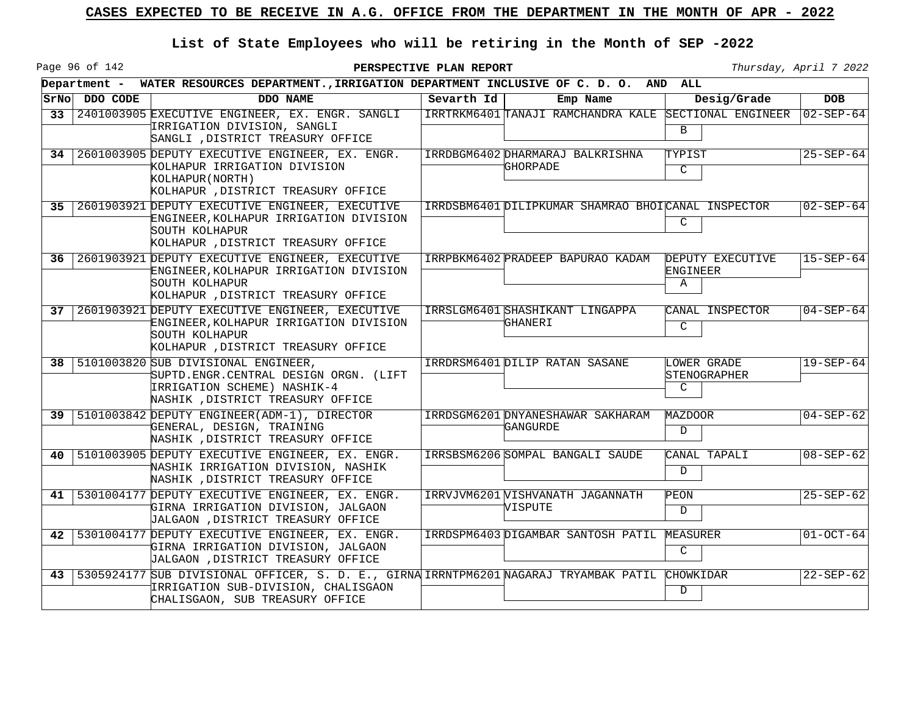Page 96 of 142

|    |               | Department - WATER RESOURCES DEPARTMENT., IRRIGATION DEPARTMENT INCLUSIVE OF C. D. O. AND ALL                                                                   |            |                                                       |                                   |                 |
|----|---------------|-----------------------------------------------------------------------------------------------------------------------------------------------------------------|------------|-------------------------------------------------------|-----------------------------------|-----------------|
|    | STNO DDO CODE | DDO NAME                                                                                                                                                        | Sevarth Id | Emp Name                                              | Desig/Grade                       | <b>DOB</b>      |
| 33 |               | 2401003905 EXECUTIVE ENGINEER, EX. ENGR. SANGLI<br>IRRIGATION DIVISION, SANGLI<br>SANGLI , DISTRICT TREASURY OFFICE                                             |            | IRRTRKM6401 TANAJI RAMCHANDRA KALE SECTIONAL ENGINEER | $\mathbf{B}$                      | $02 - SEP - 64$ |
| 34 |               | 2601003905 DEPUTY EXECUTIVE ENGINEER, EX. ENGR.<br>KOLHAPUR IRRIGATION DIVISION<br>KOLHAPUR (NORTH)<br>KOLHAPUR , DISTRICT TREASURY OFFICE                      |            | IRRDBGM6402 DHARMARAJ BALKRISHNA<br>GHORPADE          | TYPIST<br>$\mathsf{C}$            | $25 - SEP - 64$ |
| 35 |               | 2601903921 DEPUTY EXECUTIVE ENGINEER, EXECUTIVE<br>ENGINEER, KOLHAPUR IRRIGATION DIVISION<br>SOUTH KOLHAPUR<br>KOLHAPUR , DISTRICT TREASURY OFFICE              |            | IRRDSBM6401 DILIPKUMAR SHAMRAO BHOICANAL INSPECTOR    | C                                 | $02 - SEP - 64$ |
| 36 |               | 2601903921 DEPUTY EXECUTIVE ENGINEER, EXECUTIVE<br>ENGINEER, KOLHAPUR IRRIGATION DIVISION<br>SOUTH KOLHAPUR<br>KOLHAPUR , DISTRICT TREASURY OFFICE              |            | IRRPBKM6402 PRADEEP BAPURAO KADAM                     | DEPUTY EXECUTIVE<br>ENGINEER<br>Α | $15 - SEP - 64$ |
|    |               | 37 2601903921 DEPUTY EXECUTIVE ENGINEER, EXECUTIVE<br>ENGINEER, KOLHAPUR IRRIGATION DIVISION<br>SOUTH KOLHAPUR<br>KOLHAPUR , DISTRICT TREASURY OFFICE           |            | IRRSLGM6401 SHASHIKANT LINGAPPA<br>GHANERI            | CANAL INSPECTOR<br>$\overline{C}$ | $04 - SEP - 64$ |
|    |               | 38   5101003820 SUB DIVISIONAL ENGINEER,<br>SUPTD.ENGR.CENTRAL DESIGN ORGN. (LIFT<br>IRRIGATION SCHEME) NASHIK-4<br>NASHIK , DISTRICT TREASURY OFFICE           |            | IRRDRSM6401 DILIP RATAN SASANE                        | LOWER GRADE<br>STENOGRAPHER<br>C  | $19 - SEP - 64$ |
|    |               | 39   5101003842 DEPUTY ENGINEER (ADM-1), DIRECTOR<br>GENERAL, DESIGN, TRAINING<br>NASHIK , DISTRICT TREASURY OFFICE                                             |            | IRRDSGM6201 DNYANESHAWAR SAKHARAM<br>GANGURDE         | MAZDOOR<br>D                      | $04 - SEP - 62$ |
| 40 |               | 5101003905 DEPUTY EXECUTIVE ENGINEER, EX. ENGR.<br>NASHIK IRRIGATION DIVISION, NASHIK<br>NASHIK , DISTRICT TREASURY OFFICE                                      |            | IRRSBSM6206 SOMPAL BANGALI SAUDE                      | CANAL TAPALI<br>D                 | $08 - SEP - 62$ |
| 41 |               | 5301004177 DEPUTY EXECUTIVE ENGINEER, EX. ENGR.<br>GIRNA IRRIGATION DIVISION, JALGAON<br>JALGAON , DISTRICT TREASURY OFFICE                                     |            | IRRVJVM6201 VISHVANATH JAGANNATH<br>VISPUTE           | PEON<br>D                         | $25 - SEP - 62$ |
| 42 |               | 5301004177 DEPUTY EXECUTIVE ENGINEER, EX. ENGR.<br>GIRNA IRRIGATION DIVISION, JALGAON<br>JALGAON , DISTRICT TREASURY OFFICE                                     |            | IRRDSPM6403 DIGAMBAR SANTOSH PATIL MEASURER           | $\mathsf{C}$                      | $01-OCT-64$     |
| 43 |               | 5305924177 SUB DIVISIONAL OFFICER, S. D. E., GIRNA IRRNTPM6201 NAGARAJ TRYAMBAK PATIL<br>IRRIGATION SUB-DIVISION, CHALISGAON<br>CHALISGAON, SUB TREASURY OFFICE |            |                                                       | <b>CHOWKIDAR</b><br>D             | $22-SEP-62$     |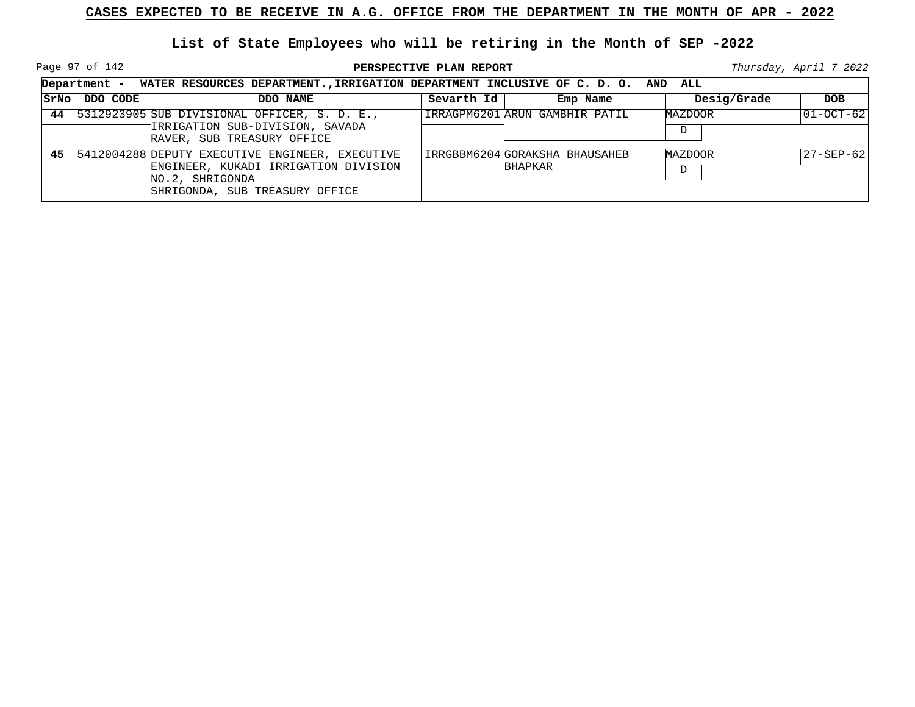Page 97 of 142

|      |          | Department - WATER RESOURCES DEPARTMENT., IRRIGATION DEPARTMENT INCLUSIVE OF C. D. O. AND ALL                                                   |            |                                           |              |                   |
|------|----------|-------------------------------------------------------------------------------------------------------------------------------------------------|------------|-------------------------------------------|--------------|-------------------|
| SrNo | DDO CODE | DDO NAME                                                                                                                                        | Sevarth Id | Emp Name                                  | Desig/Grade  | <b>DOB</b>        |
|      |          | 44 5312923905 SUB DIVISIONAL OFFICER, S. D. E.,<br>TIRRIGATION SUB-DIVISION, SAVADA<br>RAVER, SUB TREASURY OFFICE                               |            | IRRAGPM6201 ARUN GAMBHIR PATIL            | MAZDOOR<br>D | $ 01-OCT-62 $     |
|      |          | 45 5412004288 DEPUTY EXECUTIVE ENGINEER, EXECUTIVE<br>ENGINEER, KUKADI IRRIGATION DIVISION<br>NO.2, SHRIGONDA<br>SHRIGONDA, SUB TREASURY OFFICE |            | IRRGBBM6204 GORAKSHA BHAUSAHEB<br>BHAPKAR | MAZDOOR<br>D | $ 27 - SEP - 62 $ |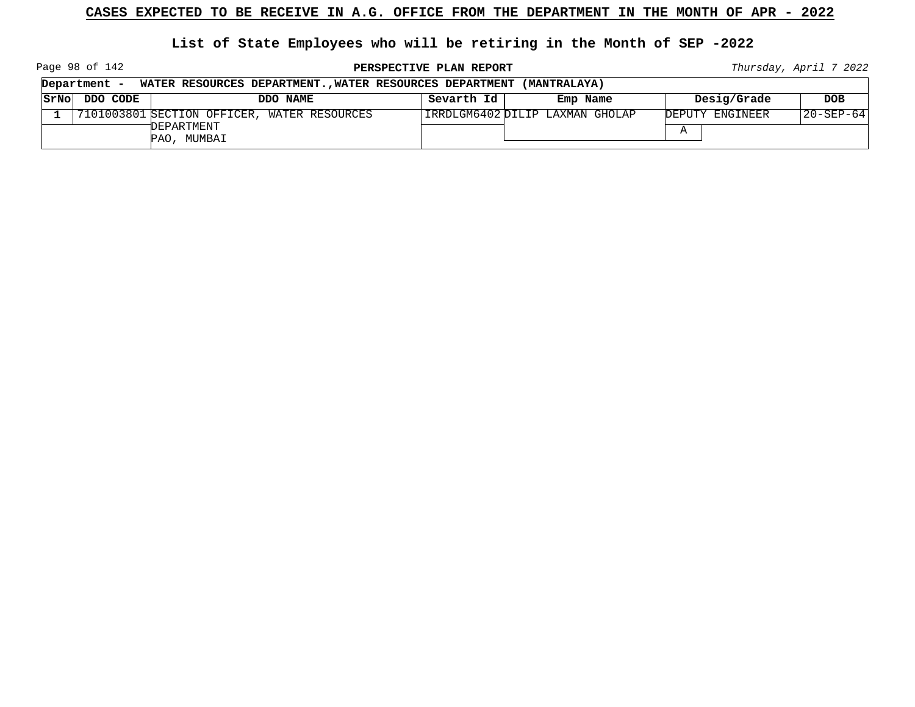**List of State Employees who will be retiring in the Month of SEP -2022**

Page 98 of 142

**PERSPECTIVE PLAN REPORT Thursday**, April 7 2022

┑

|      | Department - | WATER RESOURCES DEPARTMENTWATER RESOURCES DEPARTMENT (MANTRALAYA) |            |                                |                 |            |
|------|--------------|-------------------------------------------------------------------|------------|--------------------------------|-----------------|------------|
| SrNo | DDO CODE     | DDO NAME                                                          | Sevarth Id | Emp Name                       | Desig/Grade     | <b>DOB</b> |
|      |              | 7101003801 SECTION OFFICER, WATER RESOURCES                       |            | IRRDLGM6402DILIP LAXMAN GHOLAP | DEPUTY ENGINEER | 20-SEP-64  |
|      |              | DEPARTMENT<br>PAO, MUMBAI                                         |            |                                |                 |            |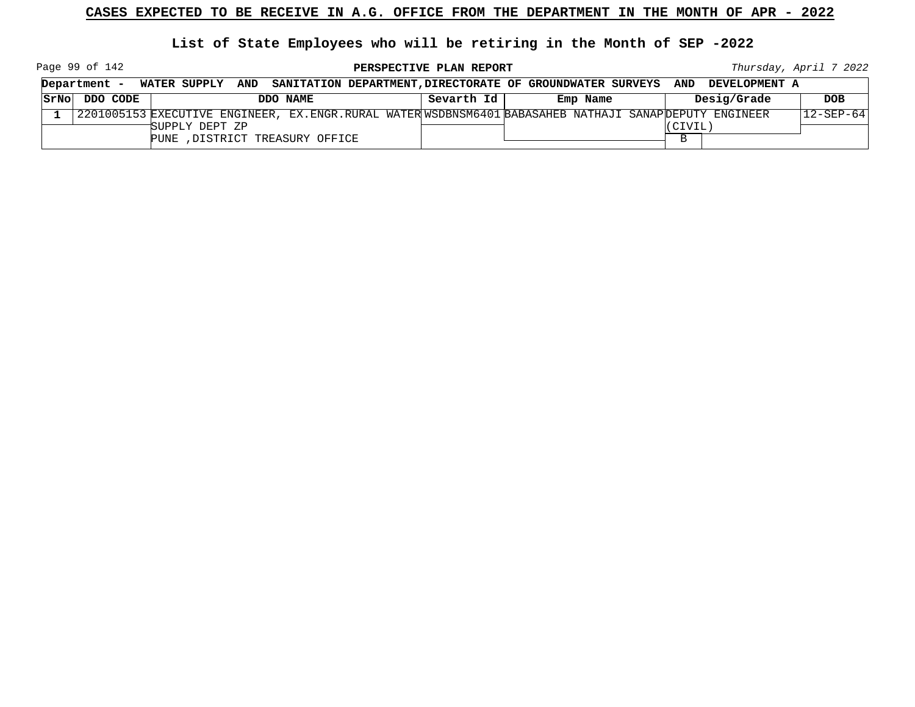**List of State Employees who will be retiring in the Month of SEP -2022**

Page 99 of 142

|      | Department - |                |                                 |                                                                                                      |          |         | WATER SUPPLY AND SANITATION DEPARTMENT, DIRECTORATE OF GROUNDWATER SURVEYS AND DEVELOPMENT A |                 |
|------|--------------|----------------|---------------------------------|------------------------------------------------------------------------------------------------------|----------|---------|----------------------------------------------------------------------------------------------|-----------------|
| SrNo | DDO CODE     |                | DDO NAME                        | Sevarth Id                                                                                           | Emp Name |         | Desig/Grade                                                                                  | <b>DOB</b>      |
|      |              |                |                                 | 2201005153 EXECUTIVE ENGINEER, EX.ENGR.RURAL WATERWSDBNSM6401 BABASAHEB NATHAJI SANAPDEPUTY ENGINEER |          |         |                                                                                              | $12 - SEP - 64$ |
|      |              | SUPPLY DEPT ZP |                                 |                                                                                                      |          | CIVIL', |                                                                                              |                 |
|      |              |                | PUNE , DISTRICT TREASURY OFFICE |                                                                                                      |          |         |                                                                                              |                 |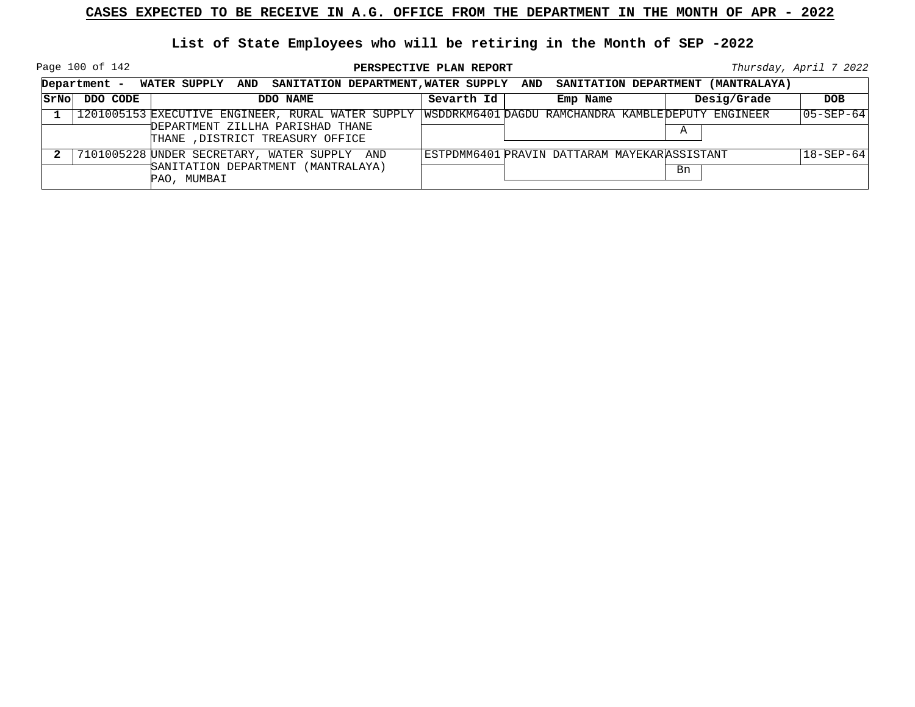Page 100 of 142

|      |          | Department - WATER SUPPLY AND SANITATION DEPARTMENT, WATER SUPPLY AND SANITATION DEPARTMENT (MANTRALAYA)                                 |            |                                              |             |                   |
|------|----------|------------------------------------------------------------------------------------------------------------------------------------------|------------|----------------------------------------------|-------------|-------------------|
| SrNo | DDO CODE | DDO NAME                                                                                                                                 | Sevarth Id | Emp Name                                     | Desig/Grade | <b>DOB</b>        |
|      |          | 1201005153 EXECUTIVE ENGINEER, RURAL WATER SUPPLY WSDDRKM6401 DAGDU RAMCHANDRA KAMBLEDEPUTY ENGINEER<br>DEPARTMENT ZILLHA PARISHAD THANE |            |                                              | A           | $ 05 - SEP - 64 $ |
|      |          | THANE , DISTRICT TREASURY OFFICE                                                                                                         |            |                                              |             |                   |
|      |          | 7101005228 UNDER SECRETARY, WATER SUPPLY AND                                                                                             |            | ESTPDMM6401 PRAVIN DATTARAM MAYEKARASSISTANT |             | $18 - SEP - 64$   |
|      |          | SANITATION DEPARTMENT (MANTRALAYA)<br>PAO, MUMBAI                                                                                        |            |                                              | Bn          |                   |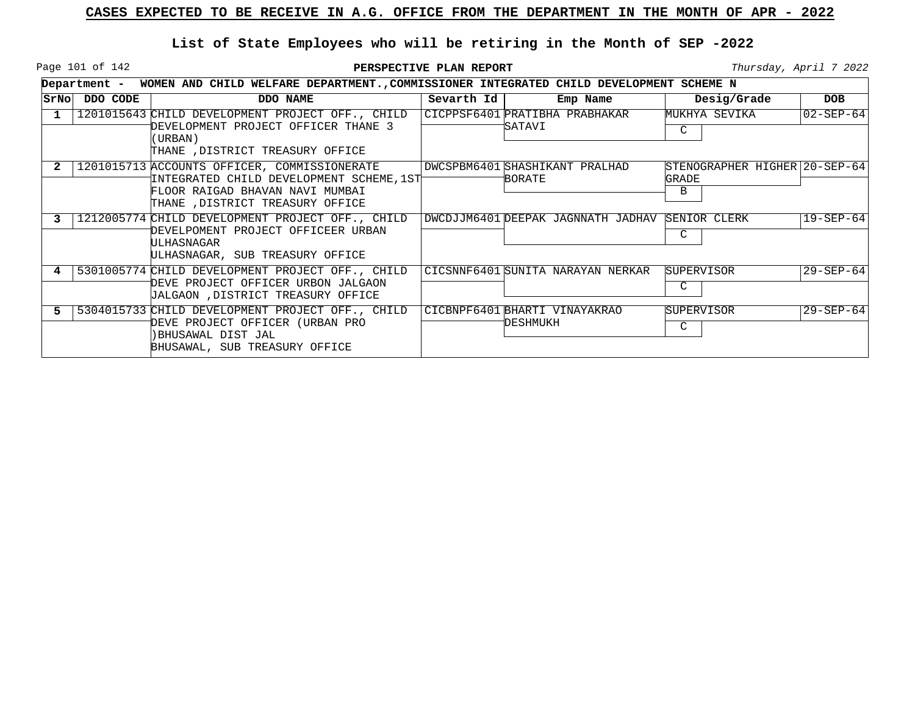Page 101 of 142

|      |          | Department - WOMEN AND CHILD WELFARE DEPARTMENT., COMMISSIONER INTEGRATED CHILD DEVELOPMENT SCHEME N                                                            |            |                                                 |                                             |                 |
|------|----------|-----------------------------------------------------------------------------------------------------------------------------------------------------------------|------------|-------------------------------------------------|---------------------------------------------|-----------------|
| SrNo | DDO CODE | DDO NAME                                                                                                                                                        | Sevarth Id | Emp Name                                        | Desig/Grade                                 | <b>DOB</b>      |
|      |          | 1201015643 CHILD DEVELOPMENT PROJECT OFF., CHILD<br>DEVELOPMENT PROJECT OFFICER THANE 3<br>(URBAN)<br>THANE , DISTRICT TREASURY OFFICE                          |            | CICPPSF6401 PRATIBHA PRABHAKAR<br>SATAVI        | MUKHYA SEVIKA<br>C                          | $02 - SEP - 64$ |
|      |          | 1201015713 ACCOUNTS OFFICER, COMMISSIONERATE<br>INTEGRATED CHILD DEVELOPMENT SCHEME, 1ST<br>FLOOR RAIGAD BHAVAN NAVI MUMBAI<br>THANE , DISTRICT TREASURY OFFICE |            | DWCSPBM6401 SHASHIKANT PRALHAD<br>BORATE        | STENOGRAPHER HIGHER 20-SEP-64<br>GRADE<br>B |                 |
|      |          | 1212005774 CHILD DEVELOPMENT PROJECT OFF., CHILD<br>DEVELPOMENT PROJECT OFFICEER URBAN<br>ULHASNAGAR<br>ULHASNAGAR, SUB TREASURY OFFICE                         |            | DWCDJJM6401 DEEPAK JAGNNATH JADHAV SENIOR CLERK | C                                           | $19 - SEP - 64$ |
|      |          | 5301005774 CHILD DEVELOPMENT PROJECT OFF., CHILD<br>DEVE PROJECT OFFICER URBON JALGAON<br>JALGAON , DISTRICT TREASURY OFFICE                                    |            | CICSNNF6401 SUNITA NARAYAN NERKAR               | SUPERVISOR<br>C                             | $29 - SEP - 64$ |
| 5    |          | 5304015733 CHILD DEVELOPMENT PROJECT OFF., CHILD<br>DEVE PROJECT OFFICER (URBAN PRO<br>BHUSAWAL DIST JAL<br>BHUSAWAL, SUB TREASURY OFFICE                       |            | CICBNPF6401 BHARTI VINAYAKRAO<br>DESHMUKH       | <b>SUPERVISOR</b><br>C                      | $29 - SEP - 64$ |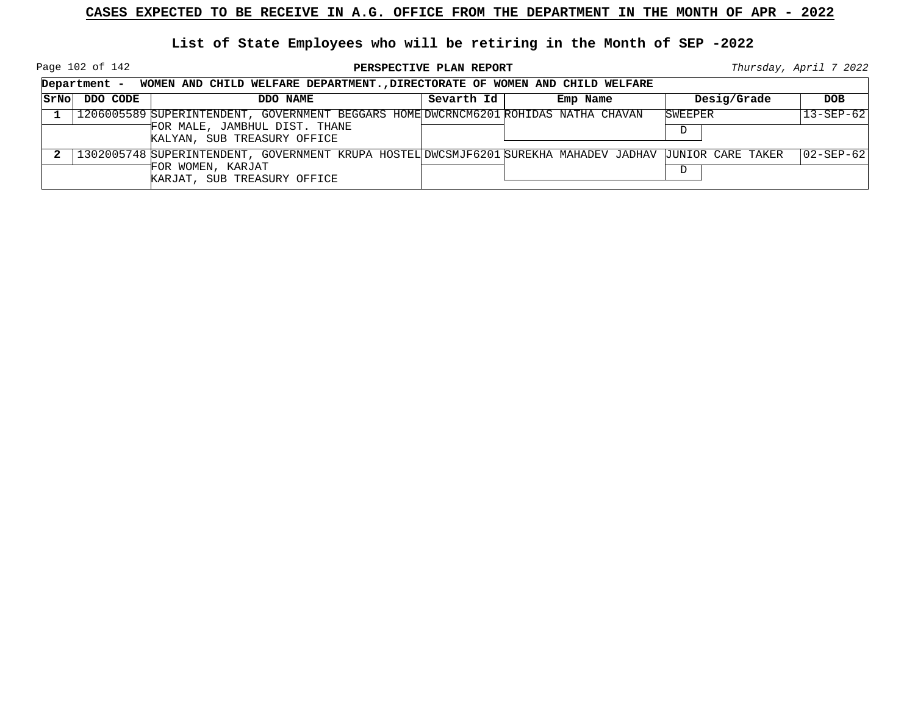Page 102 of 142

**PERSPECTIVE PLAN REPORT Thursday**, April 7 2022

|      | Department - WOMEN AND CHILD WELFARE DEPARTMENT., DIRECTORATE OF WOMEN AND CHILD WELFARE |                                                                                                                                                             |            |          |              |                   |  |
|------|------------------------------------------------------------------------------------------|-------------------------------------------------------------------------------------------------------------------------------------------------------------|------------|----------|--------------|-------------------|--|
| SrNo | DDO CODE                                                                                 | DDO NAME                                                                                                                                                    | Sevarth Id | Emp Name | Desig/Grade  | <b>DOB</b>        |  |
|      |                                                                                          | 1206005589 SUPERINTENDENT, GOVERNMENT BEGGARS HOME DWCRNCM6201 ROHIDAS NATHA CHAVAN<br>FOR MALE, JAMBHUL DIST. THANE<br>KALYAN, SUB TREASURY OFFICE         |            |          | SWEEPER<br>D | $13 - SEP - 62$   |  |
|      |                                                                                          | 1302005748 SUPERINTENDENT, GOVERNMENT KRUPA HOSTEL DWCSMJF6201 SUREKHA MAHADEV JADHAV JUNIOR CARE TAKER<br>FOR WOMEN, KARJAT<br>KARJAT, SUB TREASURY OFFICE |            |          | D            | $ 02 - SEP - 62 $ |  |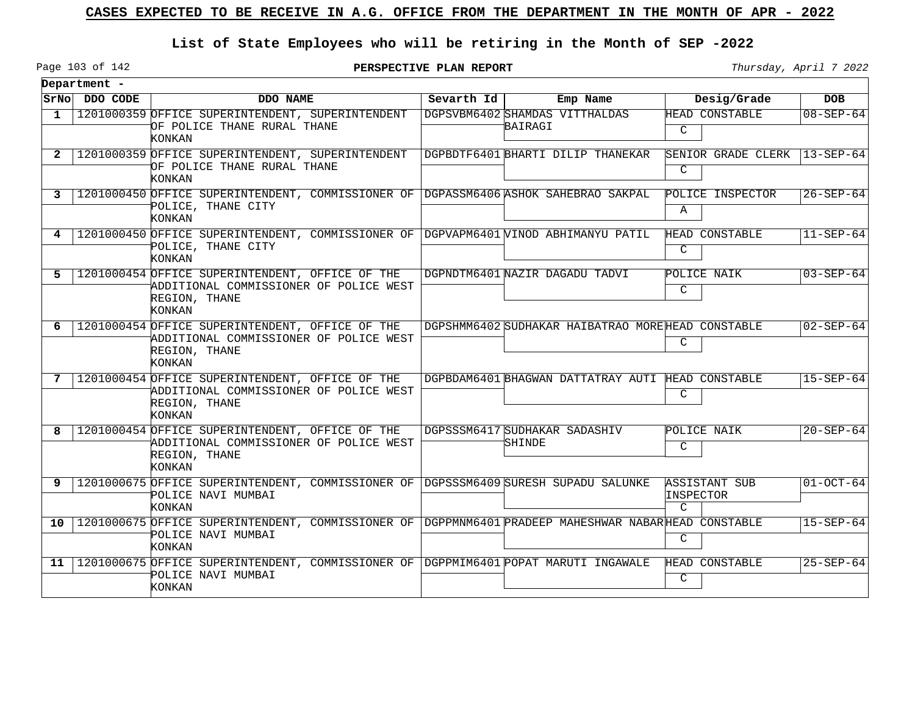### **List of State Employees who will be retiring in the Month of SEP -2022**

Page 103 of 142

|              | Department -  |                                                                                                                                     |            |                                                   |                                                    |                 |
|--------------|---------------|-------------------------------------------------------------------------------------------------------------------------------------|------------|---------------------------------------------------|----------------------------------------------------|-----------------|
|              | SrNo DDO CODE | DDO NAME                                                                                                                            | Sevarth Id | Emp Name                                          | Desig/Grade                                        | <b>DOB</b>      |
| 1            |               | 1201000359 OFFICE SUPERINTENDENT, SUPERINTENDENT<br>OF POLICE THANE RURAL THANE<br>KONKAN                                           |            | DGPSVBM6402 SHAMDAS VITTHALDAS<br>BAIRAGI         | HEAD CONSTABLE<br>C                                | $08 - SEP - 64$ |
| $\mathbf{2}$ |               | 1201000359 OFFICE SUPERINTENDENT, SUPERINTENDENT<br>OF POLICE THANE RURAL THANE<br>KONKAN                                           |            | DGPBDTF6401 BHARTI DILIP THANEKAR                 | SENIOR GRADE CLERK<br>$\mathcal{C}$                | $13-SEP-64$     |
| 3            |               | 1201000450 OFFICE SUPERINTENDENT, COMMISSIONER OF DGPASSM6406 ASHOK SAHEBRAO SAKPAL<br>POLICE, THANE CITY<br>KONKAN                 |            |                                                   | POLICE INSPECTOR<br>$\mathbf{A}$                   | $26 - SEP - 64$ |
| 4            |               | 1201000450 OFFICE SUPERINTENDENT, COMMISSIONER OF DGPVAPM6401 VINOD ABHIMANYU PATIL<br>POLICE, THANE CITY<br>KONKAN                 |            |                                                   | HEAD CONSTABLE<br>C                                | $11 - SEP - 64$ |
| 5.           |               | 1201000454 OFFICE SUPERINTENDENT, OFFICE OF THE<br>ADDITIONAL COMMISSIONER OF POLICE WEST<br>REGION, THANE<br>KONKAN                |            | DGPNDTM6401 NAZIR DAGADU TADVI                    | POLICE NAIK<br>$\mathsf{C}$                        | $03 - SEP - 64$ |
| 6            |               | 1201000454 OFFICE SUPERINTENDENT, OFFICE OF THE<br>ADDITIONAL COMMISSIONER OF POLICE WEST<br>REGION, THANE<br>KONKAN                |            | DGPSHMM6402 SUDHAKAR HAIBATRAO MOREHEAD CONSTABLE | C                                                  | $02 - SEP - 64$ |
| 7            |               | 1201000454 OFFICE SUPERINTENDENT, OFFICE OF THE<br>ADDITIONAL COMMISSIONER OF POLICE WEST<br>REGION, THANE<br>KONKAN                |            | DGPBDAM6401 BHAGWAN DATTATRAY AUTI                | HEAD CONSTABLE<br>C                                | $15 - SEP - 64$ |
| 8            |               | 1201000454 OFFICE SUPERINTENDENT, OFFICE OF THE<br>ADDITIONAL COMMISSIONER OF POLICE WEST<br>REGION, THANE<br>KONKAN                |            | DGPSSSM6417 SUDHAKAR SADASHIV<br>SHINDE           | POLICE NAIK<br>$\mathcal{C}$                       | $20 - SEP - 64$ |
| 9            |               | 1201000675 OFFICE SUPERINTENDENT, COMMISSIONER OF DGPSSSM6409 SURESH SUPADU SALUNKE<br>POLICE NAVI MUMBAI<br>KONKAN                 |            |                                                   | <b>ASSISTANT SUB</b><br>INSPECTOR<br>$\mathcal{C}$ | $01-0CT-64$     |
| 10           |               | 1201000675 OFFICE SUPERINTENDENT, COMMISSIONER OF DGPPMNM6401 PRADEEP MAHESHWAR NABARHEAD CONSTABLE<br>POLICE NAVI MUMBAI<br>KONKAN |            |                                                   | C                                                  | $15 - SEP - 64$ |
| 11           |               | 1201000675 OFFICE SUPERINTENDENT, COMMISSIONER OF DGPPMIM6401 POPAT MARUTI INGAWALE<br>POLICE NAVI MUMBAI<br>KONKAN                 |            |                                                   | <b>HEAD CONSTABLE</b><br>C                         | $25 - SEP - 64$ |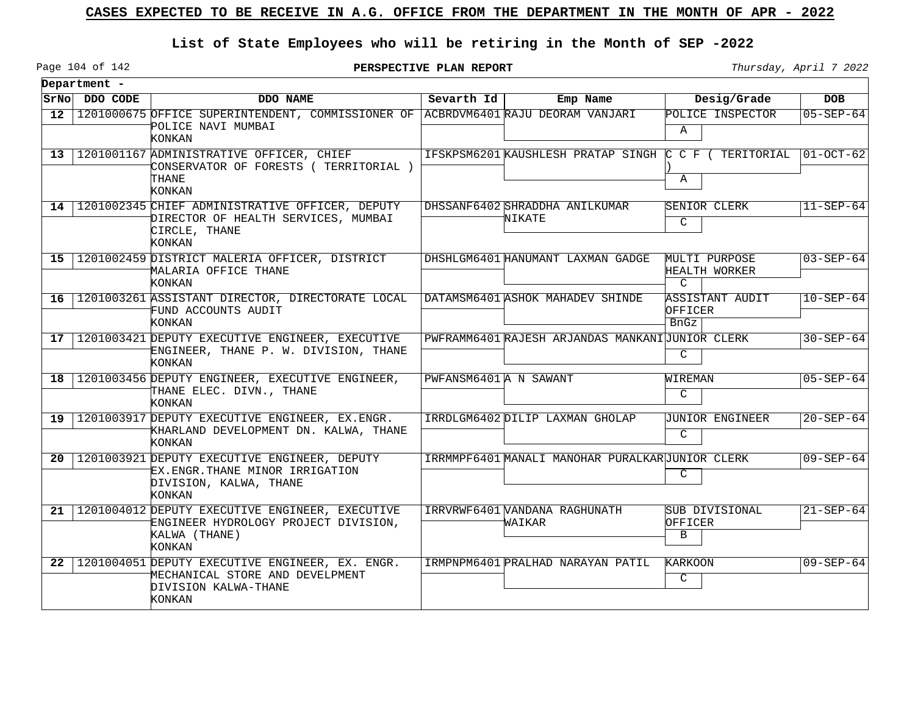### **List of State Employees who will be retiring in the Month of SEP -2022**

Page 104 of 142

**PERSPECTIVE PLAN REPORT Thursday**, April 7 2022

 $\overline{\phantom{0}}$ 

|                 | Department -  |                                                                                                                          |                        |                                                       |                                                 |                 |
|-----------------|---------------|--------------------------------------------------------------------------------------------------------------------------|------------------------|-------------------------------------------------------|-------------------------------------------------|-----------------|
|                 | SrNo DDO CODE | DDO NAME                                                                                                                 | Sevarth Id             | Emp Name                                              | Desig/Grade                                     | <b>DOB</b>      |
|                 |               | 12   1201000675 OFFICE SUPERINTENDENT, COMMISSIONER OF   ACBRDVM6401 RAJU DEORAM VANJARI<br>POLICE NAVI MUMBAI<br>KONKAN |                        |                                                       | POLICE INSPECTOR<br>$\mathbf{A}$                | $05 - SEP - 64$ |
|                 |               | 13 1201001167 ADMINISTRATIVE OFFICER, CHIEF<br>CONSERVATOR OF FORESTS ( TERRITORIAL )<br>THANE<br>KONKAN                 |                        | IFSKPSM6201 KAUSHLESH PRATAP SINGH C C F ( TERITORIAL | Α                                               | $ 01-0CT-62 $   |
|                 |               | 14   1201002345 CHIEF ADMINISTRATIVE OFFICER, DEPUTY<br>DIRECTOR OF HEALTH SERVICES, MUMBAI<br>CIRCLE, THANE<br>KONKAN   |                        | DHSSANF6402 SHRADDHA ANILKUMAR<br>NIKATE              | SENIOR CLERK<br>C                               | $11 - SEP - 64$ |
|                 |               | 15   1201002459 DISTRICT MALERIA OFFICER, DISTRICT<br>MALARIA OFFICE THANE<br>KONKAN                                     |                        | DHSHLGM6401 HANUMANT LAXMAN GADGE                     | MULTI PURPOSE<br>HEALTH WORKER<br>$\mathcal{C}$ | $03 - SEP - 64$ |
|                 |               | 16   1201003261 ASSISTANT DIRECTOR, DIRECTORATE LOCAL<br>FUND ACCOUNTS AUDIT<br>KONKAN                                   |                        | DATAMSM6401 ASHOK MAHADEV SHINDE                      | ASSISTANT AUDIT<br>OFFICER<br>BnGz              | $10 - SEP - 64$ |
|                 |               | 17   1201003421 DEPUTY EXECUTIVE ENGINEER, EXECUTIVE<br>ENGINEER, THANE P. W. DIVISION, THANE<br>KONKAN                  |                        | PWFRAMM6401 RAJESH ARJANDAS MANKANIUUNIOR CLERK       | C                                               | $30 - SEP - 64$ |
| 18 <sup>1</sup> |               | 1201003456 DEPUTY ENGINEER, EXECUTIVE ENGINEER,<br>THANE ELEC. DIVN., THANE<br>KONKAN                                    | PWFANSM6401 A N SAWANT |                                                       | WIREMAN<br>C                                    | $05 - SEP - 64$ |
|                 |               | 19   1201003917 DEPUTY EXECUTIVE ENGINEER, EX. ENGR.<br>KHARLAND DEVELOPMENT DN. KALWA, THANE<br><b>KONKAN</b>           |                        | IRRDLGM6402 DILIP LAXMAN GHOLAP                       | <b>JUNIOR ENGINEER</b><br>C.                    | $20 - SEP - 64$ |
|                 |               | 20   1201003921 DEPUTY EXECUTIVE ENGINEER, DEPUTY<br>EX.ENGR.THANE MINOR IRRIGATION<br>DIVISION, KALWA, THANE<br>KONKAN  |                        | IRRMMPF6401 MANALI MANOHAR PURALKARUUNIOR CLERK       | C                                               | $09 - SEP - 64$ |
|                 |               | 21   1201004012 DEPUTY EXECUTIVE ENGINEER, EXECUTIVE<br>ENGINEER HYDROLOGY PROJECT DIVISION,<br>KALWA (THANE)<br>KONKAN  |                        | IRRVRWF6401 VANDANA RAGHUNATH<br>WAIKAR               | SUB DIVISIONAL<br>OFFICER<br>B                  | $21 - SEP - 64$ |
| 22 <sub>1</sub> |               | 1201004051 DEPUTY EXECUTIVE ENGINEER, EX. ENGR.<br>MECHANICAL STORE AND DEVELPMENT<br>DIVISION KALWA-THANE<br>KONKAN     |                        | IRMPNPM6401 PRALHAD NARAYAN PATIL                     | KARKOON<br>C                                    | $09 - SEP - 64$ |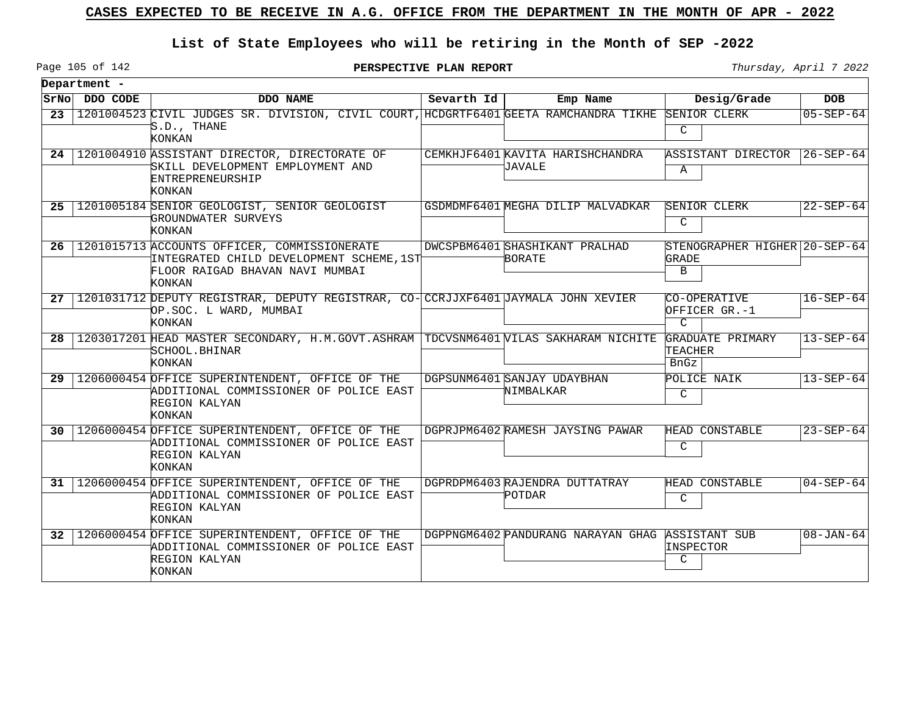### **List of State Employees who will be retiring in the Month of SEP -2022**

Page 105 of 142

**PERSPECTIVE PLAN REPORT Thursday**, April 7 2022

 $\overline{\phantom{0}}$ 

|                 | Department -  |                                                                                                                                            |            |                                                   |                                                |                   |
|-----------------|---------------|--------------------------------------------------------------------------------------------------------------------------------------------|------------|---------------------------------------------------|------------------------------------------------|-------------------|
|                 | SrNo DDO CODE | DDO NAME                                                                                                                                   | Sevarth Id | Emp Name                                          | Desig/Grade                                    | <b>DOB</b>        |
| 23              |               | 1201004523 CIVIL JUDGES SR. DIVISION, CIVIL COURT, HCDGRTF6401 GEETA RAMCHANDRA TIKHE<br>'S.D., THANE<br>KONKAN                            |            |                                                   | SENIOR CLERK<br>C                              | $05 - SEP - 64$   |
|                 |               | 24   1201004910 ASSISTANT DIRECTOR, DIRECTORATE OF<br>SKILL DEVELOPMENT EMPLOYMENT AND<br>ENTREPRENEURSHIP<br>KONKAN                       |            | CEMKHJF6401 KAVITA HARISHCHANDRA<br><b>JAVALE</b> | ASSISTANT DIRECTOR<br>Α                        | $ 26 - SEP - 64 $ |
|                 |               | 25   1201005184 SENIOR GEOLOGIST, SENIOR GEOLOGIST<br>GROUNDWATER SURVEYS<br>KONKAN                                                        |            | GSDMDMF6401 MEGHA DILIP MALVADKAR                 | SENIOR CLERK<br>$\mathcal{C}$                  | $22 - SEP - 64$   |
|                 |               | 26   1201015713 ACCOUNTS OFFICER, COMMISSIONERATE<br>INTEGRATED CHILD DEVELOPMENT SCHEME, 1ST<br>FLOOR RAIGAD BHAVAN NAVI MUMBAI<br>KONKAN |            | DWCSPBM6401 SHASHIKANT PRALHAD<br><b>BORATE</b>   | STENOGRAPHER HIGHER 20-SEP-64<br>GRADE<br>B    |                   |
|                 |               | 27   1201031712 DEPUTY REGISTRAR, DEPUTY REGISTRAR, CO- CCRJJXF6401 JAYMALA JOHN XEVIER<br>OP.SOC. L WARD, MUMBAI<br><b>KONKAN</b>         |            |                                                   | CO-OPERATIVE<br>OFFICER GR.-1<br>$\mathcal{C}$ | $16 - SEP - 64$   |
| 28              |               | 1203017201 HEAD MASTER SECONDARY, H.M.GOVT.ASHRAM TDCVSNM6401 VILAS SAKHARAM NICHITE<br>SCHOOL.BHINAR<br>KONKAN                            |            |                                                   | GRADUATE PRIMARY<br>TEACHER<br>BnGz            | $13 - SEP - 64$   |
|                 |               | 29   1206000454 OFFICE SUPERINTENDENT, OFFICE OF THE<br>ADDITIONAL COMMISSIONER OF POLICE EAST<br>REGION KALYAN<br>KONKAN                  |            | DGPSUNM6401 SANJAY UDAYBHAN<br>NIMBALKAR          | POLICE NAIK<br>C                               | $13 - SEP - 64$   |
|                 |               | 30   1206000454 OFFICE SUPERINTENDENT, OFFICE OF THE<br>ADDITIONAL COMMISSIONER OF POLICE EAST<br>REGION KALYAN<br><b>KONKAN</b>           |            | DGPRJPM6402 RAMESH JAYSING PAWAR                  | HEAD CONSTABLE<br>C                            | $23 - SEP - 64$   |
| 31              |               | 1206000454 OFFICE SUPERINTENDENT, OFFICE OF THE<br>ADDITIONAL COMMISSIONER OF POLICE EAST<br>REGION KALYAN<br><b>KONKAN</b>                |            | DGPRDPM6403 RAJENDRA DUTTATRAY<br>POTDAR          | HEAD CONSTABLE<br>C                            | $04 - SEP - 64$   |
| 32 <sup>2</sup> |               | 1206000454 OFFICE SUPERINTENDENT, OFFICE OF THE<br>ADDITIONAL COMMISSIONER OF POLICE EAST<br>REGION KALYAN<br>KONKAN                       |            | DGPPNGM6402 PANDURANG NARAYAN GHAG                | ASSISTANT SUB<br>INSPECTOR<br>C                | $08 - JAN - 64$   |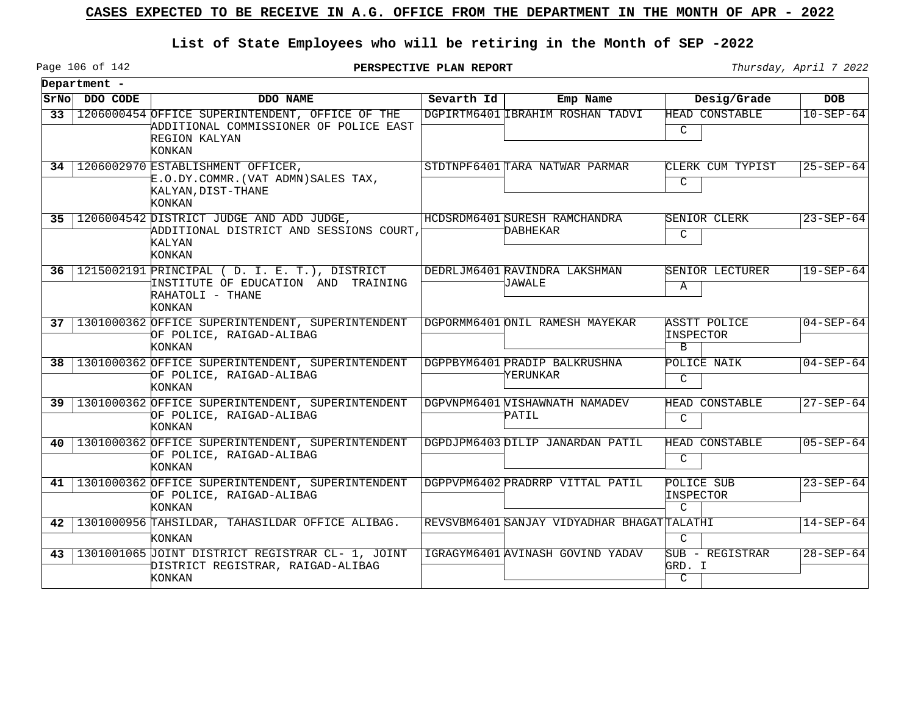### **List of State Employees who will be retiring in the Month of SEP -2022**

Page 106 of 142

**PERSPECTIVE PLAN REPORT** Thursday, April 7 2022

 $\overline{\phantom{a}}$ 

|                 | Department - |                                                                                                                      |            |                                            |                                           |                 |
|-----------------|--------------|----------------------------------------------------------------------------------------------------------------------|------------|--------------------------------------------|-------------------------------------------|-----------------|
| SrNol           | DDO CODE     | DDO NAME                                                                                                             | Sevarth Id | Emp Name                                   | Desig/Grade                               | <b>DOB</b>      |
| 33 <sup>2</sup> |              | 1206000454 OFFICE SUPERINTENDENT, OFFICE OF THE<br>ADDITIONAL COMMISSIONER OF POLICE EAST<br>REGION KALYAN<br>KONKAN |            | DGPIRTM6401 IBRAHIM ROSHAN TADVI           | HEAD CONSTABLE<br>C                       | $10 - SEP - 64$ |
|                 |              | 34   1206002970 ESTABLISHMENT OFFICER,<br>E.O.DY.COMMR.(VAT ADMN)SALES TAX,<br>KALYAN, DIST-THANE<br>KONKAN          |            | STDTNPF6401 TARA NATWAR PARMAR             | CLERK CUM TYPIST<br>C                     | $25 - SEP - 64$ |
| 35 <sub>1</sub> |              | 1206004542 DISTRICT JUDGE AND ADD JUDGE,<br>ADDITIONAL DISTRICT AND SESSIONS COURT,<br>KALYAN<br>KONKAN              |            | HCDSRDM6401 SURESH RAMCHANDRA<br>DABHEKAR  | SENIOR CLERK<br>$\mathsf{C}$              | $23 - SEP - 64$ |
| 36              |              | 1215002191 PRINCIPAL (D. I. E. T.), DISTRICT<br>INSTITUTE OF EDUCATION AND TRAINING<br>RAHATOLI - THANE<br>KONKAN    |            | DEDRLJM6401 RAVINDRA LAKSHMAN<br>JAWALE    | SENIOR LECTURER<br>Α                      | $19 - SEP - 64$ |
| 37              |              | 1301000362 OFFICE SUPERINTENDENT, SUPERINTENDENT<br>OF POLICE, RAIGAD-ALIBAG<br>KONKAN                               |            | DGPORMM6401 ONIL RAMESH MAYEKAR            | <b>ASSTT POLICE</b><br>INSPECTOR<br>B     | $04 - SEP - 64$ |
| 38              |              | 1301000362 OFFICE SUPERINTENDENT, SUPERINTENDENT<br>OF POLICE, RAIGAD-ALIBAG<br>KONKAN                               |            | DGPPBYM6401 PRADIP BALKRUSHNA<br>YERUNKAR  | POLICE NAIK<br>$\mathcal{C}$              | $04 - SEP - 64$ |
|                 |              | 39   1301000362 OFFICE SUPERINTENDENT, SUPERINTENDENT<br>OF POLICE, RAIGAD-ALIBAG<br>KONKAN                          |            | DGPVNPM6401 VISHAWNATH NAMADEV<br>PATIL    | HEAD CONSTABLE<br>C                       | $27 - SEP - 64$ |
| 40              |              | 1301000362 OFFICE SUPERINTENDENT, SUPERINTENDENT<br>OF POLICE, RAIGAD-ALIBAG<br>KONKAN                               |            | DGPDJPM6403DILIP JANARDAN PATIL            | HEAD CONSTABLE<br>C                       | $05 - SEP - 64$ |
| 41              |              | 1301000362 OFFICE SUPERINTENDENT, SUPERINTENDENT<br>OF POLICE, RAIGAD-ALIBAG<br><b>KONKAN</b>                        |            | DGPPVPM6402 PRADRRP VITTAL PATIL           | POLICE SUB<br>INSPECTOR<br>$\mathcal{C}$  | $23 - SEP - 64$ |
| 42              |              | 1301000956 TAHSILDAR, TAHASILDAR OFFICE ALIBAG.<br>KONKAN                                                            |            | REVSVBM6401 SANJAY VIDYADHAR BHAGATTALATHI | $\mathcal{C}$                             | $14 - SEP - 64$ |
| 43              |              | 1301001065 JOINT DISTRICT REGISTRAR CL- 1, JOINT<br>DISTRICT REGISTRAR, RAIGAD-ALIBAG<br>KONKAN                      |            | IGRAGYM6401 AVINASH GOVIND YADAV           | SUB - REGISTRAR<br>GRD. I<br>$\mathsf{C}$ | $28 - SEP - 64$ |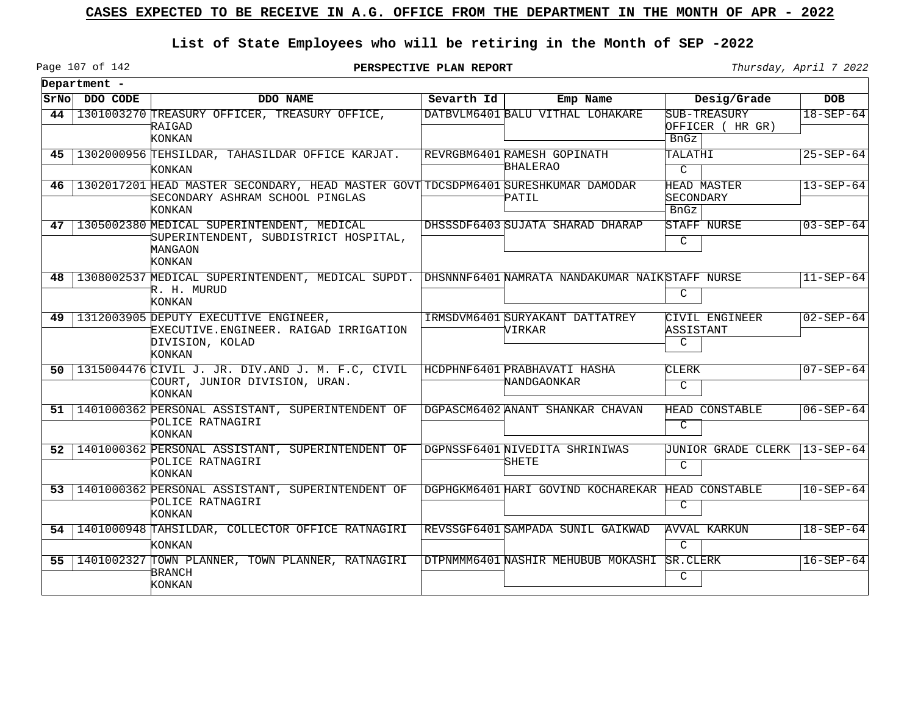### **List of State Employees who will be retiring in the Month of SEP -2022**

Page 107 of 142

|      | Department -   |                                                                                                                                        |            |                                                   |                                                |                 |
|------|----------------|----------------------------------------------------------------------------------------------------------------------------------------|------------|---------------------------------------------------|------------------------------------------------|-----------------|
|      | SrNo  DDO CODE | DDO NAME                                                                                                                               | Sevarth Id | Emp Name                                          | Desig/Grade                                    | <b>DOB</b>      |
| 44   |                | 1301003270 TREASURY OFFICER, TREASURY OFFICE,<br>RAIGAD<br>KONKAN                                                                      |            | DATBVLM6401 BALU VITHAL LOHAKARE                  | SUB-TREASURY<br>OFFICER (HR GR)<br><b>BnGz</b> | $18 - SEP - 64$ |
|      |                | 45   1302000956 TEHSILDAR, TAHASILDAR OFFICE KARJAT.<br><b>KONKAN</b>                                                                  |            | REVRGBM6401 RAMESH GOPINATH<br><b>BHALERAO</b>    | TALATHI<br>$\mathcal{C}$                       | $25 - SEP - 64$ |
| 46   |                | 1302017201 HEAD MASTER SECONDARY, HEAD MASTER GOVT TDCSDPM6401 SURESHKUMAR DAMODAR<br>SECONDARY ASHRAM SCHOOL PINGLAS<br><b>KONKAN</b> |            | PATIL                                             | HEAD MASTER<br>SECONDARY<br><b>BnGz</b>        | $13 - SEP - 64$ |
| 47 I |                | 1305002380 MEDICAL SUPERINTENDENT, MEDICAL<br>SUPERINTENDENT, SUBDISTRICT HOSPITAL,<br>MANGAON<br>KONKAN                               |            | DHSSSDF6403 SUJATA SHARAD DHARAP                  | STAFF NURSE<br>$\mathcal{C}$                   | $03 - SEP - 64$ |
|      |                | 48   1308002537 MEDICAL SUPERINTENDENT, MEDICAL SUPDT.   DHSNNNF6401 NAMRATA NANDAKUMAR NAIK STAFF NURSE<br>R. H. MURUD<br>KONKAN      |            |                                                   | C                                              | $11 - SEP - 64$ |
|      |                | 49   1312003905 DEPUTY EXECUTIVE ENGINEER,<br>EXECUTIVE.ENGINEER. RAIGAD IRRIGATION<br>DIVISION, KOLAD<br><b>KONKAN</b>                |            | IRMSDVM6401 SURYAKANT DATTATREY<br>VIRKAR         | CIVIL ENGINEER<br>ASSISTANT<br>C               | $02 - SEP - 64$ |
| 50 I |                | 1315004476 CIVIL J. JR. DIV.AND J. M. F.C, CIVIL<br>COURT, JUNIOR DIVISION, URAN.<br><b>KONKAN</b>                                     |            | HCDPHNF6401 PRABHAVATI HASHA<br>NANDGAONKAR       | CLERK<br>C                                     | $07 - SEP - 64$ |
|      |                | 51   1401000362 PERSONAL ASSISTANT, SUPERINTENDENT OF<br>POLICE RATNAGIRI<br>KONKAN                                                    |            | DGPASCM6402 ANANT SHANKAR CHAVAN                  | HEAD CONSTABLE<br>C                            | $06 - SEP - 64$ |
|      |                | 52   1401000362 PERSONAL ASSISTANT, SUPERINTENDENT OF<br>POLICE RATNAGIRI<br>KONKAN                                                    |            | DGPNSSF6401 NIVEDITA SHRINIWAS<br>SHETE           | <b>JUNIOR GRADE CLERK</b><br>C                 | $13 - SEP - 64$ |
|      |                | 53   1401000362 PERSONAL ASSISTANT, SUPERINTENDENT OF<br>POLICE RATNAGIRI<br><b>KONKAN</b>                                             |            | DGPHGKM6401 HARI GOVIND KOCHAREKAR HEAD CONSTABLE | C                                              | $10 - SEP - 64$ |
|      |                | 54   1401000948 TAHSILDAR, COLLECTOR OFFICE RATNAGIRI<br>KONKAN                                                                        |            | REVSSGF6401 SAMPADA SUNIL GAIKWAD                 | AVVAL KARKUN<br>$\mathcal{C}$                  | $18 - SEP - 64$ |
|      |                | 55   1401002327 TOWN PLANNER, TOWN PLANNER, RATNAGIRI<br><b>BRANCH</b><br>KONKAN                                                       |            | DTPNMMM6401 NASHIR MEHUBUB MOKASHI                | SR.CLERK<br>$\mathsf{C}$                       | $16 - SEP - 64$ |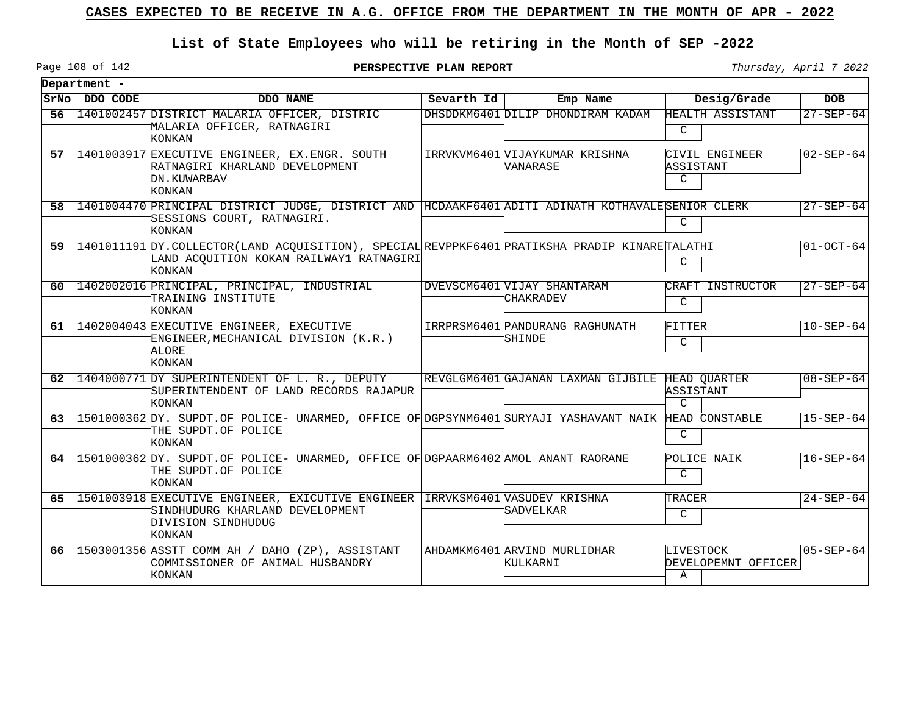### **List of State Employees who will be retiring in the Month of SEP -2022**

**PERSPECTIVE PLAN REPORT** Thursday, April 7 2022

|      | Department - |                                                                                                                                                             |            |                                                 |                                       |                 |
|------|--------------|-------------------------------------------------------------------------------------------------------------------------------------------------------------|------------|-------------------------------------------------|---------------------------------------|-----------------|
| SrNo | DDO CODE     | DDO NAME                                                                                                                                                    | Sevarth Id | Emp Name                                        | Desig/Grade                           | <b>DOB</b>      |
| 56   |              | 1401002457 DISTRICT MALARIA OFFICER, DISTRIC<br>MALARIA OFFICER, RATNAGIRI<br><b>KONKAN</b>                                                                 |            | DHSDDKM6401 DILIP DHONDIRAM KADAM               | HEALTH ASSISTANT<br>C                 | $27 - SEP - 64$ |
| 57   |              | 1401003917 EXECUTIVE ENGINEER, EX. ENGR. SOUTH<br>RATNAGIRI KHARLAND DEVELOPMENT<br>DN.KUWARBAV<br>KONKAN                                                   |            | IRRVKVM6401 VIJAYKUMAR KRISHNA<br>VANARASE      | CIVIL ENGINEER<br>ASSISTANT<br>C      | $02 - SEP - 64$ |
| 58.  |              | 1401004470 PRINCIPAL DISTRICT JUDGE, DISTRICT AND HCDAAKF6401 ADITI ADINATH KOTHAVALE SENIOR CLERK<br>SESSIONS COURT, RATNAGIRI.<br>KONKAN                  |            |                                                 | C                                     | $27 - SEP - 64$ |
| 59   |              | 1401011191 DY. COLLECTOR (LAND ACQUISITION), SPECIAL REVPPKF6401 PRATIKSHA PRADIP KINARETALATHI<br>LAND ACQUITION KOKAN RAILWAY1 RATNAGIRI<br><b>KONKAN</b> |            |                                                 | C                                     | $01-OCT-64$     |
| 60   |              | 1402002016 PRINCIPAL, PRINCIPAL, INDUSTRIAL<br>TRAINING INSTITUTE<br>KONKAN                                                                                 |            | DVEVSCM6401 VIJAY SHANTARAM<br>CHAKRADEV        | CRAFT INSTRUCTOR<br>C                 | $27 - SEP - 64$ |
| 61   |              | 1402004043 EXECUTIVE ENGINEER, EXECUTIVE<br>ENGINEER, MECHANICAL DIVISION (K.R.)<br>ALORE<br><b>KONKAN</b>                                                  |            | IRRPRSM6401 PANDURANG RAGHUNATH<br>SHINDE       | FITTER<br>$\mathsf{C}$                | $10-SEP-64$     |
| 62   |              | 1404000771 DY SUPERINTENDENT OF L. R., DEPUTY<br>SUPERINTENDENT OF LAND RECORDS RAJAPUR<br>KONKAN                                                           |            | REVGLGM6401 GAJANAN LAXMAN GIJBILE HEAD QUARTER | ASSISTANT<br>$\mathcal{C}$            | $08 - SEP - 64$ |
| 63   |              | 1501000362 DY. SUPDT.OF POLICE- UNARMED, OFFICE OF DGPSYNM6401 SURYAJI YASHAVANT NAIK HEAD CONSTABLE<br>THE SUPDT.OF POLICE<br>KONKAN                       |            |                                                 | $\mathsf{C}$                          | $15 - SEP - 64$ |
| 64   |              | 1501000362 DY. SUPDT.OF POLICE- UNARMED, OFFICE OF DGPAARM6402 AMOL ANANT RAORANE<br>THE SUPDT.OF POLICE<br><b>KONKAN</b>                                   |            |                                                 | POLICE NAIK<br>$\mathcal{C}$          | $16 - SEP - 64$ |
| 65.  |              | 1501003918 EXECUTIVE ENGINEER, EXICUTIVE ENGINEER IRRVKSM6401 WASUDEV KRISHNA<br>SINDHUDURG KHARLAND DEVELOPMENT<br>DIVISION SINDHUDUG<br>KONKAN            |            | SADVELKAR                                       | TRACER<br>C                           | $24 - SEP - 64$ |
| 66   |              | 1503001356 ASSTT COMM AH / DAHO (ZP), ASSISTANT<br>COMMISSIONER OF ANIMAL HUSBANDRY<br>KONKAN                                                               |            | AHDAMKM6401 ARVIND MURLIDHAR<br>KULKARNI        | LIVESTOCK<br>DEVELOPEMNT OFFICER<br>Α | $05 - SEP - 64$ |

Page 108 of 142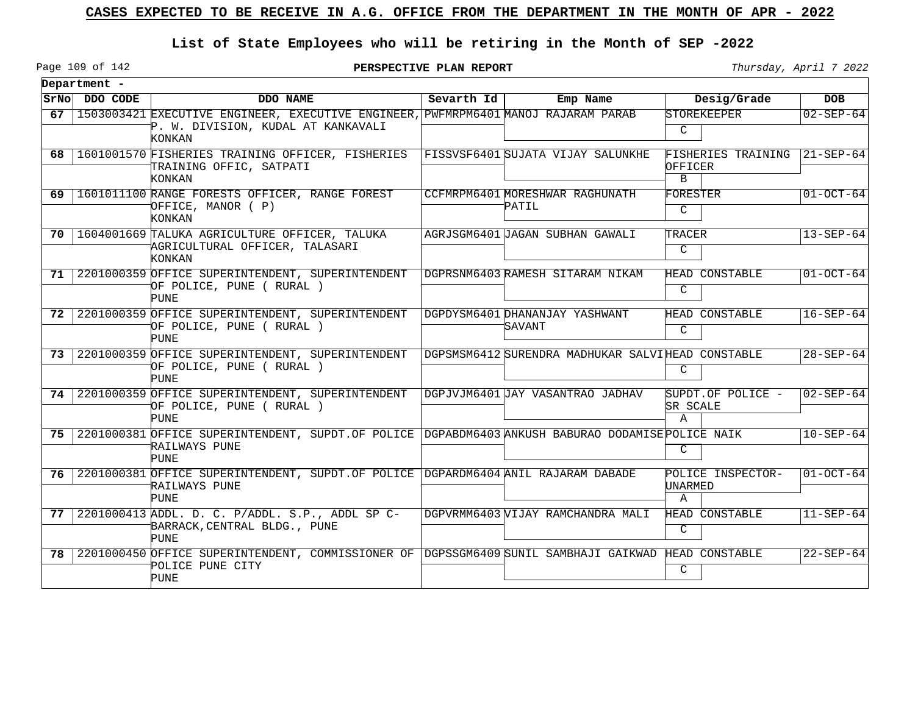## **List of State Employees who will be retiring in the Month of SEP -2022**

Page 109 of 142

**PERSPECTIVE PLAN REPORT Thursday**, April 7 2022

 $\overline{\phantom{0}}$ 

|      | Department -  |                                                                                                                                    |            |                                                   |                                               |                 |
|------|---------------|------------------------------------------------------------------------------------------------------------------------------------|------------|---------------------------------------------------|-----------------------------------------------|-----------------|
|      | SrNo DDO CODE | DDO NAME                                                                                                                           | Sevarth Id | Emp Name                                          | Desig/Grade                                   | <b>DOB</b>      |
| 67   |               | 1503003421 EXECUTIVE ENGINEER, EXECUTIVE ENGINEER, PWFMRPM6401 MANOJ RAJARAM PARAB<br>P. W. DIVISION, KUDAL AT KANKAVALI<br>KONKAN |            |                                                   | STOREKEEPER<br>$\mathcal{C}$                  | $02 - SEP - 64$ |
|      |               | 68   1601001570 FISHERIES TRAINING OFFICER, FISHERIES<br>TRAINING OFFIC, SATPATI<br>KONKAN                                         |            | FISSVSF6401 SUJATA VIJAY SALUNKHE                 | FISHERIES TRAINING<br>OFFICER<br>$\mathbf{B}$ | 21-SEP-64       |
|      |               | 69   1601011100 RANGE FORESTS OFFICER, RANGE FOREST<br>OFFICE, MANOR ( P)<br>KONKAN                                                |            | CCFMRPM6401 MORESHWAR RAGHUNATH<br>PATIL          | FORESTER<br>$\overline{C}$                    | $01-0CT-64$     |
|      |               | 70   1604001669 TALUKA AGRICULTURE OFFICER, TALUKA<br>AGRICULTURAL OFFICER, TALASARI<br><b>KONKAN</b>                              |            | AGRJSGM6401 JAGAN SUBHAN GAWALI                   | TRACER<br>$\mathsf{C}$                        | $13 - SEP - 64$ |
|      |               | 71 2201000359 OFFICE SUPERINTENDENT, SUPERINTENDENT<br>OF POLICE, PUNE ( RURAL )<br><b>PUNE</b>                                    |            | DGPRSNM6403 RAMESH SITARAM NIKAM                  | HEAD CONSTABLE<br>$\mathsf{C}$                | $01-0CT-64$     |
| 72   |               | 2201000359 OFFICE SUPERINTENDENT, SUPERINTENDENT<br>OF POLICE, PUNE ( RURAL )<br><b>PUNE</b>                                       |            | DGPDYSM6401 DHANANJAY YASHWANT<br>SAVANT          | HEAD CONSTABLE<br>$\mathcal{C}$               | $16 - SEP - 64$ |
| 73   |               | 2201000359 OFFICE SUPERINTENDENT, SUPERINTENDENT<br>OF POLICE, PUNE (RURAL)<br><b>PUNE</b>                                         |            | DGPSMSM6412 SURENDRA MADHUKAR SALVIHEAD CONSTABLE | C                                             | $28 - SEP - 64$ |
| 74 I |               | 2201000359 OFFICE SUPERINTENDENT, SUPERINTENDENT<br>OF POLICE, PUNE ( RURAL )<br><b>PUNE</b>                                       |            | DGPJVJM6401 JAY VASANTRAO JADHAV                  | SUPDT.OF POLICE -<br><b>SR SCALE</b><br>A     | $02 - SEP - 64$ |
| 75   |               | 2201000381 OFFICE SUPERINTENDENT, SUPDT. OF POLICE DGPABDM6403 ANKUSH BABURAO DODAMISE POLICE NAIK<br>RAILWAYS PUNE<br>PUNE        |            |                                                   | $\mathsf{C}$                                  | $10 - SEP - 64$ |
| 76   |               | 2201000381 OFFICE SUPERINTENDENT, SUPDT. OF POLICE DGPARDM6404 ANIL RAJARAM DABADE<br>RAILWAYS PUNE<br><b>PUNE</b>                 |            |                                                   | POLICE INSPECTOR-<br>UNARMED<br>$\mathbb A$   | $01 - OCT - 64$ |
| 77 I |               | 2201000413 ADDL. D. C. P/ADDL. S.P., ADDL SP C-<br>BARRACK, CENTRAL BLDG., PUNE<br><b>PUNE</b>                                     |            | DGPVRMM6403 VIJAY RAMCHANDRA MALI                 | HEAD CONSTABLE<br>C                           | $11 - SEP - 64$ |
| 78   |               | 2201000450 OFFICE SUPERINTENDENT, COMMISSIONER OF DGPSSGM6409 SUNIL SAMBHAJI GAIKWAD<br>POLICE PUNE CITY<br><b>PUNE</b>            |            |                                                   | HEAD CONSTABLE<br>C                           | $22 - SEP - 64$ |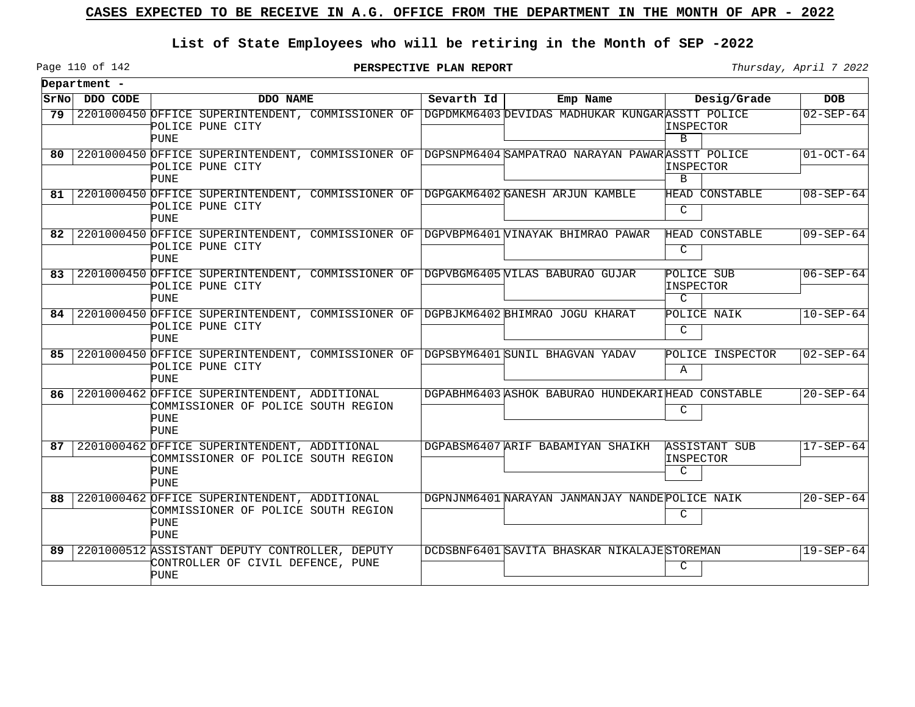## **List of State Employees who will be retiring in the Month of SEP -2022**

**PERSPECTIVE PLAN REPORT Thursday**, April 7 2022

 $\overline{\phantom{0}}$ 

|    | Department -  |                                                                                                                                      |            |                                                   |                                          |                 |
|----|---------------|--------------------------------------------------------------------------------------------------------------------------------------|------------|---------------------------------------------------|------------------------------------------|-----------------|
|    | SrNo DDO CODE | DDO NAME                                                                                                                             | Sevarth Id | Emp Name                                          | Desig/Grade                              | <b>DOB</b>      |
| 79 |               | 2201000450 OFFICE SUPERINTENDENT, COMMISSIONER OF DGPDMKM6403 DEVIDAS MADHUKAR KUNGARASSTT POLICE<br>POLICE PUNE CITY<br><b>PUNE</b> |            |                                                   | INSPECTOR<br>B.                          | $02 - SEP - 64$ |
| 80 |               | 2201000450 OFFICE SUPERINTENDENT, COMMISSIONER OF DGPSNPM6404 SAMPATRAO NARAYAN PAWARASSTT POLICE<br>POLICE PUNE CITY<br><b>PUNE</b> |            |                                                   | INSPECTOR<br>B                           | $01-0CT-64$     |
| 81 |               | 2201000450 OFFICE SUPERINTENDENT, COMMISSIONER OF DGPGAKM6402 GANESH ARJUN KAMBLE<br>POLICE PUNE CITY<br><b>PUNE</b>                 |            |                                                   | <b>HEAD CONSTABLE</b><br>C               | $08 - SEP - 64$ |
| 82 |               | 2201000450 OFFICE SUPERINTENDENT, COMMISSIONER OF DGPVBPM6401 VINAYAK BHIMRAO PAWAR<br>POLICE PUNE CITY<br><b>PUNE</b>               |            |                                                   | HEAD CONSTABLE<br>C                      | $09 - SEP - 64$ |
| 83 |               | 2201000450 OFFICE SUPERINTENDENT, COMMISSIONER OF DGPVBGM6405 WILAS BABURAO GUJAR<br>POLICE PUNE CITY<br>PUNE                        |            |                                                   | POLICE SUB<br>INSPECTOR<br>$\mathcal{C}$ | $06 - SEP - 64$ |
| 84 |               | 2201000450 OFFICE SUPERINTENDENT, COMMISSIONER OF DGPBJKM6402 BHIMRAO JOGU KHARAT<br>POLICE PUNE CITY<br><b>PUNE</b>                 |            |                                                   | POLICE NAIK<br>C                         | $10-SEP-64$     |
| 85 |               | 2201000450 OFFICE SUPERINTENDENT, COMMISSIONER OF DGPSBYM6401 SUNIL BHAGVAN YADAV<br>POLICE PUNE CITY<br><b>PUNE</b>                 |            |                                                   | POLICE INSPECTOR<br>$\mathbb{A}$         | 02-SEP-64       |
| 86 |               | 2201000462 OFFICE SUPERINTENDENT, ADDITIONAL<br>COMMISSIONER OF POLICE SOUTH REGION<br><b>PUNE</b><br><b>PUNE</b>                    |            | DGPABHM6403 ASHOK BABURAO HUNDEKARIHEAD CONSTABLE | C                                        | $20 - SEP - 64$ |
| 87 |               | 2201000462 OFFICE SUPERINTENDENT, ADDITIONAL<br>COMMISSIONER OF POLICE SOUTH REGION<br><b>PUNE</b><br><b>PUNE</b>                    |            | DGPABSM6407 ARIF BABAMIYAN SHAIKH                 | <b>ASSISTANT SUB</b><br>INSPECTOR<br>C   | $17 - SEP - 64$ |
| 88 |               | 2201000462 OFFICE SUPERINTENDENT, ADDITIONAL<br>COMMISSIONER OF POLICE SOUTH REGION<br><b>PUNE</b><br><b>PUNE</b>                    |            | DGPNJNM6401 NARAYAN JANMANJAY NANDE POLICE NAIK   | C                                        | $20 - SEP - 64$ |
| 89 |               | 2201000512 ASSISTANT DEPUTY CONTROLLER, DEPUTY<br>CONTROLLER OF CIVIL DEFENCE, PUNE<br><b>PUNE</b>                                   |            | DCDSBNF6401 SAVITA BHASKAR NIKALAJE STOREMAN      | $\mathsf{C}$                             | $19 - SEP - 64$ |

Page 110 of 142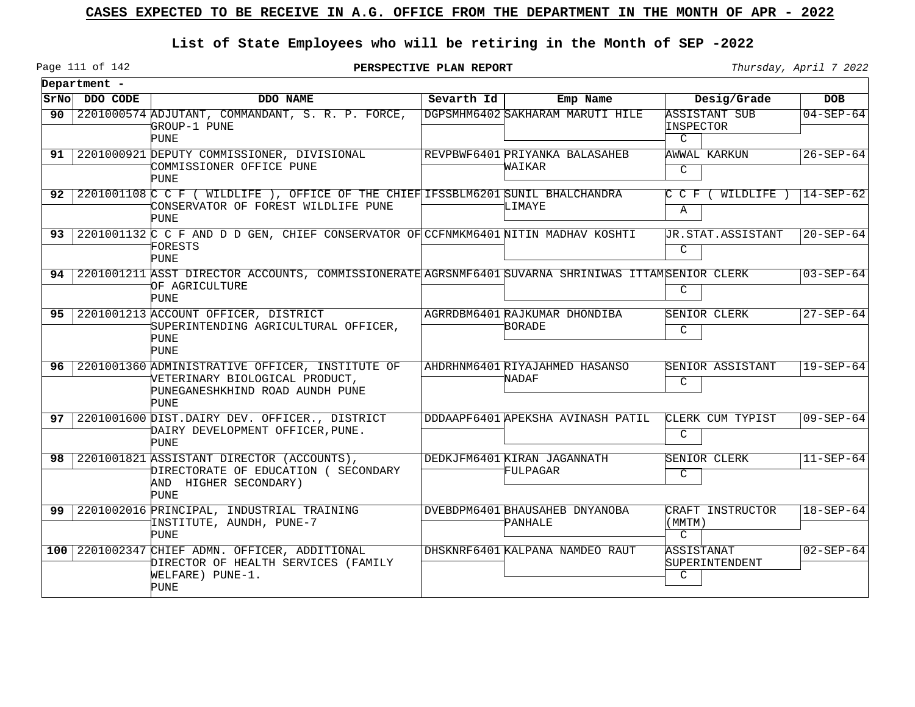## **List of State Employees who will be retiring in the Month of SEP -2022**

Page 111 of 142

**PERSPECTIVE PLAN REPORT** Thursday, April 7 2022

|    | Department -  |                                                                                                                                        |            |                                                |                                               |                 |
|----|---------------|----------------------------------------------------------------------------------------------------------------------------------------|------------|------------------------------------------------|-----------------------------------------------|-----------------|
|    | SrNo DDO CODE | DDO NAME                                                                                                                               | Sevarth Id | Emp Name                                       | Desig/Grade                                   | <b>DOB</b>      |
| 90 |               | 2201000574 ADJUTANT, COMMANDANT, S. R. P. FORCE,<br>GROUP-1 PUNE<br><b>PUNE</b>                                                        |            | DGPSMHM6402 SAKHARAM MARUTI HILE               | ASSISTANT SUB<br>INSPECTOR<br>C               | $04 - SEP - 64$ |
| 91 |               | 2201000921 DEPUTY COMMISSIONER, DIVISIONAL<br>COMMISSIONER OFFICE PUNE<br><b>PUNE</b>                                                  |            | REVPBWF6401 PRIYANKA BALASAHEB<br>WAIKAR       | AWWAL KARKUN<br>C                             | $26 - SEP - 64$ |
| 92 |               | 2201001108 C C F ( WILDLIFE ), OFFICE OF THE CHIEF IFSSBLM6201 SUNIL BHALCHANDRA<br>CONSERVATOR OF FOREST WILDLIFE PUNE<br><b>PUNE</b> |            | LIMAYE                                         | C C F (<br>WILDLIFE )<br>Α                    | $14 - SEP - 62$ |
| 93 |               | 2201001132 C C F AND D D GEN, CHIEF CONSERVATOR OF CCFNMKM6401 NITIN MADHAV KOSHTI<br>FORESTS<br>PUNE                                  |            |                                                | UR.STAT.ASSISTANT<br>$\mathcal{C}$            | $20 - SEP - 64$ |
| 94 |               | 2201001211 ASST DIRECTOR ACCOUNTS, COMMISSIONERATE AGRSNMF6401 SUVARNA SHRINIWAS ITTAMSENIOR CLERK<br>OF AGRICULTURE<br><b>PUNE</b>    |            |                                                | C                                             | $03 - SEP - 64$ |
| 95 |               | 2201001213 ACCOUNT OFFICER, DISTRICT<br>SUPERINTENDING AGRICULTURAL OFFICER.<br><b>PUNE</b><br><b>PUNE</b>                             |            | AGRRDBM6401 RAJKUMAR DHONDIBA<br><b>BORADE</b> | SENIOR CLERK<br>$\mathcal{C}$                 | $27 - SEP - 64$ |
| 96 |               | 2201001360 ADMINISTRATIVE OFFICER, INSTITUTE OF<br>VETERINARY BIOLOGICAL PRODUCT,<br>PUNEGANESHKHIND ROAD AUNDH PUNE<br><b>PUNE</b>    |            | AHDRHNM6401 RIYAJAHMED HASANSO<br>NADAF        | SENIOR ASSISTANT<br>C                         | $19 - SEP - 64$ |
| 97 |               | 2201001600 DIST.DAIRY DEV. OFFICER., DISTRICT<br>DAIRY DEVELOPMENT OFFICER, PUNE.<br><b>PUNE</b>                                       |            | DDDAAPF6401 APEKSHA AVINASH PATIL              | CLERK CUM TYPIST<br>C                         | $09 - SEP - 64$ |
| 98 |               | 2201001821 ASSISTANT DIRECTOR (ACCOUNTS),<br>DIRECTORATE OF EDUCATION ( SECONDARY<br>AND HIGHER SECONDARY)<br>PUNE                     |            | DEDKJFM6401 KIRAN JAGANNATH<br>FULPAGAR        | SENIOR CLERK<br>$\overline{C}$                | $11-SEP-64$     |
| 99 |               | 2201002016 PRINCIPAL, INDUSTRIAL TRAINING<br>INSTITUTE, AUNDH, PUNE-7<br><b>PUNE</b>                                                   |            | DVEBDPM6401 BHAUSAHEB DNYANOBA<br>PANHALE      | CRAFT INSTRUCTOR<br>(MMTM)<br>$\mathcal{C}$   | $18 - SEP - 64$ |
|    |               | 100 2201002347 CHIEF ADMN. OFFICER, ADDITIONAL<br>DIRECTOR OF HEALTH SERVICES (FAMILY<br>WELFARE) PUNE-1.<br><b>PUNE</b>               |            | DHSKNRF6401 KALPANA NAMDEO RAUT                | ASSISTANAT<br>SUPERINTENDENT<br>$\mathcal{C}$ | $02 - SEP - 64$ |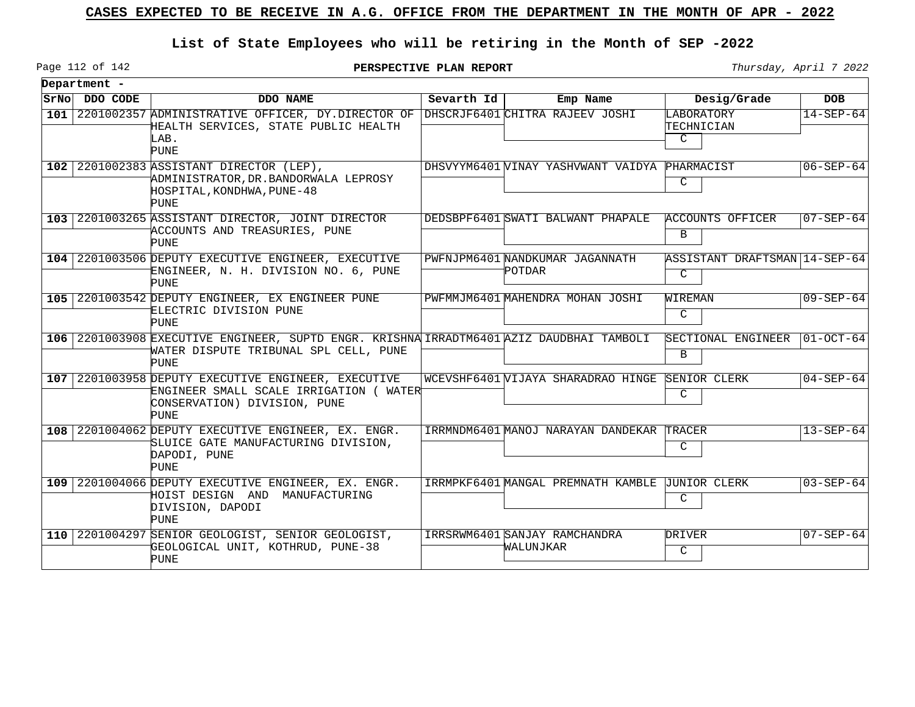## **List of State Employees who will be retiring in the Month of SEP -2022**

Page 112 of 142

**PERSPECTIVE PLAN REPORT Thursday**, April 7 2022

 $\overline{\phantom{0}}$ 

|     | Department -   |                                                                                                                                                  |            |                                            |                                      |                   |  |  |  |
|-----|----------------|--------------------------------------------------------------------------------------------------------------------------------------------------|------------|--------------------------------------------|--------------------------------------|-------------------|--|--|--|
|     | SrNo  DDO CODE | DDO NAME                                                                                                                                         | Sevarth Id | Emp Name                                   | Desig/Grade                          | <b>DOB</b>        |  |  |  |
| 101 |                | 2201002357 ADMINISTRATIVE OFFICER, DY.DIRECTOR OF<br>HEALTH SERVICES, STATE PUBLIC HEALTH<br>LAB.<br><b>PUNE</b>                                 |            | DHSCRJF6401 CHITRA RAJEEV JOSHI            | LABORATORY<br>TECHNICIAN<br>C        | $14 - SEP - 64$   |  |  |  |
|     |                | 102 2201002383 ASSISTANT DIRECTOR (LEP),<br>ADMINISTRATOR, DR. BANDORWALA LEPROSY<br>HOSPITAL, KONDHWA, PUNE-48<br><b>PUNE</b>                   |            | DHSVYYM6401 WINAY YASHVWANT VAIDYA         | PHARMACIST<br>C                      | $06 - SEP - 64$   |  |  |  |
|     |                | 103 2201003265 ASSISTANT DIRECTOR, JOINT DIRECTOR<br>ACCOUNTS AND TREASURIES, PUNE<br>PUNE                                                       |            | DEDSBPF6401 SWATI BALWANT PHAPALE          | ACCOUNTS OFFICER<br>B                | $ 07 - SEP - 64 $ |  |  |  |
|     |                | 104 2201003506 DEPUTY EXECUTIVE ENGINEER, EXECUTIVE<br>ENGINEER, N. H. DIVISION NO. 6, PUNE<br>PUNE                                              |            | PWFNJPM6401 NANDKUMAR JAGANNATH<br>POTDAR  | ASSISTANT DRAFTSMAN   14-SEP-64<br>C |                   |  |  |  |
|     |                | 105 2201003542 DEPUTY ENGINEER, EX ENGINEER PUNE<br>ELECTRIC DIVISION PUNE<br>PUNE                                                               |            | PWFMMJM6401 MAHENDRA MOHAN JOSHI           | WIREMAN<br>C                         | $09 - SEP - 64$   |  |  |  |
|     |                | 106 2201003908 EXECUTIVE ENGINEER, SUPTD ENGR. KRISHNA IRRADTM6401 AZIZ DAUDBHAI TAMBOLI<br>WATER DISPUTE TRIBUNAL SPL CELL, PUNE<br><b>PUNE</b> |            |                                            | SECTIONAL ENGINEER<br>B              | $ 01-OCT-64 $     |  |  |  |
|     |                | 107 2201003958 DEPUTY EXECUTIVE ENGINEER, EXECUTIVE<br>ENGINEER SMALL SCALE IRRIGATION (WATERT<br>CONSERVATION) DIVISION, PUNE<br><b>PUNE</b>    |            | WCEVSHF6401 VIJAYA SHARADRAO HINGE         | SENIOR CLERK<br>C                    | $ 04 - SEP - 64 $ |  |  |  |
|     |                | 108 2201004062 DEPUTY EXECUTIVE ENGINEER, EX. ENGR.<br>SLUICE GATE MANUFACTURING DIVISION,<br>DAPODI, PUNE<br><b>PUNE</b>                        |            | IRRMNDM6401 MANOJ NARAYAN DANDEKAR         | TRACER<br>C                          | $13 - SEP - 64$   |  |  |  |
|     |                | 109 2201004066 DEPUTY EXECUTIVE ENGINEER, EX. ENGR.<br>HOIST DESIGN AND MANUFACTURING<br>DIVISION, DAPODI<br><b>PUNE</b>                         |            | IRRMPKF6401 MANGAL PREMNATH KAMBLE         | <b>JUNIOR CLERK</b><br>C             | $03 - SEP - 64$   |  |  |  |
|     |                | 110 2201004297 SENIOR GEOLOGIST, SENIOR GEOLOGIST,<br>GEOLOGICAL UNIT, KOTHRUD, PUNE-38<br>PUNE                                                  |            | IRRSRWM6401 SANJAY RAMCHANDRA<br>WALUNJKAR | <b>DRIVER</b><br>$\mathcal{C}$       | 07-SEP-64         |  |  |  |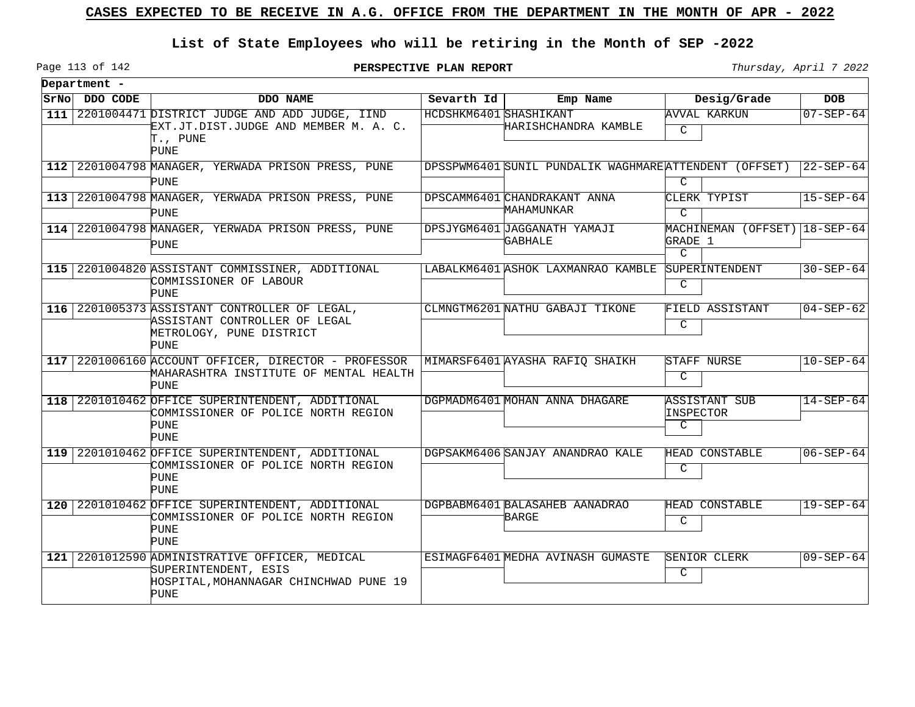## **List of State Employees who will be retiring in the Month of SEP -2022**

Page 113 of 142

**PERSPECTIVE PLAN REPORT** Thursday, April 7 2022

|                  | Department -  |                                                                                                                             |                        |                                                        |                                                              |                 |
|------------------|---------------|-----------------------------------------------------------------------------------------------------------------------------|------------------------|--------------------------------------------------------|--------------------------------------------------------------|-----------------|
|                  | SrNo DDO CODE | DDO NAME                                                                                                                    | Sevarth Id             | Emp Name                                               | Desig/Grade                                                  | <b>DOB</b>      |
| 111              |               | 2201004471 DISTRICT JUDGE AND ADD JUDGE, IIND<br>EXT.JT.DIST.JUDGE AND MEMBER M. A. C.<br>T., PUNE<br><b>PUNE</b>           | HCDSHKM6401 SHASHIKANT | HARISHCHANDRA KAMBLE                                   | AVVAL KARKUN<br>$\mathcal{C}$                                | $07 - SEP - 64$ |
|                  |               | 112 2201004798 MANAGER, YERWADA PRISON PRESS, PUNE<br><b>PUNE</b>                                                           |                        | DPSSPWM6401 SUNIL PUNDALIK WAGHMARE ATTENDENT (OFFSET) | $\mathcal{C}$                                                | $22 - SEP - 64$ |
|                  |               | 113 2201004798 MANAGER, YERWADA PRISON PRESS, PUNE<br><b>PUNE</b>                                                           |                        | DPSCAMM6401 CHANDRAKANT ANNA<br>MAHAMUNKAR             | CLERK TYPIST<br>$\mathcal{C}$                                | $15 - SEP - 64$ |
|                  |               | 114 2201004798 MANAGER, YERWADA PRISON PRESS, PUNE<br>PUNE                                                                  |                        | DPSJYGM6401 UAGGANATH YAMAJI<br>GABHALE                | MACHINEMAN (OFFSET)   18-SEP-64<br>GRADE 1<br>$\overline{C}$ |                 |
|                  |               | 115 2201004820 ASSISTANT COMMISSINER, ADDITIONAL<br>COMMISSIONER OF LABOUR<br><b>PUNE</b>                                   |                        | LABALKM6401 ASHOK LAXMANRAO KAMBLE                     | SUPERINTENDENT<br>C                                          | $30 - SEP - 64$ |
| 116              |               | 2201005373 ASSISTANT CONTROLLER OF LEGAL,<br>ASSISTANT CONTROLLER OF LEGAL<br>METROLOGY, PUNE DISTRICT<br>PUNE              |                        | CLMNGTM6201 NATHU GABAJI TIKONE                        | FIELD ASSISTANT<br>C                                         | $04 - SEP - 62$ |
| 117              |               | 2201006160 ACCOUNT OFFICER, DIRECTOR - PROFESSOR<br>MAHARASHTRA INSTITUTE OF MENTAL HEALTH<br>PUNE                          |                        | MIMARSF6401 AYASHA RAFIO SHAIKH                        | STAFF NURSE<br>C                                             | $10 - SEP - 64$ |
| 1181             |               | 2201010462 OFFICE SUPERINTENDENT, ADDITIONAL<br>COMMISSIONER OF POLICE NORTH REGION<br><b>PUNE</b><br><b>PUNE</b>           |                        | DGPMADM6401 MOHAN ANNA DHAGARE                         | ASSISTANT SUB<br>INSPECTOR<br>C                              | $14 - SEP - 64$ |
|                  |               | 119 2201010462 OFFICE SUPERINTENDENT, ADDITIONAL<br>COMMISSIONER OF POLICE NORTH REGION<br>PUNE<br><b>PUNE</b>              |                        | DGPSAKM6406 SANJAY ANANDRAO KALE                       | HEAD CONSTABLE<br>C                                          | $06 - SEP - 64$ |
| 120 <sub>1</sub> |               | 2201010462 OFFICE SUPERINTENDENT, ADDITIONAL<br>COMMISSIONER OF POLICE NORTH REGION<br>PUNE<br>PUNE                         |                        | DGPBABM6401 BALASAHEB AANADRAO<br>BARGE                | HEAD CONSTABLE<br>C                                          | $19 - SEP - 64$ |
| 121              |               | 2201012590 ADMINISTRATIVE OFFICER, MEDICAL<br>SUPERINTENDENT, ESIS<br>HOSPITAL, MOHANNAGAR CHINCHWAD PUNE 19<br><b>PUNE</b> |                        | ESIMAGF6401 MEDHA AVINASH GUMASTE                      | SENIOR CLERK<br>C                                            | $09 - SEP - 64$ |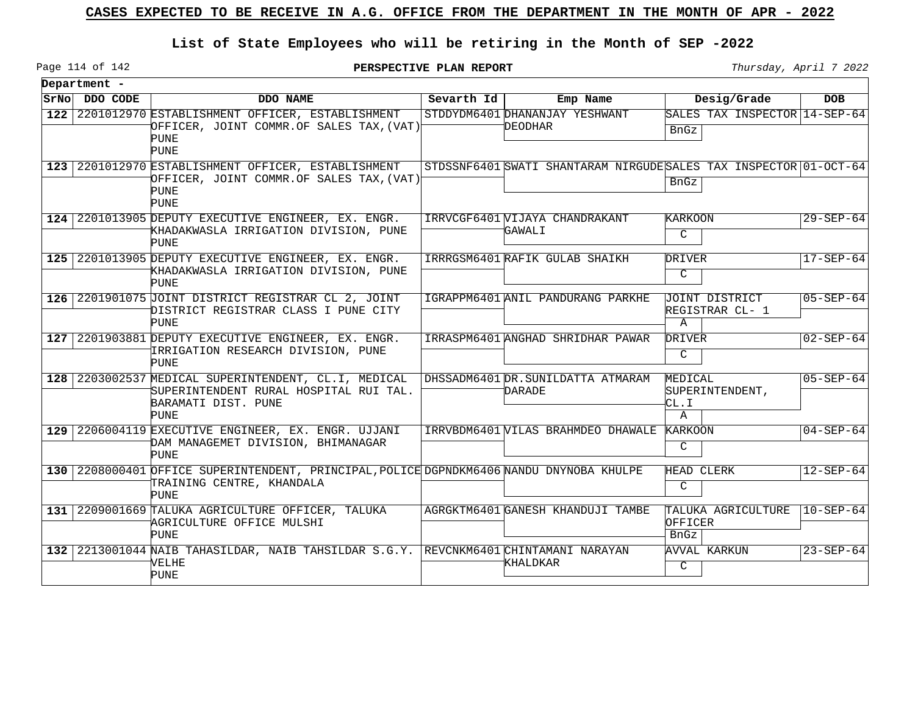## **List of State Employees who will be retiring in the Month of SEP -2022**

Page 114 of 142

**PERSPECTIVE PLAN REPORT** Thursday, April 7 2022

|      | Department - |                                                                                                                               |            |                                                                  |                                                         |                 |
|------|--------------|-------------------------------------------------------------------------------------------------------------------------------|------------|------------------------------------------------------------------|---------------------------------------------------------|-----------------|
| SrNo | DDO CODE     | DDO NAME                                                                                                                      | Sevarth Id | Emp Name                                                         | Desig/Grade                                             | <b>DOB</b>      |
| 122  |              | 2201012970 ESTABLISHMENT OFFICER, ESTABLISHMENT<br>OFFICER, JOINT COMMR.OF SALES TAX, (VAT)<br><b>PUNE</b>                    |            | STDDYDM6401 DHANANJAY YESHWANT<br>DEODHAR                        | SALES TAX INSPECTOR 14-SEP-64<br>BnGz                   |                 |
|      |              | PUNE                                                                                                                          |            |                                                                  |                                                         |                 |
|      |              | 123 2201012970 ESTABLISHMENT OFFICER, ESTABLISHMENT<br>OFFICER, JOINT COMMR.OF SALES TAX, (VAT)<br>PUNE                       |            | STDSSNF6401 SWATI SHANTARAM NIRGUDESALES TAX INSPECTOR 01-OCT-64 | BnGz                                                    |                 |
|      |              | <b>PUNE</b>                                                                                                                   |            |                                                                  |                                                         |                 |
|      |              | 124 2201013905 DEPUTY EXECUTIVE ENGINEER, EX. ENGR.<br>KHADAKWASLA IRRIGATION DIVISION, PUNE<br>PUNE                          |            | IRRVCGF6401 VIJAYA CHANDRAKANT<br>GAWALI                         | KARKOON<br>$\mathcal{C}$                                | $29 - SEP - 64$ |
| 125  |              | 2201013905 DEPUTY EXECUTIVE ENGINEER, EX. ENGR.<br>KHADAKWASLA IRRIGATION DIVISION, PUNE<br>PUNE                              |            | IRRRGSM6401 RAFIK GULAB SHAIKH                                   | DRIVER<br>$\mathsf{C}$                                  | $17 - SEP - 64$ |
| 126  |              | 2201901075 JOINT DISTRICT REGISTRAR CL 2, JOINT<br>DISTRICT REGISTRAR CLASS I PUNE CITY<br><b>PUNE</b>                        |            | IGRAPPM6401 ANIL PANDURANG PARKHE                                | <b>JOINT DISTRICT</b><br>REGISTRAR CL- 1<br>$\mathbb A$ | $05 - SEP - 64$ |
|      |              | 127 2201903881 DEPUTY EXECUTIVE ENGINEER, EX. ENGR.<br>IRRIGATION RESEARCH DIVISION, PUNE<br>PUNE                             |            | IRRASPM6401 ANGHAD SHRIDHAR PAWAR                                | DRIVER<br>$\mathsf{C}$                                  | $02 - SEP - 64$ |
| 128  |              | 2203002537 MEDICAL SUPERINTENDENT, CL.I, MEDICAL<br>SUPERINTENDENT RURAL HOSPITAL RUI TAL.<br>BARAMATI DIST. PUNE             |            | DHSSADM6401 DR. SUNILDATTA ATMARAM<br>DARADE                     | MEDICAL<br>SUPERINTENDENT,<br>kг. I                     | $05 - SEP - 64$ |
|      |              | PUNE<br>129 2206004119 EXECUTIVE ENGINEER, EX. ENGR. UJJANI<br>DAM MANAGEMET DIVISION, BHIMANAGAR<br>PUNE                     |            | IRRVBDM6401 VILAS BRAHMDEO DHAWALE                               | A<br>KARKOON<br>C                                       | $04 - SEP - 64$ |
|      |              | 130 2208000401 OFFICE SUPERINTENDENT, PRINCIPAL, POLICE DGPNDKM6406 NANDU DNYNOBA KHULPE<br>TRAINING CENTRE, KHANDALA<br>PUNE |            |                                                                  | HEAD CLERK<br>C                                         | $12 - SEP - 64$ |
| 131  |              | 2209001669 TALUKA AGRICULTURE OFFICER, TALUKA<br>AGRICULTURE OFFICE MULSHI<br>PUNE                                            |            | AGRGKTM6401 GANESH KHANDUJI TAMBE                                | TALUKA AGRICULTURE<br>OFFICER<br><b>BnGz</b>            | $10 - SEP - 64$ |
|      |              | 132 2213001044 NAIB TAHASILDAR, NAIB TAHSILDAR S.G.Y. REVCNKM6401 CHINTAMANI NARAYAN<br>VELHE<br><b>PUNE</b>                  |            | KHALDKAR                                                         | <b>AVVAL KARKUN</b><br>$\mathcal{C}$                    | $23 - SEP - 64$ |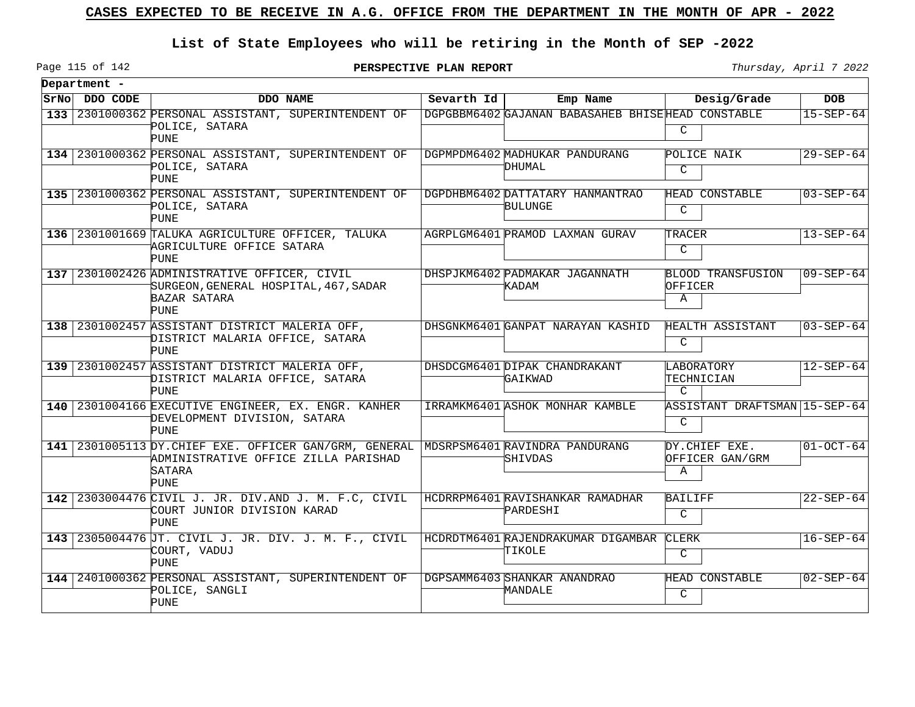## **List of State Employees who will be retiring in the Month of SEP -2022**

**PERSPECTIVE PLAN REPORT** Thursday, April 7 2022

|      | Department - |                                                                                                                                                        |            |                                                    |                                          |                 |
|------|--------------|--------------------------------------------------------------------------------------------------------------------------------------------------------|------------|----------------------------------------------------|------------------------------------------|-----------------|
| SrNo | DDO CODE     | DDO NAME                                                                                                                                               | Sevarth Id | Emp Name                                           | Desig/Grade                              | <b>DOB</b>      |
| 133  |              | 2301000362 PERSONAL ASSISTANT, SUPERINTENDENT OF<br>POLICE, SATARA<br>PUNE                                                                             |            | DGPGBBM6402 GAJANAN BABASAHEB BHISEHEAD CONSTABLE  | C                                        | $15 - SEP - 64$ |
|      |              | 134 2301000362 PERSONAL ASSISTANT, SUPERINTENDENT OF<br>POLICE, SATARA<br><b>PUNE</b>                                                                  |            | DGPMPDM6402 MADHUKAR PANDURANG<br>DHUMAL           | POLICE NAIK<br>$\mathcal{C}$             | $29 - SEP - 64$ |
|      |              | 135 2301000362 PERSONAL ASSISTANT, SUPERINTENDENT OF<br>POLICE, SATARA<br>PUNE                                                                         |            | DGPDHBM6402 DATTATARY HANMANTRAO<br><b>BULUNGE</b> | HEAD CONSTABLE<br>$\mathcal{C}$          | $03 - SEP - 64$ |
|      |              | 136 2301001669 TALUKA AGRICULTURE OFFICER, TALUKA<br>'AGRICULTURE OFFICE SATARA<br>PUNE                                                                |            | AGRPLGM6401 PRAMOD LAXMAN GURAV                    | TRACER<br>$\mathcal{C}$                  | $13 - SEP - 64$ |
|      |              | 137 2301002426 ADMINISTRATIVE OFFICER, CIVIL<br>SURGEON, GENERAL HOSPITAL, 467, SADAR<br>BAZAR SATARA<br>PUNE                                          |            | DHSPJKM6402 PADMAKAR JAGANNATH<br>KADAM            | <b>BLOOD TRANSFUSION</b><br>OFFICER<br>A | $09 - SEP - 64$ |
|      |              | 138 2301002457 ASSISTANT DISTRICT MALERIA OFF,<br>DISTRICT MALARIA OFFICE, SATARA<br><b>PUNE</b>                                                       |            | DHSGNKM6401 GANPAT NARAYAN KASHID                  | HEALTH ASSISTANT<br>C                    | $03 - SEP - 64$ |
|      |              | 139 2301002457 ASSISTANT DISTRICT MALERIA OFF,<br>DISTRICT MALARIA OFFICE, SATARA<br><b>PUNE</b>                                                       |            | DHSDCGM6401 DIPAK CHANDRAKANT<br>GAIKWAD           | LABORATORY<br>TECHNICIAN<br>C            | $12 - SEP - 64$ |
|      |              | 140 2301004166 EXECUTIVE ENGINEER, EX. ENGR. KANHER<br>DEVELOPMENT DIVISION, SATARA<br>PUNE                                                            |            | IRRAMKM6401 ASHOK MONHAR KAMBLE                    | ASSISTANT DRAFTSMAN 15-SEP-64<br>C       |                 |
|      |              | 141 2301005113 DY. CHIEF EXE. OFFICER GAN/GRM, GENERAL MDSRPSM6401 RAVINDRA PANDURANG<br>ADMINISTRATIVE OFFICE ZILLA PARISHAD<br>SATARA<br><b>PUNE</b> |            | SHIVDAS                                            | DY.CHIEF EXE.<br>OFFICER GAN/GRM<br>Α    | $01-0CT-64$     |
|      |              | 142 2303004476 CIVIL J. JR. DIV. AND J. M. F.C. CIVIL<br>COURT JUNIOR DIVISION KARAD<br><b>PUNE</b>                                                    |            | HCDRRPM6401 RAVISHANKAR RAMADHAR<br>PARDESHI       | <b>BAILIFF</b><br>$\mathsf{C}$           | $22 - SEP - 64$ |
| 1431 |              | 2305004476 JT. CIVIL J. JR. DIV. J. M. F., CIVIL<br>COURT, VADUJ<br><b>PUNE</b>                                                                        |            | HCDRDTM6401 RAJENDRAKUMAR DIGAMBAR<br>TIKOLE       | CLERK<br>$\mathcal{C}$                   | $16 - SEP - 64$ |
|      |              | 144 2401000362 PERSONAL ASSISTANT, SUPERINTENDENT OF<br>POLICE, SANGLI<br><b>PUNE</b>                                                                  |            | DGPSAMM6403 SHANKAR ANANDRAO<br>MANDALE            | HEAD CONSTABLE<br>C                      | $02 - SEP - 64$ |

Page 115 of 142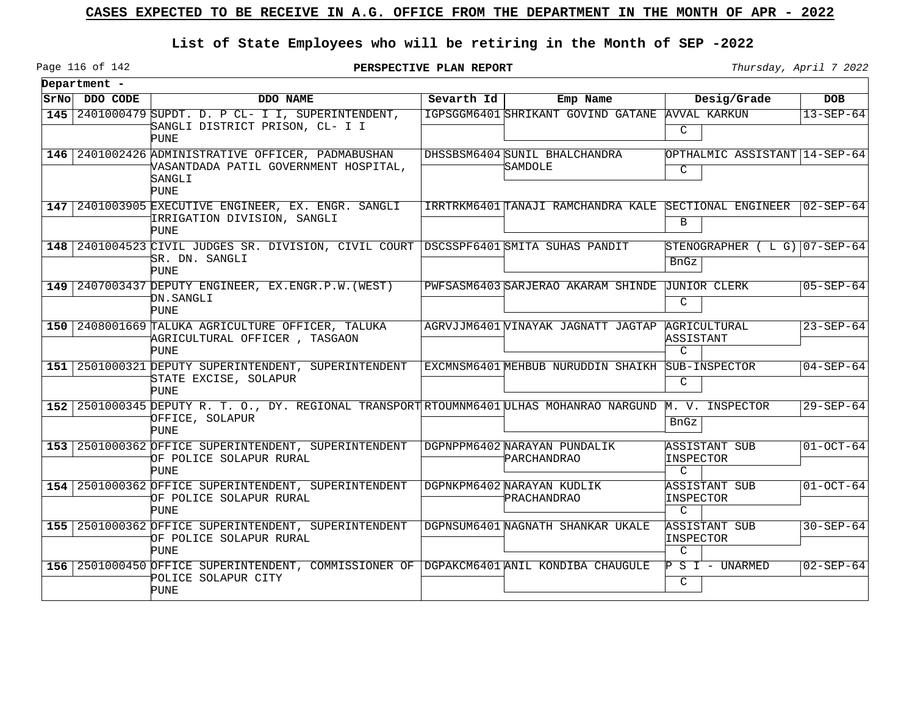## **List of State Employees who will be retiring in the Month of SEP -2022**

Page 116 of 142

**PERSPECTIVE PLAN REPORT** Thursday, April 7 2022

| Department -  |                                                                                                                               |              |                                                       |                                             |                  |
|---------------|-------------------------------------------------------------------------------------------------------------------------------|--------------|-------------------------------------------------------|---------------------------------------------|------------------|
| SrNo DDO CODE | DDO NAME                                                                                                                      | Sevarth $Id$ | Emp Name                                              | Desig/Grade                                 | <b>DOB</b>       |
|               | 145 2401000479 SUPDT. D. P CL- I I, SUPERINTENDENT,<br>SANGLI DISTRICT PRISON, CL- I I<br>PUNE                                |              | IGPSGGM6401 SHRIKANT GOVIND GATANE                    | AVVAL KARKUN<br>C                           | $13 - SEP - 64$  |
|               | 146 2401002426 ADMINISTRATIVE OFFICER, PADMABUSHAN<br>VASANTDADA PATIL GOVERNMENT HOSPITAL,<br>SANGLI<br><b>PUNE</b>          |              | DHSSBSM6404 SUNIL BHALCHANDRA<br>SAMDOLE              | OPTHALMIC ASSISTANT 14-SEP-64<br>C          |                  |
|               | 147 2401003905 EXECUTIVE ENGINEER, EX. ENGR. SANGLI<br>IRRIGATION DIVISION, SANGLI<br>PUNE                                    |              | IRRTRKM6401 TANAJI RAMCHANDRA KALE SECTIONAL ENGINEER | B                                           | $102 - SEP - 64$ |
|               | 148 2401004523 CIVIL JUDGES SR. DIVISION, CIVIL COURT DSCSSPF6401 SMITA SUHAS PANDIT<br>'SR. DN. SANGLI<br><b>PUNE</b>        |              |                                                       | STENOGRAPHER ( L G) 07-SEP-64<br>BnGz       |                  |
|               | 149 2407003437 DEPUTY ENGINEER, EX. ENGR. P.W. (WEST)<br>DN.SANGLI<br><b>PUNE</b>                                             |              | PWFSASM6403 SARJERAO AKARAM SHINDE JUNIOR CLERK       | C                                           | $05 - SEP - 64$  |
|               | 150 2408001669 TALUKA AGRICULTURE OFFICER, TALUKA<br>AGRICULTURAL OFFICER, TASGAON<br><b>PUNE</b>                             |              | AGRVJJM6401 VINAYAK JAGNATT JAGTAP                    | AGRICULTURAL<br>ASSISTANT<br>$\mathcal{C}$  | $23 - SEP - 64$  |
|               | 151 2501000321 DEPUTY SUPERINTENDENT, SUPERINTENDENT<br>STATE EXCISE, SOLAPUR<br>PUNE                                         |              | EXCMNSM6401 MEHBUB NURUDDIN SHAIKH SUB-INSPECTOR      | C                                           | $04 - SEP - 64$  |
|               | 152 2501000345 DEPUTY R. T. O., DY. REGIONAL TRANSPORT RTOUMNM6401 ULHAS MOHANRAO NARGUND<br>OFFICE, SOLAPUR<br><b>PUNE</b>   |              |                                                       | M. V. INSPECTOR<br>BnGz                     | $29 - SEP - 64$  |
|               | 153 2501000362 OFFICE SUPERINTENDENT, SUPERINTENDENT<br>OF POLICE SOLAPUR RURAL<br><b>PUNE</b>                                |              | DGPNPPM6402 NARAYAN PUNDALIK<br>PARCHANDRAO           | ASSISTANT SUB<br>INSPECTOR<br>$\mathcal{C}$ | $01-OCT-64$      |
|               | 154   2501000362 OFFICE SUPERINTENDENT, SUPERINTENDENT<br>OF POLICE SOLAPUR RURAL<br><b>PUNE</b>                              |              | DGPNKPM6402 NARAYAN KUDLIK<br>PRACHANDRAO             | ASSISTANT SUB<br>INSPECTOR<br>$\mathcal{C}$ | $01-0CT-64$      |
|               | 155 2501000362 OFFICE SUPERINTENDENT, SUPERINTENDENT<br>OF POLICE SOLAPUR RURAL<br><b>PUNE</b>                                |              | DGPNSUM6401 NAGNATH SHANKAR UKALE                     | ASSISTANT SUB<br>INSPECTOR<br>$\mathcal{C}$ | $30 - SEP - 64$  |
|               | 156 2501000450 OFFICE SUPERINTENDENT, COMMISSIONER OF DGPAKCM6401 ANIL KONDIBA CHAUGULE<br>POLICE SOLAPUR CITY<br><b>PUNE</b> |              |                                                       | $P S I - UNARMED$<br>$\mathcal{C}$          | $02 - SEP - 64$  |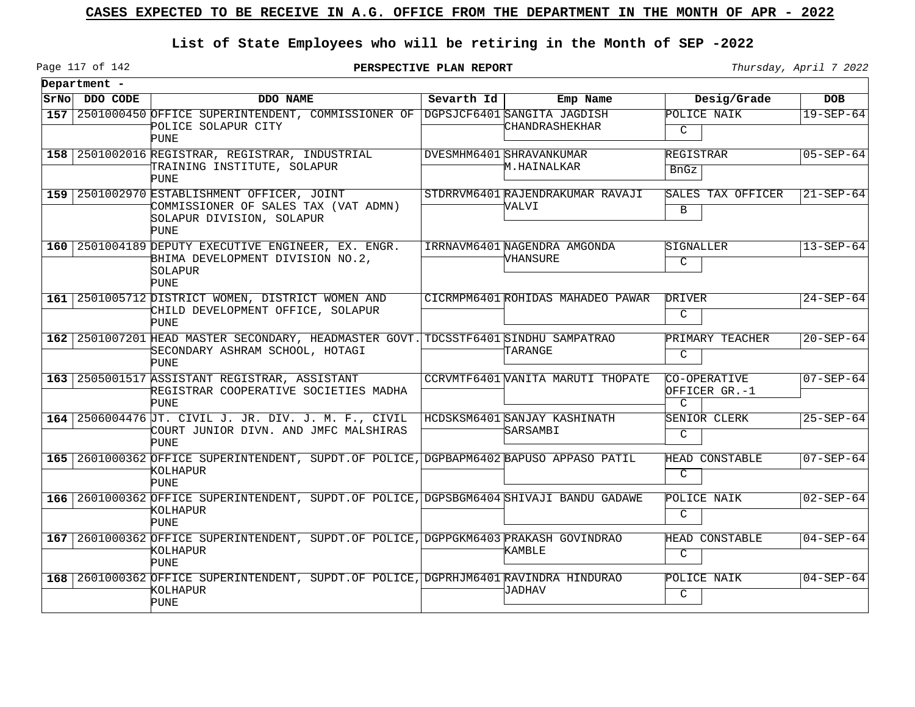# **List of State Employees who will be retiring in the Month of SEP -2022**

Page 117 of 142

**PERSPECTIVE PLAN REPORT Thursday**, April 7 2022

| Department -  |                                                                                                                                |            |                                           |                                                |                 |
|---------------|--------------------------------------------------------------------------------------------------------------------------------|------------|-------------------------------------------|------------------------------------------------|-----------------|
| SrNo DDO CODE | DDO NAME                                                                                                                       | Sevarth Id | Emp Name                                  | Desig/Grade                                    | <b>DOB</b>      |
|               | 157 2501000450 OFFICE SUPERINTENDENT, COMMISSIONER OF DGPSJCF6401 SANGITA JAGDISH<br>POLICE SOLAPUR CITY<br>PUNE               |            | CHANDRASHEKHAR                            | POLICE NAIK<br>C                               | $19 - SEP - 64$ |
|               | 158 2501002016 REGISTRAR, REGISTRAR, INDUSTRIAL<br>TRAINING INSTITUTE, SOLAPUR<br>PUNE                                         |            | DVESMHM6401 SHRAVANKUMAR<br>M.HAINALKAR   | REGISTRAR<br><b>BnGz</b>                       | $05 - SEP - 64$ |
|               | 159 2501002970 ESTABLISHMENT OFFICER, JOINT<br>COMMISSIONER OF SALES TAX (VAT ADMN)<br>SOLAPUR DIVISION, SOLAPUR<br>PUNE       |            | STDRRVM6401 RAJENDRAKUMAR RAVAJI<br>VALVI | SALES TAX OFFICER<br>B                         | $21 - SEP - 64$ |
|               | 160 2501004189 DEPUTY EXECUTIVE ENGINEER, EX. ENGR.<br>BHIMA DEVELOPMENT DIVISION NO.2,<br>SOLAPUR<br>PUNE                     |            | IRRNAVM6401 NAGENDRA AMGONDA<br>VHANSURE  | SIGNALLER<br>C                                 | $13 - SEP - 64$ |
|               | 161 2501005712 DISTRICT WOMEN, DISTRICT WOMEN AND<br>CHILD DEVELOPMENT OFFICE, SOLAPUR<br>PUNE                                 |            | CICRMPM6401 ROHIDAS MAHADEO PAWAR         | DRIVER<br>C                                    | $24 - SEP - 64$ |
|               | 162 2501007201 HEAD MASTER SECONDARY, HEADMASTER GOVT. TDCSSTF6401 SINDHU SAMPATRAO<br>SECONDARY ASHRAM SCHOOL, HOTAGI<br>PUNE |            | TARANGE                                   | PRIMARY TEACHER<br>C                           | $20 - SEP - 64$ |
|               | 163 2505001517 ASSISTANT REGISTRAR, ASSISTANT<br>REGISTRAR COOPERATIVE SOCIETIES MADHA<br>PUNE                                 |            | CCRVMTF6401 VANITA MARUTI THOPATE         | CO-OPERATIVE<br>OFFICER GR.-1<br>$\mathcal{C}$ | $07 - SEP - 64$ |
|               | 164 2506004476 JT. CIVIL J. JR. DIV. J. M. F., CIVIL<br>COURT JUNIOR DIVN. AND JMFC MALSHIRAS<br>PUNE                          |            | HCDSKSM6401 SANJAY KASHINATH<br>SARSAMBI  | SENIOR CLERK<br>C                              | $25 - SEP - 64$ |
|               | 165 2601000362 OFFICE SUPERINTENDENT, SUPDT.OF POLICE, DGPBAPM6402 BAPUSO APPASO PATIL<br>KOLHAPUR<br>PUNE                     |            |                                           | HEAD CONSTABLE<br>C                            | $07 - SEP - 64$ |
|               | 166 2601000362 OFFICE SUPERINTENDENT, SUPDT.OF POLICE, DGPSBGM6404 SHIVAJI BANDU GADAWE<br>KOLHAPUR<br>PUNE                    |            |                                           | POLICE NAIK<br>C                               | $02 - SEP - 64$ |
|               | 167 2601000362 OFFICE SUPERINTENDENT, SUPDT.OF POLICE, DGPPGKM6403 PRAKASH GOVINDRAO<br>KOLHAPUR<br>PUNE                       |            | KAMBLE                                    | HEAD CONSTABLE<br>C                            | $04 - SEP - 64$ |
|               | 168 2601000362 OFFICE SUPERINTENDENT, SUPDT.OF POLICE, DGPRHJM6401 RAVINDRA HINDURAO<br>KOLHAPUR<br><b>PUNE</b>                |            | <b>TADHAV</b>                             | POLICE NAIK<br>$\mathcal{C}$                   | $04 - SEP - 64$ |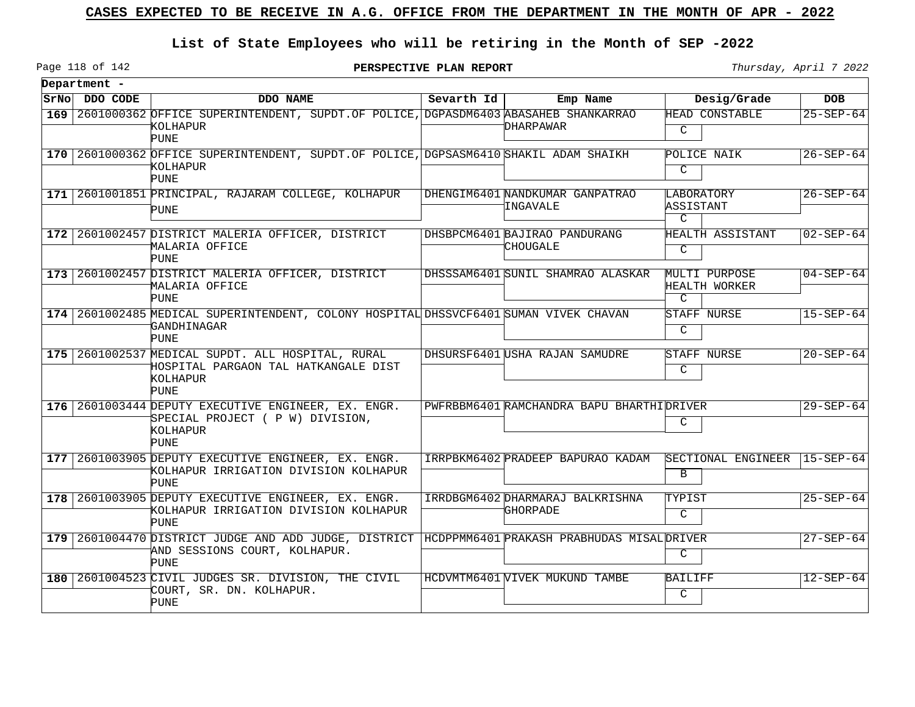## **List of State Employees who will be retiring in the Month of SEP -2022**

Page 118 of 142

| Department -  |                                                                                                                                           |              |                                                    |                                                 |                 |
|---------------|-------------------------------------------------------------------------------------------------------------------------------------------|--------------|----------------------------------------------------|-------------------------------------------------|-----------------|
| SrNo DDO CODE | <b>DDO NAME</b>                                                                                                                           | Sevarth $Id$ | Emp Name                                           | Desig/Grade                                     | <b>DOB</b>      |
|               | 169 2601000362 OFFICE SUPERINTENDENT, SUPDT.OF POLICE, DGPASDM6403 ABASAHEB SHANKARRAO<br>kolhapur<br>PUNE                                |              | DHARPAWAR                                          | HEAD CONSTABLE<br>$\mathcal{C}$                 | $25 - SEP - 64$ |
|               | 170 2601000362 OFFICE SUPERINTENDENT, SUPDT. OF POLICE, DGPSASM6410 SHAKIL ADAM SHAIKH<br>KOLHAPUR<br>PUNE                                |              |                                                    | POLICE NAIK<br>$\mathcal{C}$                    | $26 - SEP - 64$ |
|               | 171 2601001851 PRINCIPAL, RAJARAM COLLEGE, KOLHAPUR<br>PUNE                                                                               |              | DHENGIM6401 NANDKUMAR GANPATRAO<br><b>INGAVALE</b> | LABORATORY<br>ASSISTANT<br>$\mathcal{C}$        | $26 - SEP - 64$ |
|               | 172 2601002457 DISTRICT MALERIA OFFICER, DISTRICT<br>MALARIA OFFICE<br>PUNE                                                               |              | DHSBPCM6401 BAJIRAO PANDURANG<br>CHOUGALE          | HEALTH ASSISTANT<br>C                           | $02 - SEP - 64$ |
|               | 173 2601002457 DISTRICT MALERIA OFFICER, DISTRICT<br>MALARIA OFFICE<br>PUNE                                                               |              | DHSSSAM6401 SUNIL SHAMRAO ALASKAR                  | MULTI PURPOSE<br>HEALTH WORKER<br>$\mathcal{C}$ | $04 - SEP - 64$ |
|               | 174 2601002485 MEDICAL SUPERINTENDENT, COLONY HOSPITAL DHSSVCF6401 SUMAN VIVEK CHAVAN<br>GANDHINAGAR<br><b>PUNE</b>                       |              |                                                    | STAFF NURSE<br>C                                | $15 - SEP - 64$ |
|               | 175 2601002537 MEDICAL SUPDT. ALL HOSPITAL, RURAL<br>HOSPITAL PARGAON TAL HATKANGALE DIST<br>KOLHAPUR<br>PUNE                             |              | DHSURSF6401 USHA RAJAN SAMUDRE                     | STAFF NURSE<br>C                                | $20 - SEP - 64$ |
|               | 176 2601003444 DEPUTY EXECUTIVE ENGINEER, EX. ENGR.<br>SPECIAL PROJECT ( P W) DIVISION,<br>KOLHAPUR<br>PUNE                               |              | PWFRBBM6401 RAMCHANDRA BAPU BHARTHI DRIVER         | C                                               | $29 - SEP - 64$ |
|               | 177 2601003905 DEPUTY EXECUTIVE ENGINEER, EX. ENGR.<br>KOLHAPUR IRRIGATION DIVISION KOLHAPUR<br>PUNE                                      |              | IRRPBKM6402 PRADEEP BAPURAO KADAM                  | SECTIONAL ENGINEER<br>B                         | $15 - SEP - 64$ |
|               | 178 2601003905 DEPUTY EXECUTIVE ENGINEER, EX. ENGR.<br>KOLHAPUR IRRIGATION DIVISION KOLHAPUR<br>PUNE                                      |              | IRRDBGM6402 DHARMARAJ BALKRISHNA<br>'GHORPADE      | TYPIST<br>$\mathsf{C}$                          | $25 - SEP - 64$ |
|               | 179 2601004470 DISTRICT JUDGE AND ADD JUDGE, DISTRICT HCDPPMM6401 PRAKASH PRABHUDAS MISAL DRIVER<br>AND SESSIONS COURT, KOLHAPUR.<br>PUNE |              |                                                    | C                                               | $27 - SEP - 64$ |
|               | 180 2601004523 CIVIL JUDGES SR. DIVISION, THE CIVIL<br>COURT, SR. DN. KOLHAPUR.<br>PUNE                                                   |              | HCDVMTM6401 VIVEK MUKUND TAMBE                     | <b>BAILIFF</b><br>$\mathcal{C}$                 | $12 - SEP - 64$ |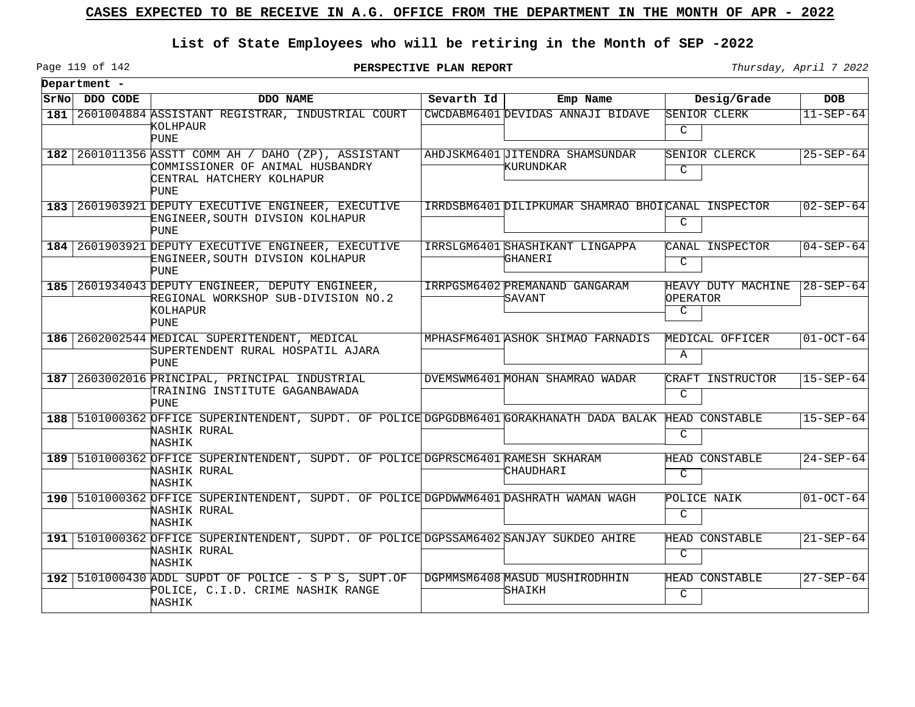# **List of State Employees who will be retiring in the Month of SEP -2022**

Page 119 of 142

**PERSPECTIVE PLAN REPORT Thursday**, April 7 2022

|     | Department -  |                                                                                                                                    |            |                                                    |                                     |                   |
|-----|---------------|------------------------------------------------------------------------------------------------------------------------------------|------------|----------------------------------------------------|-------------------------------------|-------------------|
|     | SrNo DDO CODE | DDO NAME                                                                                                                           | Sevarth Id | Emp Name                                           | Desig/Grade                         | <b>DOB</b>        |
| 181 |               | 2601004884 ASSISTANT REGISTRAR, INDUSTRIAL COURT<br>KOLHPAUR<br><b>PUNE</b>                                                        |            | CWCDABM6401 DEVIDAS ANNAJI BIDAVE                  | SENIOR CLERK<br>C                   | $11-SEP-64$       |
|     |               | 182 2601011356 ASSTT COMM AH / DAHO (ZP), ASSISTANT<br>COMMISSIONER OF ANIMAL HUSBANDRY<br>CENTRAL HATCHERY KOLHAPUR<br>PUNE       |            | AHDJSKM6401 JITENDRA SHAMSUNDAR<br>KURUNDKAR       | SENIOR CLERCK<br>C                  | $25 - SEP - 64$   |
|     |               | 183 2601903921 DEPUTY EXECUTIVE ENGINEER, EXECUTIVE<br>ENGINEER, SOUTH DIVSION KOLHAPUR<br><b>PUNE</b>                             |            | IRRDSBM6401 DILIPKUMAR SHAMRAO BHOICANAL INSPECTOR | $\mathcal{C}$                       | $02 - SEP - 64$   |
|     |               | 184 2601903921 DEPUTY EXECUTIVE ENGINEER, EXECUTIVE<br>ENGINEER, SOUTH DIVSION KOLHAPUR<br><b>PUNE</b>                             |            | IRRSLGM6401 SHASHIKANT LINGAPPA<br>GHANERI         | CANAL INSPECTOR<br>C                | $04 - SEP - 64$   |
|     |               | 185 2601934043 DEPUTY ENGINEER, DEPUTY ENGINEER,<br>REGIONAL WORKSHOP SUB-DIVISION NO.2<br>KOLHAPUR<br><b>PUNE</b>                 |            | IRRPGSM6402 PREMANAND GANGARAM<br>SAVANT           | HEAVY DUTY MACHINE<br>OPERATOR<br>C | $ 28 - SEP - 64 $ |
|     |               | 186   2602002544 MEDICAL SUPERITENDENT, MEDICAL<br>SUPERTENDENT RURAL HOSPATIL AJARA<br>PUNE                                       |            | MPHASFM6401 ASHOK SHIMAO FARNADIS                  | MEDICAL OFFICER<br>Α                | $01-OCT-64$       |
|     |               | 187 2603002016 PRINCIPAL, PRINCIPAL INDUSTRIAL<br>TRAINING INSTITUTE GAGANBAWADA<br><b>PUNE</b>                                    |            | DVEMSWM6401 MOHAN SHAMRAO WADAR                    | CRAFT INSTRUCTOR<br>C               | $15 - SEP - 64$   |
|     |               | 188 5101000362 OFFICE SUPERINTENDENT, SUPDT. OF POLICE DGPGDBM6401 GORAKHANATH DADA BALAK HEAD CONSTABLE<br>NASHIK RURAL<br>NASHIK |            |                                                    | C                                   | $15 - SEP - 64$   |
|     |               | 189 5101000362 OFFICE SUPERINTENDENT, SUPDT. OF POLICE DGPRSCM6401 RAMESH SKHARAM<br>NASHIK RURAL<br>NASHIK                        |            | CHAUDHARI                                          | <b>HEAD CONSTABLE</b><br>C          | $24 - SEP - 64$   |
|     |               | 190   5101000362 OFFICE SUPERINTENDENT, SUPDT. OF POLICE DGPDWWM6401 DASHRATH WAMAN WAGH<br>NASHIK RURAL<br>NASHIK                 |            |                                                    | POLICE NAIK<br>C                    | $01-0CT-64$       |
|     |               | 191   5101000362 OFFICE SUPERINTENDENT, SUPDT. OF POLICE DGPSSAM6402 SANJAY SUKDEO AHIRE<br>NASHIK RURAL<br>NASHIK                 |            |                                                    | <b>HEAD CONSTABLE</b><br>C          | $21 - SEP - 64$   |
|     |               | 192 5101000430 ADDL SUPDT OF POLICE - S P S, SUPT.OF<br>POLICE, C.I.D. CRIME NASHIK RANGE<br>NASHIK                                |            | DGPMMSM6408 MASUD MUSHIRODHHIN<br>SHAIKH           | HEAD CONSTABLE<br>C                 | $27 - SEP - 64$   |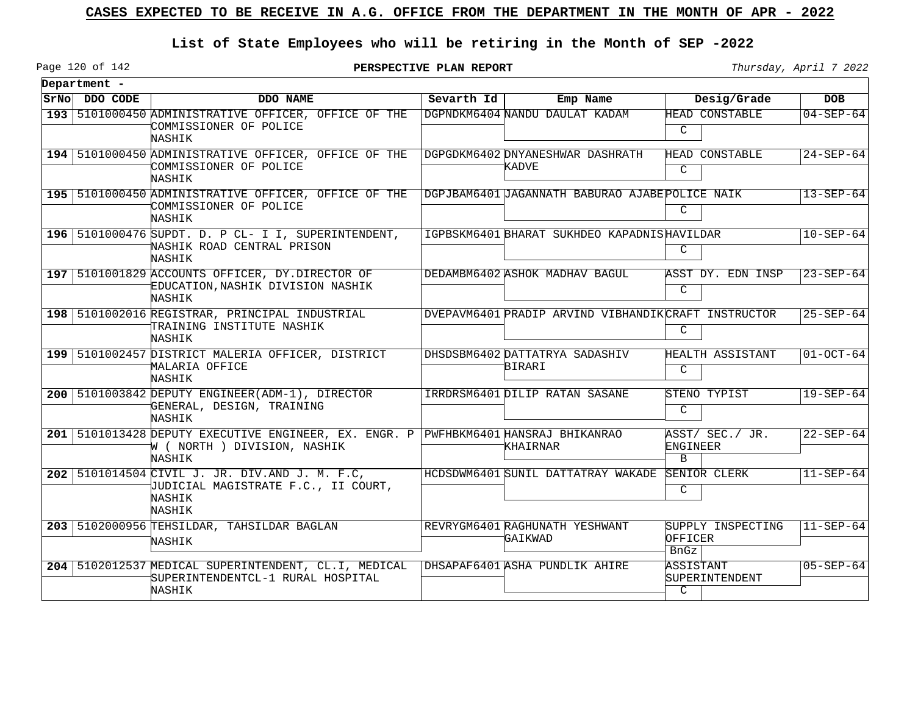## **List of State Employees who will be retiring in the Month of SEP -2022**

Page 120 of 142

**PERSPECTIVE PLAN REPORT** Thursday, April 7 2022

|      | Department - |                                                                                                                               |            |                                                      |                                              |                 |
|------|--------------|-------------------------------------------------------------------------------------------------------------------------------|------------|------------------------------------------------------|----------------------------------------------|-----------------|
| SrNo | DDO CODE     | DDO NAME                                                                                                                      | Sevarth Id | Emp Name                                             | Desig/Grade                                  | <b>DOB</b>      |
|      |              | 193   5101000450 ADMINISTRATIVE OFFICER, OFFICE OF THE<br>COMMISSIONER OF POLICE<br>NASHIK                                    |            | DGPNDKM6404 NANDU DAULAT KADAM                       | <b>HEAD CONSTABLE</b><br>C                   | $04 - SEP - 64$ |
|      |              | 194   5101000450 ADMINISTRATIVE OFFICER, OFFICE OF THE<br>COMMISSIONER OF POLICE<br>NASHIK                                    |            | DGPGDKM6402 DNYANESHWAR DASHRATH<br>KADVE            | <b>HEAD CONSTABLE</b><br>C                   | $24 - SEP - 64$ |
|      |              | 195   5101000450 ADMINISTRATIVE OFFICER, OFFICE OF THE<br>COMMISSIONER OF POLICE<br>NASHIK                                    |            | DGPJBAM6401 JAGANNATH BABURAO AJABEPOLICE NAIK       | $\mathcal{C}$                                | $13 - SEP - 64$ |
|      |              | 196   5101000476 SUPDT. D. P CL- I I, SUPERINTENDENT,<br>NASHIK ROAD CENTRAL PRISON<br>NASHIK                                 |            | IGPBSKM6401 BHARAT SUKHDEO KAPADNISHAVILDAR          | C                                            | $10 - SEP - 64$ |
|      |              | 197   5101001829 ACCOUNTS OFFICER, DY.DIRECTOR OF<br>EDUCATION, NASHIK DIVISION NASHIK<br>NASHIK                              |            | DEDAMBM6402 ASHOK MADHAV BAGUL                       | ASST DY. EDN INSP<br>$\mathcal{C}$           | $23 - SEP - 64$ |
|      |              | 198   5101002016 REGISTRAR, PRINCIPAL INDUSTRIAL<br>TRAINING INSTITUTE NASHIK<br>NASHIK                                       |            | DVEPAVM6401 PRADIP ARVIND VIBHANDIK CRAFT INSTRUCTOR | C                                            | $25 - SEP - 64$ |
|      |              | 199   5101002457 DISTRICT MALERIA OFFICER, DISTRICT<br>MALARIA OFFICE<br>NASHIK                                               |            | DHSDSBM6402 DATTATRYA SADASHIV<br>BIRARI             | HEALTH ASSISTANT<br>C                        | $01-0CT-64$     |
|      |              | 200   5101003842 DEPUTY ENGINEER (ADM-1), DIRECTOR<br>GENERAL, DESIGN, TRAINING<br>NASHIK                                     |            | IRRDRSM6401 DILIP RATAN SASANE                       | STENO TYPIST<br>C                            | $19 - SEP - 64$ |
|      |              | 201 5101013428 DEPUTY EXECUTIVE ENGINEER, EX. ENGR. P PWFHBKM6401 HANSRAJ BHIKANRAO<br>W ( NORTH ) DIVISION, NASHIK<br>NASHIK |            | KHAIRNAR                                             | ASST/ SEC./ JR.<br>ENGINEER<br>$\mathbf{B}$  | $22 - SEP - 64$ |
|      |              | 202 5101014504 CIVIL J. JR. DIV.AND J. M. F.C.<br>JUDICIAL MAGISTRATE F.C., II COURT,<br>NASHIK<br>NASHIK                     |            | HCDSDWM6401 SUNIL DATTATRAY WAKADE                   | SENIOR CLERK<br>C                            | $11 - SEP - 64$ |
|      |              | 203   5102000956 TEHSILDAR, TAHSILDAR BAGLAN<br>NASHIK                                                                        |            | REVRYGM6401 RAGHUNATH YESHWANT<br>GAIKWAD            | SUPPLY INSPECTING<br>OFFICER<br>BnGz         | $11 - SEP - 64$ |
|      |              | 204   5102012537 MEDICAL SUPERINTENDENT, CL.I, MEDICAL<br>SUPERINTENDENTCL-1 RURAL HOSPITAL<br>NASHIK                         |            | DHSAPAF6401 ASHA PUNDLIK AHIRE                       | ASSISTANT<br>SUPERINTENDENT<br>$\mathcal{C}$ | $05 - SEP - 64$ |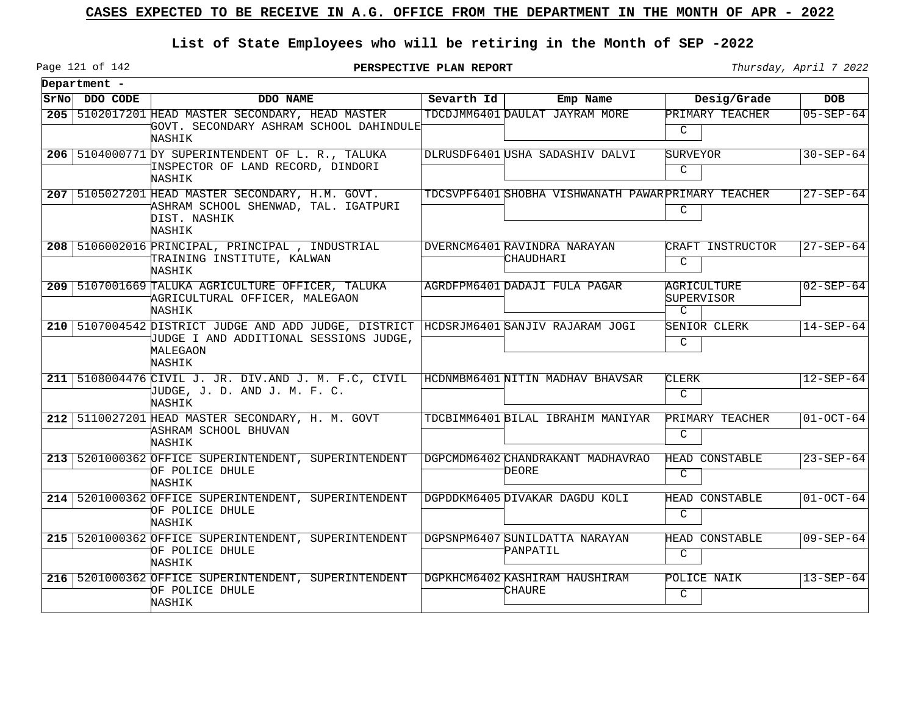# **List of State Employees who will be retiring in the Month of SEP -2022**

Page 121 of 142

**PERSPECTIVE PLAN REPORT Thursday**, April 7 2022

 $\overline{\phantom{0}}$ 

| Department -  |                                                                                                                                                       |            |                                                     |                                            |                 |
|---------------|-------------------------------------------------------------------------------------------------------------------------------------------------------|------------|-----------------------------------------------------|--------------------------------------------|-----------------|
| SrNo DDO CODE | DDO NAME                                                                                                                                              | Sevarth Id | Emp Name                                            | Desig/Grade                                | <b>DOB</b>      |
|               | 205 5102017201 HEAD MASTER SECONDARY, HEAD MASTER<br>GOVT. SECONDARY ASHRAM SCHOOL DAHINDULE <sup>1</sup><br>NASHIK                                   |            | TDCDJMM6401 DAULAT JAYRAM MORE                      | PRIMARY TEACHER<br>$\mathcal{C}$           | $05 - SEP - 64$ |
|               | 206 5104000771 DY SUPERINTENDENT OF L. R., TALUKA<br>INSPECTOR OF LAND RECORD, DINDORI<br>NASHIK                                                      |            | DLRUSDF6401 USHA SADASHIV DALVI                     | SURVEYOR<br>$\mathcal{C}$                  | $30 - SEP - 64$ |
|               | 207 5105027201 HEAD MASTER SECONDARY, H.M. GOVT.<br>ASHRAM SCHOOL SHENWAD, TAL. IGATPURI<br>DIST. NASHIK<br>NASHIK                                    |            | TDCSVPF6401 SHOBHA VISHWANATH PAWAR PRIMARY TEACHER | C                                          | $27 - SEP - 64$ |
|               | 208 5106002016 PRINCIPAL, PRINCIPAL, INDUSTRIAL<br>TRAINING INSTITUTE, KALWAN<br>NASHIK                                                               |            | DVERNCM6401 RAVINDRA NARAYAN<br>CHAUDHARI           | CRAFT INSTRUCTOR<br>C                      | $27 - SEP - 64$ |
|               | 209   5107001669 TALUKA AGRICULTURE OFFICER, TALUKA<br>AGRICULTURAL OFFICER, MALEGAON<br>NASHIK                                                       |            | AGRDFPM6401 DADAJI FULA PAGAR                       | AGRICULTURE<br>SUPERVISOR<br>$\mathcal{C}$ | $02 - SEP - 64$ |
|               | 210 5107004542 DISTRICT JUDGE AND ADD JUDGE, DISTRICT HCDSRJM6401 SANJIV RAJARAM JOGI<br>JUDGE I AND ADDITIONAL SESSIONS JUDGE,<br>MALEGAON<br>NASHIK |            |                                                     | <b>SENIOR CLERK</b><br>C                   | $14-SEP-64$     |
|               | 211 5108004476 CIVIL J. JR. DIV. AND J. M. F.C. CIVIL<br>UUDGE, J. D. AND J. M. F. C.<br>NASHIK                                                       |            | HCDNMBM6401 NITIN MADHAV BHAVSAR                    | CLERK<br>C                                 | $12 - SEP - 64$ |
|               | 212   5110027201 HEAD MASTER SECONDARY, H. M. GOVT<br>ASHRAM SCHOOL BHUVAN<br>NASHIK                                                                  |            | TDCBIMM6401 BILAL IBRAHIM MANIYAR                   | PRIMARY TEACHER<br>C                       | $01-0CT-64$     |
|               | 213 5201000362 OFFICE SUPERINTENDENT, SUPERINTENDENT<br>OF POLICE DHULE<br>NASHIK                                                                     |            | DGPCMDM6402 CHANDRAKANT MADHAVRAO<br>DEORE          | <b>HEAD CONSTABLE</b><br>C                 | $23 - SEP - 64$ |
|               | 214   5201000362 OFFICE SUPERINTENDENT, SUPERINTENDENT<br>OF POLICE DHULE<br>NASHIK                                                                   |            | DGPDDKM6405 DIVAKAR DAGDU KOLI                      | HEAD CONSTABLE<br>C                        | $01-OCT-64$     |
|               | 215 5201000362 OFFICE SUPERINTENDENT, SUPERINTENDENT<br>OF POLICE DHULE<br>NASHIK                                                                     |            | DGPSNPM6407 SUNILDATTA NARAYAN<br>PANPATIL          | HEAD CONSTABLE<br>C                        | $09 - SEP - 64$ |
|               | 216 5201000362 OFFICE SUPERINTENDENT, SUPERINTENDENT<br>OF POLICE DHULE<br>NASHIK                                                                     |            | DGPKHCM6402 KASHIRAM HAUSHIRAM<br>CHAURE            | POLICE NAIK<br>$\mathcal{C}$               | $13 - SEP - 64$ |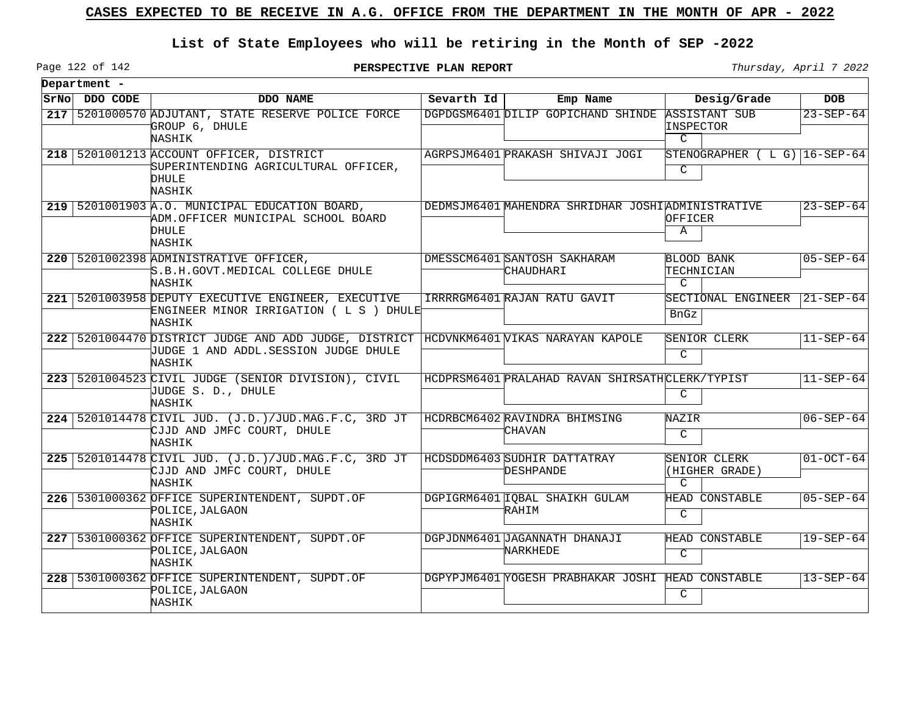## **List of State Employees who will be retiring in the Month of SEP -2022**

Page 122 of 142

**PERSPECTIVE PLAN REPORT** Thursday, April 7 2022

| Department -  |                                                                                                                                          |            |                                                    |                                                    |                 |
|---------------|------------------------------------------------------------------------------------------------------------------------------------------|------------|----------------------------------------------------|----------------------------------------------------|-----------------|
| SrNo DDO CODE | DDO NAME                                                                                                                                 | Sevarth Id | Emp Name                                           | Desig/Grade                                        | <b>DOB</b>      |
|               | 217 5201000570 ADJUTANT, STATE RESERVE POLICE FORCE<br>GROUP 6, DHULE<br>NASHIK                                                          |            | DGPDGSM6401 DILIP GOPICHAND SHINDE                 | <b>ASSISTANT SUB</b><br>INSPECTOR<br>$\mathcal{C}$ | $23 - SEP - 64$ |
|               | 218   5201001213 ACCOUNT OFFICER, DISTRICT<br>SUPERINTENDING AGRICULTURAL OFFICER,<br>DHULE<br>NASHIK                                    |            | AGRPSJM6401 PRAKASH SHIVAJI JOGI                   | STENOGRAPHER $(L G)$ 16-SEP-64<br>C                |                 |
|               | $219$ 5201001903 A.O. MUNICIPAL EDUCATION BOARD,<br>ADM.OFFICER MUNICIPAL SCHOOL BOARD<br>DHULE<br>NASHIK                                |            | DEDMSJM6401 MAHENDRA SHRIDHAR JOSHI ADMINISTRATIVE | OFFICER<br>Α                                       | $23 - SEP - 64$ |
|               | 220   5201002398 ADMINISTRATIVE OFFICER,<br>S.B.H.GOVT.MEDICAL COLLEGE DHULE<br>NASHIK                                                   |            | DMESSCM6401 SANTOSH SAKHARAM<br>CHAUDHARI          | BLOOD BANK<br>TECHNICIAN<br>$\mathcal{C}$          | $05 - SEP - 64$ |
|               | 221   5201003958 DEPUTY EXECUTIVE ENGINEER, EXECUTIVE<br>ENGINEER MINOR IRRIGATION ( L S ) DHULE<br>NASHIK                               |            | IRRRRGM6401 RAJAN RATU GAVIT                       | SECTIONAL ENGINEER<br>BnGz                         | $21 - SEP - 64$ |
|               | 222 5201004470 DISTRICT JUDGE AND ADD JUDGE, DISTRICT HCDVNKM6401 VIKAS NARAYAN KAPOLE<br>UUDGE 1 AND ADDL.SESSION JUDGE DHULE<br>NASHIK |            |                                                    | SENIOR CLERK<br>$\mathsf{C}$                       | $11-SEP-64$     |
|               | 223 5201004523 CIVIL JUDGE (SENIOR DIVISION), CIVIL<br>JUDGE S. D., DHULE<br>NASHIK                                                      |            | HCDPRSM6401 PRALAHAD RAVAN SHIRSATHCLERK/TYPIST    | C                                                  | $11 - SEP - 64$ |
|               | 224 5201014478 CIVIL JUD. (J.D.)/JUD.MAG.F.C, 3RD JT<br>CJJD AND JMFC COURT, DHULE<br>NASHIK                                             |            | HCDRBCM6402 RAVINDRA BHIMSING<br>CHAVAN            | NAZIR<br>C                                         | $06 - SEP - 64$ |
|               | 225 5201014478 CIVIL JUD. (J.D.)/JUD.MAG.F.C, 3RD JT<br>CJJD AND JMFC COURT, DHULE<br>NASHIK                                             |            | HCDSDDM6403 SUDHIR DATTATRAY<br>DESHPANDE          | SENIOR CLERK<br>(HIGHER GRADE)<br>$\mathcal{C}$    | $01-0CT-64$     |
|               | 226 5301000362 OFFICE SUPERINTENDENT, SUPDT.OF<br>POLICE, JALGAON<br>NASHIK                                                              |            | DGPIGRM6401 IQBAL SHAIKH GULAM<br>RAHIM            | HEAD CONSTABLE<br>C                                | $05 - SEP - 64$ |
|               | 227 5301000362 OFFICE SUPERINTENDENT, SUPDT.OF<br>POLICE, JALGAON<br>NASHIK                                                              |            | DGPJDNM6401 JAGANNATH DHANAJI<br>NARKHEDE          | HEAD CONSTABLE<br>$\overline{C}$                   | $19 - SEP - 64$ |
|               | 228 5301000362 OFFICE SUPERINTENDENT, SUPDT.OF<br>POLICE, JALGAON<br>NASHIK                                                              |            | DGPYPJM6401 YOGESH PRABHAKAR JOSHI HEAD CONSTABLE  | C                                                  | $13 - SEP - 64$ |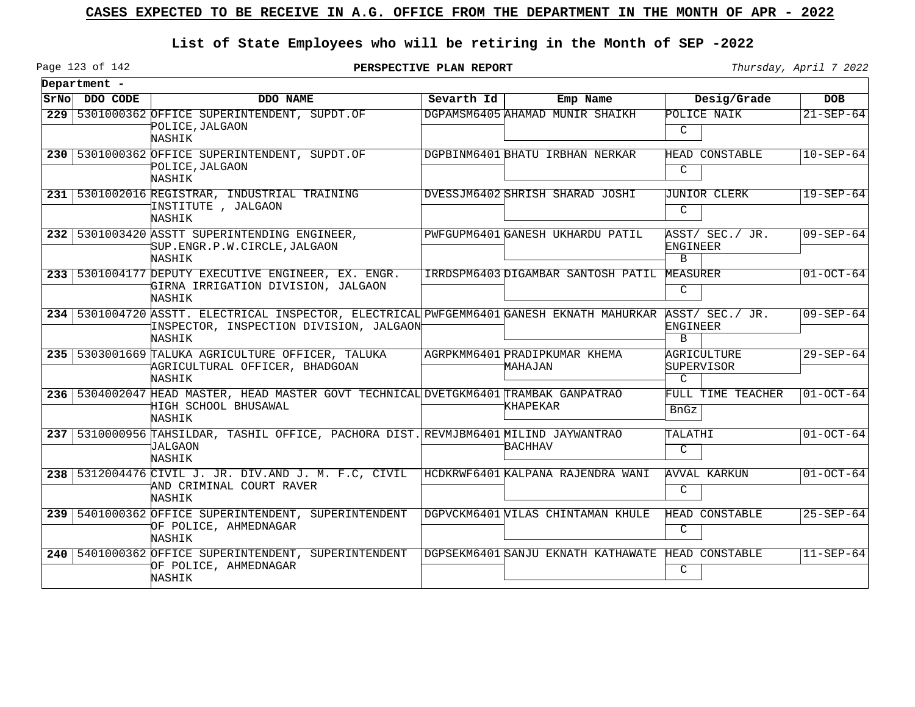## **List of State Employees who will be retiring in the Month of SEP -2022**

Page 123 of 142

|       | Department - |                                                                                                                                                |            |                                          |                                            |                 |
|-------|--------------|------------------------------------------------------------------------------------------------------------------------------------------------|------------|------------------------------------------|--------------------------------------------|-----------------|
| SrNol | DDO CODE     | DDO NAME                                                                                                                                       | Sevarth Id | Emp Name                                 | Desig/Grade                                | <b>DOB</b>      |
|       |              | 229 5301000362 OFFICE SUPERINTENDENT, SUPDT.OF<br>POLICE, JALGAON<br>NASHIK                                                                    |            | DGPAMSM6405 AHAMAD MUNIR SHAIKH          | POLICE NAIK<br>C                           | $21 - SEP - 64$ |
|       |              | 230   5301000362 OFFICE SUPERINTENDENT, SUPDT.OF<br>POLICE, JALGAON<br>NASHIK                                                                  |            | DGPBINM6401 BHATU IRBHAN NERKAR          | HEAD CONSTABLE<br>C                        | $10 - SEP - 64$ |
|       |              | 231 5301002016 REGISTRAR, INDUSTRIAL TRAINING<br>INSTITUTE , JALGAON<br>NASHIK                                                                 |            | DVESSJM6402 SHRISH SHARAD JOSHI          | JUNIOR CLERK<br>C                          | $19 - SEP - 64$ |
|       |              | 232   5301003420 ASSTT SUPERINTENDING ENGINEER,<br>SUP.ENGR.P.W.CIRCLE, JALGAON<br>NASHIK                                                      |            | PWFGUPM6401 GANESH UKHARDU PATIL         | ASST/ SEC./ JR.<br>ENGINEER<br>B           | $09 - SEP - 64$ |
|       |              | 233 5301004177 DEPUTY EXECUTIVE ENGINEER, EX. ENGR.<br>GIRNA IRRIGATION DIVISION, JALGAON<br>NASHIK                                            |            | IRRDSPM6403 DIGAMBAR SANTOSH PATIL       | MEASURER<br>C                              | $01-OCT-64$     |
|       |              | 234 5301004720 ASSTT. ELECTRICAL INSPECTOR, ELECTRICAL PWFGEMM6401 GANESH EKNATH MAHURKAR<br>INSPECTOR, INSPECTION DIVISION, JALGAON<br>NASHIK |            |                                          | ASST/ SEC./ JR.<br>ENGINEER<br>$\mathbf B$ | $09 - SEP - 64$ |
|       |              | 235 5303001669 TALUKA AGRICULTURE OFFICER, TALUKA<br>AGRICULTURAL OFFICER, BHADGOAN<br>NASHIK                                                  |            | AGRPKMM6401 PRADIPKUMAR KHEMA<br>MAHAJAN | AGRICULTURE<br>SUPERVISOR<br>$\mathcal{C}$ | $29 - SEP - 64$ |
|       |              | 236 5304002047 HEAD MASTER, HEAD MASTER GOVT TECHNICAL DVETGKM6401 TRAMBAK GANPATRAO<br>HIGH SCHOOL BHUSAWAL<br>NASHIK                         |            | <b>KHAPEKAR</b>                          | FULL TIME TEACHER<br>BnGz                  | $01 - OCT - 64$ |
|       |              | 237 5310000956 TAHSILDAR, TASHIL OFFICE, PACHORA DIST. REVMJBM6401 MILIND JAYWANTRAO<br><b>JALGAON</b><br>NASHIK                               |            | <b>BACHHAV</b>                           | TALATHI<br>C                               | $01-0CT-64$     |
|       |              | 238 5312004476 CIVIL J. JR. DIV.AND J. M. F.C, CIVIL<br>AND CRIMINAL COURT RAVER<br>NASHIK                                                     |            | HCDKRWF6401 KALPANA RAJENDRA WANI        | AVVAL KARKUN<br>C                          | $01-0CT-64$     |
|       |              | 239   5401000362 OFFICE SUPERINTENDENT, SUPERINTENDENT<br>OF POLICE, AHMEDNAGAR<br>NASHIK                                                      |            | DGPVCKM6401 VILAS CHINTAMAN KHULE        | <b>HEAD CONSTABLE</b><br>C                 | $25 - SEP - 64$ |
|       |              | 240   5401000362 OFFICE SUPERINTENDENT, SUPERINTENDENT<br>OF POLICE, AHMEDNAGAR<br>NASHIK                                                      |            | DGPSEKM6401 SANJU EKNATH KATHAWATE       | HEAD CONSTABLE<br>C                        | $11 - SEP - 64$ |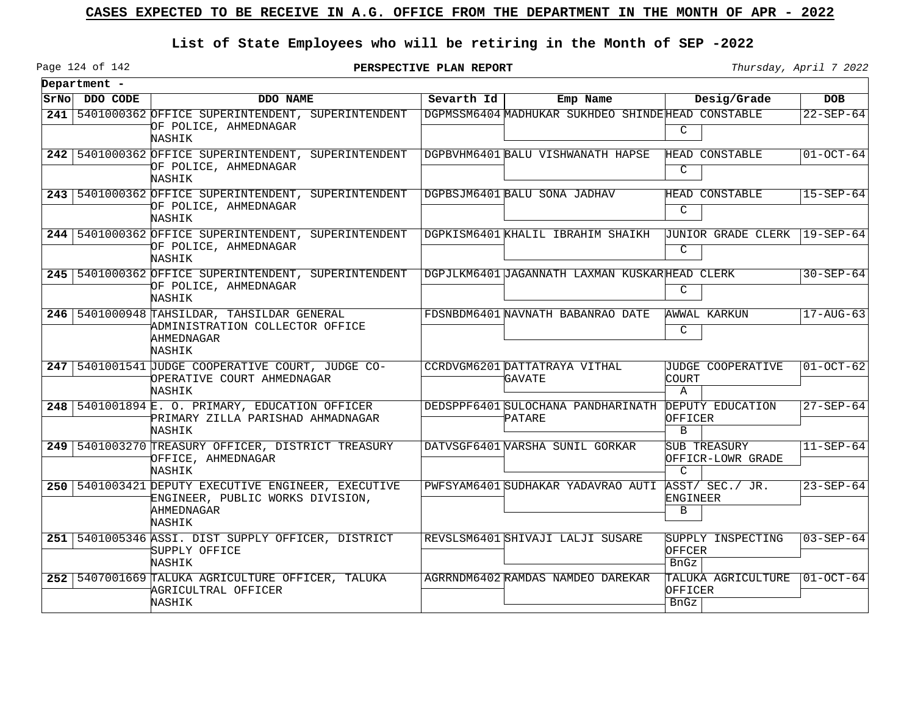# **List of State Employees who will be retiring in the Month of SEP -2022**

**PERSPECTIVE PLAN REPORT Thursday**, April 7 2022

Page 124 of 142

 $\overline{\phantom{0}}$ 

| Department -  |                                                                                                                   |            |                                                               |                        |                                   |                        |
|---------------|-------------------------------------------------------------------------------------------------------------------|------------|---------------------------------------------------------------|------------------------|-----------------------------------|------------------------|
| SrNo DDO CODE | DDO NAME                                                                                                          | Sevarth Id | Emp Name                                                      |                        | Desig/Grade                       | <b>DOB</b>             |
|               | 241   5401000362 OFFICE SUPERINTENDENT, SUPERINTENDENT<br>OF POLICE, AHMEDNAGAR<br>NASHIK                         |            | DGPMSSM6404 MADHUKAR SUKHDEO SHINDE HEAD CONSTABLE            | C                      |                                   | $22 - SEP - 64$        |
|               | 242 5401000362 OFFICE SUPERINTENDENT, SUPERINTENDENT<br>OF POLICE, AHMEDNAGAR<br>NASHIK                           |            | DGPBVHM6401 BALU VISHWANATH HAPSE                             | C                      | HEAD CONSTABLE                    | $01 - OCT - 64$        |
|               | 243 5401000362 OFFICE SUPERINTENDENT, SUPERINTENDENT<br>OF POLICE, AHMEDNAGAR<br>NASHIK                           |            | DGPBSJM6401 BALU SONA JADHAV                                  | C                      | HEAD CONSTABLE                    | $15 - SEP - 64$        |
|               | 244   5401000362 OFFICE SUPERINTENDENT, SUPERINTENDENT<br>OF POLICE, AHMEDNAGAR<br>NASHIK                         |            | DGPKISM6401 KHALIL IBRAHIM SHAIKH                             | C                      | <b>JUNIOR GRADE CLERK</b>         | $119 - SEP - 64$       |
|               | 245   5401000362 OFFICE SUPERINTENDENT, SUPERINTENDENT<br>OF POLICE, AHMEDNAGAR<br>NASHIK                         |            | DGPJLKM6401 JAGANNATH LAXMAN KUSKARHEAD CLERK                 | C                      |                                   | $30 - SEP - 64$        |
|               | 246 5401000948 TAHSILDAR, TAHSILDAR GENERAL<br>ADMINISTRATION COLLECTOR OFFICE<br>AHMEDNAGAR<br>NASHIK            |            | FDSNBDM6401 NAVNATH BABANRAO DATE                             | C                      | AWWAL KARKUN                      | $17 - \text{AUG} - 63$ |
|               | 247 5401001541 JUDGE COOPERATIVE COURT, JUDGE CO-<br>OPERATIVE COURT AHMEDNAGAR<br>NASHIK                         |            | CCRDVGM6201 DATTATRAYA VITHAL<br><b>GAVATE</b>                | COURT<br>$\mathbf{A}$  | JUDGE COOPERATIVE                 | $01-0CT-62$            |
|               | 248 5401001894 E. O. PRIMARY, EDUCATION OFFICER<br>PRIMARY ZILLA PARISHAD AHMADNAGAR<br>NASHIK                    |            | DEDSPPF6401 SULOCHANA PANDHARINATH DEPUTY EDUCATION<br>PATARE | OFFICER<br>B           |                                   | $27 - SEP - 64$        |
|               | 249 5401003270 TREASURY OFFICER, DISTRICT TREASURY<br>OFFICE, AHMEDNAGAR<br>NASHIK                                |            | DATVSGF6401 WARSHA SUNIL GORKAR                               | $\mathcal{C}$          | SUB TREASURY<br>OFFICR-LOWR GRADE | $11 - SEP - 64$        |
|               | 250   5401003421 DEPUTY EXECUTIVE ENGINEER, EXECUTIVE<br>ENGINEER, PUBLIC WORKS DIVISION,<br>AHMEDNAGAR<br>NASHIK |            | PWFSYAM6401 SUDHAKAR YADAVRAO AUTI                            | ENGINEER<br>B          | ASST/ SEC./ JR.                   | $23 - SEP - 64$        |
|               | 251 5401005346 ASSI. DIST SUPPLY OFFICER, DISTRICT<br>SUPPLY OFFICE<br><b>NASHIK</b>                              |            | REVSLSM6401 SHIVAJI LALJI SUSARE                              | OFFCER<br>BnGz         | SUPPLY INSPECTING                 | $03 - SEP - 64$        |
|               | 252 5407001669 TALUKA AGRICULTURE OFFICER, TALUKA<br>AGRICULTRAL OFFICER<br>NASHIK                                |            | AGRRNDM6402 RAMDAS NAMDEO DAREKAR                             | OFFICER<br><b>BnGz</b> | TALUKA AGRICULTURE                | $ 01-OCT-64 $          |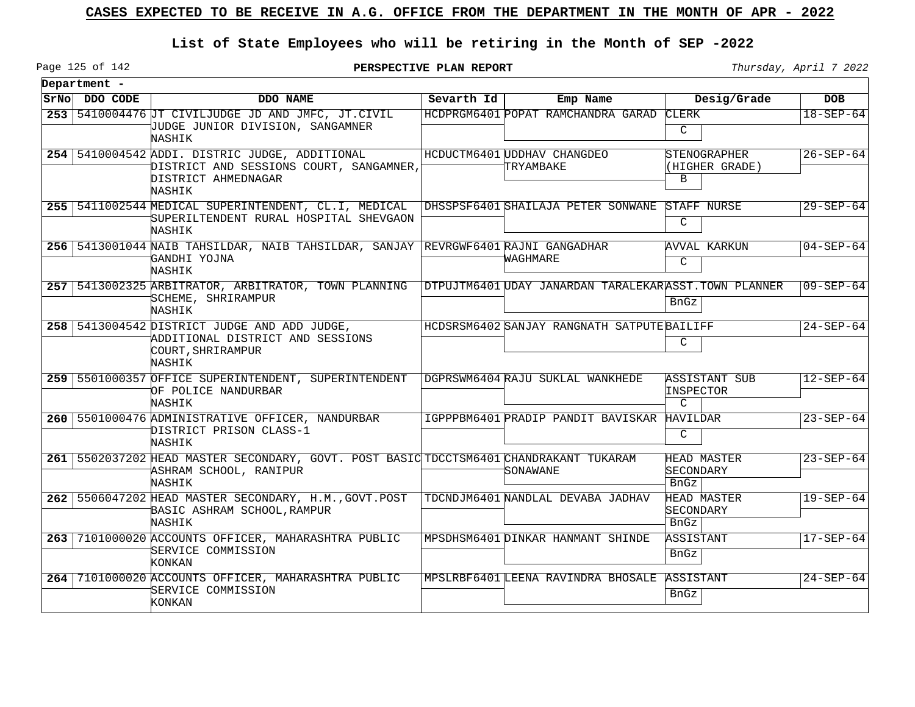# **List of State Employees who will be retiring in the Month of SEP -2022**

Page 125 of 142

**PERSPECTIVE PLAN REPORT Thursday**, April 7 2022

| Department -  |                                                                                                                            |            |                                                       |                                                    |                 |
|---------------|----------------------------------------------------------------------------------------------------------------------------|------------|-------------------------------------------------------|----------------------------------------------------|-----------------|
| SrNo DDO CODE | DDO NAME                                                                                                                   | Sevarth Id | Emp Name                                              | Desig/Grade                                        | <b>DOB</b>      |
|               | 253 5410004476 JT CIVILJUDGE JD AND JMFC, JT.CIVIL<br>JUDGE JUNIOR DIVISION, SANGAMNER<br>NASHIK                           |            | HCDPRGM6401 POPAT RAMCHANDRA GARAD                    | <b>CLERK</b><br>C                                  | $18 - SEP - 64$ |
|               | 254 5410004542 ADDI. DISTRIC JUDGE, ADDITIONAL<br>DISTRICT AND SESSIONS COURT, SANGAMNER,<br>DISTRICT AHMEDNAGAR<br>NASHIK |            | HCDUCTM6401 UDDHAV CHANGDEO<br>TRYAMBAKE              | <i><b>STENOGRAPHER</b></i><br>(HIGHER GRADE)<br>B  | $26 - SEP - 64$ |
|               | 255   5411002544 MEDICAL SUPERINTENDENT, CL.I, MEDICAL<br>SUPERILTENDENT RURAL HOSPITAL SHEVGAON<br>NASHIK                 |            | DHSSPSF6401 SHAILAJA PETER SONWANE                    | STAFF NURSE<br>$\mathcal{C}$                       | $29 - SEP - 64$ |
|               | 256 5413001044 NAIB TAHSILDAR, NAIB TAHSILDAR, SANJAY REVRGWF6401 RAJNI GANGADHAR<br>GANDHI YOJNA<br>NASHIK                |            | WAGHMARE                                              | <b>AVVAL KARKUN</b><br>C                           | $04 - SEP - 64$ |
|               | 257 5413002325 ARBITRATOR, ARBITRATOR, TOWN PLANNING<br>SCHEME, SHRIRAMPUR<br>NASHIK                                       |            | DTPUJTM6401 UDAY JANARDAN TARALEKAR ASST.TOWN PLANNER | BnGz                                               | $09 - SEP - 64$ |
|               | 258   5413004542 DISTRICT JUDGE AND ADD JUDGE,<br>ADDITIONAL DISTRICT AND SESSIONS<br>COURT, SHRIRAMPUR<br>NASHIK          |            | HCDSRSM6402 SANJAY RANGNATH SATPUTE BAILIFF           | C                                                  | $24 - SEP - 64$ |
|               | 259 5501000357 OFFICE SUPERINTENDENT, SUPERINTENDENT<br>OF POLICE NANDURBAR<br>NASHIK                                      |            | DGPRSWM6404 RAJU SUKLAL WANKHEDE                      | <b>ASSISTANT SUB</b><br>INSPECTOR<br>$\mathcal{C}$ | $12 - SEP - 64$ |
|               | 260 5501000476 ADMINISTRATIVE OFFICER, NANDURBAR<br>DISTRICT PRISON CLASS-1<br>NASHIK                                      |            | IGPPPBM6401 PRADIP PANDIT BAVISKAR HAVILDAR           | C                                                  | $23 - SEP - 64$ |
|               | 261 5502037202 HEAD MASTER SECONDARY, GOVT. POST BASIC TDCCTSM6401 CHANDRAKANT TUKARAM<br>ASHRAM SCHOOL, RANIPUR<br>NASHIK |            | SONAWANE                                              | HEAD MASTER<br>SECONDARY<br>BnGz                   | $23 - SEP - 64$ |
|               | 262 5506047202 HEAD MASTER SECONDARY, H.M., GOVT.POST<br>BASIC ASHRAM SCHOOL, RAMPUR<br>NASHIK                             |            | TDCNDJM6401 NANDLAL DEVABA JADHAV                     | HEAD MASTER<br>SECONDARY<br>BnGz                   | $19 - SEP - 64$ |
|               | 263 7101000020 ACCOUNTS OFFICER, MAHARASHTRA PUBLIC<br>SERVICE COMMISSION<br>KONKAN                                        |            | MPSDHSM6401 DINKAR HANMANT SHINDE                     | ASSISTANT<br>BnGz                                  | $17 - SEP - 64$ |
|               | 264 7101000020 ACCOUNTS OFFICER, MAHARASHTRA PUBLIC<br>SERVICE COMMISSION<br>KONKAN                                        |            | MPSLRBF6401 LEENA RAVINDRA BHOSALE ASSISTANT          | BnGz                                               | $24 - SEP - 64$ |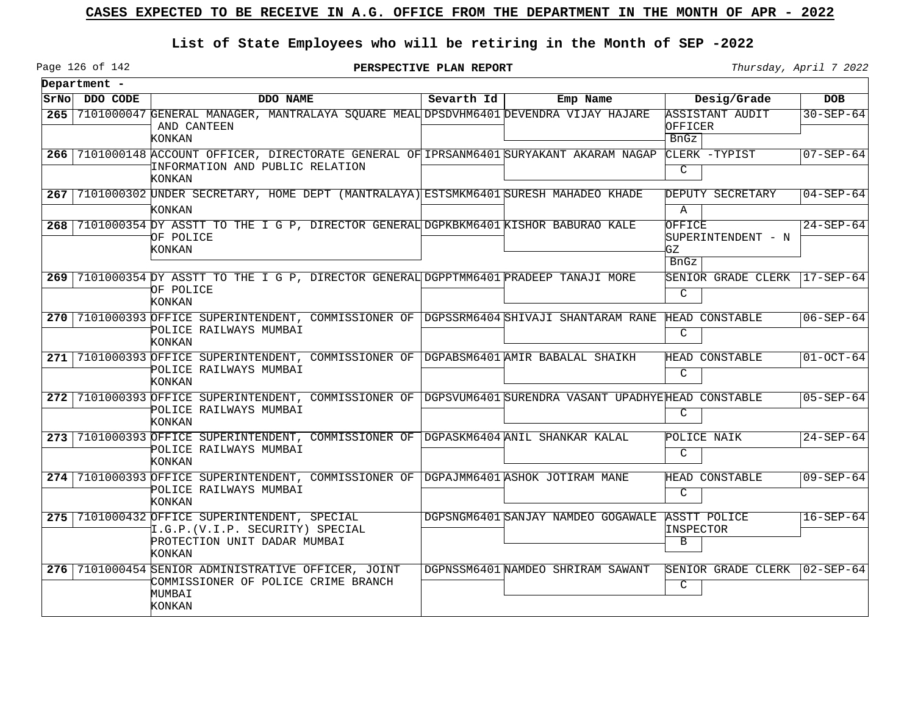## **List of State Employees who will be retiring in the Month of SEP -2022**

**PERSPECTIVE PLAN REPORT** Thursday, April 7 2022

Page 126 of 142

|            | Department -  |                                                                                                                                             |            |                                    |                                                   |                 |
|------------|---------------|---------------------------------------------------------------------------------------------------------------------------------------------|------------|------------------------------------|---------------------------------------------------|-----------------|
|            | SrNo DDO CODE | DDO NAME                                                                                                                                    | Sevarth Id | Emp Name                           | Desig/Grade                                       | <b>DOB</b>      |
| $265 \mid$ |               | 7101000047 GENERAL MANAGER, MANTRALAYA SQUARE MEAL DPSDVHM6401 DEVENDRA VIJAY HAJARE<br>AND CANTEEN<br>KONKAN                               |            |                                    | ASSISTANT AUDIT<br>OFFICER<br><b>BnGz</b>         | $30 - SEP - 64$ |
| 266        |               | 7101000148 ACCOUNT OFFICER, DIRECTORATE GENERAL OF IPRSANM6401 SURYAKANT AKARAM NAGAP<br>INFORMATION AND PUBLIC RELATION<br>KONKAN          |            |                                    | CLERK -TYPIST<br>C                                | $07 - SEP - 64$ |
|            |               | 267 7101000302 UNDER SECRETARY, HOME DEPT (MANTRALAYA) ESTSMKM6401 SURESH MAHADEO KHADE<br>KONKAN                                           |            |                                    | DEPUTY SECRETARY<br>Α                             | $04 - SEP - 64$ |
| 268        |               | 7101000354 DY ASSTT TO THE I G P, DIRECTOR GENERAL DGPKBKM6401 KISHOR BABURAO KALE<br>OF POLICE<br>KONKAN                                   |            |                                    | OFFICE<br>SUPERINTENDENT - N<br>GZ<br><b>BnGz</b> | $24 - SEP - 64$ |
|            |               | 269 7101000354 DY ASSTT TO THE I G P, DIRECTOR GENERAL DGPPTMM6401 PRADEEP TANAJI MORE<br>OF POLICE<br>KONKAN                               |            |                                    | SENIOR GRADE CLERK<br>C                           | $17 - SEP - 64$ |
|            |               | 270 7101000393 OFFICE SUPERINTENDENT, COMMISSIONER OF DGPSSRM6404 SHIVAJI SHANTARAM RANE<br>POLICE RAILWAYS MUMBAI<br>KONKAN                |            |                                    | HEAD CONSTABLE<br>$\mathcal{C}$                   | $06 - SEP - 64$ |
|            |               | 271 7101000393 OFFICE SUPERINTENDENT, COMMISSIONER OF DGPABSM6401 AMIR BABALAL SHAIKH<br>POLICE RAILWAYS MUMBAI<br>KONKAN                   |            |                                    | HEAD CONSTABLE<br>C                               | $01-OCT-64$     |
|            |               | 272 7101000393 OFFICE SUPERINTENDENT, COMMISSIONER OF DGPSVUM6401 SURENDRA VASANT UPADHYEHEAD CONSTABLE<br>POLICE RAILWAYS MUMBAI<br>KONKAN |            |                                    | C                                                 | $05 - SEP - 64$ |
|            |               | 273 7101000393 OFFICE SUPERINTENDENT, COMMISSIONER OF DGPASKM6404 ANIL SHANKAR KALAL<br>POLICE RAILWAYS MUMBAI<br>KONKAN                    |            |                                    | POLICE NAIK<br>C                                  | $24 - SEP - 64$ |
|            |               | 274 7101000393 OFFICE SUPERINTENDENT, COMMISSIONER OF DGPAJMM6401 ASHOK JOTIRAM MANE<br>POLICE RAILWAYS MUMBAI<br>KONKAN                    |            |                                    | HEAD CONSTABLE<br>$\mathcal{C}$                   | $09 - SEP - 64$ |
|            |               | 275 7101000432 OFFICE SUPERINTENDENT, SPECIAL<br>I.G.P. (V.I.P. SECURITY) SPECIAL<br>PROTECTION UNIT DADAR MUMBAI<br>KONKAN                 |            | DGPSNGM6401 SANJAY NAMDEO GOGAWALE | ASSTT POLICE<br>INSPECTOR<br>B                    | $16 - SEP - 64$ |
| $276 \mid$ |               | 7101000454 SENIOR ADMINISTRATIVE OFFICER, JOINT<br>COMMISSIONER OF POLICE CRIME BRANCH<br>MUMBAI<br>KONKAN                                  |            | DGPNSSM6401 NAMDEO SHRIRAM SAWANT  | SENIOR GRADE CLERK<br>C                           | $02 - SEP - 64$ |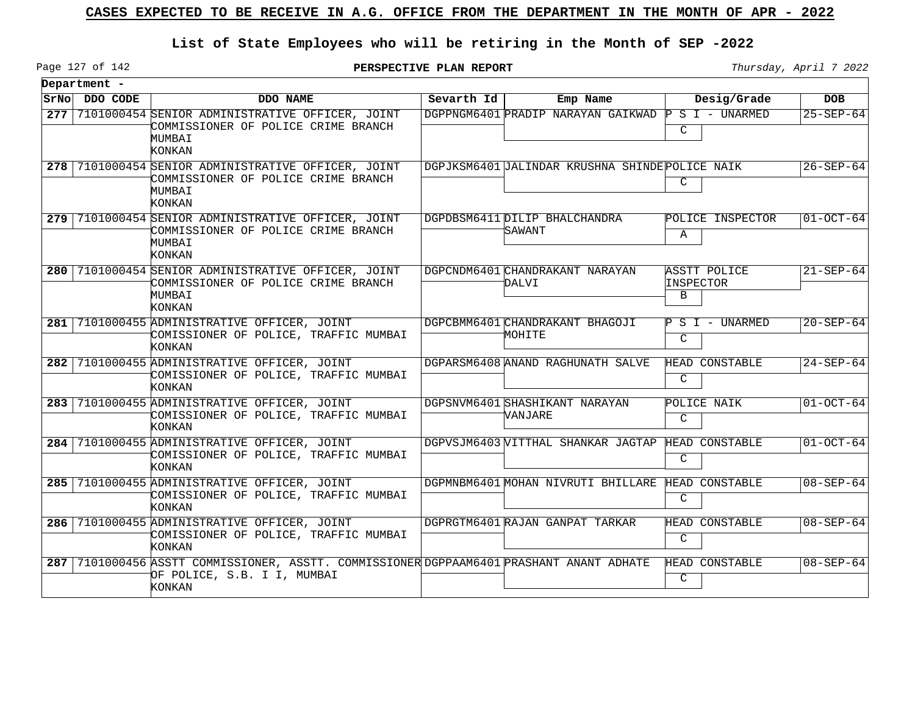## **List of State Employees who will be retiring in the Month of SEP -2022**

**PERSPECTIVE PLAN REPORT** Thursday, April 7 2022

|       | Department - |                                                                                                                                   |            |                                                |                                |                 |
|-------|--------------|-----------------------------------------------------------------------------------------------------------------------------------|------------|------------------------------------------------|--------------------------------|-----------------|
| SrNol | DDO CODE     | DDO NAME                                                                                                                          | Sevarth Id | Emp Name                                       | Desig/Grade                    | <b>DOB</b>      |
| 277   |              | 7101000454 SENIOR ADMINISTRATIVE OFFICER, JOINT<br>COMMISSIONER OF POLICE CRIME BRANCH<br>MUMBAI<br>KONKAN                        |            | DGPPNGM6401 PRADIP NARAYAN GAIKWAD             | $P S I - UNARMED$<br>C         | $25 - SEP - 64$ |
|       |              | 278 7101000454 SENIOR ADMINISTRATIVE OFFICER, JOINT<br>COMMISSIONER OF POLICE CRIME BRANCH<br>MUMBAI<br>KONKAN                    |            | DGPJKSM6401 JALINDAR KRUSHNA SHINDEPOLICE NAIK | $\mathsf{C}$                   | $26 - SEP - 64$ |
|       |              | 279 7101000454 SENIOR ADMINISTRATIVE OFFICER, JOINT<br>COMMISSIONER OF POLICE CRIME BRANCH<br>MUMBAI<br>KONKAN                    |            | DGPDBSM6411 DILIP BHALCHANDRA<br>SAWANT        | POLICE INSPECTOR<br>Α          | $01-OCT-64$     |
|       |              | 280 7101000454 SENIOR ADMINISTRATIVE OFFICER, JOINT<br>COMMISSIONER OF POLICE CRIME BRANCH<br>MUMBAI<br>KONKAN                    |            | DGPCNDM6401 CHANDRAKANT NARAYAN<br>DALVI       | ASSTT POLICE<br>INSPECTOR<br>В | $21 - SEP - 64$ |
| 281   |              | 7101000455 ADMINISTRATIVE OFFICER, JOINT<br>COMISSIONER OF POLICE, TRAFFIC MUMBAI<br><b>KONKAN</b>                                |            | DGPCBMM6401 CHANDRAKANT BHAGOJI<br>MOHITE      | $P S I - UNARMED$<br>C         | $20 - SEP - 64$ |
|       |              | 282 7101000455 ADMINISTRATIVE OFFICER, JOINT<br>COMISSIONER OF POLICE, TRAFFIC MUMBAI<br>KONKAN                                   |            | DGPARSM6408 ANAND RAGHUNATH SALVE              | HEAD CONSTABLE<br>C            | $24 - SEP - 64$ |
|       |              | 283 7101000455 ADMINISTRATIVE OFFICER, JOINT<br>COMISSIONER OF POLICE, TRAFFIC MUMBAI<br>KONKAN                                   |            | DGPSNVM6401 SHASHIKANT NARAYAN<br>VANJARE      | POLICE NAIK<br>C               | $ 01-OCT-64$    |
|       |              | 284 7101000455 ADMINISTRATIVE OFFICER, JOINT<br>COMISSIONER OF POLICE, TRAFFIC MUMBAI<br><b>KONKAN</b>                            |            | DGPVSJM6403 VITTHAL SHANKAR JAGTAP             | HEAD CONSTABLE<br>C            | $01-OCT-64$     |
|       |              | 285 7101000455 ADMINISTRATIVE OFFICER, JOINT<br>COMISSIONER OF POLICE, TRAFFIC MUMBAI<br>KONKAN                                   |            | DGPMNBM6401 MOHAN NIVRUTI BHILLARE             | HEAD CONSTABLE<br>C            | $08 - SEP - 64$ |
|       |              | 286 7101000455 ADMINISTRATIVE OFFICER, JOINT<br>COMISSIONER OF POLICE, TRAFFIC MUMBAI<br>KONKAN                                   |            | DGPRGTM6401 RAJAN GANPAT TARKAR                | HEAD CONSTABLE<br>C            | $08 - SEP - 64$ |
|       |              | 287 7101000456 ASSTT COMMISSIONER, ASSTT. COMMISSIONER DGPPAAM6401 PRASHANT ANANT ADHATE<br>OF POLICE, S.B. I I, MUMBAI<br>KONKAN |            |                                                | HEAD CONSTABLE<br>C            | $08 - SEP - 64$ |

Page 127 of 142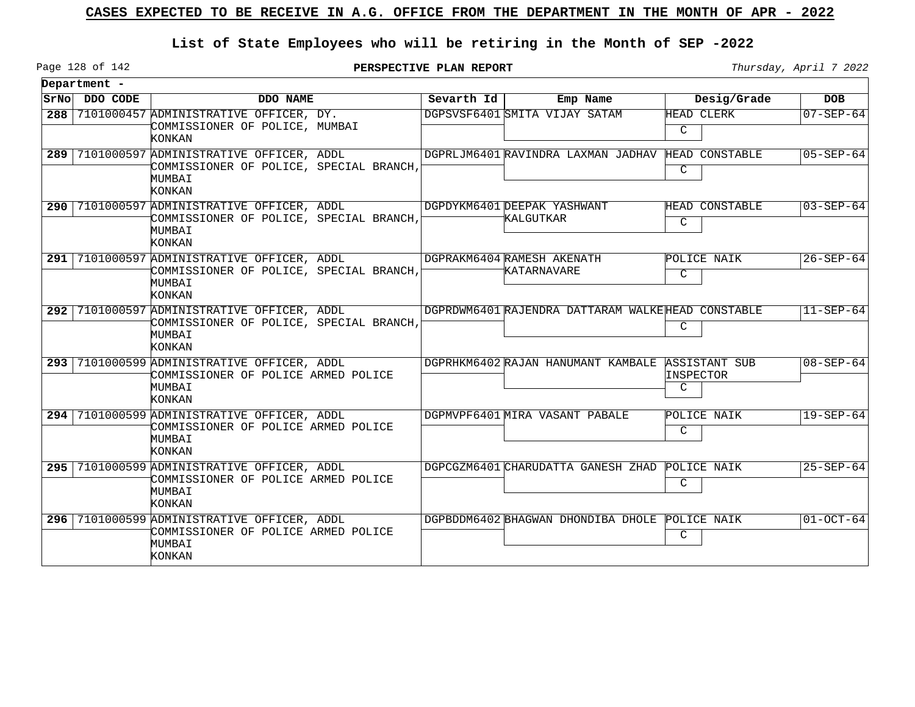## **List of State Employees who will be retiring in the Month of SEP -2022**

Page 128 of 142

**PERSPECTIVE PLAN REPORT Thursday**, April 7 2022

| Department -  |                                                                                                                   |              |                                                   |                                 |                 |
|---------------|-------------------------------------------------------------------------------------------------------------------|--------------|---------------------------------------------------|---------------------------------|-----------------|
| SrNo DDO CODE | DDO NAME                                                                                                          | Sevarth $Id$ | Emp Name                                          | Desig/Grade                     | <b>DOB</b>      |
|               | 288 7101000457 ADMINISTRATIVE OFFICER, DY.<br>COMMISSIONER OF POLICE, MUMBAI<br>KONKAN                            |              | DGPSVSF6401 SMITA VIJAY SATAM                     | HEAD CLERK<br>C                 | $07 - SEP - 64$ |
|               | 289 7101000597 ADMINISTRATIVE OFFICER, ADDL<br>COMMISSIONER OF POLICE, SPECIAL BRANCH,<br>MUMBAI<br><b>KONKAN</b> |              | DGPRLJM6401 RAVINDRA LAXMAN JADHAV                | HEAD CONSTABLE<br>C             | $05 - SEP - 64$ |
|               | 290 7101000597 ADMINISTRATIVE OFFICER, ADDL<br>COMMISSIONER OF POLICE, SPECIAL BRANCH,<br>MUMBAI<br>KONKAN        |              | DGPDYKM6401DEEPAK YASHWANT<br>KALGUTKAR           | HEAD CONSTABLE<br>$\mathcal{C}$ | $03 - SEP - 64$ |
|               | 291 7101000597 ADMINISTRATIVE OFFICER, ADDL<br>COMMISSIONER OF POLICE, SPECIAL BRANCH,<br>MUMBAI<br><b>KONKAN</b> |              | DGPRAKM6404 RAMESH AKENATH<br>KATARNAVARE         | POLICE NAIK<br>$\mathcal{C}$    | $26 - SEP - 64$ |
|               | 292 7101000597 ADMINISTRATIVE OFFICER, ADDL<br>COMMISSIONER OF POLICE, SPECIAL BRANCH,<br>MUMBAI<br>KONKAN        |              | DGPRDWM6401 RAJENDRA DATTARAM WALKEHEAD CONSTABLE | C                               | $11 - SEP - 64$ |
|               | 293 7101000599 ADMINISTRATIVE OFFICER, ADDL<br>COMMISSIONER OF POLICE ARMED POLICE<br>MUMBAI<br>KONKAN            |              | DGPRHKM6402 RAJAN HANUMANT KAMBALE ASSISTANT SUB  | INSPECTOR<br>C                  | $08 - SEP - 64$ |
|               | 294 7101000599 ADMINISTRATIVE OFFICER, ADDL<br>COMMISSIONER OF POLICE ARMED POLICE<br>MUMBAI<br>KONKAN            |              | DGPMVPF6401 MIRA VASANT PABALE                    | POLICE NAIK<br>C                | $19 - SEP - 64$ |
|               | 295 7101000599 ADMINISTRATIVE OFFICER, ADDL<br>COMMISSIONER OF POLICE ARMED POLICE<br>MUMBAI<br><b>KONKAN</b>     |              | DGPCGZM6401 CHARUDATTA GANESH ZHAD                | POLICE NAIK<br>C                | $25 - SEP - 64$ |
|               | 296 7101000599 ADMINISTRATIVE OFFICER, ADDL<br>COMMISSIONER OF POLICE ARMED POLICE<br>MUMBAI<br>KONKAN            |              | DGPBDDM6402 BHAGWAN DHONDIBA DHOLE                | POLICE NAIK<br>C                | $01-OCT-64$     |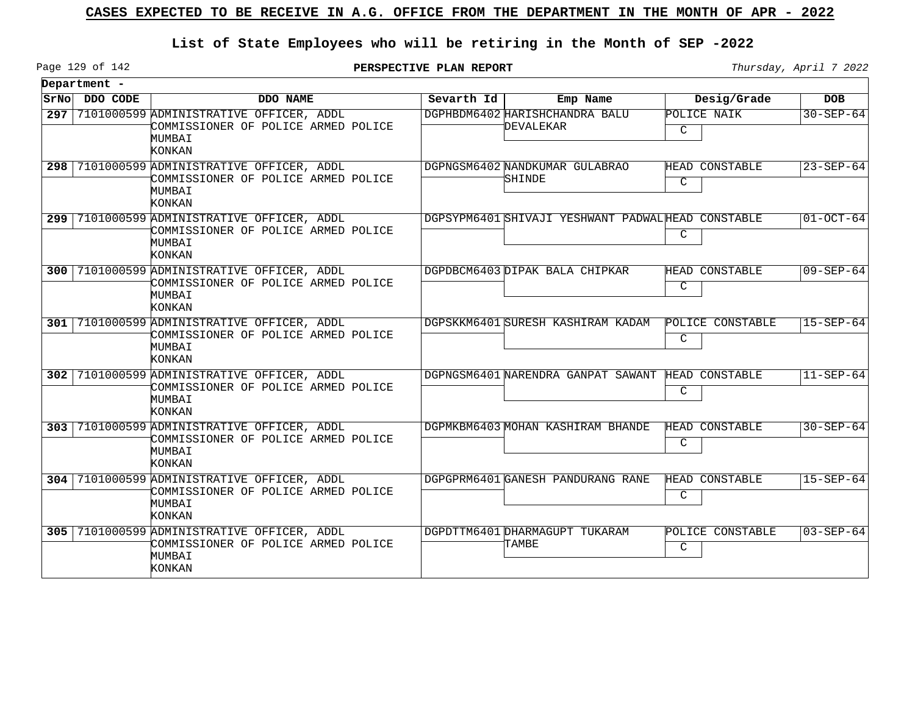## **List of State Employees who will be retiring in the Month of SEP -2022**

Page 129 of 142

**PERSPECTIVE PLAN REPORT** Thursday, April 7 2022

|       | Department - |                                                                                                                  |            |                                                   |                            |                   |
|-------|--------------|------------------------------------------------------------------------------------------------------------------|------------|---------------------------------------------------|----------------------------|-------------------|
| SrNol | DDO CODE     | DDO NAME                                                                                                         | Sevarth Id | Emp Name                                          | Desig/Grade                | <b>DOB</b>        |
| 297   |              | 7101000599 ADMINISTRATIVE OFFICER, ADDL<br>COMMISSIONER OF POLICE ARMED POLICE<br>MUMBAI                         |            | DGPHBDM6402 HARISHCHANDRA BALU<br>DEVALEKAR       | POLICE NAIK<br>C           | $30 - SEP - 64$   |
|       |              | KONKAN<br>298 7101000599 ADMINISTRATIVE OFFICER, ADDL<br>COMMISSIONER OF POLICE ARMED POLICE<br>MUMBAI<br>KONKAN |            | DGPNGSM6402 NANDKUMAR GULABRAO<br>SHINDE          | HEAD CONSTABLE<br>C        | $23 - SEP - 64$   |
|       |              | 299 7101000599 ADMINISTRATIVE OFFICER, ADDL<br>COMMISSIONER OF POLICE ARMED POLICE<br>MUMBAI<br>KONKAN           |            | DGPSYPM6401 SHIVAJI YESHWANT PADWALHEAD CONSTABLE | C                          | $01-OCT-64$       |
|       |              | 300 7101000599 ADMINISTRATIVE OFFICER, ADDL<br>COMMISSIONER OF POLICE ARMED POLICE<br>MUMBAI<br>KONKAN           |            | DGPDBCM6403 DIPAK BALA CHIPKAR                    | HEAD CONSTABLE<br>C        | $09 - SEP - 64$   |
| 301 l |              | 7101000599 ADMINISTRATIVE OFFICER, ADDL<br>COMMISSIONER OF POLICE ARMED POLICE<br>MUMBAI<br>KONKAN               |            | DGPSKKM6401 SURESH KASHIRAM KADAM                 | POLICE CONSTABLE<br>C      | $15 - SEP - 64$   |
| 302   |              | 7101000599 ADMINISTRATIVE OFFICER, ADDL<br>COMMISSIONER OF POLICE ARMED POLICE<br>MUMBAI<br><b>KONKAN</b>        |            | DGPNGSM6401 NARENDRA GANPAT SAWANT                | HEAD CONSTABLE<br>C        | $11 - SEP - 64$   |
| 303   |              | 7101000599 ADMINISTRATIVE OFFICER, ADDL<br>COMMISSIONER OF POLICE ARMED POLICE<br>MUMBAI<br>KONKAN               |            | DGPMKBM6403 MOHAN KASHIRAM BHANDE                 | <b>HEAD CONSTABLE</b><br>C | $30 - SEP - 64$   |
|       |              | 304 7101000599 ADMINISTRATIVE OFFICER, ADDL<br>COMMISSIONER OF POLICE ARMED POLICE<br>MUMBAI<br>KONKAN           |            | DGPGPRM6401 GANESH PANDURANG RANE                 | HEAD CONSTABLE<br>C        | $15 - SEP - 64$   |
|       |              | 305 7101000599 ADMINISTRATIVE OFFICER, ADDL<br>COMMISSIONER OF POLICE ARMED POLICE<br>MUMBAI<br>KONKAN           |            | DGPDTTM6401 DHARMAGUPT TUKARAM<br>TAMBE           | POLICE CONSTABLE<br>C      | $ 03 - SEP - 64 $ |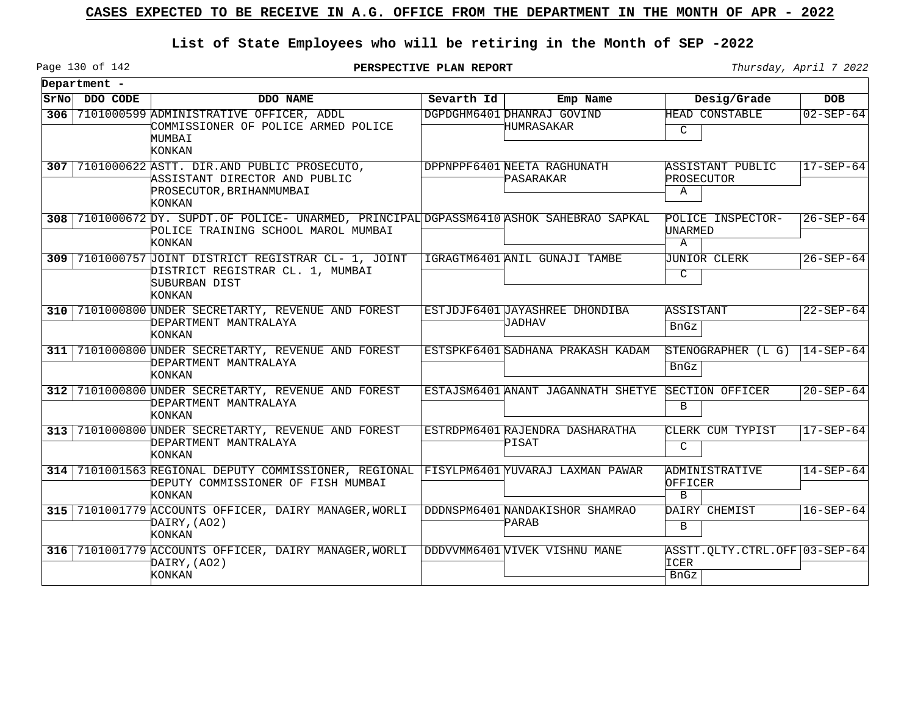## **List of State Employees who will be retiring in the Month of SEP -2022**

Page 130 of 142

**PERSPECTIVE PLAN REPORT** Thursday, April 7 2022

٦

|     | Department -  |                                                                                                                                                  |              |                                          |                                               |                 |
|-----|---------------|--------------------------------------------------------------------------------------------------------------------------------------------------|--------------|------------------------------------------|-----------------------------------------------|-----------------|
|     | SrNo DDO CODE | DDO NAME                                                                                                                                         | Sevarth $Id$ | Emp Name                                 | Desig/Grade                                   | <b>DOB</b>      |
| 306 |               | 7101000599 ADMINISTRATIVE OFFICER, ADDL<br>COMMISSIONER OF POLICE ARMED POLICE<br>MUMBAI<br>KONKAN                                               |              | DGPDGHM6401 DHANRAJ GOVIND<br>HUMRASAKAR | HEAD CONSTABLE<br>C                           | $02 - SEP - 64$ |
|     |               | 307 7101000622 ASTT. DIR.AND PUBLIC PROSECUTO,<br>ASSISTANT DIRECTOR AND PUBLIC<br>PROSECUTOR, BRIHANMUMBAI<br>KONKAN                            |              | DPPNPPF6401 NEETA RAGHUNATH<br>PASARAKAR | ASSISTANT PUBLIC<br>PROSECUTOR<br>$\mathbb A$ | $17 - SEP - 64$ |
|     |               | 308 7101000672 DY. SUPDT.OF POLICE- UNARMED, PRINCIPAL DGPASSM6410 ASHOK SAHEBRAO SAPKAL<br>POLICE TRAINING SCHOOL MAROL MUMBAI<br><b>KONKAN</b> |              |                                          | POLICE INSPECTOR-<br>UNARMED<br>$\mathbf{A}$  | $26 - SEP - 64$ |
|     |               | 309 7101000757 JOINT DISTRICT REGISTRAR CL- 1, JOINT<br>DISTRICT REGISTRAR CL. 1, MUMBAI<br>SUBURBAN DIST<br><b>KONKAN</b>                       |              | IGRAGTM6401 ANIL GUNAJI TAMBE            | JUNIOR CLERK<br>C                             | $26 - SEP - 64$ |
|     |               | 310 7101000800 UNDER SECRETARTY, REVENUE AND FOREST<br>DEPARTMENT MANTRALAYA<br>KONKAN                                                           |              | ESTJDJF6401 JAYASHREE DHONDIBA<br>TADHAV | ASSISTANT<br>BnGz                             | $22 - SEP - 64$ |
|     |               | 311 7101000800 UNDER SECRETARTY, REVENUE AND FOREST<br>DEPARTMENT MANTRALAYA<br>KONKAN                                                           |              | ESTSPKF6401 SADHANA PRAKASH KADAM        | STENOGRAPHER (L G)<br><b>BnGz</b>             | $14 - SEP - 64$ |
|     |               | 312 7101000800 UNDER SECRETARTY, REVENUE AND FOREST<br>DEPARTMENT MANTRALAYA<br>KONKAN                                                           |              | ESTAJSM6401 ANANT JAGANNATH SHETYE       | SECTION OFFICER<br>B                          | $20 - SEP - 64$ |
|     |               | 313 7101000800 UNDER SECRETARTY, REVENUE AND FOREST<br>DEPARTMENT MANTRALAYA<br>KONKAN                                                           |              | ESTRDPM6401 RAJENDRA DASHARATHA<br>PISAT | CLERK CUM TYPIST<br>$\mathcal{C}$             | 17-SEP-64       |
|     |               | 314 7101001563 REGIONAL DEPUTY COMMISSIONER, REGIONAL FISYLPM6401 YUVARAJ LAXMAN PAWAR<br>DEPUTY COMMISSIONER OF FISH MUMBAI<br><b>KONKAN</b>    |              |                                          | ADMINISTRATIVE<br>OFFICER<br>$\mathbf{B}$     | $14 - SEP - 64$ |
|     |               | 315 7101001779 ACCOUNTS OFFICER, DAIRY MANAGER, WORLI<br>DAIRY, (AO2)<br>KONKAN                                                                  |              | DDDNSPM6401 NANDAKISHOR SHAMRAO<br>PARAB | DAIRY CHEMIST<br>B                            | $16 - SEP - 64$ |
|     |               | 316 7101001779 ACCOUNTS OFFICER, DAIRY MANAGER, WORLI<br>DAIRY, (AO2)<br>KONKAN                                                                  |              | DDDVVMM6401WIVEK VISHNU MANE             | ASSTT.QLTY.CTRL.OFF 03-SEP-64<br>ICER<br>BrGz |                 |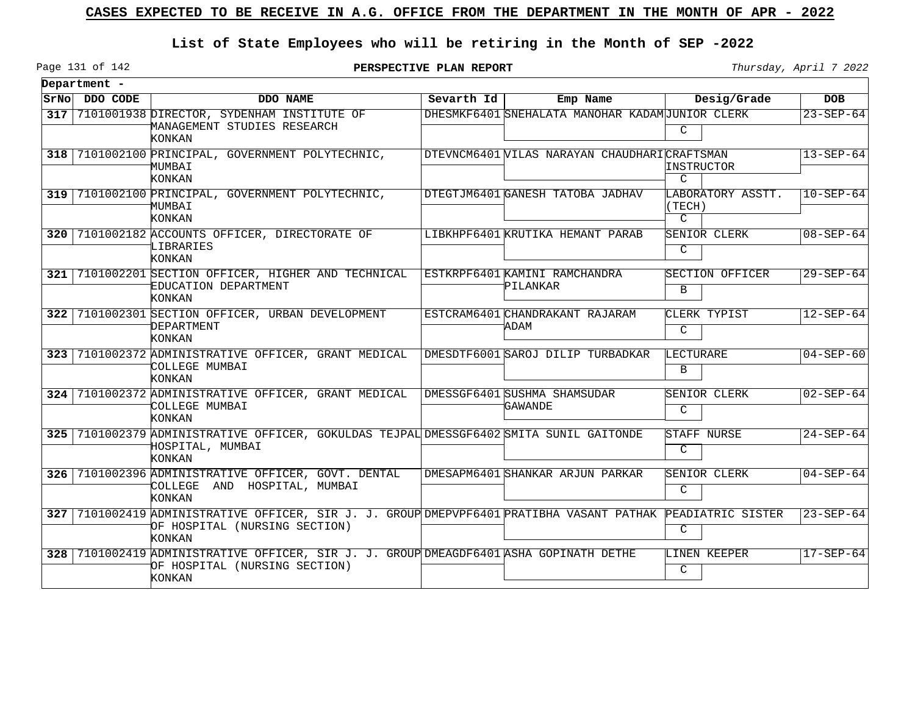## **List of State Employees who will be retiring in the Month of SEP -2022**

**PERSPECTIVE PLAN REPORT** Thursday, April 7 2022

Page 131 of 142

|                  | Department - |                                                                                                                                                        |            |                                                 |                                              |                 |
|------------------|--------------|--------------------------------------------------------------------------------------------------------------------------------------------------------|------------|-------------------------------------------------|----------------------------------------------|-----------------|
| SrNo             | DDO CODE     | DDO NAME                                                                                                                                               | Sevarth Id | Emp Name                                        | Desig/Grade                                  | <b>DOB</b>      |
| 317              |              | 7101001938 DIRECTOR, SYDENHAM INSTITUTE OF<br>MANAGEMENT STUDIES RESEARCH<br>KONKAN                                                                    |            | DHESMKF6401 SNEHALATA MANOHAR KADAMUUNIOR CLERK | C                                            | $23 - SEP - 64$ |
| 318              |              | 7101002100 PRINCIPAL, GOVERNMENT POLYTECHNIC,<br>MUMBAI<br>KONKAN                                                                                      |            | DTEVNCM6401 VILAS NARAYAN CHAUDHARICRAFTSMAN    | INSTRUCTOR<br>$\mathcal{C}$                  | $13 - SEP - 64$ |
| 319              |              | 7101002100 PRINCIPAL, GOVERNMENT POLYTECHNIC,<br>MUMBAI<br>KONKAN                                                                                      |            | DTEGTJM6401 GANESH TATOBA JADHAV                | LABORATORY ASSTT.<br>(TECH)<br>$\mathcal{C}$ | $10-SEP-64$     |
| ا 320            |              | 7101002182 ACCOUNTS OFFICER, DIRECTORATE OF<br>LIBRARIES<br>KONKAN                                                                                     |            | LIBKHPF6401 KRUTIKA HEMANT PARAB                | SENIOR CLERK<br>C                            | $08 - SEP - 64$ |
| 321 I            |              | 7101002201 SECTION OFFICER, HIGHER AND TECHNICAL<br>EDUCATION DEPARTMENT<br>KONKAN                                                                     |            | ESTKRPF6401 KAMINI RAMCHANDRA<br>PILANKAR       | SECTION OFFICER<br>B                         | $29 - SEP - 64$ |
| 322              |              | 7101002301 SECTION OFFICER, URBAN DEVELOPMENT<br>DEPARTMENT<br><b>KONKAN</b>                                                                           |            | ESTCRAM6401 CHANDRAKANT RAJARAM<br>ADAM         | CLERK TYPIST<br>C                            | $12 - SEP - 64$ |
| 323 <sub>1</sub> |              | 7101002372 ADMINISTRATIVE OFFICER, GRANT MEDICAL<br>COLLEGE MUMBAI<br>KONKAN                                                                           |            | DMESDTF6001 SAROJ DILIP TURBADKAR               | LECTURARE<br>$\mathbf{B}$                    | $04 - SEP - 60$ |
| 324              |              | 7101002372 ADMINISTRATIVE OFFICER, GRANT MEDICAL<br>COLLEGE MUMBAI<br>KONKAN                                                                           |            | DMESSGF6401 SUSHMA SHAMSUDAR<br>GAWANDE         | SENIOR CLERK<br>C                            | $02 - SEP - 64$ |
| 325              |              | 7101002379 ADMINISTRATIVE OFFICER, GOKULDAS TEJPAL DMESSGF6402 SMITA SUNIL GAITONDE<br>HOSPITAL, MUMBAI<br><b>KONKAN</b>                               |            |                                                 | STAFF NURSE<br>C                             | $24 - SEP - 64$ |
| 326              |              | 7101002396 ADMINISTRATIVE OFFICER, GOVT. DENTAL<br>COLLEGE AND HOSPITAL, MUMBAI<br>KONKAN                                                              |            | DMESAPM6401 SHANKAR ARJUN PARKAR                | SENIOR CLERK<br>$\mathcal{C}$                | $04 - SEP - 64$ |
|                  |              | 327 7101002419 ADMINISTRATIVE OFFICER, SIR J. J. GROUP DMEPVPF6401 PRATIBHA VASANT PATHAK PEADIATRIC SISTER<br>OF HOSPITAL (NURSING SECTION)<br>KONKAN |            |                                                 | $\mathcal{C}$                                | $23 - SEP - 64$ |
| 328              |              | 7101002419 ADMINISTRATIVE OFFICER, SIR J. J. GROUP DMEAGDF6401 ASHA GOPINATH DETHE<br>OF HOSPITAL (NURSING SECTION)<br>KONKAN                          |            |                                                 | LINEN KEEPER<br>C                            | $17 - SEP - 64$ |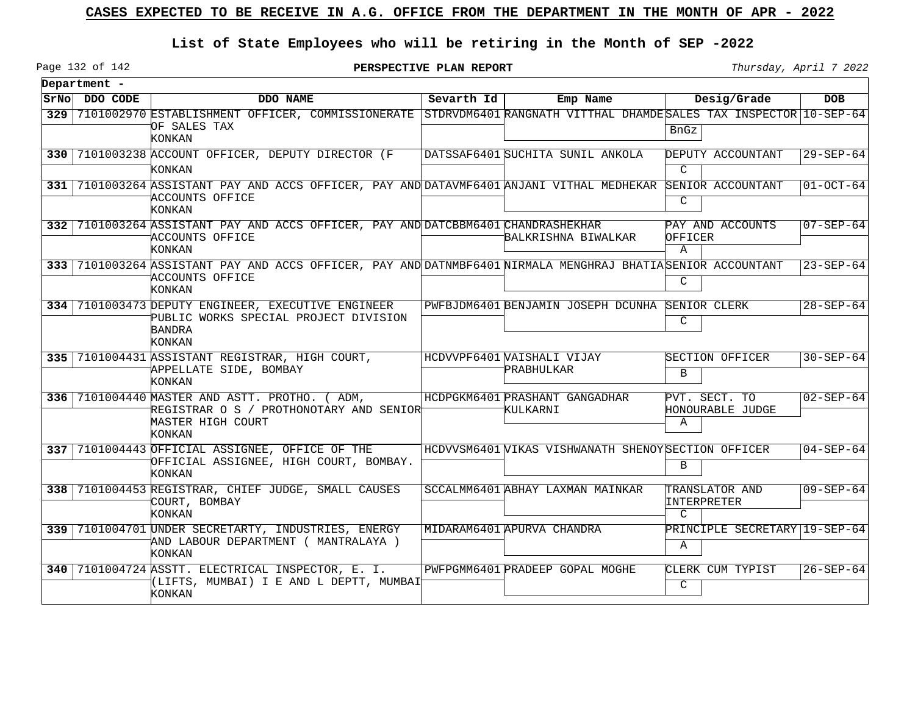## **List of State Employees who will be retiring in the Month of SEP -2022**

**PERSPECTIVE PLAN REPORT Thursday**, April 7 2022

 $\overline{\phantom{0}}$ 

|                  | Department -  |                                                                                                                                                   |                    |                                                    |                                                |                 |
|------------------|---------------|---------------------------------------------------------------------------------------------------------------------------------------------------|--------------------|----------------------------------------------------|------------------------------------------------|-----------------|
|                  | SrNo DDO CODE | DDO NAME                                                                                                                                          | Sevarth Id $\vert$ | Emp Name                                           | Desig/Grade                                    | <b>DOB</b>      |
|                  |               | 329 7101002970 ESTABLISHMENT OFFICER, COMMISSIONERATE STDRVDM6401 RANGNATH VITTHAL DHAMDE SALES TAX INSPECTOR 10-SEP-64<br>OF SALES TAX<br>KONKAN |                    |                                                    | BnGz                                           |                 |
|                  |               | 330 7101003238 ACCOUNT OFFICER, DEPUTY DIRECTOR (F<br><b>KONKAN</b>                                                                               |                    | DATSSAF6401 SUCHITA SUNIL ANKOLA                   | DEPUTY ACCOUNTANT<br>$\mathcal{C}$             | 29-SEP-64       |
| 331 l            |               | 7101003264 ASSISTANT PAY AND ACCS OFFICER, PAY AND DATAVMF6401 ANJANI VITHAL MEDHEKAR<br>ACCOUNTS OFFICE<br>KONKAN                                |                    |                                                    | SENIOR ACCOUNTANT<br>$\mathcal{C}$             | $01-0CT-64$     |
| 332 <sub>1</sub> |               | 7101003264 ASSISTANT PAY AND ACCS OFFICER, PAY AND DATCBBM6401 CHANDRASHEKHAR<br>ACCOUNTS OFFICE<br>KONKAN                                        |                    | BALKRISHNA BIWALKAR                                | PAY AND ACCOUNTS<br>OFFICER<br>$\mathbb A$     | $07 - SEP - 64$ |
|                  |               | 333 7101003264 ASSISTANT PAY AND ACCS OFFICER, PAY AND DATNMBF6401 NIRMALA MENGHRAJ BHATIASENIOR ACCOUNTANT<br>ACCOUNTS OFFICE<br>KONKAN          |                    |                                                    | C                                              | $23 - SEP - 64$ |
| 334              |               | 7101003473 DEPUTY ENGINEER, EXECUTIVE ENGINEER<br>PUBLIC WORKS SPECIAL PROJECT DIVISION<br><b>BANDRA</b><br>KONKAN                                |                    | PWFBJDM6401 BENJAMIN JOSEPH DCUNHA SENIOR CLERK    | C                                              | $28 - SEP - 64$ |
|                  |               | 335 7101004431 ASSISTANT REGISTRAR, HIGH COURT,<br>APPELLATE SIDE, BOMBAY<br>KONKAN                                                               |                    | HCDVVPF6401 VAISHALI VIJAY<br><b>PRABHULKAR</b>    | SECTION OFFICER<br>B                           | $30 - SEP - 64$ |
|                  |               | 336 7101004440 MASTER AND ASTT. PROTHO. (ADM,<br>REGISTRAR O S / PROTHONOTARY AND SENIOR <sup>L</sup><br>MASTER HIGH COURT<br>KONKAN              |                    | HCDPGKM6401 PRASHANT GANGADHAR<br>KULKARNI         | PVT. SECT. TO<br>HONOURABLE JUDGE<br>Α         | $02 - SEP - 64$ |
|                  |               | 337 7101004443 OFFICIAL ASSIGNEE, OFFICE OF THE<br>OFFICIAL ASSIGNEE, HIGH COURT, BOMBAY.<br>KONKAN                                               |                    | HCDVVSM6401 WIKAS VISHWANATH SHENOYSECTION OFFICER | B                                              | $04 - SEP - 64$ |
|                  |               | 338 7101004453 REGISTRAR, CHIEF JUDGE, SMALL CAUSES<br>COURT, BOMBAY<br>KONKAN                                                                    |                    | SCCALMM6401 ABHAY LAXMAN MAINKAR                   | TRANSLATOR AND<br>INTERPRETER<br>$\mathcal{C}$ | $09 - SEP - 64$ |
|                  |               | 339 7101004701 UNDER SECRETARTY, INDUSTRIES, ENERGY<br>AND LABOUR DEPARTMENT ( MANTRALAYA )<br>KONKAN                                             |                    | MIDARAM6401 APURVA CHANDRA                         | PRINCIPLE SECRETARY 19-SEP-64<br>Α             |                 |
| 340              |               | 7101004724 ASSTT. ELECTRICAL INSPECTOR, E. I.<br>(LIFTS, MUMBAI) I E AND L DEPTT, MUMBAI<br>KONKAN                                                |                    | PWFPGMM6401 PRADEEP GOPAL MOGHE                    | CLERK CUM TYPIST<br>$\mathcal{C}$              | $26 - SEP - 64$ |

Page 132 of 142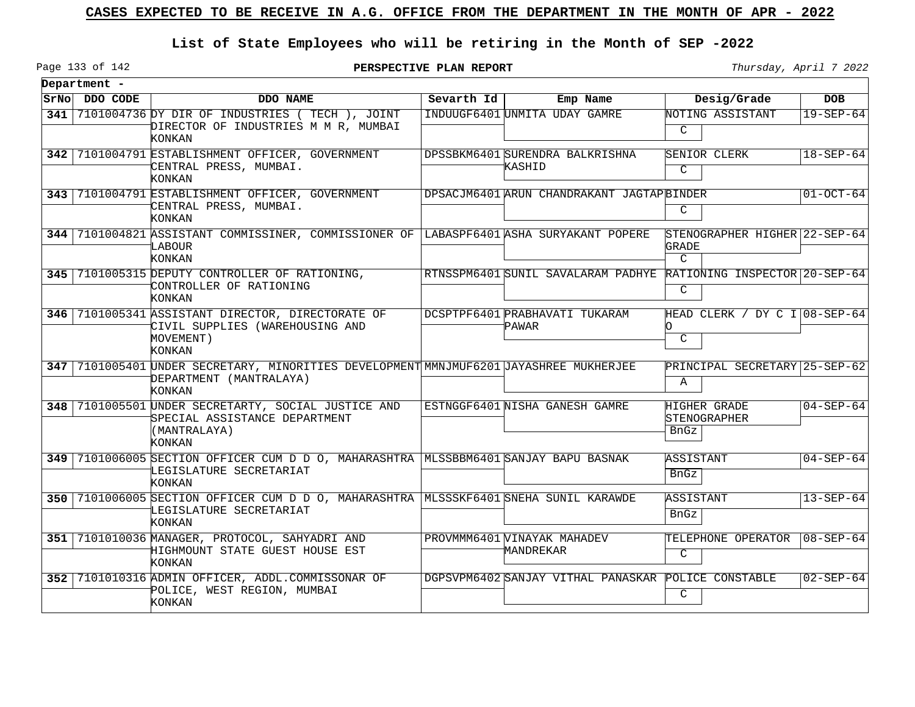## **List of State Employees who will be retiring in the Month of SEP -2022**

Page 133 of 142

| Department -  |                                                                                                                             |              |                                                                  |                                                  |                 |
|---------------|-----------------------------------------------------------------------------------------------------------------------------|--------------|------------------------------------------------------------------|--------------------------------------------------|-----------------|
| SrNo DDO CODE | DDO NAME                                                                                                                    | Sevarth $Id$ | Emp Name                                                         | Desig/Grade                                      | <b>DOB</b>      |
|               | 341 7101004736 DY DIR OF INDUSTRIES (TECH ), JOINT<br>DIRECTOR OF INDUSTRIES M M R. MUMBAI<br>KONKAN                        |              | INDUUGF6401 UNMITA UDAY GAMRE                                    | NOTING ASSISTANT<br>C                            | $19 - SEP - 64$ |
|               | 342 7101004791 ESTABLISHMENT OFFICER, GOVERNMENT<br>CENTRAL PRESS, MUMBAI.<br><b>KONKAN</b>                                 |              | DPSSBKM6401 SURENDRA BALKRISHNA<br>KASHID                        | SENIOR CLERK<br>C                                | $18 - SEP - 64$ |
|               | 343 7101004791 ESTABLISHMENT OFFICER, GOVERNMENT<br>CENTRAL PRESS, MUMBAI.<br>KONKAN                                        |              | DPSACJM6401 ARUN CHANDRAKANT JAGTAPBINDER                        | C                                                | $01-0CT-64$     |
|               | 344 7101004821 ASSISTANT COMMISSINER, COMMISSIONER OF LABASPF6401 ASHA SURYAKANT POPERE<br>LABOUR<br>KONKAN                 |              |                                                                  | STENOGRAPHER HIGHER 22-SEP-64<br>GRADE<br>$\cap$ |                 |
|               | 345 7101005315 DEPUTY CONTROLLER OF RATIONING,<br>CONTROLLER OF RATIONING<br>KONKAN                                         |              | RTNSSPM6401 SUNIL SAVALARAM PADHYE RATIONING INSPECTOR 20-SEP-64 | $\mathcal{C}$                                    |                 |
|               | 346 7101005341 ASSISTANT DIRECTOR, DIRECTORATE OF<br>CIVIL SUPPLIES (WAREHOUSING AND<br>MOVEMENT)<br>KONKAN                 |              | DCSPTPF6401 PRABHAVATI TUKARAM<br>PAWAR                          | HEAD CLERK / DY C I 08-SEP-64<br>n.<br>C         |                 |
|               | 347 7101005401 UNDER SECRETARY, MINORITIES DEVELOPMENT MMNJMUF6201 JAYASHREE MUKHERJEE<br>DEPARTMENT (MANTRALAYA)<br>KONKAN |              |                                                                  | PRINCIPAL SECRETARY 25-SEP-62<br>A               |                 |
|               | 348 7101005501 UNDER SECRETARTY, SOCIAL JUSTICE AND<br>SPECIAL ASSISTANCE DEPARTMENT<br>(MANTRALAYA)<br>KONKAN              |              | ESTNGGF6401 NISHA GANESH GAMRE                                   | HIGHER GRADE<br>STENOGRAPHER<br>BnGz             | $04 - SEP - 64$ |
|               | 349 7101006005 SECTION OFFICER CUM D D O, MAHARASHTRA MLSSBBM6401 SANJAY BAPU BASNAK<br>LEGISLATURE SECRETARIAT<br>KONKAN   |              |                                                                  | ASSISTANT<br><b>BnGz</b>                         | $04 - SEP - 64$ |
|               | 350 7101006005 SECTION OFFICER CUM D D O, MAHARASHTRA MLSSSKF6401 SNEHA SUNIL KARAWDE<br>LEGISLATURE SECRETARIAT<br>KONKAN  |              |                                                                  | ASSISTANT<br>BnGz                                | $13 - SEP - 64$ |
|               | 351 7101010036 MANAGER, PROTOCOL, SAHYADRI AND<br>HIGHMOUNT STATE GUEST HOUSE EST<br>KONKAN                                 |              | PROVMMM6401 VINAYAK MAHADEV<br>MANDREKAR                         | TELEPHONE OPERATOR<br>$\mathsf{C}$               | $08 - SEP - 64$ |
|               | 352 7101010316 ADMIN OFFICER, ADDL.COMMISSONAR OF<br>POLICE, WEST REGION, MUMBAI<br>KONKAN                                  |              | DGPSVPM6402 SANJAY VITHAL PANASKAR POLICE CONSTABLE              | C                                                | $02 - SEP - 64$ |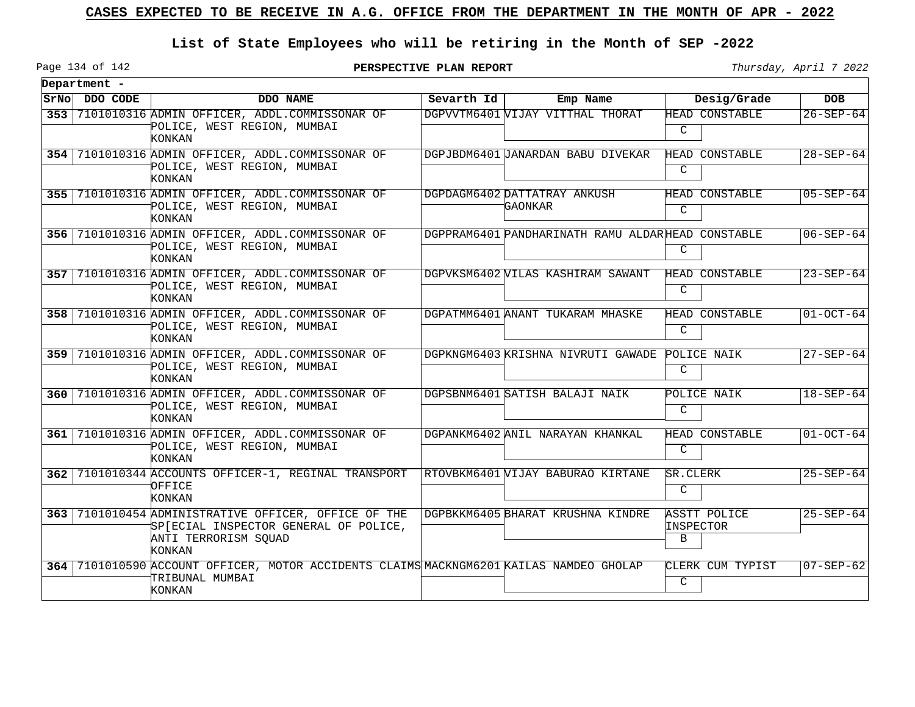## **List of State Employees who will be retiring in the Month of SEP -2022**

Page 134 of 142

|            | Department -  |                                                                                                                                 |            |                                                   |                                        |                 |
|------------|---------------|---------------------------------------------------------------------------------------------------------------------------------|------------|---------------------------------------------------|----------------------------------------|-----------------|
|            | SrNo DDO CODE | DDO NAME                                                                                                                        | Sevarth Id | Emp Name                                          | Desig/Grade                            | <b>DOB</b>      |
| 353        |               | 7101010316 ADMIN OFFICER, ADDL.COMMISSONAR OF<br>POLICE, WEST REGION, MUMBAI<br>KONKAN                                          |            | DGPVVTM6401 VIJAY VITTHAL THORAT                  | HEAD CONSTABLE<br>$\mathcal{C}$        | $26 - SEP - 64$ |
|            |               | 354 7101010316 ADMIN OFFICER, ADDL.COMMISSONAR OF<br>POLICE, WEST REGION, MUMBAI<br><b>KONKAN</b>                               |            | DGPJBDM6401 JANARDAN BABU DIVEKAR                 | HEAD CONSTABLE<br>C                    | $28 - SEP - 64$ |
|            |               | 355 7101010316 ADMIN OFFICER, ADDL.COMMISSONAR OF<br>POLICE, WEST REGION, MUMBAI<br>KONKAN                                      |            | DGPDAGM6402 DATTATRAY ANKUSH<br>GAONKAR           | <b>HEAD CONSTABLE</b><br>$\mathcal{C}$ | $05 - SEP - 64$ |
|            |               | 356 7101010316 ADMIN OFFICER, ADDL.COMMISSONAR OF<br>POLICE, WEST REGION, MUMBAI<br>KONKAN                                      |            | DGPPRAM6401 PANDHARINATH RAMU ALDARHEAD CONSTABLE | C                                      | $06 - SEP - 64$ |
|            |               | 357 7101010316 ADMIN OFFICER, ADDL.COMMISSONAR OF<br>POLICE, WEST REGION, MUMBAI<br>KONKAN                                      |            | DGPVKSM6402 VILAS KASHIRAM SAWANT                 | HEAD CONSTABLE<br>C                    | $23 - SEP - 64$ |
| 358        |               | 7101010316 ADMIN OFFICER, ADDL.COMMISSONAR OF<br>POLICE, WEST REGION, MUMBAI<br>KONKAN                                          |            | DGPATMM6401 ANANT TUKARAM MHASKE                  | HEAD CONSTABLE<br>C                    | $01-0CT-64$     |
| 359        |               | 7101010316 ADMIN OFFICER, ADDL.COMMISSONAR OF<br>POLICE, WEST REGION, MUMBAI<br>KONKAN                                          |            | DGPKNGM6403 KRISHNA NIVRUTI GAWADE                | POLICE NAIK<br>C                       | $27 - SEP - 64$ |
| 360        |               | 7101010316 ADMIN OFFICER, ADDL.COMMISSONAR OF<br>POLICE, WEST REGION, MUMBAI<br>KONKAN                                          |            | DGPSBNM6401 SATISH BALAJI NAIK                    | POLICE NAIK<br>C                       | $18 - SEP - 64$ |
| 361 I      |               | 7101010316 ADMIN OFFICER, ADDL.COMMISSONAR OF<br>POLICE, WEST REGION, MUMBAI<br>KONKAN                                          |            | DGPANKM6402 ANIL NARAYAN KHANKAL                  | HEAD CONSTABLE<br>C                    | $01-0CT-64$     |
| $362 \mid$ |               | 7101010344 ACCOUNTS OFFICER-1, REGINAL TRANSPORT<br>OFFICE<br>KONKAN                                                            |            | RTOVBKM6401 WIJAY BABURAO KIRTANE                 | SR.CLERK<br>C                          | $25 - SEP - 64$ |
|            |               | 363 7101010454 ADMINISTRATIVE OFFICER, OFFICE OF THE<br>SP[ECIAL INSPECTOR GENERAL OF POLICE,<br>ANTI TERRORISM SQUAD<br>KONKAN |            | DGPBKKM6405 BHARAT KRUSHNA KINDRE                 | <b>ASSTT POLICE</b><br>INSPECTOR<br>B  | $25 - SEP - 64$ |
|            |               | 364   7101010590 ACCOUNT OFFICER, MOTOR ACCIDENTS CLAIMS MACKNGM6201 KAILAS NAMDEO GHOLAP<br>TRIBUNAL MUMBAI<br>KONKAN          |            |                                                   | CLERK CUM TYPIST<br>C                  | $07 - SEP - 62$ |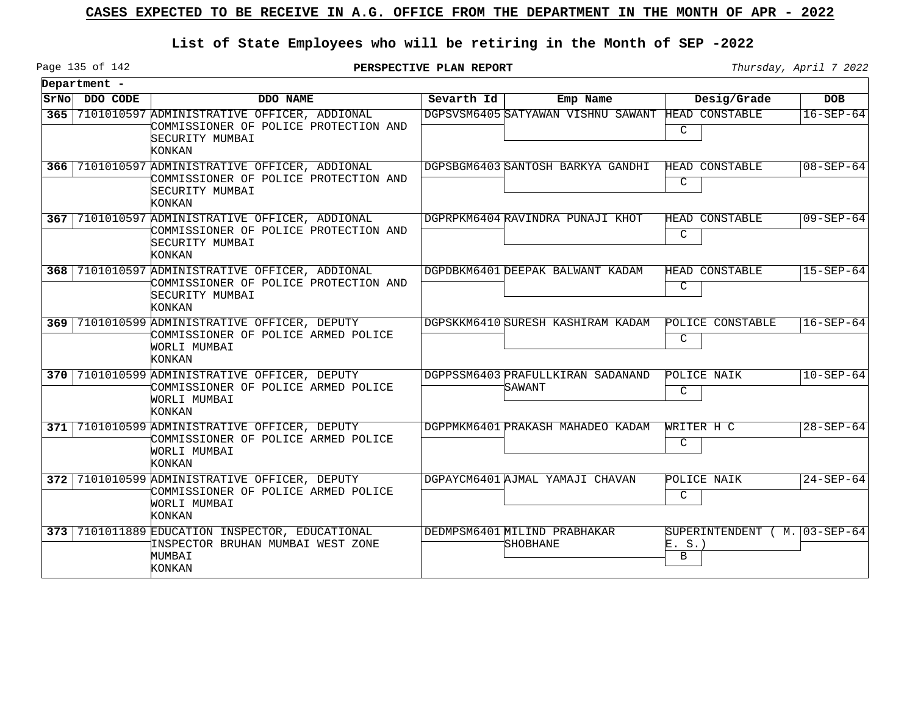## **List of State Employees who will be retiring in the Month of SEP -2022**

Page 135 of 142

|       | Department -  |                                                                                                                       |            |                                             |                                             |                 |
|-------|---------------|-----------------------------------------------------------------------------------------------------------------------|------------|---------------------------------------------|---------------------------------------------|-----------------|
|       | SrNo DDO CODE | DDO NAME                                                                                                              | Sevarth Id | Emp Name                                    | Desig/Grade                                 | <b>DOB</b>      |
| 365   |               | 7101010597 ADMINISTRATIVE OFFICER, ADDIONAL<br>COMMISSIONER OF POLICE PROTECTION AND<br>SECURITY MUMBAI<br>KONKAN     |            | DGPSVSM6405 SATYAWAN VISHNU SAWANT          | HEAD CONSTABLE<br>C                         | $16 - SEP - 64$ |
|       |               | 366 7101010597 ADMINISTRATIVE OFFICER, ADDIONAL<br>COMMISSIONER OF POLICE PROTECTION AND<br>SECURITY MUMBAI<br>KONKAN |            | DGPSBGM6403 SANTOSH BARKYA GANDHI           | HEAD CONSTABLE<br>C                         | $08 - SEP - 64$ |
|       |               | 367 7101010597 ADMINISTRATIVE OFFICER, ADDIONAL<br>COMMISSIONER OF POLICE PROTECTION AND<br>SECURITY MUMBAI<br>KONKAN |            | DGPRPKM6404 RAVINDRA PUNAJI KHOT            | HEAD CONSTABLE<br>C                         | $09 - SEP - 64$ |
| 368   |               | 7101010597 ADMINISTRATIVE OFFICER, ADDIONAL<br>COMMISSIONER OF POLICE PROTECTION AND<br>SECURITY MUMBAI<br>KONKAN     |            | DGPDBKM6401 DEEPAK BALWANT KADAM            | HEAD CONSTABLE<br>C                         | $15 - SEP - 64$ |
| 369   |               | 7101010599 ADMINISTRATIVE OFFICER, DEPUTY<br>COMMISSIONER OF POLICE ARMED POLICE<br>WORLI MUMBAI<br><b>KONKAN</b>     |            | DGPSKKM6410 SURESH KASHIRAM KADAM           | POLICE CONSTABLE<br>C                       | $16 - SEP - 64$ |
| 370   |               | 7101010599 ADMINISTRATIVE OFFICER, DEPUTY<br>COMMISSIONER OF POLICE ARMED POLICE<br>WORLI MUMBAI<br>KONKAN            |            | DGPPSSM6403 PRAFULLKIRAN SADANAND<br>SAWANT | POLICE NAIK<br>C                            | $10 - SEP - 64$ |
| 371 I |               | 7101010599 ADMINISTRATIVE OFFICER, DEPUTY<br>COMMISSIONER OF POLICE ARMED POLICE<br>WORLI MUMBAI<br>KONKAN            |            | DGPPMKM6401 PRAKASH MAHADEO KADAM           | WRITER H C<br>C                             | $28 - SEP - 64$ |
| 372   |               | 7101010599 ADMINISTRATIVE OFFICER, DEPUTY<br>COMMISSIONER OF POLICE ARMED POLICE<br>WORLI MUMBAI<br>KONKAN            |            | DGPAYCM6401 AJMAL YAMAJI CHAVAN             | POLICE NAIK<br>$\mathsf{C}$                 | $24 - SEP - 64$ |
|       |               | 373 7101011889 EDUCATION INSPECTOR, EDUCATIONAL<br>INSPECTOR BRUHAN MUMBAI WEST ZONE<br>MUMBAI<br>KONKAN              |            | DEDMPSM6401 MILIND PRABHAKAR<br>SHOBHANE    | SUPERINTENDENT ( M. 03-SEP-64<br>E. S.<br>B |                 |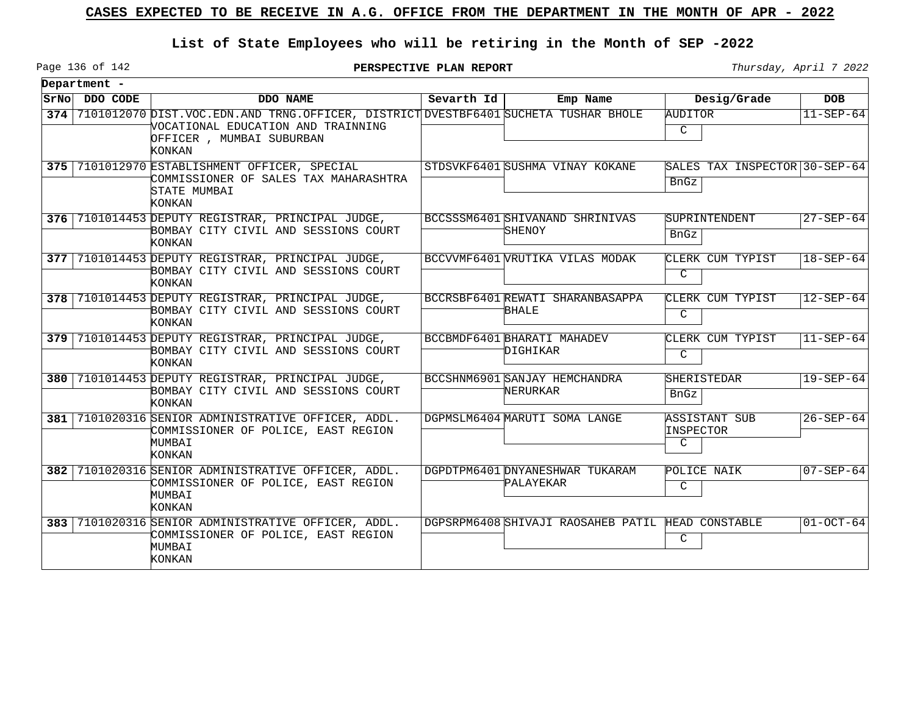## **List of State Employees who will be retiring in the Month of SEP -2022**

Page 136 of 142

**PERSPECTIVE PLAN REPORT** Thursday, April 7 2022

 $\overline{\phantom{a}}$ 

| Department -  |                                                                                                                                                                         |              |                                                   |                                             |                          |
|---------------|-------------------------------------------------------------------------------------------------------------------------------------------------------------------------|--------------|---------------------------------------------------|---------------------------------------------|--------------------------|
| SrNo DDO CODE | DDO NAME                                                                                                                                                                | Sevarth $Id$ | Emp Name                                          | Desig/Grade                                 | <b>DOB</b>               |
|               | 374 7101012070 DIST. VOC. EDN. AND TRNG. OFFICER, DISTRICT DVESTBF6401 SUCHETA TUSHAR BHOLE<br>VOCATIONAL EDUCATION AND TRAINNING<br>OFFICER, MUMBAI SUBURBAN<br>KONKAN |              |                                                   | AUDITOR<br>$\mathcal{C}$                    | $11 - SEP - 64$          |
|               | 375 7101012970 ESTABLISHMENT OFFICER, SPECIAL<br>COMMISSIONER OF SALES TAX MAHARASHTRA<br>STATE MUMBAI<br>KONKAN                                                        |              | STDSVKF6401 SUSHMA VINAY KOKANE                   | SALES TAX INSPECTOR 30-SEP-64<br>BnGz       |                          |
|               | 376 7101014453 DEPUTY REGISTRAR, PRINCIPAL JUDGE,<br>BOMBAY CITY CIVIL AND SESSIONS COURT<br>KONKAN                                                                     |              | BCCSSSM6401 SHIVANAND SHRINIVAS<br>SHENOY         | SUPRINTENDENT<br>BnGz                       | $27 - SEP - 64$          |
|               | 377 7101014453 DEPUTY REGISTRAR, PRINCIPAL JUDGE,<br>BOMBAY CITY CIVIL AND SESSIONS COURT<br>KONKAN                                                                     |              | BCCVVMF6401 VRUTIKA VILAS MODAK                   | CLERK CUM TYPIST<br>$\mathcal{C}$           | $ 18 - \text{SEP} - 64 $ |
|               | 378 7101014453 DEPUTY REGISTRAR, PRINCIPAL JUDGE,<br>BOMBAY CITY CIVIL AND SESSIONS COURT<br>KONKAN                                                                     |              | BCCRSBF6401 REWATI SHARANBASAPPA<br><b>BHALE</b>  | CLERK CUM TYPIST<br>C                       | $ 12 - SEP - 64 $        |
|               | 379 7101014453 DEPUTY REGISTRAR, PRINCIPAL JUDGE,<br>BOMBAY CITY CIVIL AND SESSIONS COURT<br><b>KONKAN</b>                                                              |              | BCCBMDF6401BHARATI MAHADEV<br>DIGHIKAR            | CLERK CUM TYPIST<br>$\mathcal{C}$           | $ 11 - \text{SEP} - 64 $ |
|               | 380 7101014453 DEPUTY REGISTRAR, PRINCIPAL JUDGE,<br>BOMBAY CITY CIVIL AND SESSIONS COURT<br>KONKAN                                                                     |              | BCCSHNM6901 SANJAY HEMCHANDRA<br>NERURKAR         | SHERISTEDAR<br>BnGz                         | $19 - SEP - 64$          |
|               | 381 7101020316 SENIOR ADMINISTRATIVE OFFICER, ADDL.<br>COMMISSIONER OF POLICE, EAST REGION<br>MUMBAI<br>KONKAN                                                          |              | DGPMSLM6404 MARUTI SOMA LANGE                     | ASSISTANT SUB<br>INSPECTOR<br>$\mathcal{C}$ | $26 - SEP - 64$          |
|               | 382 7101020316 SENIOR ADMINISTRATIVE OFFICER, ADDL.<br>COMMISSIONER OF POLICE, EAST REGION<br>MUMBAI<br>KONKAN                                                          |              | DGPDTPM6401 DNYANESHWAR TUKARAM<br>PALAYEKAR      | POLICE NAIK<br>$\mathsf{C}$                 | $07 - SEP - 64$          |
|               | 383 7101020316 SENIOR ADMINISTRATIVE OFFICER, ADDL.<br>COMMISSIONER OF POLICE, EAST REGION<br>MUMBAI<br>KONKAN                                                          |              | DGPSRPM6408 SHIVAJI RAOSAHEB PATIL HEAD CONSTABLE | C                                           | $ 01-$ OCT-64            |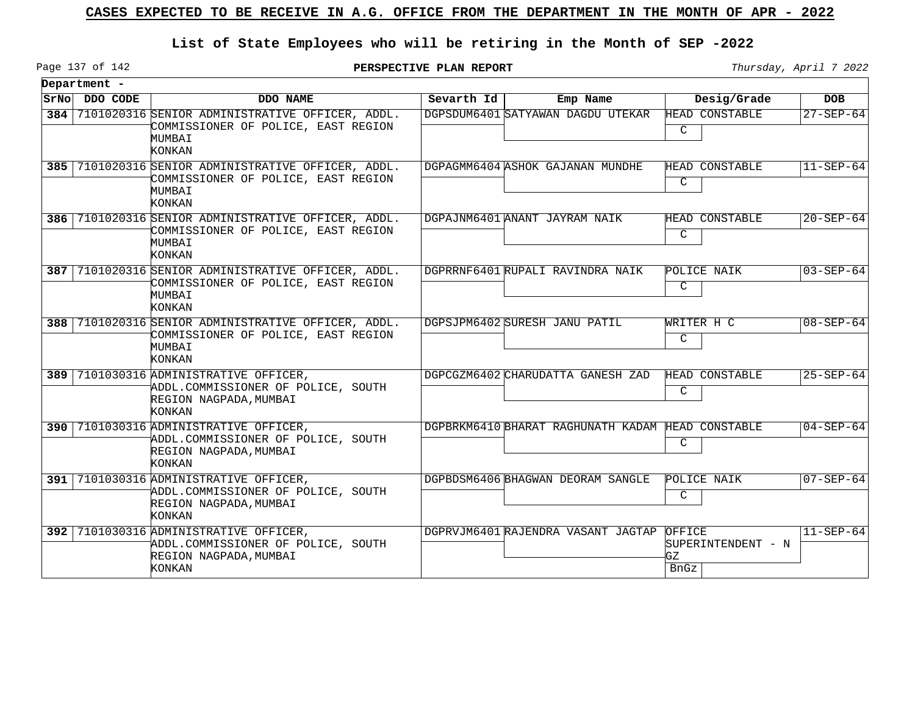## **List of State Employees who will be retiring in the Month of SEP -2022**

Page 137 of 142

**PERSPECTIVE PLAN REPORT** Thursday, April 7 2022

|      | Department - |                                                                                                              |            |                                                   |                                            |                 |
|------|--------------|--------------------------------------------------------------------------------------------------------------|------------|---------------------------------------------------|--------------------------------------------|-----------------|
| SrNo | DDO CODE     | DDO NAME                                                                                                     | Sevarth Id | Emp Name                                          | Desig/Grade                                | <b>DOB</b>      |
| 384  |              | 7101020316 SENIOR ADMINISTRATIVE OFFICER, ADDL.<br>COMMISSIONER OF POLICE, EAST REGION<br>MUMBAI<br>KONKAN   |            | DGPSDUM6401 SATYAWAN DAGDU UTEKAR                 | HEAD CONSTABLE<br>C                        | $27 - SEP - 64$ |
| 385  |              | 7101020316 SENIOR ADMINISTRATIVE OFFICER, ADDL.<br>COMMISSIONER OF POLICE, EAST REGION<br>MUMBAI<br>KONKAN   |            | DGPAGMM6404 ASHOK GAJANAN MUNDHE                  | HEAD CONSTABLE<br>C                        | $11 - SEP - 64$ |
| 386  |              | 7101020316 SENIOR ADMINISTRATIVE OFFICER, ADDL.<br>COMMISSIONER OF POLICE, EAST REGION<br>MUMBAI<br>KONKAN   |            | DGPAJNM6401 ANANT JAYRAM NAIK                     | HEAD CONSTABLE<br>C                        | $20 - SEP - 64$ |
| 387  |              | 7101020316 SENIOR ADMINISTRATIVE OFFICER, ADDL.<br>COMMISSIONER OF POLICE, EAST REGION<br>MUMBAI<br>KONKAN   |            | DGPRRNF6401 RUPALI RAVINDRA NAIK                  | POLICE NAIK<br>C                           | $03 - SEP - 64$ |
| 388  |              | 7101020316 SENIOR ADMINISTRATIVE OFFICER, ADDL.<br>COMMISSIONER OF POLICE, EAST REGION<br>MUMBAI<br>KONKAN   |            | DGPSJPM6402 SURESH JANU PATIL                     | WRITER H C<br>$\mathsf{C}$                 | $08 - SEP - 64$ |
| 389  |              | 7101030316 ADMINISTRATIVE OFFICER,<br>ADDL.COMMISSIONER OF POLICE, SOUTH<br>REGION NAGPADA, MUMBAI<br>KONKAN |            | DGPCGZM6402 CHARUDATTA GANESH ZAD                 | HEAD CONSTABLE<br>C                        | $25 - SEP - 64$ |
| 390  |              | 7101030316 ADMINISTRATIVE OFFICER,<br>ADDL.COMMISSIONER OF POLICE, SOUTH<br>REGION NAGPADA, MUMBAI<br>KONKAN |            | DGPBRKM6410 BHARAT RAGHUNATH KADAM HEAD CONSTABLE | C                                          | $04 - SEP - 64$ |
| 391  |              | 7101030316 ADMINISTRATIVE OFFICER,<br>ADDL.COMMISSIONER OF POLICE, SOUTH<br>REGION NAGPADA, MUMBAI<br>KONKAN |            | DGPBDSM6406 BHAGWAN DEORAM SANGLE                 | POLICE NAIK<br>C                           | $07 - SEP - 64$ |
| 392  |              | 7101030316 ADMINISTRATIVE OFFICER,<br>ADDL.COMMISSIONER OF POLICE, SOUTH<br>REGION NAGPADA, MUMBAI<br>KONKAN |            | DGPRVJM6401 RAJENDRA VASANT JAGTAP                | OFFICE<br>SUPERINTENDENT - N<br>GZ<br>BnGz | $11 - SEP - 64$ |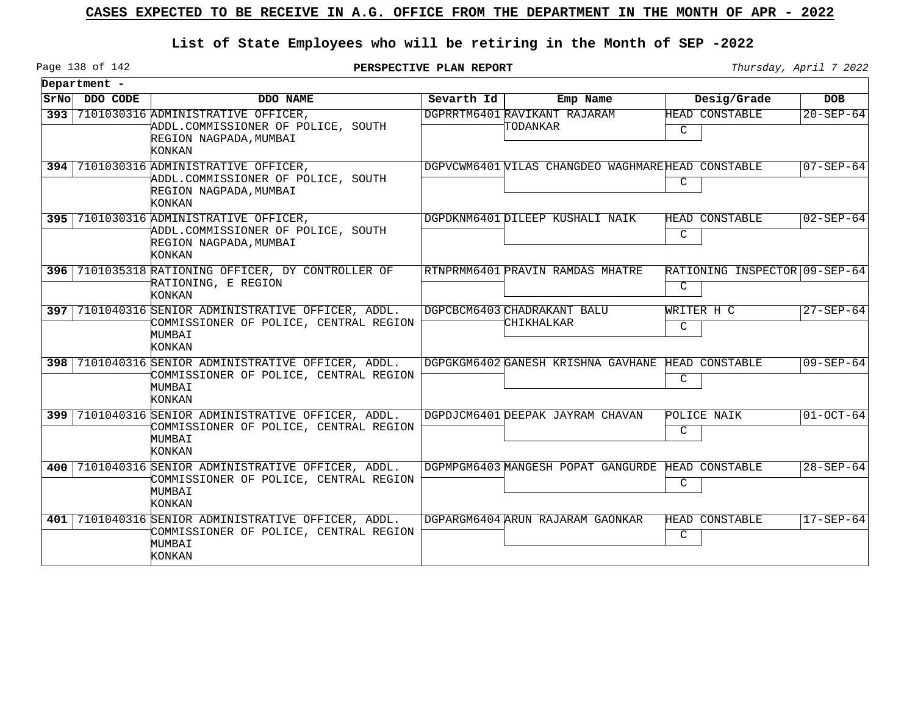## **List of State Employees who will be retiring in the Month of SEP -2022**

Page 138 of 142

|       | Department - |                                                                                                                          |            |                                                    |                                    |                 |
|-------|--------------|--------------------------------------------------------------------------------------------------------------------------|------------|----------------------------------------------------|------------------------------------|-----------------|
| SrNol | DDO CODE     | DDO NAME                                                                                                                 | Sevarth Id | Emp Name                                           | Desig/Grade                        | <b>DOB</b>      |
| ا 393 |              | 7101030316 ADMINISTRATIVE OFFICER,<br>ADDL.COMMISSIONER OF POLICE, SOUTH<br>REGION NAGPADA, MUMBAI<br>KONKAN             |            | DGPRRTM6401 RAVIKANT RAJARAM<br>TODANKAR           | <b>HEAD CONSTABLE</b><br>C         | $20 - SEP - 64$ |
|       |              | 394 7101030316 ADMINISTRATIVE OFFICER,<br>ADDL.COMMISSIONER OF POLICE, SOUTH<br>REGION NAGPADA, MUMBAI<br><b>KONKAN</b>  |            | DGPVCWM6401 VILAS CHANGDEO WAGHMARE HEAD CONSTABLE | C                                  | $07 - SEP - 64$ |
|       |              | 395 7101030316 ADMINISTRATIVE OFFICER,<br>ADDL.COMMISSIONER OF POLICE, SOUTH<br>REGION NAGPADA, MUMBAI<br>KONKAN         |            | DGPDKNM6401 DILEEP KUSHALI NAIK                    | HEAD CONSTABLE<br>C                | 02-SEP-64       |
|       |              | 396 7101035318 RATIONING OFFICER, DY CONTROLLER OF<br>RATIONING, E REGION<br><b>KONKAN</b>                               |            | RTNPRMM6401 PRAVIN RAMDAS MHATRE                   | RATIONING INSPECTOR 09-SEP-64<br>C |                 |
|       |              | 397 7101040316 SENIOR ADMINISTRATIVE OFFICER, ADDL.<br>COMMISSIONER OF POLICE, CENTRAL REGION<br>MUMBAI<br>KONKAN        |            | DGPCBCM6403 CHADRAKANT BALU<br>CHIKHALKAR          | WRITER H C<br>C                    | $27 - SEP - 64$ |
|       |              | 398 7101040316 SENIOR ADMINISTRATIVE OFFICER, ADDL.<br>COMMISSIONER OF POLICE, CENTRAL REGION<br>MUMBAI<br>KONKAN        |            | DGPGKGM6402 GANESH KRISHNA GAVHANE                 | HEAD CONSTABLE<br>C                | $09 - SEP - 64$ |
|       |              | 399 7101040316 SENIOR ADMINISTRATIVE OFFICER, ADDL.<br>COMMISSIONER OF POLICE, CENTRAL REGION<br>MUMBAI<br><b>KONKAN</b> |            | DGPDJCM6401 DEEPAK JAYRAM CHAVAN                   | POLICE NAIK<br>C                   | $01-OCT-64$     |
| 400   |              | 7101040316 SENIOR ADMINISTRATIVE OFFICER, ADDL.<br>COMMISSIONER OF POLICE, CENTRAL REGION<br>MUMBAI<br>KONKAN            |            | DGPMPGM6403 MANGESH POPAT GANGURDE                 | HEAD CONSTABLE<br>C                | $28 - SEP - 64$ |
| 401 I |              | 7101040316 SENIOR ADMINISTRATIVE OFFICER, ADDL.<br>COMMISSIONER OF POLICE, CENTRAL REGION<br>MUMBAI<br>KONKAN            |            | DGPARGM6404 ARUN RAJARAM GAONKAR                   | HEAD CONSTABLE<br>C                | 17-SEP-64       |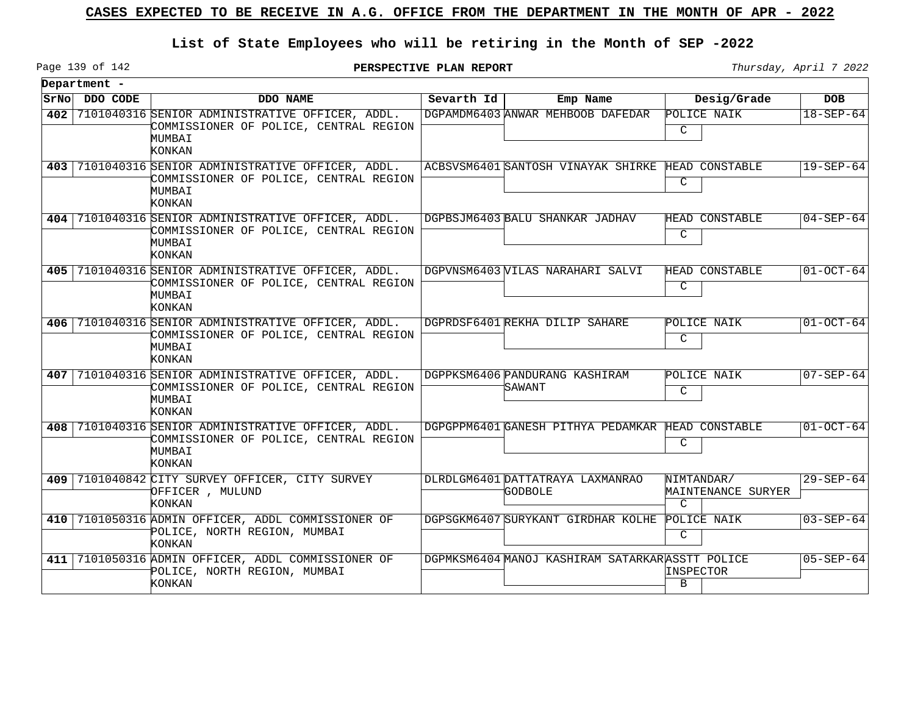## **List of State Employees who will be retiring in the Month of SEP -2022**

Page 139 of 142

**PERSPECTIVE PLAN REPORT** Thursday, April 7 2022

|      | Department - |                                                                                                                   |            |                                                 |                                                   |                 |
|------|--------------|-------------------------------------------------------------------------------------------------------------------|------------|-------------------------------------------------|---------------------------------------------------|-----------------|
| SrNo | DDO CODE     | DDO NAME                                                                                                          | Sevarth Id | Emp Name                                        | Desig/Grade                                       | <b>DOB</b>      |
| 402  |              | 7101040316 SENIOR ADMINISTRATIVE OFFICER, ADDL.<br>COMMISSIONER OF POLICE, CENTRAL REGION<br>MUMBAI<br>KONKAN     |            | DGPAMDM6403 ANWAR MEHBOOB DAFEDAR               | POLICE NAIK<br>C                                  | $18 - SEP - 64$ |
| 403  |              | 7101040316 SENIOR ADMINISTRATIVE OFFICER, ADDL.<br>COMMISSIONER OF POLICE, CENTRAL REGION<br>MUMBAI<br>KONKAN     |            | ACBSVSM6401 SANTOSH VINAYAK SHIRKE              | HEAD CONSTABLE<br>C                               | $19 - SEP - 64$ |
| 404  |              | 7101040316 SENIOR ADMINISTRATIVE OFFICER, ADDL.<br>COMMISSIONER OF POLICE, CENTRAL REGION<br>MUMBAI<br>KONKAN     |            | DGPBSJM6403 BALU SHANKAR JADHAV                 | HEAD CONSTABLE<br>$\mathsf{C}$                    | $04 - SEP - 64$ |
|      |              | 405 7101040316 SENIOR ADMINISTRATIVE OFFICER, ADDL.<br>COMMISSIONER OF POLICE, CENTRAL REGION<br>MUMBAI<br>KONKAN |            | DGPVNSM6403 VILAS NARAHARI SALVI                | HEAD CONSTABLE<br>C                               | $01 - OCT - 64$ |
| 406  |              | 7101040316 SENIOR ADMINISTRATIVE OFFICER, ADDL.<br>COMMISSIONER OF POLICE, CENTRAL REGION<br>MUMBAI<br>KONKAN     |            | DGPRDSF6401 REKHA DILIP SAHARE                  | POLICE NAIK<br>C                                  | $01-0CT-64$     |
| 407  |              | 7101040316 SENIOR ADMINISTRATIVE OFFICER, ADDL.<br>COMMISSIONER OF POLICE, CENTRAL REGION<br>MUMBAI<br>KONKAN     |            | DGPPKSM6406 PANDURANG KASHIRAM<br>SAWANT        | POLICE NAIK<br>C                                  | $07 - SEP - 64$ |
| 408  |              | 7101040316 SENIOR ADMINISTRATIVE OFFICER, ADDL.<br>COMMISSIONER OF POLICE, CENTRAL REGION<br>MUMBAI<br>KONKAN     |            | DGPGPPM6401 GANESH PITHYA PEDAMKAR              | HEAD CONSTABLE<br>C                               | $01-0CT-64$     |
| 409  |              | 7101040842 CITY SURVEY OFFICER, CITY SURVEY<br>OFFICER, MULUND<br>KONKAN                                          |            | DLRDLGM6401 DATTATRAYA LAXMANRAO<br>GODBOLE     | NIMTANDAR/<br>MAINTENANCE SURYER<br>$\mathcal{C}$ | $29 - SEP - 64$ |
| 410  |              | 7101050316 ADMIN OFFICER, ADDL COMMISSIONER OF<br>POLICE, NORTH REGION, MUMBAI<br>KONKAN                          |            | DGPSGKM6407 SURYKANT GIRDHAR KOLHE              | POLICE NAIK<br>C                                  | $03 - SEP - 64$ |
| 411  |              | 7101050316 ADMIN OFFICER, ADDL COMMISSIONER OF<br>POLICE, NORTH REGION, MUMBAI<br>KONKAN                          |            | DGPMKSM6404 MANOJ KASHIRAM SATARKARASSTT POLICE | INSPECTOR<br>B                                    | $05 - SEP - 64$ |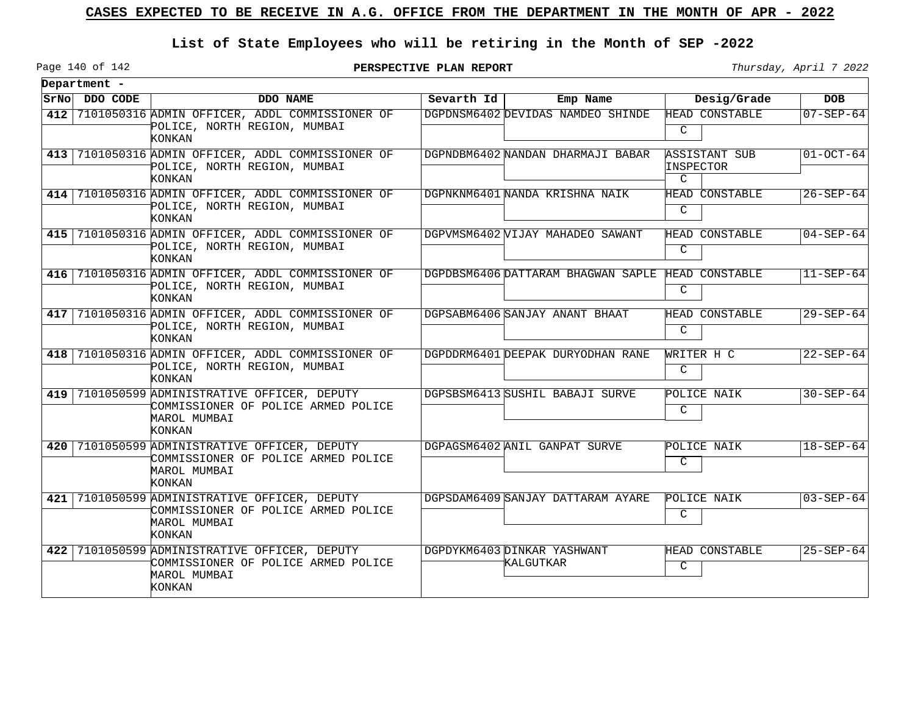## **List of State Employees who will be retiring in the Month of SEP -2022**

**PERSPECTIVE PLAN REPORT** Thursday, April 7 2022

Page 140 of 142

|     | Department -  |                                                                                                                |            |                                          |                                 |                 |
|-----|---------------|----------------------------------------------------------------------------------------------------------------|------------|------------------------------------------|---------------------------------|-----------------|
|     | SrNo DDO CODE | DDO NAME                                                                                                       | Sevarth Id | Emp Name                                 | Desig/Grade                     | <b>DOB</b>      |
|     |               | 412 7101050316 ADMIN OFFICER, ADDL COMMISSIONER OF<br>POLICE, NORTH REGION, MUMBAI<br>KONKAN                   |            | DGPDNSM6402 DEVIDAS NAMDEO SHINDE        | HEAD CONSTABLE<br>C             | $07 - SEP - 64$ |
|     |               | 413 7101050316 ADMIN OFFICER, ADDL COMMISSIONER OF<br>POLICE, NORTH REGION, MUMBAI<br>KONKAN                   |            | DGPNDBM6402 NANDAN DHARMAJI BABAR        | ASSISTANT SUB<br>INSPECTOR<br>C | $01-OCT-64$     |
|     |               | 414 7101050316 ADMIN OFFICER, ADDL COMMISSIONER OF<br>POLICE, NORTH REGION, MUMBAI<br>KONKAN                   |            | DGPNKNM6401 NANDA KRISHNA NAIK           | <b>HEAD CONSTABLE</b><br>C      | $26 - SEP - 64$ |
|     |               | 415 7101050316 ADMIN OFFICER, ADDL COMMISSIONER OF<br>POLICE, NORTH REGION, MUMBAI<br>KONKAN                   |            | DGPVMSM6402 VIJAY MAHADEO SAWANT         | HEAD CONSTABLE<br>C             | $04 - SEP - 64$ |
|     |               | 416 7101050316 ADMIN OFFICER, ADDL COMMISSIONER OF<br>POLICE, NORTH REGION, MUMBAI<br>KONKAN                   |            | DGPDBSM6406 DATTARAM BHAGWAN SAPLE       | HEAD CONSTABLE<br>C             | $11 - SEP - 64$ |
|     |               | 417 7101050316 ADMIN OFFICER, ADDL COMMISSIONER OF<br>POLICE, NORTH REGION, MUMBAI<br>KONKAN                   |            | DGPSABM6406 SANJAY ANANT BHAAT           | HEAD CONSTABLE<br>C             | $29 - SEP - 64$ |
|     |               | 418 7101050316 ADMIN OFFICER, ADDL COMMISSIONER OF<br>POLICE, NORTH REGION, MUMBAI<br>KONKAN                   |            | DGPDDRM6401 DEEPAK DURYODHAN RANE        | WRITER H C<br>C                 | $22 - SEP - 64$ |
|     |               | 419 7101050599 ADMINISTRATIVE OFFICER, DEPUTY<br>COMMISSIONER OF POLICE ARMED POLICE<br>MAROL MUMBAI<br>KONKAN |            | DGPSBSM6413 SUSHIL BABAJI SURVE          | POLICE NAIK<br>C                | $30 - SEP - 64$ |
|     |               | 420 7101050599 ADMINISTRATIVE OFFICER, DEPUTY<br>COMMISSIONER OF POLICE ARMED POLICE<br>MAROL MUMBAI<br>KONKAN |            | DGPAGSM6402 ANIL GANPAT SURVE            | POLICE NAIK<br>$\mathsf{C}$     | $18 - SEP - 64$ |
| 421 |               | 7101050599 ADMINISTRATIVE OFFICER, DEPUTY<br>COMMISSIONER OF POLICE ARMED POLICE<br>MAROL MUMBAI<br>KONKAN     |            | DGPSDAM6409 SANJAY DATTARAM AYARE        | POLICE NAIK<br>C                | $03 - SEP - 64$ |
|     |               | 422 7101050599 ADMINISTRATIVE OFFICER, DEPUTY<br>COMMISSIONER OF POLICE ARMED POLICE<br>MAROL MUMBAI<br>KONKAN |            | DGPDYKM6403 DINKAR YASHWANT<br>KALGUTKAR | HEAD CONSTABLE<br>C             | $25 - SEP - 64$ |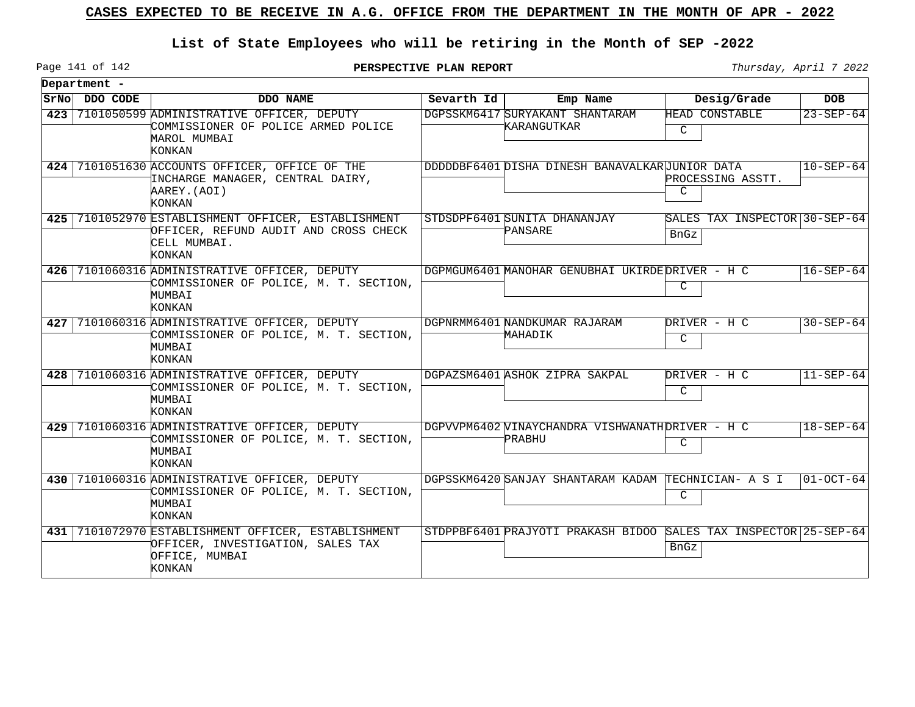## **List of State Employees who will be retiring in the Month of SEP -2022**

Page 141 of 142

**PERSPECTIVE PLAN REPORT** Thursday, April 7 2022

|       | Department - |                                                                                                                        |            |                                                                  |                                              |                          |
|-------|--------------|------------------------------------------------------------------------------------------------------------------------|------------|------------------------------------------------------------------|----------------------------------------------|--------------------------|
| SrNol | DDO CODE     | DDO NAME                                                                                                               | Sevarth Id | Emp Name                                                         | Desig/Grade                                  | <b>DOB</b>               |
| 423   |              | 7101050599 ADMINISTRATIVE OFFICER, DEPUTY<br>COMMISSIONER OF POLICE ARMED POLICE<br>MAROL MUMBAI<br>KONKAN             |            | DGPSSKM6417 SURYAKANT SHANTARAM<br>KARANGUTKAR                   | HEAD CONSTABLE<br>C                          | $23 - SEP - 64$          |
|       |              | 424 7101051630 ACCOUNTS OFFICER, OFFICE OF THE<br>INCHARGE MANAGER, CENTRAL DAIRY,<br>AAREY. (AOI)<br>KONKAN           |            | DDDDDBF6401 DISHA DINESH BANAVALKARUUNIOR DATA                   | PROCESSING ASSTT.<br>$\mathcal{C}$           | $ 10 - \text{SEP} - 64 $ |
|       |              | 425 7101052970 ESTABLISHMENT OFFICER, ESTABLISHMENT<br>OFFICER, REFUND AUDIT AND CROSS CHECK<br>CELL MUMBAI.<br>KONKAN |            | STDSDPF6401 SUNITA DHANANJAY<br>PANSARE                          | SALES TAX INSPECTOR 30-SEP-64<br><b>BnGz</b> |                          |
|       |              | 426 7101060316 ADMINISTRATIVE OFFICER, DEPUTY<br>COMMISSIONER OF POLICE, M. T. SECTION,<br>MUMBAI<br>KONKAN            |            | DGPMGUM6401 MANOHAR GENUBHAI UKIRDEDRIVER - H C                  | C                                            | $16 - SEP - 64$          |
|       |              | 427   7101060316 ADMINISTRATIVE OFFICER, DEPUTY<br>COMMISSIONER OF POLICE, M. T. SECTION,<br>MUMBAI<br><b>KONKAN</b>   |            | DGPNRMM6401 NANDKUMAR RAJARAM<br>MAHADIK                         | DRIVER - H C<br>C                            | $30 - SEP - 64$          |
| 428   |              | 7101060316 ADMINISTRATIVE OFFICER, DEPUTY<br>COMMISSIONER OF POLICE, M. T. SECTION,<br>MUMBAI<br>KONKAN                |            | DGPAZSM6401 ASHOK ZIPRA SAKPAL                                   | DRIVER - H C<br>C                            | $11 - SEP - 64$          |
| 429   |              | 7101060316 ADMINISTRATIVE OFFICER, DEPUTY<br>COMMISSIONER OF POLICE, M. T. SECTION,<br>MUMBAI<br>KONKAN                |            | DGPVVPM6402 VINAYCHANDRA VISHWANATHDRIVER - H C<br>PRABHU        | C                                            | $18 - SEP - 64$          |
| 430   |              | 7101060316 ADMINISTRATIVE OFFICER, DEPUTY<br>COMMISSIONER OF POLICE, M. T. SECTION,<br>MUMBAI<br>KONKAN                |            | DGPSSKM6420 SANJAY SHANTARAM KADAM TECHNICIAN- A S I             | C                                            | $01-0CT-64$              |
|       |              | 431 7101072970 ESTABLISHMENT OFFICER, ESTABLISHMENT<br>OFFICER, INVESTIGATION, SALES TAX<br>OFFICE, MUMBAI<br>KONKAN   |            | STDPPBF6401 PRAJYOTI PRAKASH BIDOO SALES TAX INSPECTOR 25-SEP-64 | <b>BnGz</b>                                  |                          |